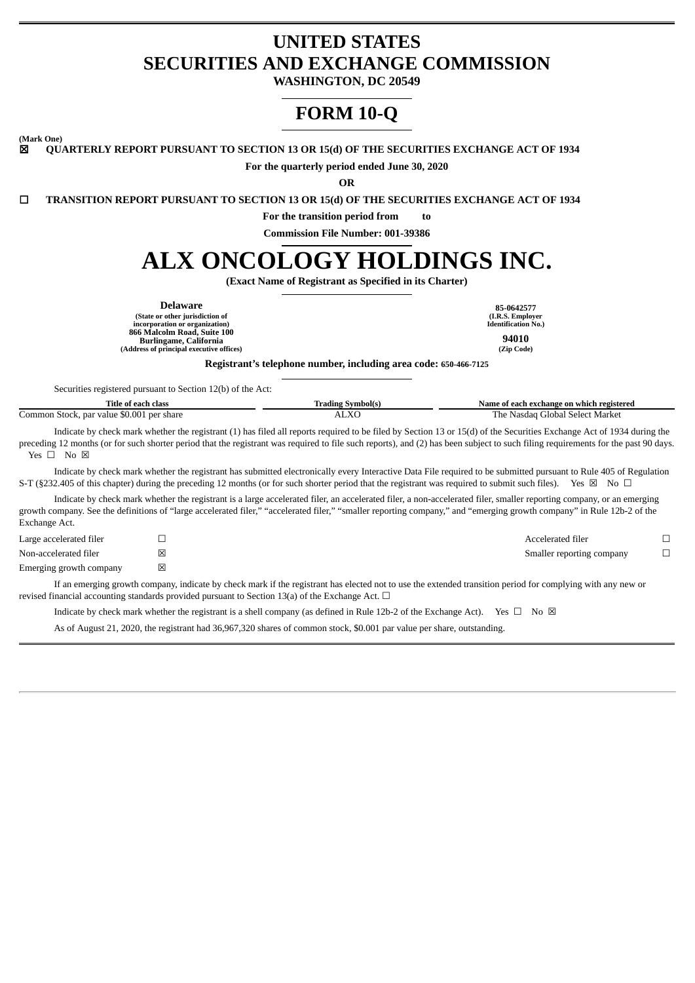# **UNITED STATES SECURITIES AND EXCHANGE COMMISSION**

**WASHINGTON, DC 20549**

# **FORM 10-Q**

**(Mark One)**

☒ **QUARTERLY REPORT PURSUANT TO SECTION 13 OR 15(d) OF THE SECURITIES EXCHANGE ACT OF 1934**

**For the quarterly period ended June 30, 2020**

**OR**

☐ **TRANSITION REPORT PURSUANT TO SECTION 13 OR 15(d) OF THE SECURITIES EXCHANGE ACT OF 1934**

**For the transition period from to**

**Commission File Number: 001-39386**

# **ALX ONCOLOGY HOLDINGS INC.**

**(Exact Name of Registrant as Specified in its Charter)**

**Delaware 85-0642577 (State or other jurisdiction of incorporation or organization) 866 Malcolm Road, Suite 100 b** Matcolm Road, Suite 100<br>Burlingame, California<br>ress of principal executive offices) **by the contract of the contract of the contract of the contract of the cont (Address of principal executive offices) (Zip Code)**

**(I.R.S. Employer Identification No.)**

**Registrant's telephone number, including area code: 650-466-7125**

Securities registered pursuant to Section 12(b) of the Act:

| Title of each class                       | rading '<br>Symbol(s. | Name of each exchange on which registered    |
|-------------------------------------------|-----------------------|----------------------------------------------|
| Common Stock, par value \$0.001 per share | AL XC                 | -Select Market<br>l'he.<br>: Nasdad Global : |

Indicate by check mark whether the registrant (1) has filed all reports required to be filed by Section 13 or 15(d) of the Securities Exchange Act of 1934 during the preceding 12 months (or for such shorter period that the registrant was required to file such reports), and (2) has been subject to such filing requirements for the past 90 days. Yes □ No ⊠

Indicate by check mark whether the registrant has submitted electronically every Interactive Data File required to be submitted pursuant to Rule 405 of Regulation S-T (§232.405 of this chapter) during the preceding 12 months (or for such shorter period that the registrant was required to submit such files). Yes  $\boxtimes$  No  $\Box$ 

Indicate by check mark whether the registrant is a large accelerated filer, an accelerated filer, a non-accelerated filer, smaller reporting company, or an emerging growth company. See the definitions of "large accelerated filer," "accelerated filer," "smaller reporting company," and "emerging growth company" in Rule 12b-2 of the Exchange Act.

| Large accelerated filer |   |  | Accelerated filer         |  |
|-------------------------|---|--|---------------------------|--|
| Non-accelerated filer   | ⊠ |  | Smaller reporting company |  |
| Emerging growth company | ⊠ |  |                           |  |
|                         |   |  |                           |  |

If an emerging growth company, indicate by check mark if the registrant has elected not to use the extended transition period for complying with any new or revised financial accounting standards provided pursuant to Section 13(a) of the Exchange Act.  $\Box$ 

Indicate by check mark whether the registrant is a shell company (as defined in Rule 12b-2 of the Exchange Act). Yes  $\Box$  No  $\boxtimes$ 

As of August 21, 2020, the registrant had 36,967,320 shares of common stock, \$0.001 par value per share, outstanding.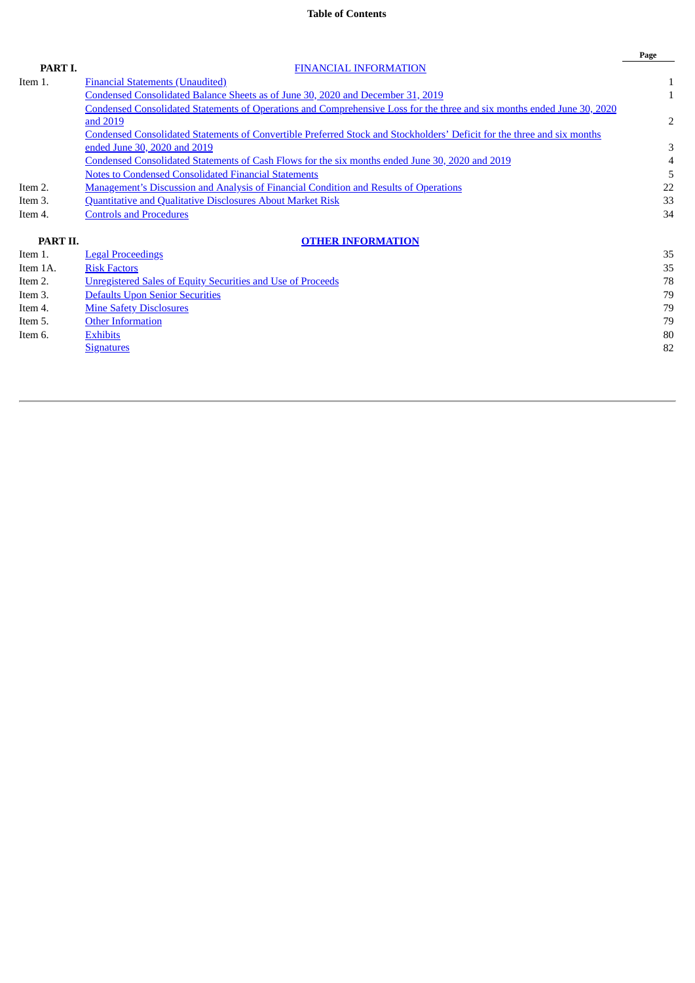# **Table of Contents**

|          |                                                                                                                         | Page |
|----------|-------------------------------------------------------------------------------------------------------------------------|------|
| PART I.  | <b>FINANCIAL INFORMATION</b>                                                                                            |      |
| Item 1.  | <b>Financial Statements (Unaudited)</b>                                                                                 |      |
|          | Condensed Consolidated Balance Sheets as of June 30, 2020 and December 31, 2019                                         |      |
|          | Condensed Consolidated Statements of Operations and Comprehensive Loss for the three and six months ended June 30, 2020 |      |
|          | and 2019                                                                                                                | 2    |
|          | Condensed Consolidated Statements of Convertible Preferred Stock and Stockholders' Deficit for the three and six months |      |
|          | ended June 30, 2020 and 2019                                                                                            | 3    |
|          | Condensed Consolidated Statements of Cash Flows for the six months ended June 30, 2020 and 2019                         |      |
|          | <b>Notes to Condensed Consolidated Financial Statements</b>                                                             | 5    |
| Item 2.  | <b>Management's Discussion and Analysis of Financial Condition and Results of Operations</b>                            | 22   |
| Item 3.  | <b>Quantitative and Qualitative Disclosures About Market Risk</b>                                                       | 33   |
| Item 4.  | <b>Controls and Procedures</b>                                                                                          | 34   |
| PART II. | <b>OTHER INFORMATION</b>                                                                                                |      |
| Item 1.  | <b>Legal Proceedings</b>                                                                                                | 35   |
| Item 1A. | <b>Risk Factors</b>                                                                                                     | 35   |
| Item 2.  | <b>Unregistered Sales of Equity Securities and Use of Proceeds</b>                                                      | 78   |
| Item 3.  | <b>Defaults Upon Senior Securities</b>                                                                                  | 79   |
| Item 4.  | <b>Mine Safety Disclosures</b>                                                                                          | 79   |
| Item 5.  | <b>Other Information</b>                                                                                                | 79   |
| Item 6.  | <b>Exhibits</b>                                                                                                         | 80   |
|          | <b>Signatures</b>                                                                                                       | 82   |
|          |                                                                                                                         |      |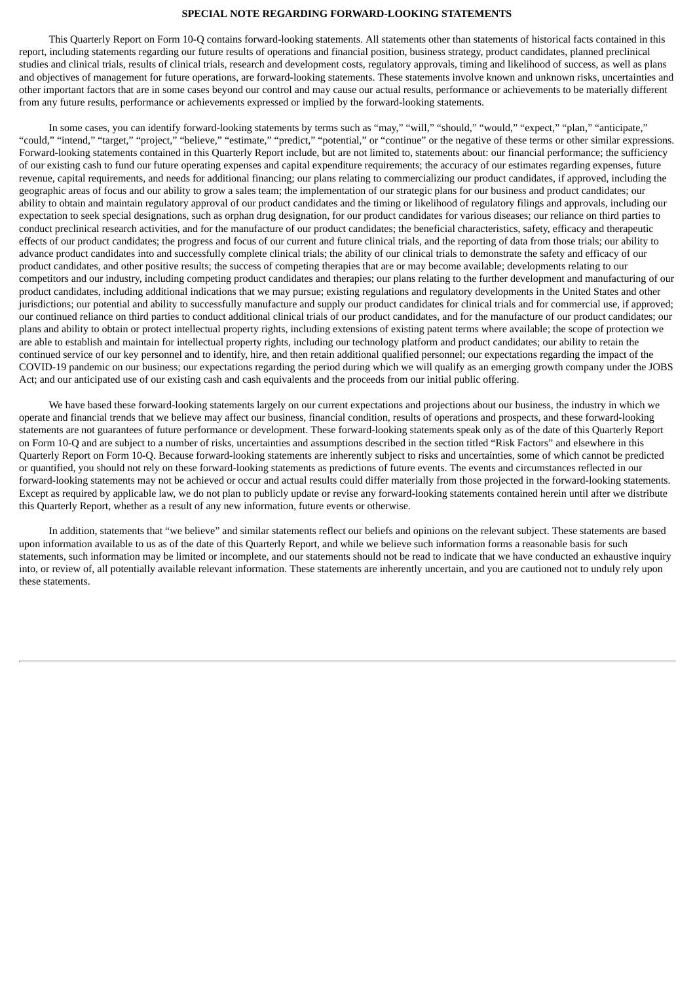#### **SPECIAL NOTE REGARDING FORWARD-LOOKING STATEMENTS**

This Quarterly Report on Form 10-Q contains forward-looking statements. All statements other than statements of historical facts contained in this report, including statements regarding our future results of operations and financial position, business strategy, product candidates, planned preclinical studies and clinical trials, results of clinical trials, research and development costs, regulatory approvals, timing and likelihood of success, as well as plans and objectives of management for future operations, are forward-looking statements. These statements involve known and unknown risks, uncertainties and other important factors that are in some cases beyond our control and may cause our actual results, performance or achievements to be materially different from any future results, performance or achievements expressed or implied by the forward-looking statements.

In some cases, you can identify forward-looking statements by terms such as "may," "will," "should," "would," "expect," "plan," "anticipate," "could," "intend," "target," "project," "believe," "estimate," "predict," "potential," or "continue" or the negative of these terms or other similar expressions. Forward-looking statements contained in this Quarterly Report include, but are not limited to, statements about: our financial performance; the sufficiency of our existing cash to fund our future operating expenses and capital expenditure requirements; the accuracy of our estimates regarding expenses, future revenue, capital requirements, and needs for additional financing; our plans relating to commercializing our product candidates, if approved, including the geographic areas of focus and our ability to grow a sales team; the implementation of our strategic plans for our business and product candidates; our ability to obtain and maintain regulatory approval of our product candidates and the timing or likelihood of regulatory filings and approvals, including our expectation to seek special designations, such as orphan drug designation, for our product candidates for various diseases; our reliance on third parties to conduct preclinical research activities, and for the manufacture of our product candidates; the beneficial characteristics, safety, efficacy and therapeutic effects of our product candidates; the progress and focus of our current and future clinical trials, and the reporting of data from those trials; our ability to advance product candidates into and successfully complete clinical trials; the ability of our clinical trials to demonstrate the safety and efficacy of our product candidates, and other positive results; the success of competing therapies that are or may become available; developments relating to our competitors and our industry, including competing product candidates and therapies; our plans relating to the further development and manufacturing of our product candidates, including additional indications that we may pursue; existing regulations and regulatory developments in the United States and other jurisdictions; our potential and ability to successfully manufacture and supply our product candidates for clinical trials and for commercial use, if approved; our continued reliance on third parties to conduct additional clinical trials of our product candidates, and for the manufacture of our product candidates; our plans and ability to obtain or protect intellectual property rights, including extensions of existing patent terms where available; the scope of protection we are able to establish and maintain for intellectual property rights, including our technology platform and product candidates; our ability to retain the continued service of our key personnel and to identify, hire, and then retain additional qualified personnel; our expectations regarding the impact of the COVID-19 pandemic on our business; our expectations regarding the period during which we will qualify as an emerging growth company under the JOBS Act; and our anticipated use of our existing cash and cash equivalents and the proceeds from our initial public offering.

We have based these forward-looking statements largely on our current expectations and projections about our business, the industry in which we operate and financial trends that we believe may affect our business, financial condition, results of operations and prospects, and these forward-looking statements are not guarantees of future performance or development. These forward-looking statements speak only as of the date of this Quarterly Report on Form 10-Q and are subject to a number of risks, uncertainties and assumptions described in the section titled "Risk Factors" and elsewhere in this Quarterly Report on Form 10-Q. Because forward-looking statements are inherently subject to risks and uncertainties, some of which cannot be predicted or quantified, you should not rely on these forward-looking statements as predictions of future events. The events and circumstances reflected in our forward-looking statements may not be achieved or occur and actual results could differ materially from those projected in the forward-looking statements. Except as required by applicable law, we do not plan to publicly update or revise any forward-looking statements contained herein until after we distribute this Quarterly Report, whether as a result of any new information, future events or otherwise.

In addition, statements that "we believe" and similar statements reflect our beliefs and opinions on the relevant subject. These statements are based upon information available to us as of the date of this Quarterly Report, and while we believe such information forms a reasonable basis for such statements, such information may be limited or incomplete, and our statements should not be read to indicate that we have conducted an exhaustive inquiry into, or review of, all potentially available relevant information. These statements are inherently uncertain, and you are cautioned not to unduly rely upon these statements.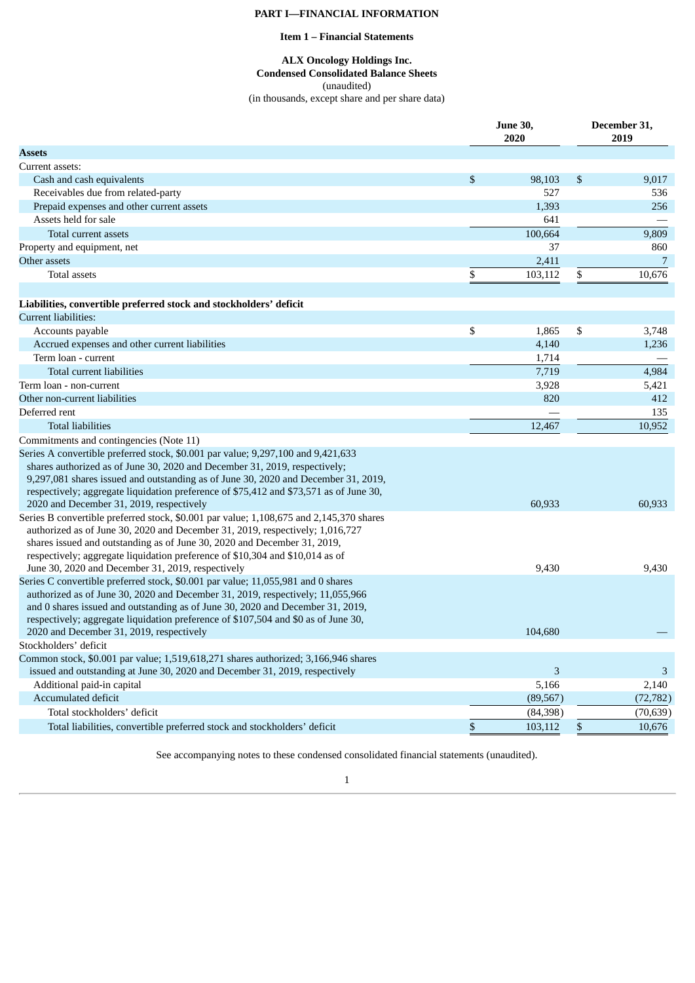# **PART I—FINANCIAL INFORMATION**

# **Item 1 – Financial Statements**

# **ALX Oncology Holdings Inc. Condensed Consolidated Balance Sheets** (unaudited) (in thousands, except share and per share data)

<span id="page-3-2"></span><span id="page-3-1"></span><span id="page-3-0"></span>

| <b>Assets</b><br>Current assets:<br>\$<br>98,103<br>\$<br>9,017<br>Cash and cash equivalents<br>527<br>536<br>Receivables due from related-party<br>1,393<br>256<br>Prepaid expenses and other current assets<br>Assets held for sale<br>641<br>Total current assets<br>100,664<br>9,809<br>37<br>860<br>Property and equipment, net<br>Other assets<br>2,411<br>7<br>\$<br>10,676<br>103,112<br>\$<br><b>Total assets</b><br>Liabilities, convertible preferred stock and stockholders' deficit<br>Current liabilities:<br>\$<br>\$<br>1,865<br>3,748<br>Accounts payable<br>Accrued expenses and other current liabilities<br>4,140<br>1,236<br>Term loan - current<br>1,714<br>Total current liabilities<br>7,719<br>4,984<br>Term loan - non-current<br>3,928<br>5,421<br>Other non-current liabilities<br>820<br>412<br>Deferred rent<br>135<br>12,467<br><b>Total liabilities</b><br>10,952<br>Commitments and contingencies (Note 11)<br>Series A convertible preferred stock, \$0.001 par value; 9,297,100 and 9,421,633<br>shares authorized as of June 30, 2020 and December 31, 2019, respectively;<br>9,297,081 shares issued and outstanding as of June 30, 2020 and December 31, 2019,<br>respectively; aggregate liquidation preference of \$75,412 and \$73,571 as of June 30,<br>2020 and December 31, 2019, respectively<br>60,933<br>60,933<br>Series B convertible preferred stock, \$0.001 par value; 1,108,675 and 2,145,370 shares<br>authorized as of June 30, 2020 and December 31, 2019, respectively; 1,016,727<br>shares issued and outstanding as of June 30, 2020 and December 31, 2019,<br>respectively; aggregate liquidation preference of \$10,304 and \$10,014 as of<br>June 30, 2020 and December 31, 2019, respectively<br>9,430<br>9,430<br>Series C convertible preferred stock, \$0.001 par value; 11,055,981 and 0 shares<br>authorized as of June 30, 2020 and December 31, 2019, respectively; 11,055,966<br>and 0 shares issued and outstanding as of June 30, 2020 and December 31, 2019,<br>respectively; aggregate liquidation preference of \$107,504 and \$0 as of June 30,<br>2020 and December 31, 2019, respectively<br>104,680<br>Stockholders' deficit<br>Common stock, \$0.001 par value; 1,519,618,271 shares authorized; 3,166,946 shares<br>issued and outstanding at June 30, 2020 and December 31, 2019, respectively<br>3<br>3<br>Additional paid-in capital<br>5,166<br>2,140<br>Accumulated deficit<br>(89, 567)<br>(72, 782)<br>Total stockholders' deficit<br>(84, 398)<br>(70, 639)<br>\$<br>10,676<br>Total liabilities, convertible preferred stock and stockholders' deficit<br>103,112<br>\$ |  | <b>June 30,</b><br>2020 | December 31,<br>2019 |
|--------------------------------------------------------------------------------------------------------------------------------------------------------------------------------------------------------------------------------------------------------------------------------------------------------------------------------------------------------------------------------------------------------------------------------------------------------------------------------------------------------------------------------------------------------------------------------------------------------------------------------------------------------------------------------------------------------------------------------------------------------------------------------------------------------------------------------------------------------------------------------------------------------------------------------------------------------------------------------------------------------------------------------------------------------------------------------------------------------------------------------------------------------------------------------------------------------------------------------------------------------------------------------------------------------------------------------------------------------------------------------------------------------------------------------------------------------------------------------------------------------------------------------------------------------------------------------------------------------------------------------------------------------------------------------------------------------------------------------------------------------------------------------------------------------------------------------------------------------------------------------------------------------------------------------------------------------------------------------------------------------------------------------------------------------------------------------------------------------------------------------------------------------------------------------------------------------------------------------------------------------------------------------------------------------------------------------------------------------------------------------------------------------------------------------------------------------------------------------------------------------------------------------------------------------------------------------------------------------------------------------------------------------------------|--|-------------------------|----------------------|
|                                                                                                                                                                                                                                                                                                                                                                                                                                                                                                                                                                                                                                                                                                                                                                                                                                                                                                                                                                                                                                                                                                                                                                                                                                                                                                                                                                                                                                                                                                                                                                                                                                                                                                                                                                                                                                                                                                                                                                                                                                                                                                                                                                                                                                                                                                                                                                                                                                                                                                                                                                                                                                                                    |  |                         |                      |
|                                                                                                                                                                                                                                                                                                                                                                                                                                                                                                                                                                                                                                                                                                                                                                                                                                                                                                                                                                                                                                                                                                                                                                                                                                                                                                                                                                                                                                                                                                                                                                                                                                                                                                                                                                                                                                                                                                                                                                                                                                                                                                                                                                                                                                                                                                                                                                                                                                                                                                                                                                                                                                                                    |  |                         |                      |
|                                                                                                                                                                                                                                                                                                                                                                                                                                                                                                                                                                                                                                                                                                                                                                                                                                                                                                                                                                                                                                                                                                                                                                                                                                                                                                                                                                                                                                                                                                                                                                                                                                                                                                                                                                                                                                                                                                                                                                                                                                                                                                                                                                                                                                                                                                                                                                                                                                                                                                                                                                                                                                                                    |  |                         |                      |
|                                                                                                                                                                                                                                                                                                                                                                                                                                                                                                                                                                                                                                                                                                                                                                                                                                                                                                                                                                                                                                                                                                                                                                                                                                                                                                                                                                                                                                                                                                                                                                                                                                                                                                                                                                                                                                                                                                                                                                                                                                                                                                                                                                                                                                                                                                                                                                                                                                                                                                                                                                                                                                                                    |  |                         |                      |
|                                                                                                                                                                                                                                                                                                                                                                                                                                                                                                                                                                                                                                                                                                                                                                                                                                                                                                                                                                                                                                                                                                                                                                                                                                                                                                                                                                                                                                                                                                                                                                                                                                                                                                                                                                                                                                                                                                                                                                                                                                                                                                                                                                                                                                                                                                                                                                                                                                                                                                                                                                                                                                                                    |  |                         |                      |
|                                                                                                                                                                                                                                                                                                                                                                                                                                                                                                                                                                                                                                                                                                                                                                                                                                                                                                                                                                                                                                                                                                                                                                                                                                                                                                                                                                                                                                                                                                                                                                                                                                                                                                                                                                                                                                                                                                                                                                                                                                                                                                                                                                                                                                                                                                                                                                                                                                                                                                                                                                                                                                                                    |  |                         |                      |
|                                                                                                                                                                                                                                                                                                                                                                                                                                                                                                                                                                                                                                                                                                                                                                                                                                                                                                                                                                                                                                                                                                                                                                                                                                                                                                                                                                                                                                                                                                                                                                                                                                                                                                                                                                                                                                                                                                                                                                                                                                                                                                                                                                                                                                                                                                                                                                                                                                                                                                                                                                                                                                                                    |  |                         |                      |
|                                                                                                                                                                                                                                                                                                                                                                                                                                                                                                                                                                                                                                                                                                                                                                                                                                                                                                                                                                                                                                                                                                                                                                                                                                                                                                                                                                                                                                                                                                                                                                                                                                                                                                                                                                                                                                                                                                                                                                                                                                                                                                                                                                                                                                                                                                                                                                                                                                                                                                                                                                                                                                                                    |  |                         |                      |
|                                                                                                                                                                                                                                                                                                                                                                                                                                                                                                                                                                                                                                                                                                                                                                                                                                                                                                                                                                                                                                                                                                                                                                                                                                                                                                                                                                                                                                                                                                                                                                                                                                                                                                                                                                                                                                                                                                                                                                                                                                                                                                                                                                                                                                                                                                                                                                                                                                                                                                                                                                                                                                                                    |  |                         |                      |
|                                                                                                                                                                                                                                                                                                                                                                                                                                                                                                                                                                                                                                                                                                                                                                                                                                                                                                                                                                                                                                                                                                                                                                                                                                                                                                                                                                                                                                                                                                                                                                                                                                                                                                                                                                                                                                                                                                                                                                                                                                                                                                                                                                                                                                                                                                                                                                                                                                                                                                                                                                                                                                                                    |  |                         |                      |
|                                                                                                                                                                                                                                                                                                                                                                                                                                                                                                                                                                                                                                                                                                                                                                                                                                                                                                                                                                                                                                                                                                                                                                                                                                                                                                                                                                                                                                                                                                                                                                                                                                                                                                                                                                                                                                                                                                                                                                                                                                                                                                                                                                                                                                                                                                                                                                                                                                                                                                                                                                                                                                                                    |  |                         |                      |
|                                                                                                                                                                                                                                                                                                                                                                                                                                                                                                                                                                                                                                                                                                                                                                                                                                                                                                                                                                                                                                                                                                                                                                                                                                                                                                                                                                                                                                                                                                                                                                                                                                                                                                                                                                                                                                                                                                                                                                                                                                                                                                                                                                                                                                                                                                                                                                                                                                                                                                                                                                                                                                                                    |  |                         |                      |
|                                                                                                                                                                                                                                                                                                                                                                                                                                                                                                                                                                                                                                                                                                                                                                                                                                                                                                                                                                                                                                                                                                                                                                                                                                                                                                                                                                                                                                                                                                                                                                                                                                                                                                                                                                                                                                                                                                                                                                                                                                                                                                                                                                                                                                                                                                                                                                                                                                                                                                                                                                                                                                                                    |  |                         |                      |
|                                                                                                                                                                                                                                                                                                                                                                                                                                                                                                                                                                                                                                                                                                                                                                                                                                                                                                                                                                                                                                                                                                                                                                                                                                                                                                                                                                                                                                                                                                                                                                                                                                                                                                                                                                                                                                                                                                                                                                                                                                                                                                                                                                                                                                                                                                                                                                                                                                                                                                                                                                                                                                                                    |  |                         |                      |
|                                                                                                                                                                                                                                                                                                                                                                                                                                                                                                                                                                                                                                                                                                                                                                                                                                                                                                                                                                                                                                                                                                                                                                                                                                                                                                                                                                                                                                                                                                                                                                                                                                                                                                                                                                                                                                                                                                                                                                                                                                                                                                                                                                                                                                                                                                                                                                                                                                                                                                                                                                                                                                                                    |  |                         |                      |
|                                                                                                                                                                                                                                                                                                                                                                                                                                                                                                                                                                                                                                                                                                                                                                                                                                                                                                                                                                                                                                                                                                                                                                                                                                                                                                                                                                                                                                                                                                                                                                                                                                                                                                                                                                                                                                                                                                                                                                                                                                                                                                                                                                                                                                                                                                                                                                                                                                                                                                                                                                                                                                                                    |  |                         |                      |
|                                                                                                                                                                                                                                                                                                                                                                                                                                                                                                                                                                                                                                                                                                                                                                                                                                                                                                                                                                                                                                                                                                                                                                                                                                                                                                                                                                                                                                                                                                                                                                                                                                                                                                                                                                                                                                                                                                                                                                                                                                                                                                                                                                                                                                                                                                                                                                                                                                                                                                                                                                                                                                                                    |  |                         |                      |
|                                                                                                                                                                                                                                                                                                                                                                                                                                                                                                                                                                                                                                                                                                                                                                                                                                                                                                                                                                                                                                                                                                                                                                                                                                                                                                                                                                                                                                                                                                                                                                                                                                                                                                                                                                                                                                                                                                                                                                                                                                                                                                                                                                                                                                                                                                                                                                                                                                                                                                                                                                                                                                                                    |  |                         |                      |
|                                                                                                                                                                                                                                                                                                                                                                                                                                                                                                                                                                                                                                                                                                                                                                                                                                                                                                                                                                                                                                                                                                                                                                                                                                                                                                                                                                                                                                                                                                                                                                                                                                                                                                                                                                                                                                                                                                                                                                                                                                                                                                                                                                                                                                                                                                                                                                                                                                                                                                                                                                                                                                                                    |  |                         |                      |
|                                                                                                                                                                                                                                                                                                                                                                                                                                                                                                                                                                                                                                                                                                                                                                                                                                                                                                                                                                                                                                                                                                                                                                                                                                                                                                                                                                                                                                                                                                                                                                                                                                                                                                                                                                                                                                                                                                                                                                                                                                                                                                                                                                                                                                                                                                                                                                                                                                                                                                                                                                                                                                                                    |  |                         |                      |
|                                                                                                                                                                                                                                                                                                                                                                                                                                                                                                                                                                                                                                                                                                                                                                                                                                                                                                                                                                                                                                                                                                                                                                                                                                                                                                                                                                                                                                                                                                                                                                                                                                                                                                                                                                                                                                                                                                                                                                                                                                                                                                                                                                                                                                                                                                                                                                                                                                                                                                                                                                                                                                                                    |  |                         |                      |
|                                                                                                                                                                                                                                                                                                                                                                                                                                                                                                                                                                                                                                                                                                                                                                                                                                                                                                                                                                                                                                                                                                                                                                                                                                                                                                                                                                                                                                                                                                                                                                                                                                                                                                                                                                                                                                                                                                                                                                                                                                                                                                                                                                                                                                                                                                                                                                                                                                                                                                                                                                                                                                                                    |  |                         |                      |
|                                                                                                                                                                                                                                                                                                                                                                                                                                                                                                                                                                                                                                                                                                                                                                                                                                                                                                                                                                                                                                                                                                                                                                                                                                                                                                                                                                                                                                                                                                                                                                                                                                                                                                                                                                                                                                                                                                                                                                                                                                                                                                                                                                                                                                                                                                                                                                                                                                                                                                                                                                                                                                                                    |  |                         |                      |
|                                                                                                                                                                                                                                                                                                                                                                                                                                                                                                                                                                                                                                                                                                                                                                                                                                                                                                                                                                                                                                                                                                                                                                                                                                                                                                                                                                                                                                                                                                                                                                                                                                                                                                                                                                                                                                                                                                                                                                                                                                                                                                                                                                                                                                                                                                                                                                                                                                                                                                                                                                                                                                                                    |  |                         |                      |
|                                                                                                                                                                                                                                                                                                                                                                                                                                                                                                                                                                                                                                                                                                                                                                                                                                                                                                                                                                                                                                                                                                                                                                                                                                                                                                                                                                                                                                                                                                                                                                                                                                                                                                                                                                                                                                                                                                                                                                                                                                                                                                                                                                                                                                                                                                                                                                                                                                                                                                                                                                                                                                                                    |  |                         |                      |
|                                                                                                                                                                                                                                                                                                                                                                                                                                                                                                                                                                                                                                                                                                                                                                                                                                                                                                                                                                                                                                                                                                                                                                                                                                                                                                                                                                                                                                                                                                                                                                                                                                                                                                                                                                                                                                                                                                                                                                                                                                                                                                                                                                                                                                                                                                                                                                                                                                                                                                                                                                                                                                                                    |  |                         |                      |
|                                                                                                                                                                                                                                                                                                                                                                                                                                                                                                                                                                                                                                                                                                                                                                                                                                                                                                                                                                                                                                                                                                                                                                                                                                                                                                                                                                                                                                                                                                                                                                                                                                                                                                                                                                                                                                                                                                                                                                                                                                                                                                                                                                                                                                                                                                                                                                                                                                                                                                                                                                                                                                                                    |  |                         |                      |
|                                                                                                                                                                                                                                                                                                                                                                                                                                                                                                                                                                                                                                                                                                                                                                                                                                                                                                                                                                                                                                                                                                                                                                                                                                                                                                                                                                                                                                                                                                                                                                                                                                                                                                                                                                                                                                                                                                                                                                                                                                                                                                                                                                                                                                                                                                                                                                                                                                                                                                                                                                                                                                                                    |  |                         |                      |
|                                                                                                                                                                                                                                                                                                                                                                                                                                                                                                                                                                                                                                                                                                                                                                                                                                                                                                                                                                                                                                                                                                                                                                                                                                                                                                                                                                                                                                                                                                                                                                                                                                                                                                                                                                                                                                                                                                                                                                                                                                                                                                                                                                                                                                                                                                                                                                                                                                                                                                                                                                                                                                                                    |  |                         |                      |
|                                                                                                                                                                                                                                                                                                                                                                                                                                                                                                                                                                                                                                                                                                                                                                                                                                                                                                                                                                                                                                                                                                                                                                                                                                                                                                                                                                                                                                                                                                                                                                                                                                                                                                                                                                                                                                                                                                                                                                                                                                                                                                                                                                                                                                                                                                                                                                                                                                                                                                                                                                                                                                                                    |  |                         |                      |
|                                                                                                                                                                                                                                                                                                                                                                                                                                                                                                                                                                                                                                                                                                                                                                                                                                                                                                                                                                                                                                                                                                                                                                                                                                                                                                                                                                                                                                                                                                                                                                                                                                                                                                                                                                                                                                                                                                                                                                                                                                                                                                                                                                                                                                                                                                                                                                                                                                                                                                                                                                                                                                                                    |  |                         |                      |
|                                                                                                                                                                                                                                                                                                                                                                                                                                                                                                                                                                                                                                                                                                                                                                                                                                                                                                                                                                                                                                                                                                                                                                                                                                                                                                                                                                                                                                                                                                                                                                                                                                                                                                                                                                                                                                                                                                                                                                                                                                                                                                                                                                                                                                                                                                                                                                                                                                                                                                                                                                                                                                                                    |  |                         |                      |
|                                                                                                                                                                                                                                                                                                                                                                                                                                                                                                                                                                                                                                                                                                                                                                                                                                                                                                                                                                                                                                                                                                                                                                                                                                                                                                                                                                                                                                                                                                                                                                                                                                                                                                                                                                                                                                                                                                                                                                                                                                                                                                                                                                                                                                                                                                                                                                                                                                                                                                                                                                                                                                                                    |  |                         |                      |
|                                                                                                                                                                                                                                                                                                                                                                                                                                                                                                                                                                                                                                                                                                                                                                                                                                                                                                                                                                                                                                                                                                                                                                                                                                                                                                                                                                                                                                                                                                                                                                                                                                                                                                                                                                                                                                                                                                                                                                                                                                                                                                                                                                                                                                                                                                                                                                                                                                                                                                                                                                                                                                                                    |  |                         |                      |
|                                                                                                                                                                                                                                                                                                                                                                                                                                                                                                                                                                                                                                                                                                                                                                                                                                                                                                                                                                                                                                                                                                                                                                                                                                                                                                                                                                                                                                                                                                                                                                                                                                                                                                                                                                                                                                                                                                                                                                                                                                                                                                                                                                                                                                                                                                                                                                                                                                                                                                                                                                                                                                                                    |  |                         |                      |
|                                                                                                                                                                                                                                                                                                                                                                                                                                                                                                                                                                                                                                                                                                                                                                                                                                                                                                                                                                                                                                                                                                                                                                                                                                                                                                                                                                                                                                                                                                                                                                                                                                                                                                                                                                                                                                                                                                                                                                                                                                                                                                                                                                                                                                                                                                                                                                                                                                                                                                                                                                                                                                                                    |  |                         |                      |
|                                                                                                                                                                                                                                                                                                                                                                                                                                                                                                                                                                                                                                                                                                                                                                                                                                                                                                                                                                                                                                                                                                                                                                                                                                                                                                                                                                                                                                                                                                                                                                                                                                                                                                                                                                                                                                                                                                                                                                                                                                                                                                                                                                                                                                                                                                                                                                                                                                                                                                                                                                                                                                                                    |  |                         |                      |
|                                                                                                                                                                                                                                                                                                                                                                                                                                                                                                                                                                                                                                                                                                                                                                                                                                                                                                                                                                                                                                                                                                                                                                                                                                                                                                                                                                                                                                                                                                                                                                                                                                                                                                                                                                                                                                                                                                                                                                                                                                                                                                                                                                                                                                                                                                                                                                                                                                                                                                                                                                                                                                                                    |  |                         |                      |
|                                                                                                                                                                                                                                                                                                                                                                                                                                                                                                                                                                                                                                                                                                                                                                                                                                                                                                                                                                                                                                                                                                                                                                                                                                                                                                                                                                                                                                                                                                                                                                                                                                                                                                                                                                                                                                                                                                                                                                                                                                                                                                                                                                                                                                                                                                                                                                                                                                                                                                                                                                                                                                                                    |  |                         |                      |
|                                                                                                                                                                                                                                                                                                                                                                                                                                                                                                                                                                                                                                                                                                                                                                                                                                                                                                                                                                                                                                                                                                                                                                                                                                                                                                                                                                                                                                                                                                                                                                                                                                                                                                                                                                                                                                                                                                                                                                                                                                                                                                                                                                                                                                                                                                                                                                                                                                                                                                                                                                                                                                                                    |  |                         |                      |
|                                                                                                                                                                                                                                                                                                                                                                                                                                                                                                                                                                                                                                                                                                                                                                                                                                                                                                                                                                                                                                                                                                                                                                                                                                                                                                                                                                                                                                                                                                                                                                                                                                                                                                                                                                                                                                                                                                                                                                                                                                                                                                                                                                                                                                                                                                                                                                                                                                                                                                                                                                                                                                                                    |  |                         |                      |
|                                                                                                                                                                                                                                                                                                                                                                                                                                                                                                                                                                                                                                                                                                                                                                                                                                                                                                                                                                                                                                                                                                                                                                                                                                                                                                                                                                                                                                                                                                                                                                                                                                                                                                                                                                                                                                                                                                                                                                                                                                                                                                                                                                                                                                                                                                                                                                                                                                                                                                                                                                                                                                                                    |  |                         |                      |
|                                                                                                                                                                                                                                                                                                                                                                                                                                                                                                                                                                                                                                                                                                                                                                                                                                                                                                                                                                                                                                                                                                                                                                                                                                                                                                                                                                                                                                                                                                                                                                                                                                                                                                                                                                                                                                                                                                                                                                                                                                                                                                                                                                                                                                                                                                                                                                                                                                                                                                                                                                                                                                                                    |  |                         |                      |

See accompanying notes to these condensed consolidated financial statements (unaudited).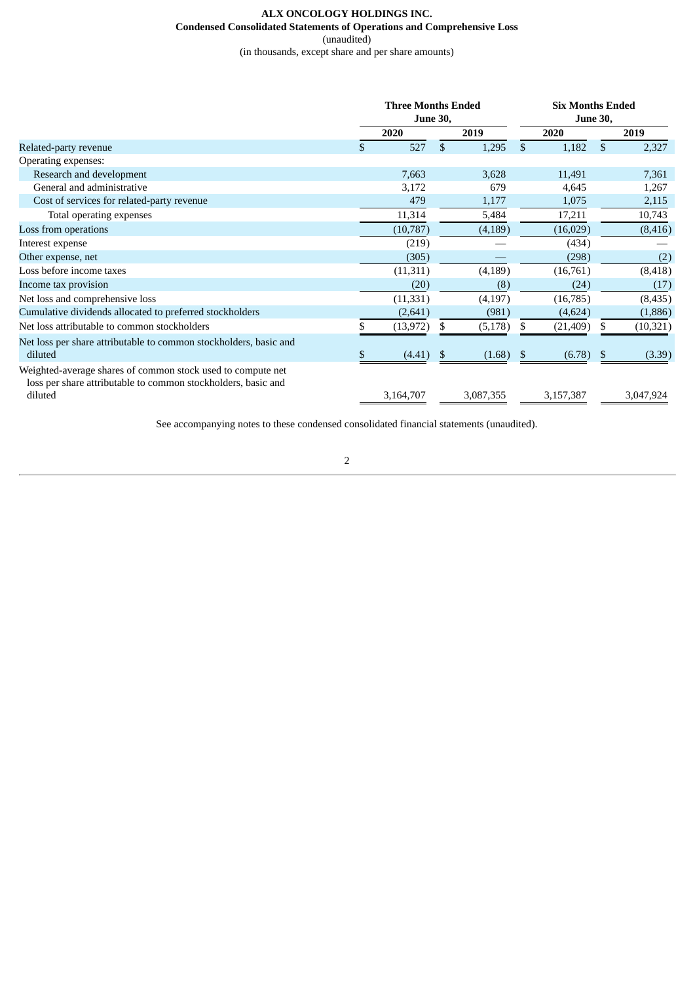# **ALX ONCOLOGY HOLDINGS INC. Condensed Consolidated Statements of Operations and Comprehensive Loss**

(unaudited)

(in thousands, except share and per share amounts)

<span id="page-4-0"></span>

|                                                                                                                              |     | <b>Three Months Ended</b><br><b>June 30,</b> |     |           |    | <b>Six Months Ended</b><br><b>June 30,</b> |               |           |
|------------------------------------------------------------------------------------------------------------------------------|-----|----------------------------------------------|-----|-----------|----|--------------------------------------------|---------------|-----------|
|                                                                                                                              |     | 2020                                         |     | 2019      |    | 2020                                       |               | 2019      |
| Related-party revenue                                                                                                        |     | 527                                          | \$  | 1,295     | \$ | 1,182                                      | <sup>\$</sup> | 2,327     |
| Operating expenses:                                                                                                          |     |                                              |     |           |    |                                            |               |           |
| Research and development                                                                                                     |     | 7,663                                        |     | 3,628     |    | 11,491                                     |               | 7,361     |
| General and administrative                                                                                                   |     | 3,172                                        |     | 679       |    | 4,645                                      |               | 1,267     |
| Cost of services for related-party revenue                                                                                   |     | 479                                          |     | 1,177     |    | 1,075                                      |               | 2,115     |
| Total operating expenses                                                                                                     |     | 11,314                                       |     | 5,484     |    | 17,211                                     |               | 10,743    |
| Loss from operations                                                                                                         |     | (10,787)                                     |     | (4, 189)  |    | (16,029)                                   |               | (8, 416)  |
| Interest expense                                                                                                             |     | (219)                                        |     |           |    | (434)                                      |               |           |
| Other expense, net                                                                                                           |     | (305)                                        |     |           |    | (298)                                      |               | (2)       |
| Loss before income taxes                                                                                                     |     | (11, 311)                                    |     | (4, 189)  |    | (16,761)                                   |               | (8, 418)  |
| Income tax provision                                                                                                         |     | (20)                                         |     | (8)       |    | (24)                                       |               | (17)      |
| Net loss and comprehensive loss                                                                                              |     | (11, 331)                                    |     | (4, 197)  |    | (16,785)                                   |               | (8, 435)  |
| Cumulative dividends allocated to preferred stockholders                                                                     |     | (2,641)                                      |     | (981)     |    | (4,624)                                    |               | (1,886)   |
| Net loss attributable to common stockholders                                                                                 |     | (13, 972)                                    | \$. | (5, 178)  |    | (21, 409)                                  |               | (10, 321) |
| Net loss per share attributable to common stockholders, basic and<br>diluted                                                 | \$. | (4.41)                                       | \$  | (1.68)    | S. | (6.78)                                     | <sup>S</sup>  | (3.39)    |
| Weighted-average shares of common stock used to compute net<br>loss per share attributable to common stockholders, basic and |     |                                              |     |           |    |                                            |               |           |
| diluted                                                                                                                      |     | 3,164,707                                    |     | 3,087,355 |    | 3,157,387                                  |               | 3,047,924 |

See accompanying notes to these condensed consolidated financial statements (unaudited).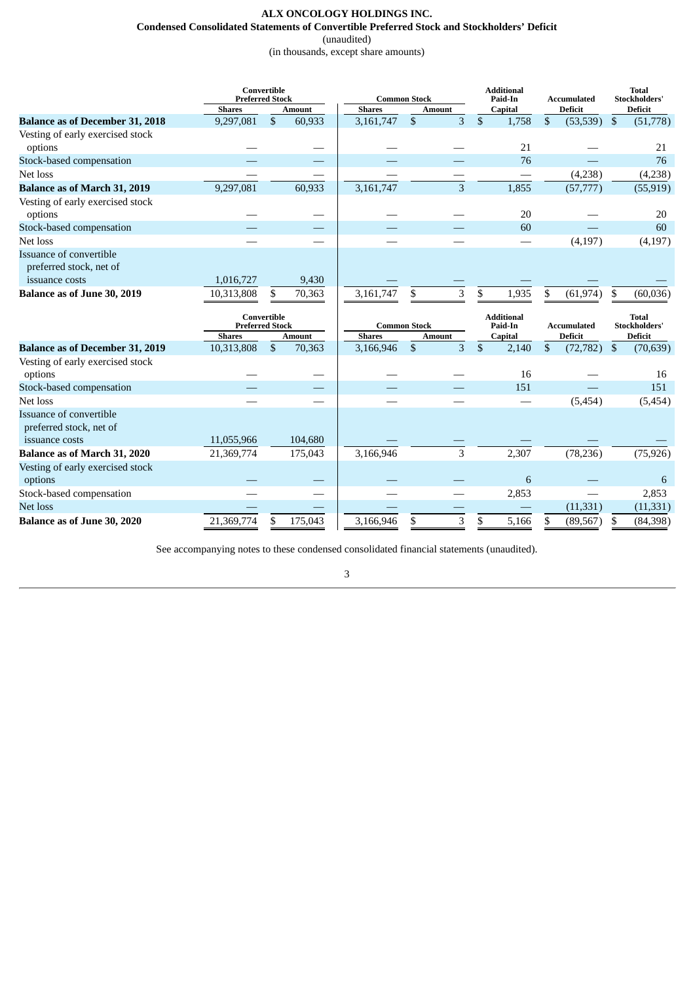# **ALX ONCOLOGY HOLDINGS INC. Condensed Consolidated Statements of Convertible Preferred Stock and Stockholders' Deficit**

(unaudited)

(in thousands, except share amounts)

<span id="page-5-0"></span>

|                                                    | Convertible<br><b>Common Stock</b><br><b>Preferred Stock</b> |      |               |                     |              |                | <b>Additional</b><br>Paid-In<br>Accumulated |                       |      |                    |                |                               |  |  | <b>Total</b><br>Stockholders' |  |
|----------------------------------------------------|--------------------------------------------------------------|------|---------------|---------------------|--------------|----------------|---------------------------------------------|-----------------------|------|--------------------|----------------|-------------------------------|--|--|-------------------------------|--|
|                                                    | <b>Shares</b>                                                |      | <b>Amount</b> | <b>Shares</b>       |              | <b>Amount</b>  | Capital                                     |                       |      | <b>Deficit</b>     | <b>Deficit</b> |                               |  |  |                               |  |
| <b>Balance as of December 31, 2018</b>             | 9,297,081                                                    | $\$$ | 60,933        | 3,161,747           | $\mathbb{S}$ | 3              | \$                                          | 1,758                 | $\$$ | (53, 539)          | $\mathfrak{s}$ | (51,778)                      |  |  |                               |  |
| Vesting of early exercised stock                   |                                                              |      |               |                     |              |                |                                             |                       |      |                    |                |                               |  |  |                               |  |
| options                                            |                                                              |      |               |                     |              |                |                                             | 21                    |      |                    |                | 21                            |  |  |                               |  |
| Stock-based compensation                           |                                                              |      |               |                     |              |                |                                             | 76                    |      |                    |                | 76                            |  |  |                               |  |
| Net loss                                           |                                                              |      |               |                     |              |                |                                             |                       |      | (4,238)            |                | (4,238)                       |  |  |                               |  |
| Balance as of March 31, 2019                       | 9,297,081                                                    |      | 60,933        | 3,161,747           |              | $\overline{3}$ |                                             | 1,855                 |      | (57, 777)          |                | (55, 919)                     |  |  |                               |  |
| Vesting of early exercised stock                   |                                                              |      |               |                     |              |                |                                             |                       |      |                    |                |                               |  |  |                               |  |
| options                                            |                                                              |      |               |                     |              |                |                                             | 20                    |      |                    |                | 20                            |  |  |                               |  |
| Stock-based compensation                           |                                                              |      |               |                     |              |                |                                             | 60                    |      |                    |                | 60                            |  |  |                               |  |
| Net loss                                           |                                                              |      |               |                     |              |                |                                             |                       |      | (4, 197)           |                | (4,197)                       |  |  |                               |  |
| Issuance of convertible<br>preferred stock, net of |                                                              |      |               |                     |              |                |                                             |                       |      |                    |                |                               |  |  |                               |  |
| issuance costs                                     | 1,016,727                                                    |      | 9,430         |                     |              |                |                                             |                       |      |                    |                |                               |  |  |                               |  |
| Balance as of June 30, 2019                        | 10,313,808                                                   | \$   | 70,363        | 3,161,747           | \$           | 3              | \$                                          | 1,935                 | \$   | (61, 974)          | \$             | (60, 036)                     |  |  |                               |  |
|                                                    | Convertible<br><b>Preferred Stock</b>                        |      |               | <b>Common Stock</b> |              |                |                                             | Additional<br>Paid-In |      | <b>Accumulated</b> |                | <b>Total</b><br>Stockholders' |  |  |                               |  |
|                                                    | <b>Shares</b>                                                |      | <b>Amount</b> | <b>Shares</b>       |              | <b>Amount</b>  |                                             | Capital               |      | <b>Deficit</b>     |                | <b>Deficit</b>                |  |  |                               |  |
| <b>Balance as of December 31, 2019</b>             | 10,313,808                                                   | \$   | 70,363        | 3,166,946           | \$           | 3              | \$                                          | 2,140                 | \$   | (72, 782)          | \$             | (70, 639)                     |  |  |                               |  |
| Vesting of early exercised stock                   |                                                              |      |               |                     |              |                |                                             |                       |      |                    |                |                               |  |  |                               |  |
| options                                            |                                                              |      |               |                     |              |                |                                             | 16                    |      |                    |                | 16                            |  |  |                               |  |
| Stock-based compensation                           |                                                              |      |               |                     |              |                |                                             | 151                   |      |                    |                | 151                           |  |  |                               |  |
| Net loss                                           |                                                              |      |               |                     |              |                |                                             |                       |      | (5, 454)           |                | (5,454)                       |  |  |                               |  |
| Issuance of convertible<br>preferred stock, net of |                                                              |      |               |                     |              |                |                                             |                       |      |                    |                |                               |  |  |                               |  |
| issuance costs                                     | 11,055,966                                                   |      | 104,680       |                     |              |                |                                             |                       |      |                    |                |                               |  |  |                               |  |
| Balance as of March 31, 2020                       | 21,369,774                                                   |      | 175,043       | 3,166,946           |              | $\mathbf{3}$   |                                             | 2,307                 |      | (78, 236)          |                | (75, 926)                     |  |  |                               |  |
| Vesting of early exercised stock<br>options        |                                                              |      |               |                     |              |                |                                             | 6                     |      |                    |                | 6                             |  |  |                               |  |
| Stock-based compensation                           |                                                              |      |               |                     |              |                |                                             | 2,853                 |      |                    |                | 2,853                         |  |  |                               |  |
| <b>Net loss</b>                                    |                                                              |      |               |                     |              |                |                                             |                       |      | (11, 331)          |                | (11, 331)                     |  |  |                               |  |
| Balance as of June 30, 2020                        | 21,369,774                                                   | \$   | 175,043       | 3,166,946           | \$           | 3              | \$                                          | 5,166                 | \$   | (89, 567)          | \$             | (84, 398)                     |  |  |                               |  |

See accompanying notes to these condensed consolidated financial statements (unaudited).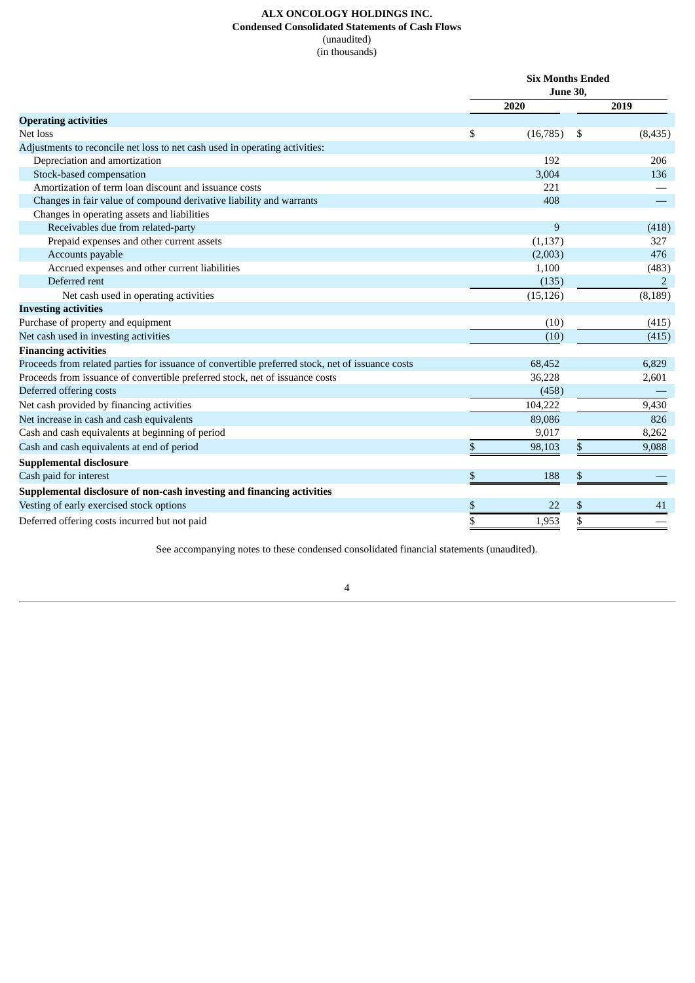# **ALX ONCOLOGY HOLDINGS INC. Condensed Consolidated Statements of Cash Flows** (unaudited)

(in thousands)

<span id="page-6-0"></span>

|                                                                                                  | <b>Six Months Ended</b><br><b>June 30,</b> |           |     |          |  |
|--------------------------------------------------------------------------------------------------|--------------------------------------------|-----------|-----|----------|--|
|                                                                                                  |                                            |           |     |          |  |
|                                                                                                  |                                            | 2020      |     | 2019     |  |
| <b>Operating activities</b>                                                                      |                                            |           |     |          |  |
| Net loss                                                                                         | \$                                         | (16,785)  | -\$ | (8, 435) |  |
| Adjustments to reconcile net loss to net cash used in operating activities:                      |                                            |           |     |          |  |
| Depreciation and amortization                                                                    |                                            | 192       |     | 206      |  |
| Stock-based compensation                                                                         |                                            | 3,004     |     | 136      |  |
| Amortization of term loan discount and issuance costs                                            |                                            | 221       |     |          |  |
| Changes in fair value of compound derivative liability and warrants                              |                                            | 408       |     |          |  |
| Changes in operating assets and liabilities                                                      |                                            |           |     |          |  |
| Receivables due from related-party                                                               |                                            | 9         |     | (418)    |  |
| Prepaid expenses and other current assets                                                        |                                            | (1,137)   |     | 327      |  |
| Accounts payable                                                                                 |                                            | (2,003)   |     | 476      |  |
| Accrued expenses and other current liabilities                                                   |                                            | 1,100     |     | (483)    |  |
| Deferred rent                                                                                    |                                            | (135)     |     | 2        |  |
| Net cash used in operating activities                                                            |                                            | (15, 126) |     | (8, 189) |  |
| <b>Investing activities</b>                                                                      |                                            |           |     |          |  |
| Purchase of property and equipment                                                               |                                            | (10)      |     | (415)    |  |
| Net cash used in investing activities                                                            |                                            | (10)      |     | (415)    |  |
| <b>Financing activities</b>                                                                      |                                            |           |     |          |  |
| Proceeds from related parties for issuance of convertible preferred stock, net of issuance costs |                                            | 68,452    |     | 6,829    |  |
| Proceeds from issuance of convertible preferred stock, net of issuance costs                     |                                            | 36,228    |     | 2,601    |  |
| Deferred offering costs                                                                          |                                            | (458)     |     |          |  |
| Net cash provided by financing activities                                                        |                                            | 104,222   |     | 9,430    |  |
| Net increase in cash and cash equivalents                                                        |                                            | 89,086    |     | 826      |  |
| Cash and cash equivalents at beginning of period                                                 |                                            | 9,017     |     | 8,262    |  |
| Cash and cash equivalents at end of period                                                       | \$                                         | 98,103    | \$  | 9,088    |  |
| <b>Supplemental disclosure</b>                                                                   |                                            |           |     |          |  |
| Cash paid for interest                                                                           | \$                                         | 188       | \$  |          |  |
| Supplemental disclosure of non-cash investing and financing activities                           |                                            |           |     |          |  |
| Vesting of early exercised stock options                                                         | \$                                         | 22        | \$  | 41       |  |
| Deferred offering costs incurred but not paid                                                    | \$                                         | 1,953     | \$  |          |  |

See accompanying notes to these condensed consolidated financial statements (unaudited).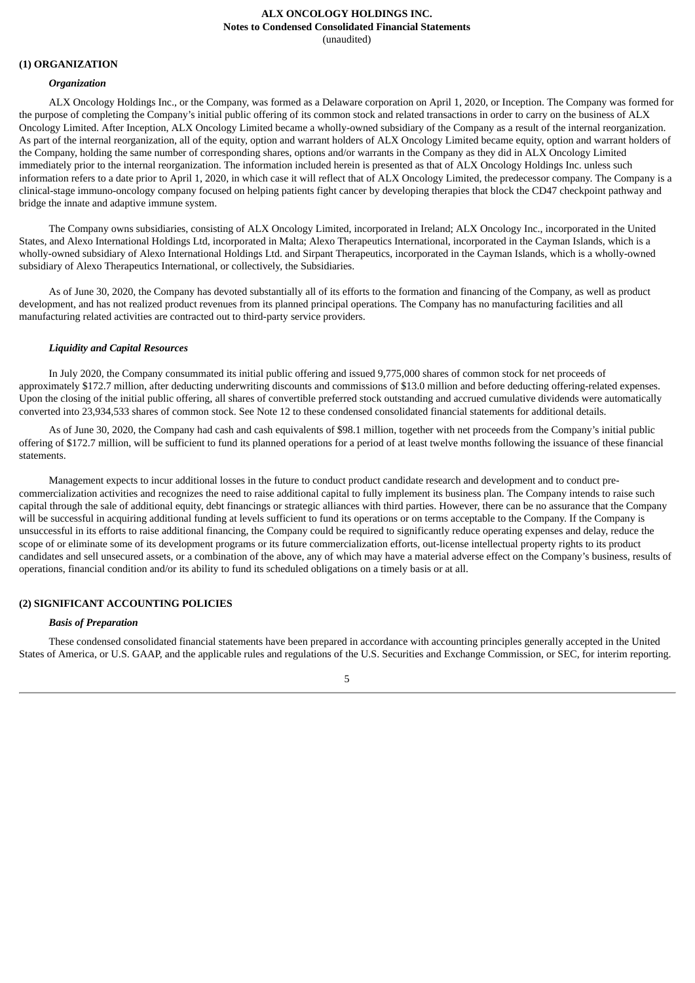#### **ALX ONCOLOGY HOLDINGS INC. Notes to Condensed Consolidated Financial Statements** (unaudited)

#### <span id="page-7-0"></span>**(1) ORGANIZATION**

### *Organization*

ALX Oncology Holdings Inc., or the Company, was formed as a Delaware corporation on April 1, 2020, or Inception. The Company was formed for the purpose of completing the Company's initial public offering of its common stock and related transactions in order to carry on the business of ALX Oncology Limited. After Inception, ALX Oncology Limited became a wholly-owned subsidiary of the Company as a result of the internal reorganization. As part of the internal reorganization, all of the equity, option and warrant holders of ALX Oncology Limited became equity, option and warrant holders of the Company, holding the same number of corresponding shares, options and/or warrants in the Company as they did in ALX Oncology Limited immediately prior to the internal reorganization. The information included herein is presented as that of ALX Oncology Holdings Inc. unless such information refers to a date prior to April 1, 2020, in which case it will reflect that of ALX Oncology Limited, the predecessor company. The Company is a clinical-stage immuno-oncology company focused on helping patients fight cancer by developing therapies that block the CD47 checkpoint pathway and bridge the innate and adaptive immune system.

The Company owns subsidiaries, consisting of ALX Oncology Limited, incorporated in Ireland; ALX Oncology Inc., incorporated in the United States, and Alexo International Holdings Ltd, incorporated in Malta; Alexo Therapeutics International, incorporated in the Cayman Islands, which is a wholly-owned subsidiary of Alexo International Holdings Ltd. and Sirpant Therapeutics, incorporated in the Cayman Islands, which is a wholly-owned subsidiary of Alexo Therapeutics International, or collectively, the Subsidiaries.

As of June 30, 2020, the Company has devoted substantially all of its efforts to the formation and financing of the Company, as well as product development, and has not realized product revenues from its planned principal operations. The Company has no manufacturing facilities and all manufacturing related activities are contracted out to third-party service providers.

#### *Liquidity and Capital Resources*

In July 2020, the Company consummated its initial public offering and issued 9,775,000 shares of common stock for net proceeds of approximately \$172.7 million, after deducting underwriting discounts and commissions of \$13.0 million and before deducting offering-related expenses. Upon the closing of the initial public offering, all shares of convertible preferred stock outstanding and accrued cumulative dividends were automatically converted into 23,934,533 shares of common stock. See Note 12 to these condensed consolidated financial statements for additional details.

As of June 30, 2020, the Company had cash and cash equivalents of \$98.1 million, together with net proceeds from the Company's initial public offering of \$172.7 million, will be sufficient to fund its planned operations for a period of at least twelve months following the issuance of these financial statements.

Management expects to incur additional losses in the future to conduct product candidate research and development and to conduct precommercialization activities and recognizes the need to raise additional capital to fully implement its business plan. The Company intends to raise such capital through the sale of additional equity, debt financings or strategic alliances with third parties. However, there can be no assurance that the Company will be successful in acquiring additional funding at levels sufficient to fund its operations or on terms acceptable to the Company. If the Company is unsuccessful in its efforts to raise additional financing, the Company could be required to significantly reduce operating expenses and delay, reduce the scope of or eliminate some of its development programs or its future commercialization efforts, out-license intellectual property rights to its product candidates and sell unsecured assets, or a combination of the above, any of which may have a material adverse effect on the Company's business, results of operations, financial condition and/or its ability to fund its scheduled obligations on a timely basis or at all.

# **(2) SIGNIFICANT ACCOUNTING POLICIES**

# *Basis of Preparation*

These condensed consolidated financial statements have been prepared in accordance with accounting principles generally accepted in the United States of America, or U.S. GAAP, and the applicable rules and regulations of the U.S. Securities and Exchange Commission, or SEC, for interim reporting.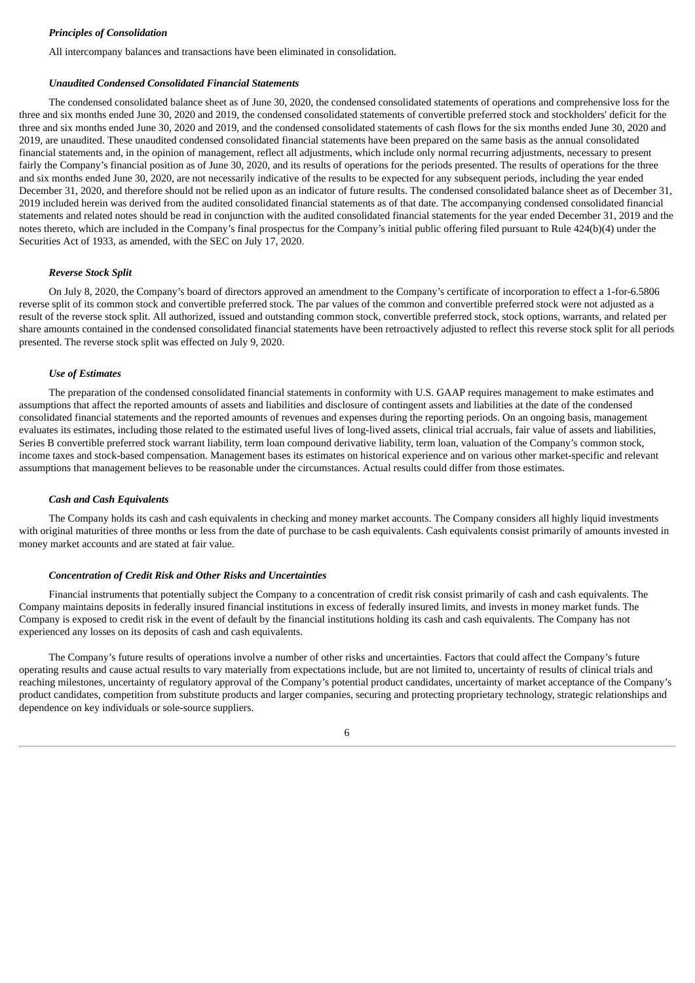# *Principles of Consolidation*

All intercompany balances and transactions have been eliminated in consolidation.

# *Unaudited Condensed Consolidated Financial Statements*

The condensed consolidated balance sheet as of June 30, 2020, the condensed consolidated statements of operations and comprehensive loss for the three and six months ended June 30, 2020 and 2019, the condensed consolidated statements of convertible preferred stock and stockholders' deficit for the three and six months ended June 30, 2020 and 2019, and the condensed consolidated statements of cash flows for the six months ended June 30, 2020 and 2019, are unaudited. These unaudited condensed consolidated financial statements have been prepared on the same basis as the annual consolidated financial statements and, in the opinion of management, reflect all adjustments, which include only normal recurring adjustments, necessary to present fairly the Company's financial position as of June 30, 2020, and its results of operations for the periods presented. The results of operations for the three and six months ended June 30, 2020, are not necessarily indicative of the results to be expected for any subsequent periods, including the year ended December 31, 2020, and therefore should not be relied upon as an indicator of future results. The condensed consolidated balance sheet as of December 31, 2019 included herein was derived from the audited consolidated financial statements as of that date. The accompanying condensed consolidated financial statements and related notes should be read in conjunction with the audited consolidated financial statements for the year ended December 31, 2019 and the notes thereto, which are included in the Company's final prospectus for the Company's initial public offering filed pursuant to Rule 424(b)(4) under the Securities Act of 1933, as amended, with the SEC on July 17, 2020.

#### *Reverse Stock Split*

On July 8, 2020, the Company's board of directors approved an amendment to the Company's certificate of incorporation to effect a 1-for-6.5806 reverse split of its common stock and convertible preferred stock. The par values of the common and convertible preferred stock were not adjusted as a result of the reverse stock split. All authorized, issued and outstanding common stock, convertible preferred stock, stock options, warrants, and related per share amounts contained in the condensed consolidated financial statements have been retroactively adjusted to reflect this reverse stock split for all periods presented. The reverse stock split was effected on July 9, 2020.

#### *Use of Estimates*

The preparation of the condensed consolidated financial statements in conformity with U.S. GAAP requires management to make estimates and assumptions that affect the reported amounts of assets and liabilities and disclosure of contingent assets and liabilities at the date of the condensed consolidated financial statements and the reported amounts of revenues and expenses during the reporting periods. On an ongoing basis, management evaluates its estimates, including those related to the estimated useful lives of long-lived assets, clinical trial accruals, fair value of assets and liabilities, Series B convertible preferred stock warrant liability, term loan compound derivative liability, term loan, valuation of the Company's common stock, income taxes and stock-based compensation. Management bases its estimates on historical experience and on various other market-specific and relevant assumptions that management believes to be reasonable under the circumstances. Actual results could differ from those estimates.

#### *Cash and Cash Equivalents*

The Company holds its cash and cash equivalents in checking and money market accounts. The Company considers all highly liquid investments with original maturities of three months or less from the date of purchase to be cash equivalents. Cash equivalents consist primarily of amounts invested in money market accounts and are stated at fair value.

#### *Concentration of Credit Risk and Other Risks and Uncertainties*

Financial instruments that potentially subject the Company to a concentration of credit risk consist primarily of cash and cash equivalents. The Company maintains deposits in federally insured financial institutions in excess of federally insured limits, and invests in money market funds. The Company is exposed to credit risk in the event of default by the financial institutions holding its cash and cash equivalents. The Company has not experienced any losses on its deposits of cash and cash equivalents.

The Company's future results of operations involve a number of other risks and uncertainties. Factors that could affect the Company's future operating results and cause actual results to vary materially from expectations include, but are not limited to, uncertainty of results of clinical trials and reaching milestones, uncertainty of regulatory approval of the Company's potential product candidates, uncertainty of market acceptance of the Company's product candidates, competition from substitute products and larger companies, securing and protecting proprietary technology, strategic relationships and dependence on key individuals or sole-source suppliers.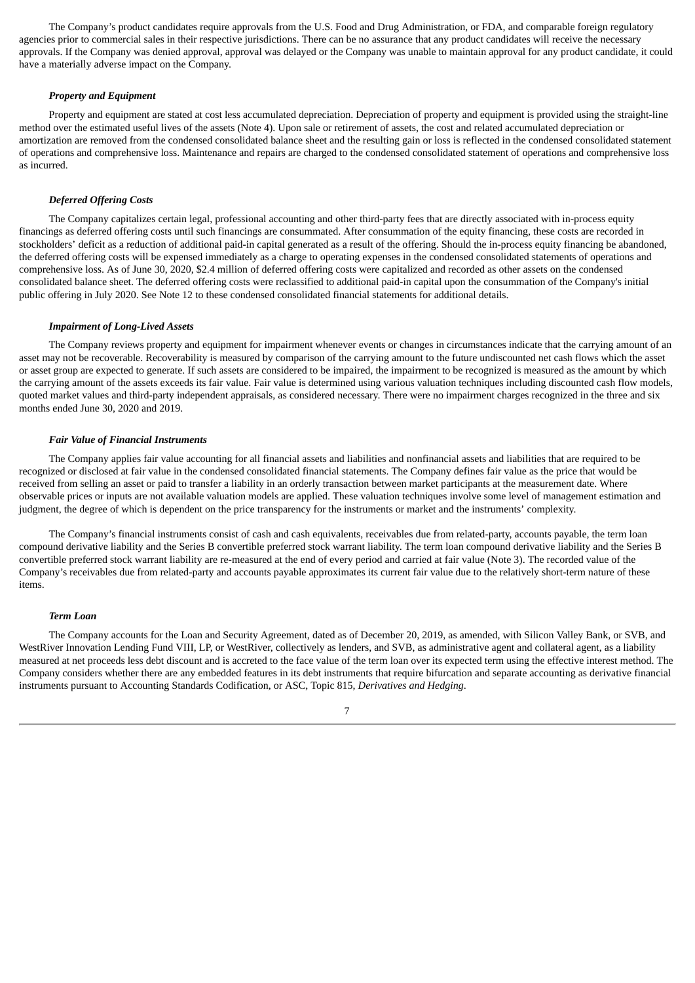The Company's product candidates require approvals from the U.S. Food and Drug Administration, or FDA, and comparable foreign regulatory agencies prior to commercial sales in their respective jurisdictions. There can be no assurance that any product candidates will receive the necessary approvals. If the Company was denied approval, approval was delayed or the Company was unable to maintain approval for any product candidate, it could have a materially adverse impact on the Company.

# *Property and Equipment*

Property and equipment are stated at cost less accumulated depreciation. Depreciation of property and equipment is provided using the straight-line method over the estimated useful lives of the assets (Note 4). Upon sale or retirement of assets, the cost and related accumulated depreciation or amortization are removed from the condensed consolidated balance sheet and the resulting gain or loss is reflected in the condensed consolidated statement of operations and comprehensive loss. Maintenance and repairs are charged to the condensed consolidated statement of operations and comprehensive loss as incurred.

# *Deferred Offering Costs*

The Company capitalizes certain legal, professional accounting and other third-party fees that are directly associated with in-process equity financings as deferred offering costs until such financings are consummated. After consummation of the equity financing, these costs are recorded in stockholders' deficit as a reduction of additional paid-in capital generated as a result of the offering. Should the in-process equity financing be abandoned, the deferred offering costs will be expensed immediately as a charge to operating expenses in the condensed consolidated statements of operations and comprehensive loss. As of June 30, 2020, \$2.4 million of deferred offering costs were capitalized and recorded as other assets on the condensed consolidated balance sheet. The deferred offering costs were reclassified to additional paid-in capital upon the consummation of the Company's initial public offering in July 2020. See Note 12 to these condensed consolidated financial statements for additional details.

#### *Impairment of Long-Lived Assets*

The Company reviews property and equipment for impairment whenever events or changes in circumstances indicate that the carrying amount of an asset may not be recoverable. Recoverability is measured by comparison of the carrying amount to the future undiscounted net cash flows which the asset or asset group are expected to generate. If such assets are considered to be impaired, the impairment to be recognized is measured as the amount by which the carrying amount of the assets exceeds its fair value. Fair value is determined using various valuation techniques including discounted cash flow models, quoted market values and third-party independent appraisals, as considered necessary. There were no impairment charges recognized in the three and six months ended June 30, 2020 and 2019.

#### *Fair Value of Financial Instruments*

The Company applies fair value accounting for all financial assets and liabilities and nonfinancial assets and liabilities that are required to be recognized or disclosed at fair value in the condensed consolidated financial statements. The Company defines fair value as the price that would be received from selling an asset or paid to transfer a liability in an orderly transaction between market participants at the measurement date. Where observable prices or inputs are not available valuation models are applied. These valuation techniques involve some level of management estimation and judgment, the degree of which is dependent on the price transparency for the instruments or market and the instruments' complexity.

The Company's financial instruments consist of cash and cash equivalents, receivables due from related-party, accounts payable, the term loan compound derivative liability and the Series B convertible preferred stock warrant liability. The term loan compound derivative liability and the Series B convertible preferred stock warrant liability are re-measured at the end of every period and carried at fair value (Note 3). The recorded value of the Company's receivables due from related-party and accounts payable approximates its current fair value due to the relatively short-term nature of these items.

#### *Term Loan*

The Company accounts for the Loan and Security Agreement, dated as of December 20, 2019, as amended, with Silicon Valley Bank, or SVB, and WestRiver Innovation Lending Fund VIII, LP, or WestRiver, collectively as lenders, and SVB, as administrative agent and collateral agent, as a liability measured at net proceeds less debt discount and is accreted to the face value of the term loan over its expected term using the effective interest method. The Company considers whether there are any embedded features in its debt instruments that require bifurcation and separate accounting as derivative financial instruments pursuant to Accounting Standards Codification, or ASC, Topic 815, *Derivatives and Hedging*.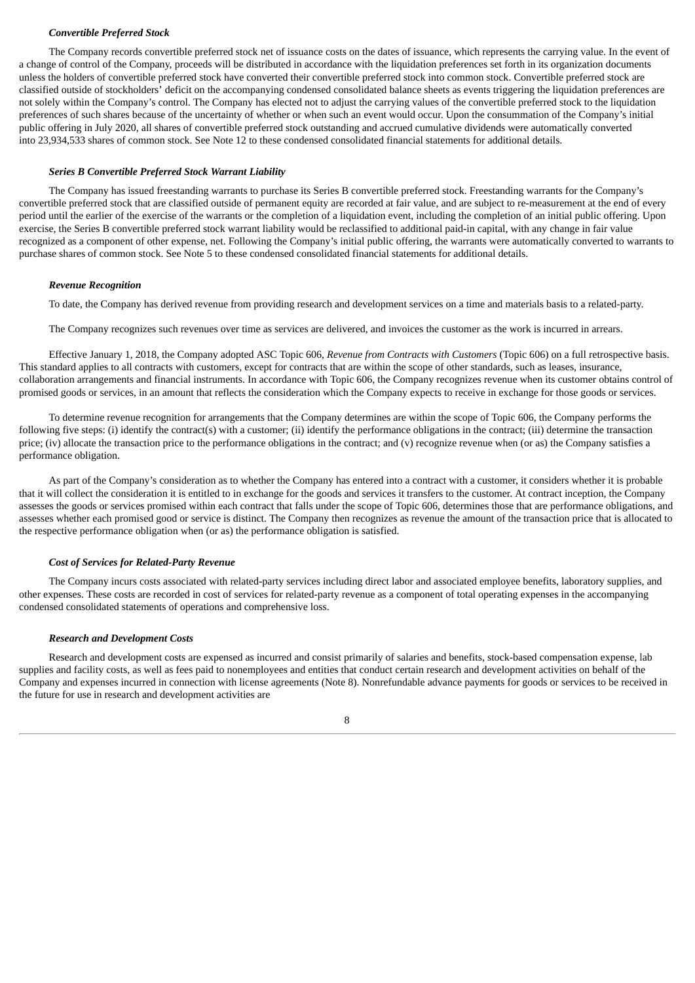# *Convertible Preferred Stock*

The Company records convertible preferred stock net of issuance costs on the dates of issuance, which represents the carrying value. In the event of a change of control of the Company, proceeds will be distributed in accordance with the liquidation preferences set forth in its organization documents unless the holders of convertible preferred stock have converted their convertible preferred stock into common stock. Convertible preferred stock are classified outside of stockholders' deficit on the accompanying condensed consolidated balance sheets as events triggering the liquidation preferences are not solely within the Company's control. The Company has elected not to adjust the carrying values of the convertible preferred stock to the liquidation preferences of such shares because of the uncertainty of whether or when such an event would occur. Upon the consummation of the Company's initial public offering in July 2020, all shares of convertible preferred stock outstanding and accrued cumulative dividends were automatically converted into 23,934,533 shares of common stock. See Note 12 to these condensed consolidated financial statements for additional details.

#### *Series B Convertible Preferred Stock Warrant Liability*

The Company has issued freestanding warrants to purchase its Series B convertible preferred stock. Freestanding warrants for the Company's convertible preferred stock that are classified outside of permanent equity are recorded at fair value, and are subject to re-measurement at the end of every period until the earlier of the exercise of the warrants or the completion of a liquidation event, including the completion of an initial public offering. Upon exercise, the Series B convertible preferred stock warrant liability would be reclassified to additional paid-in capital, with any change in fair value recognized as a component of other expense, net. Following the Company's initial public offering, the warrants were automatically converted to warrants to purchase shares of common stock. See Note 5 to these condensed consolidated financial statements for additional details.

# *Revenue Recognition*

To date, the Company has derived revenue from providing research and development services on a time and materials basis to a related-party.

The Company recognizes such revenues over time as services are delivered, and invoices the customer as the work is incurred in arrears.

Effective January 1, 2018, the Company adopted ASC Topic 606, *Revenue from Contracts with Customers* (Topic 606) on a full retrospective basis. This standard applies to all contracts with customers, except for contracts that are within the scope of other standards, such as leases, insurance, collaboration arrangements and financial instruments. In accordance with Topic 606, the Company recognizes revenue when its customer obtains control of promised goods or services, in an amount that reflects the consideration which the Company expects to receive in exchange for those goods or services.

To determine revenue recognition for arrangements that the Company determines are within the scope of Topic 606, the Company performs the following five steps: (i) identify the contract(s) with a customer; (ii) identify the performance obligations in the contract; (iii) determine the transaction price; (iv) allocate the transaction price to the performance obligations in the contract; and (v) recognize revenue when (or as) the Company satisfies a performance obligation.

As part of the Company's consideration as to whether the Company has entered into a contract with a customer, it considers whether it is probable that it will collect the consideration it is entitled to in exchange for the goods and services it transfers to the customer. At contract inception, the Company assesses the goods or services promised within each contract that falls under the scope of Topic 606, determines those that are performance obligations, and assesses whether each promised good or service is distinct. The Company then recognizes as revenue the amount of the transaction price that is allocated to the respective performance obligation when (or as) the performance obligation is satisfied.

#### *Cost of Services for Related-Party Revenue*

The Company incurs costs associated with related-party services including direct labor and associated employee benefits, laboratory supplies, and other expenses. These costs are recorded in cost of services for related-party revenue as a component of total operating expenses in the accompanying condensed consolidated statements of operations and comprehensive loss.

#### *Research and Development Costs*

Research and development costs are expensed as incurred and consist primarily of salaries and benefits, stock-based compensation expense, lab supplies and facility costs, as well as fees paid to nonemployees and entities that conduct certain research and development activities on behalf of the Company and expenses incurred in connection with license agreements (Note 8). Nonrefundable advance payments for goods or services to be received in the future for use in research and development activities are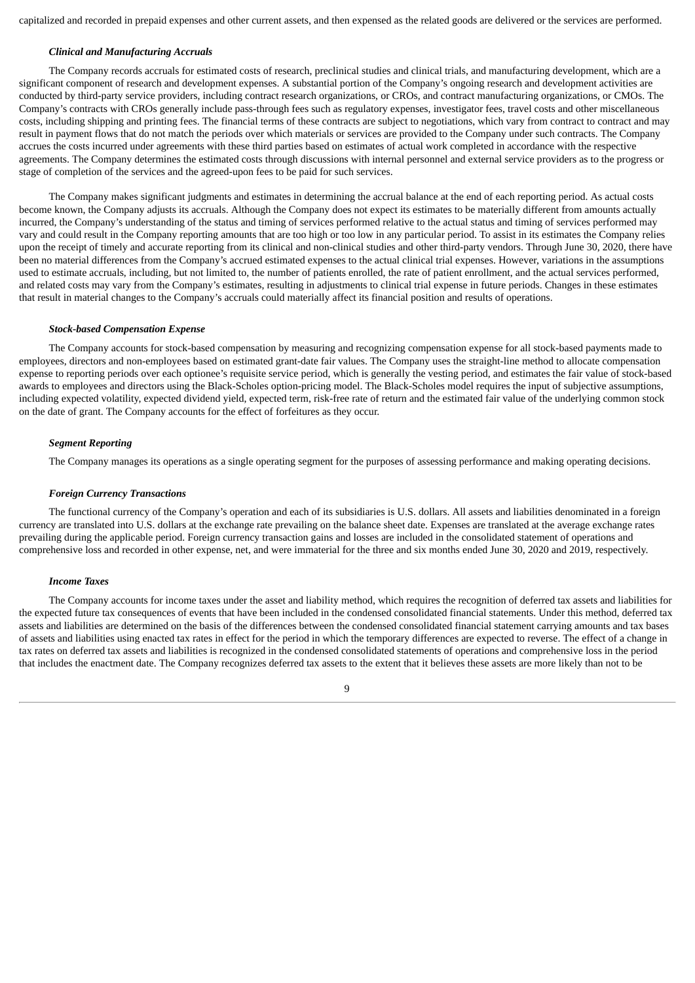capitalized and recorded in prepaid expenses and other current assets, and then expensed as the related goods are delivered or the services are performed.

#### *Clinical and Manufacturing Accruals*

The Company records accruals for estimated costs of research, preclinical studies and clinical trials, and manufacturing development, which are a significant component of research and development expenses. A substantial portion of the Company's ongoing research and development activities are conducted by third-party service providers, including contract research organizations, or CROs, and contract manufacturing organizations, or CMOs. The Company's contracts with CROs generally include pass-through fees such as regulatory expenses, investigator fees, travel costs and other miscellaneous costs, including shipping and printing fees. The financial terms of these contracts are subject to negotiations, which vary from contract to contract and may result in payment flows that do not match the periods over which materials or services are provided to the Company under such contracts. The Company accrues the costs incurred under agreements with these third parties based on estimates of actual work completed in accordance with the respective agreements. The Company determines the estimated costs through discussions with internal personnel and external service providers as to the progress or stage of completion of the services and the agreed-upon fees to be paid for such services.

The Company makes significant judgments and estimates in determining the accrual balance at the end of each reporting period. As actual costs become known, the Company adjusts its accruals. Although the Company does not expect its estimates to be materially different from amounts actually incurred, the Company's understanding of the status and timing of services performed relative to the actual status and timing of services performed may vary and could result in the Company reporting amounts that are too high or too low in any particular period. To assist in its estimates the Company relies upon the receipt of timely and accurate reporting from its clinical and non-clinical studies and other third-party vendors. Through June 30, 2020, there have been no material differences from the Company's accrued estimated expenses to the actual clinical trial expenses. However, variations in the assumptions used to estimate accruals, including, but not limited to, the number of patients enrolled, the rate of patient enrollment, and the actual services performed, and related costs may vary from the Company's estimates, resulting in adjustments to clinical trial expense in future periods. Changes in these estimates that result in material changes to the Company's accruals could materially affect its financial position and results of operations.

#### *Stock-based Compensation Expense*

The Company accounts for stock-based compensation by measuring and recognizing compensation expense for all stock-based payments made to employees, directors and non-employees based on estimated grant-date fair values. The Company uses the straight-line method to allocate compensation expense to reporting periods over each optionee's requisite service period, which is generally the vesting period, and estimates the fair value of stock-based awards to employees and directors using the Black-Scholes option-pricing model. The Black-Scholes model requires the input of subjective assumptions, including expected volatility, expected dividend yield, expected term, risk-free rate of return and the estimated fair value of the underlying common stock on the date of grant. The Company accounts for the effect of forfeitures as they occur.

#### *Segment Reporting*

The Company manages its operations as a single operating segment for the purposes of assessing performance and making operating decisions.

#### *Foreign Currency Transactions*

The functional currency of the Company's operation and each of its subsidiaries is U.S. dollars. All assets and liabilities denominated in a foreign currency are translated into U.S. dollars at the exchange rate prevailing on the balance sheet date. Expenses are translated at the average exchange rates prevailing during the applicable period. Foreign currency transaction gains and losses are included in the consolidated statement of operations and comprehensive loss and recorded in other expense, net, and were immaterial for the three and six months ended June 30, 2020 and 2019, respectively.

# *Income Taxes*

The Company accounts for income taxes under the asset and liability method, which requires the recognition of deferred tax assets and liabilities for the expected future tax consequences of events that have been included in the condensed consolidated financial statements. Under this method, deferred tax assets and liabilities are determined on the basis of the differences between the condensed consolidated financial statement carrying amounts and tax bases of assets and liabilities using enacted tax rates in effect for the period in which the temporary differences are expected to reverse. The effect of a change in tax rates on deferred tax assets and liabilities is recognized in the condensed consolidated statements of operations and comprehensive loss in the period that includes the enactment date. The Company recognizes deferred tax assets to the extent that it believes these assets are more likely than not to be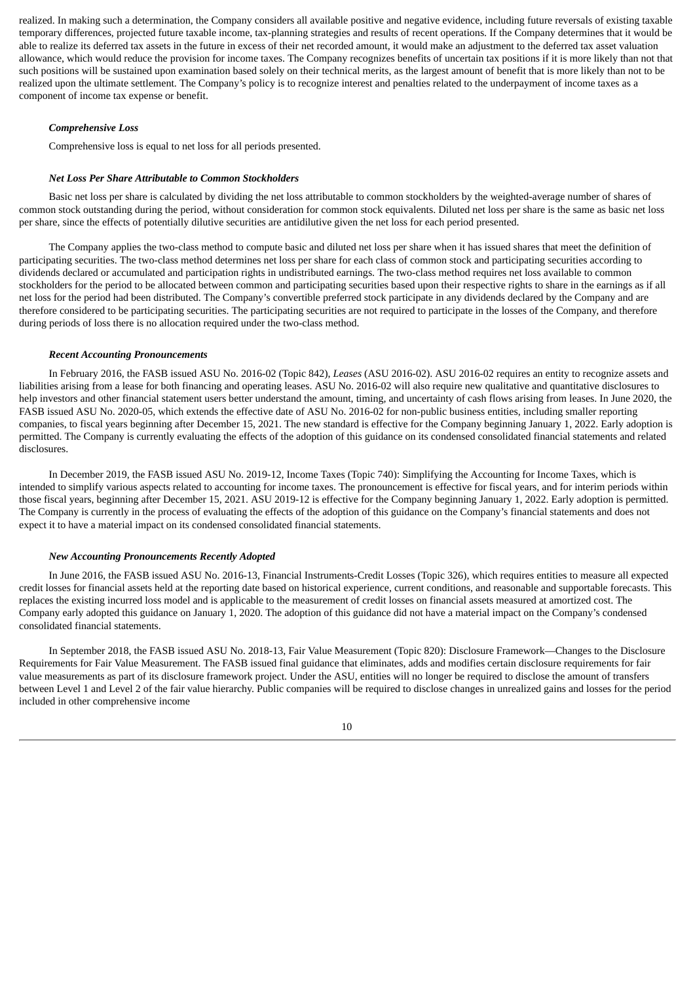realized. In making such a determination, the Company considers all available positive and negative evidence, including future reversals of existing taxable temporary differences, projected future taxable income, tax-planning strategies and results of recent operations. If the Company determines that it would be able to realize its deferred tax assets in the future in excess of their net recorded amount, it would make an adjustment to the deferred tax asset valuation allowance, which would reduce the provision for income taxes. The Company recognizes benefits of uncertain tax positions if it is more likely than not that such positions will be sustained upon examination based solely on their technical merits, as the largest amount of benefit that is more likely than not to be realized upon the ultimate settlement. The Company's policy is to recognize interest and penalties related to the underpayment of income taxes as a component of income tax expense or benefit.

#### *Comprehensive Loss*

Comprehensive loss is equal to net loss for all periods presented.

#### *Net Loss Per Share Attributable to Common Stockholders*

Basic net loss per share is calculated by dividing the net loss attributable to common stockholders by the weighted-average number of shares of common stock outstanding during the period, without consideration for common stock equivalents. Diluted net loss per share is the same as basic net loss per share, since the effects of potentially dilutive securities are antidilutive given the net loss for each period presented.

The Company applies the two-class method to compute basic and diluted net loss per share when it has issued shares that meet the definition of participating securities. The two-class method determines net loss per share for each class of common stock and participating securities according to dividends declared or accumulated and participation rights in undistributed earnings. The two-class method requires net loss available to common stockholders for the period to be allocated between common and participating securities based upon their respective rights to share in the earnings as if all net loss for the period had been distributed. The Company's convertible preferred stock participate in any dividends declared by the Company and are therefore considered to be participating securities. The participating securities are not required to participate in the losses of the Company, and therefore during periods of loss there is no allocation required under the two-class method.

# *Recent Accounting Pronouncements*

In February 2016, the FASB issued ASU No. 2016-02 (Topic 842), *Leases* (ASU 2016-02). ASU 2016-02 requires an entity to recognize assets and liabilities arising from a lease for both financing and operating leases. ASU No. 2016-02 will also require new qualitative and quantitative disclosures to help investors and other financial statement users better understand the amount, timing, and uncertainty of cash flows arising from leases. In June 2020, the FASB issued ASU No. 2020-05, which extends the effective date of ASU No. 2016-02 for non-public business entities, including smaller reporting companies, to fiscal years beginning after December 15, 2021. The new standard is effective for the Company beginning January 1, 2022. Early adoption is permitted. The Company is currently evaluating the effects of the adoption of this guidance on its condensed consolidated financial statements and related disclosures.

In December 2019, the FASB issued ASU No. 2019-12, Income Taxes (Topic 740): Simplifying the Accounting for Income Taxes, which is intended to simplify various aspects related to accounting for income taxes. The pronouncement is effective for fiscal years, and for interim periods within those fiscal years, beginning after December 15, 2021. ASU 2019-12 is effective for the Company beginning January 1, 2022. Early adoption is permitted. The Company is currently in the process of evaluating the effects of the adoption of this guidance on the Company's financial statements and does not expect it to have a material impact on its condensed consolidated financial statements.

# *New Accounting Pronouncements Recently Adopted*

In June 2016, the FASB issued ASU No. 2016-13, Financial Instruments-Credit Losses (Topic 326), which requires entities to measure all expected credit losses for financial assets held at the reporting date based on historical experience, current conditions, and reasonable and supportable forecasts. This replaces the existing incurred loss model and is applicable to the measurement of credit losses on financial assets measured at amortized cost. The Company early adopted this guidance on January 1, 2020. The adoption of this guidance did not have a material impact on the Company's condensed consolidated financial statements.

In September 2018, the FASB issued ASU No. 2018-13, Fair Value Measurement (Topic 820): Disclosure Framework—Changes to the Disclosure Requirements for Fair Value Measurement. The FASB issued final guidance that eliminates, adds and modifies certain disclosure requirements for fair value measurements as part of its disclosure framework project. Under the ASU, entities will no longer be required to disclose the amount of transfers between Level 1 and Level 2 of the fair value hierarchy. Public companies will be required to disclose changes in unrealized gains and losses for the period included in other comprehensive income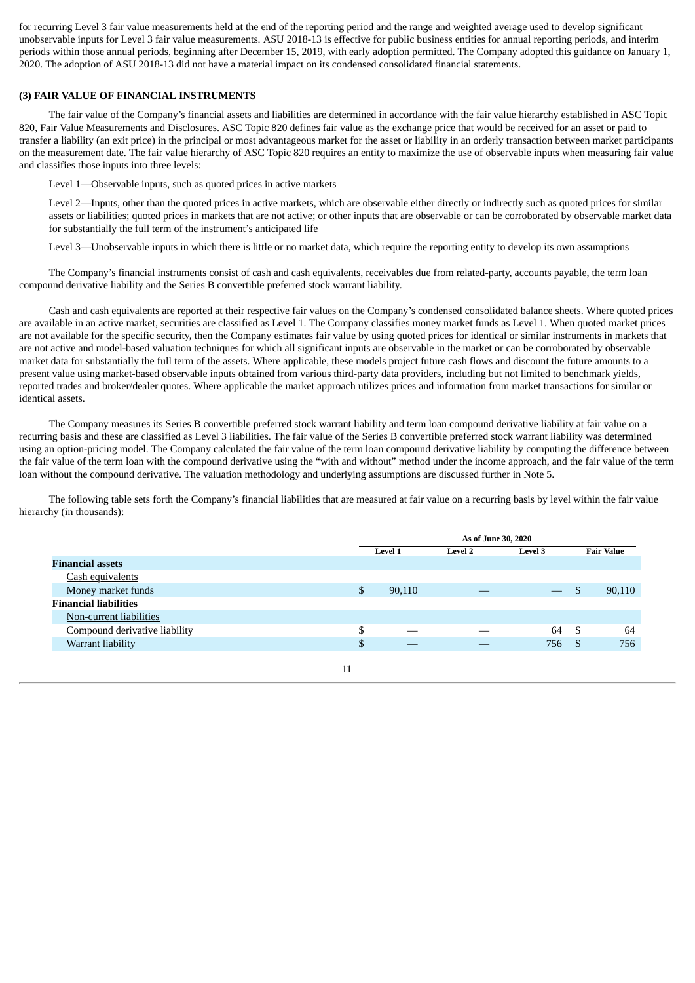for recurring Level 3 fair value measurements held at the end of the reporting period and the range and weighted average used to develop significant unobservable inputs for Level 3 fair value measurements. ASU 2018-13 is effective for public business entities for annual reporting periods, and interim periods within those annual periods, beginning after December 15, 2019, with early adoption permitted. The Company adopted this guidance on January 1, 2020. The adoption of ASU 2018-13 did not have a material impact on its condensed consolidated financial statements.

# **(3) FAIR VALUE OF FINANCIAL INSTRUMENTS**

The fair value of the Company's financial assets and liabilities are determined in accordance with the fair value hierarchy established in ASC Topic 820, Fair Value Measurements and Disclosures. ASC Topic 820 defines fair value as the exchange price that would be received for an asset or paid to transfer a liability (an exit price) in the principal or most advantageous market for the asset or liability in an orderly transaction between market participants on the measurement date. The fair value hierarchy of ASC Topic 820 requires an entity to maximize the use of observable inputs when measuring fair value and classifies those inputs into three levels:

Level 1—Observable inputs, such as quoted prices in active markets

Level 2—Inputs, other than the quoted prices in active markets, which are observable either directly or indirectly such as quoted prices for similar assets or liabilities; quoted prices in markets that are not active; or other inputs that are observable or can be corroborated by observable market data for substantially the full term of the instrument's anticipated life

Level 3—Unobservable inputs in which there is little or no market data, which require the reporting entity to develop its own assumptions

The Company's financial instruments consist of cash and cash equivalents, receivables due from related-party, accounts payable, the term loan compound derivative liability and the Series B convertible preferred stock warrant liability.

Cash and cash equivalents are reported at their respective fair values on the Company's condensed consolidated balance sheets. Where quoted prices are available in an active market, securities are classified as Level 1. The Company classifies money market funds as Level 1. When quoted market prices are not available for the specific security, then the Company estimates fair value by using quoted prices for identical or similar instruments in markets that are not active and model-based valuation techniques for which all significant inputs are observable in the market or can be corroborated by observable market data for substantially the full term of the assets. Where applicable, these models project future cash flows and discount the future amounts to a present value using market-based observable inputs obtained from various third-party data providers, including but not limited to benchmark yields, reported trades and broker/dealer quotes. Where applicable the market approach utilizes prices and information from market transactions for similar or identical assets.

The Company measures its Series B convertible preferred stock warrant liability and term loan compound derivative liability at fair value on a recurring basis and these are classified as Level 3 liabilities. The fair value of the Series B convertible preferred stock warrant liability was determined using an option-pricing model. The Company calculated the fair value of the term loan compound derivative liability by computing the difference between the fair value of the term loan with the compound derivative using the "with and without" method under the income approach, and the fair value of the term loan without the compound derivative. The valuation methodology and underlying assumptions are discussed further in Note 5.

The following table sets forth the Company's financial liabilities that are measured at fair value on a recurring basis by level within the fair value hierarchy (in thousands):

|                               |    | As of June 30, 2020                                       |  |     |     |        |  |  |
|-------------------------------|----|-----------------------------------------------------------|--|-----|-----|--------|--|--|
|                               |    | Level 3<br><b>Fair Value</b><br>Level 1<br><b>Level 2</b> |  |     |     |        |  |  |
| <b>Financial assets</b>       |    |                                                           |  |     |     |        |  |  |
| Cash equivalents              |    |                                                           |  |     |     |        |  |  |
| Money market funds            | S  | 90,110                                                    |  |     | S   | 90,110 |  |  |
| <b>Financial liabilities</b>  |    |                                                           |  |     |     |        |  |  |
| Non-current liabilities       |    |                                                           |  |     |     |        |  |  |
| Compound derivative liability | \$ |                                                           |  | 64  | S   | 64     |  |  |
| Warrant liability             | \$ |                                                           |  | 756 | - S | 756    |  |  |
|                               |    |                                                           |  |     |     |        |  |  |
|                               |    |                                                           |  |     |     |        |  |  |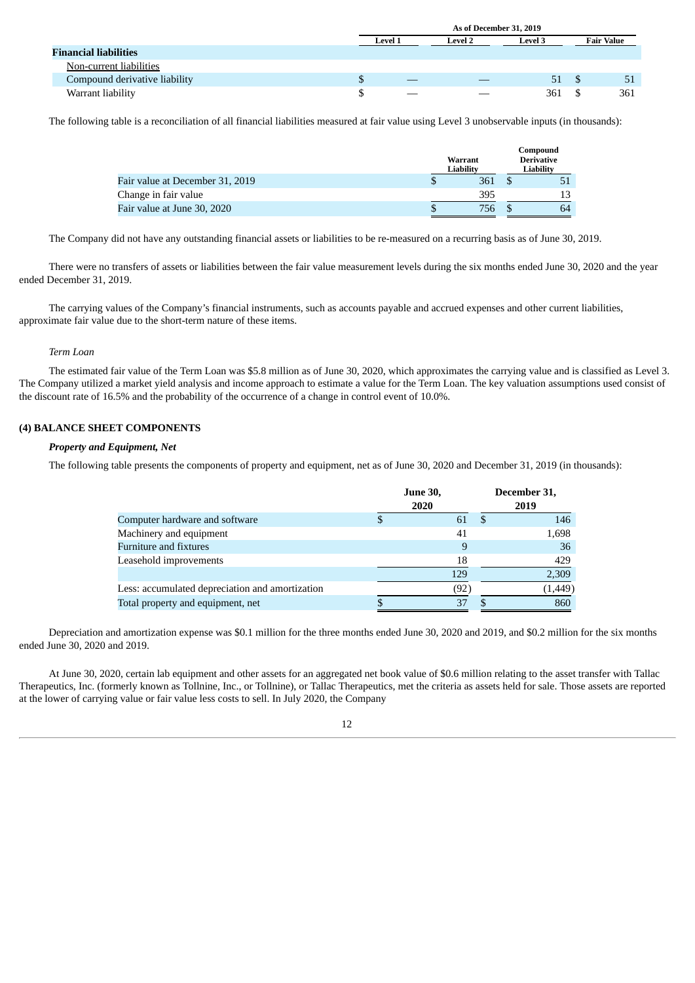|                               | As of December 31, 2019 |                          |                |  |                   |  |  |  |  |
|-------------------------------|-------------------------|--------------------------|----------------|--|-------------------|--|--|--|--|
|                               | <b>Level 1</b>          | <b>Level 2</b>           | <b>Level 3</b> |  | <b>Fair Value</b> |  |  |  |  |
| <b>Financial liabilities</b>  |                         |                          |                |  |                   |  |  |  |  |
| Non-current liabilities       |                         |                          |                |  |                   |  |  |  |  |
| Compound derivative liability |                         |                          | 51             |  |                   |  |  |  |  |
| Warrant liability             |                         | $\overline{\phantom{a}}$ | 361            |  | 361               |  |  |  |  |

The following table is a reconciliation of all financial liabilities measured at fair value using Level 3 unobservable inputs (in thousands):

|                                 | Warrant<br><b>Liability</b> | Compound<br><b>Derivative</b><br>Liability |
|---------------------------------|-----------------------------|--------------------------------------------|
| Fair value at December 31, 2019 | 361                         |                                            |
| Change in fair value            | 395                         | 13                                         |
| Fair value at June 30, 2020     | 756                         | 64                                         |

The Company did not have any outstanding financial assets or liabilities to be re-measured on a recurring basis as of June 30, 2019.

There were no transfers of assets or liabilities between the fair value measurement levels during the six months ended June 30, 2020 and the year ended December 31, 2019.

The carrying values of the Company's financial instruments, such as accounts payable and accrued expenses and other current liabilities, approximate fair value due to the short-term nature of these items.

# *Term Loan*

The estimated fair value of the Term Loan was \$5.8 million as of June 30, 2020, which approximates the carrying value and is classified as Level 3. The Company utilized a market yield analysis and income approach to estimate a value for the Term Loan. The key valuation assumptions used consist of the discount rate of 16.5% and the probability of the occurrence of a change in control event of 10.0%.

# **(4) BALANCE SHEET COMPONENTS**

# *Property and Equipment, Net*

The following table presents the components of property and equipment, net as of June 30, 2020 and December 31, 2019 (in thousands):

|                                                 | <b>June 30,</b> |      | December 31, |          |  |  |
|-------------------------------------------------|-----------------|------|--------------|----------|--|--|
|                                                 | 2020            |      |              | 2019     |  |  |
| Computer hardware and software                  |                 | 61   | -S           | 146      |  |  |
| Machinery and equipment                         |                 | 41   |              | 1,698    |  |  |
| Furniture and fixtures                          |                 | 9    |              | 36       |  |  |
| Leasehold improvements                          |                 | 18   |              | 429      |  |  |
|                                                 |                 | 129  |              | 2,309    |  |  |
| Less: accumulated depreciation and amortization |                 | (92) |              | (1, 449) |  |  |
| Total property and equipment, net               |                 | 37   |              | 860      |  |  |

Depreciation and amortization expense was \$0.1 million for the three months ended June 30, 2020 and 2019, and \$0.2 million for the six months ended June 30, 2020 and 2019.

At June 30, 2020, certain lab equipment and other assets for an aggregated net book value of \$0.6 million relating to the asset transfer with Tallac Therapeutics, Inc. (formerly known as Tollnine, Inc., or Tollnine), or Tallac Therapeutics, met the criteria as assets held for sale. Those assets are reported at the lower of carrying value or fair value less costs to sell. In July 2020, the Company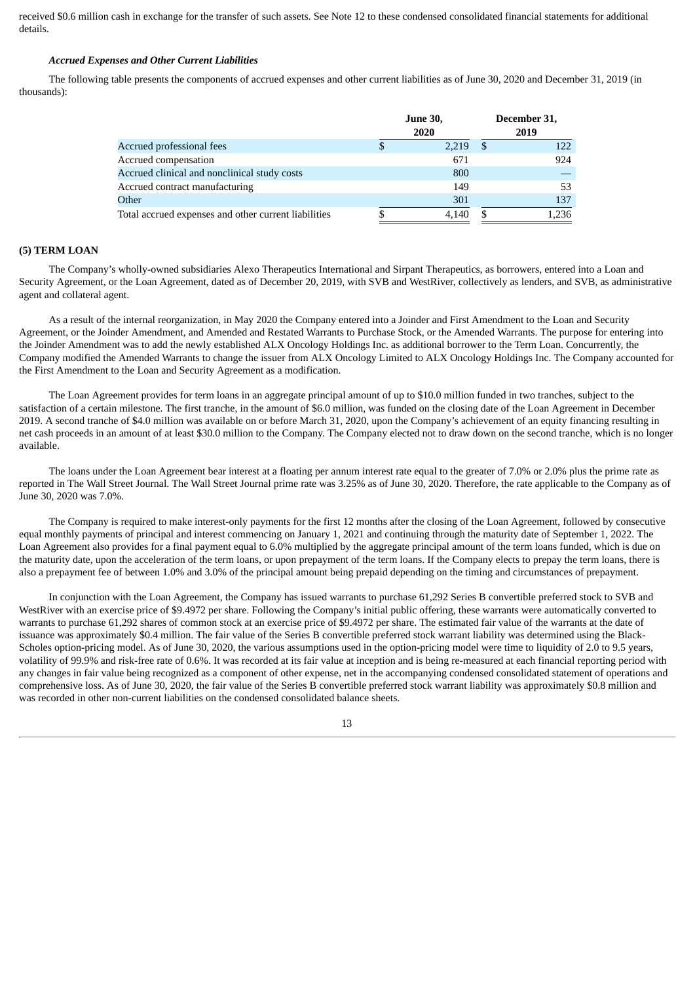received \$0.6 million cash in exchange for the transfer of such assets. See Note 12 to these condensed consolidated financial statements for additional details.

# *Accrued Expenses and Other Current Liabilities*

The following table presents the components of accrued expenses and other current liabilities as of June 30, 2020 and December 31, 2019 (in thousands):

|                                                      | <b>June 30,</b><br>2020 |    | December 31,<br>2019 |
|------------------------------------------------------|-------------------------|----|----------------------|
| Accrued professional fees                            | 2,219                   | -S | 122                  |
| Accrued compensation                                 | 671                     |    | 924                  |
| Accrued clinical and nonclinical study costs         | 800                     |    |                      |
| Accrued contract manufacturing                       | 149                     |    | 53.                  |
| Other                                                | 301                     |    | 137                  |
| Total accrued expenses and other current liabilities | 4.140                   |    | 1,236                |

# **(5) TERM LOAN**

The Company's wholly-owned subsidiaries Alexo Therapeutics International and Sirpant Therapeutics, as borrowers, entered into a Loan and Security Agreement, or the Loan Agreement, dated as of December 20, 2019, with SVB and WestRiver, collectively as lenders, and SVB, as administrative agent and collateral agent.

As a result of the internal reorganization, in May 2020 the Company entered into a Joinder and First Amendment to the Loan and Security Agreement, or the Joinder Amendment, and Amended and Restated Warrants to Purchase Stock, or the Amended Warrants. The purpose for entering into the Joinder Amendment was to add the newly established ALX Oncology Holdings Inc. as additional borrower to the Term Loan. Concurrently, the Company modified the Amended Warrants to change the issuer from ALX Oncology Limited to ALX Oncology Holdings Inc. The Company accounted for the First Amendment to the Loan and Security Agreement as a modification.

The Loan Agreement provides for term loans in an aggregate principal amount of up to \$10.0 million funded in two tranches, subject to the satisfaction of a certain milestone. The first tranche, in the amount of \$6.0 million, was funded on the closing date of the Loan Agreement in December 2019. A second tranche of \$4.0 million was available on or before March 31, 2020, upon the Company's achievement of an equity financing resulting in net cash proceeds in an amount of at least \$30.0 million to the Company. The Company elected not to draw down on the second tranche, which is no longer available.

The loans under the Loan Agreement bear interest at a floating per annum interest rate equal to the greater of 7.0% or 2.0% plus the prime rate as reported in The Wall Street Journal. The Wall Street Journal prime rate was 3.25% as of June 30, 2020. Therefore, the rate applicable to the Company as of June 30, 2020 was 7.0%.

The Company is required to make interest-only payments for the first 12 months after the closing of the Loan Agreement, followed by consecutive equal monthly payments of principal and interest commencing on January 1, 2021 and continuing through the maturity date of September 1, 2022. The Loan Agreement also provides for a final payment equal to 6.0% multiplied by the aggregate principal amount of the term loans funded, which is due on the maturity date, upon the acceleration of the term loans, or upon prepayment of the term loans. If the Company elects to prepay the term loans, there is also a prepayment fee of between 1.0% and 3.0% of the principal amount being prepaid depending on the timing and circumstances of prepayment.

In conjunction with the Loan Agreement, the Company has issued warrants to purchase 61,292 Series B convertible preferred stock to SVB and WestRiver with an exercise price of \$9.4972 per share. Following the Company's initial public offering, these warrants were automatically converted to warrants to purchase 61,292 shares of common stock at an exercise price of \$9.4972 per share. The estimated fair value of the warrants at the date of issuance was approximately \$0.4 million. The fair value of the Series B convertible preferred stock warrant liability was determined using the Black-Scholes option-pricing model. As of June 30, 2020, the various assumptions used in the option-pricing model were time to liquidity of 2.0 to 9.5 years, volatility of 99.9% and risk-free rate of 0.6%. It was recorded at its fair value at inception and is being re-measured at each financial reporting period with any changes in fair value being recognized as a component of other expense, net in the accompanying condensed consolidated statement of operations and comprehensive loss. As of June 30, 2020, the fair value of the Series B convertible preferred stock warrant liability was approximately \$0.8 million and was recorded in other non-current liabilities on the condensed consolidated balance sheets.

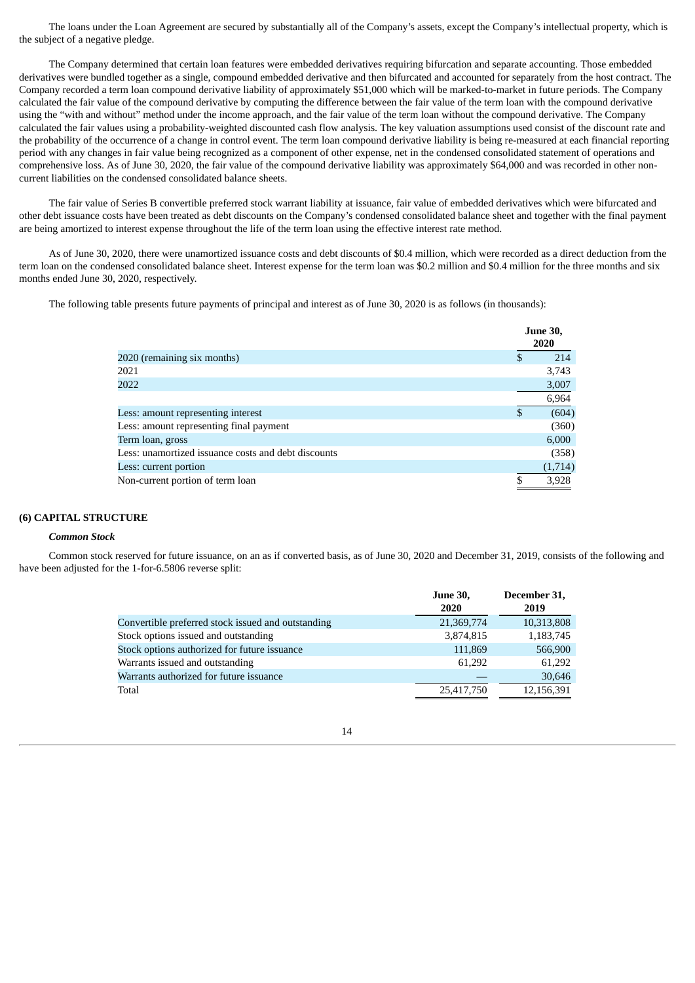The loans under the Loan Agreement are secured by substantially all of the Company's assets, except the Company's intellectual property, which is the subject of a negative pledge.

The Company determined that certain loan features were embedded derivatives requiring bifurcation and separate accounting. Those embedded derivatives were bundled together as a single, compound embedded derivative and then bifurcated and accounted for separately from the host contract. The Company recorded a term loan compound derivative liability of approximately \$51,000 which will be marked-to-market in future periods. The Company calculated the fair value of the compound derivative by computing the difference between the fair value of the term loan with the compound derivative using the "with and without" method under the income approach, and the fair value of the term loan without the compound derivative. The Company calculated the fair values using a probability-weighted discounted cash flow analysis. The key valuation assumptions used consist of the discount rate and the probability of the occurrence of a change in control event. The term loan compound derivative liability is being re-measured at each financial reporting period with any changes in fair value being recognized as a component of other expense, net in the condensed consolidated statement of operations and comprehensive loss. As of June 30, 2020, the fair value of the compound derivative liability was approximately \$64,000 and was recorded in other noncurrent liabilities on the condensed consolidated balance sheets.

The fair value of Series B convertible preferred stock warrant liability at issuance, fair value of embedded derivatives which were bifurcated and other debt issuance costs have been treated as debt discounts on the Company's condensed consolidated balance sheet and together with the final payment are being amortized to interest expense throughout the life of the term loan using the effective interest rate method.

As of June 30, 2020, there were unamortized issuance costs and debt discounts of \$0.4 million, which were recorded as a direct deduction from the term loan on the condensed consolidated balance sheet. Interest expense for the term loan was \$0.2 million and \$0.4 million for the three months and six months ended June 30, 2020, respectively.

The following table presents future payments of principal and interest as of June 30, 2020 is as follows (in thousands):

|                                                     | <b>June 30,</b><br>2020 |
|-----------------------------------------------------|-------------------------|
| 2020 (remaining six months)                         | \$<br>214               |
| 2021                                                | 3,743                   |
| 2022                                                | 3,007                   |
|                                                     | 6,964                   |
| Less: amount representing interest                  | \$<br>(604)             |
| Less: amount representing final payment             | (360)                   |
| Term loan, gross                                    | 6,000                   |
| Less: unamortized issuance costs and debt discounts | (358)                   |
| Less: current portion                               | (1,714)                 |
| Non-current portion of term loan                    | 3,928                   |

# **(6) CAPITAL STRUCTURE**

#### *Common Stock*

Common stock reserved for future issuance, on an as if converted basis, as of June 30, 2020 and December 31, 2019, consists of the following and have been adjusted for the 1-for-6.5806 reverse split:

|                                                    | <b>June 30,</b> | December 31, |
|----------------------------------------------------|-----------------|--------------|
|                                                    | 2020            | 2019         |
| Convertible preferred stock issued and outstanding | 21,369,774      | 10,313,808   |
| Stock options issued and outstanding               | 3,874,815       | 1,183,745    |
| Stock options authorized for future issuance       | 111,869         | 566,900      |
| Warrants issued and outstanding                    | 61,292          | 61,292       |
| Warrants authorized for future issuance            |                 | 30,646       |
| Total                                              | 25,417,750      | 12,156,391   |
|                                                    |                 |              |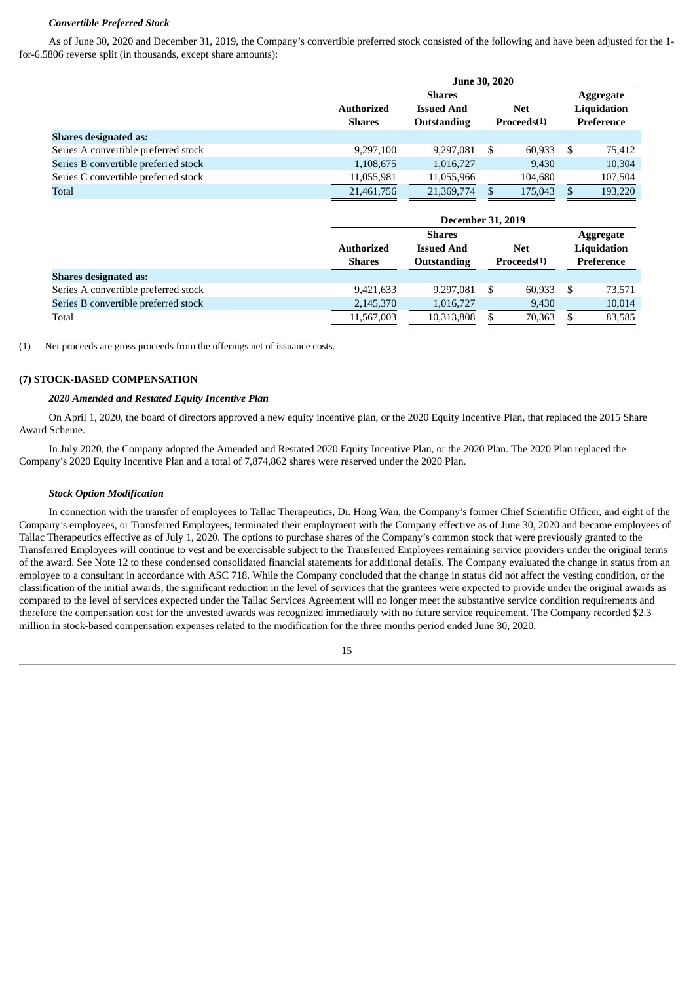# *Convertible Preferred Stock*

As of June 30, 2020 and December 31, 2019, the Company's convertible preferred stock consisted of the following and have been adjusted for the 1 for-6.5806 reverse split (in thousands, except share amounts):

|                                      | <b>June 30, 2020</b> |                                                          |                                |      |                                        |  |  |  |  |
|--------------------------------------|----------------------|----------------------------------------------------------|--------------------------------|------|----------------------------------------|--|--|--|--|
|                                      | Authorized<br>Shares | <b>Shares</b><br><b>Issued And</b><br><b>Outstanding</b> | Net<br>Proceeds <sup>(1)</sup> |      | Aggregate<br>Liquidation<br>Preference |  |  |  |  |
| <b>Shares designated as:</b>         |                      |                                                          |                                |      |                                        |  |  |  |  |
| Series A convertible preferred stock | 9,297,100            | 9.297.081                                                | - \$<br>60,933                 | - \$ | 75,412                                 |  |  |  |  |
| Series B convertible preferred stock | 1,108,675            | 1,016,727                                                | 9,430                          |      | 10,304                                 |  |  |  |  |
| Series C convertible preferred stock | 11,055,981           | 11,055,966                                               | 104,680                        |      | 107,504                                |  |  |  |  |
| Total                                | 21,461,756           | 21,369,774                                               | 175,043                        |      | 193,220                                |  |  |  |  |

|                                      | <b>December 31, 2019</b>    |            |    |                           |      |                                        |  |  |  |
|--------------------------------------|-----------------------------|------------|----|---------------------------|------|----------------------------------------|--|--|--|
|                                      | Authorized<br><b>Shares</b> |            |    | <b>Net</b><br>Proceeds(1) |      | Aggregate<br>Liquidation<br>Preference |  |  |  |
| <b>Shares designated as:</b>         |                             |            |    |                           |      |                                        |  |  |  |
| Series A convertible preferred stock | 9,421,633                   | 9.297.081  | -S | 60.933                    | - \$ | 73,571                                 |  |  |  |
| Series B convertible preferred stock | 2,145,370                   | 1,016,727  |    | 9,430                     |      | 10,014                                 |  |  |  |
| Total                                | 11,567,003                  | 10,313,808 |    | 70,363                    |      | 83,585                                 |  |  |  |

(1) Net proceeds are gross proceeds from the offerings net of issuance costs.

# **(7) STOCK-BASED COMPENSATION**

#### *2020 Amended and Restated Equity Incentive Plan*

On April 1, 2020, the board of directors approved a new equity incentive plan, or the 2020 Equity Incentive Plan, that replaced the 2015 Share Award Scheme.

In July 2020, the Company adopted the Amended and Restated 2020 Equity Incentive Plan, or the 2020 Plan. The 2020 Plan replaced the Company's 2020 Equity Incentive Plan and a total of 7,874,862 shares were reserved under the 2020 Plan.

#### *Stock Option Modification*

In connection with the transfer of employees to Tallac Therapeutics, Dr. Hong Wan, the Company's former Chief Scientific Officer, and eight of the Company's employees, or Transferred Employees, terminated their employment with the Company effective as of June 30, 2020 and became employees of Tallac Therapeutics effective as of July 1, 2020. The options to purchase shares of the Company's common stock that were previously granted to the Transferred Employees will continue to vest and be exercisable subject to the Transferred Employees remaining service providers under the original terms of the award. See Note 12 to these condensed consolidated financial statements for additional details. The Company evaluated the change in status from an employee to a consultant in accordance with ASC 718. While the Company concluded that the change in status did not affect the vesting condition, or the classification of the initial awards, the significant reduction in the level of services that the grantees were expected to provide under the original awards as compared to the level of services expected under the Tallac Services Agreement will no longer meet the substantive service condition requirements and therefore the compensation cost for the unvested awards was recognized immediately with no future service requirement. The Company recorded \$2.3 million in stock-based compensation expenses related to the modification for the three months period ended June 30, 2020.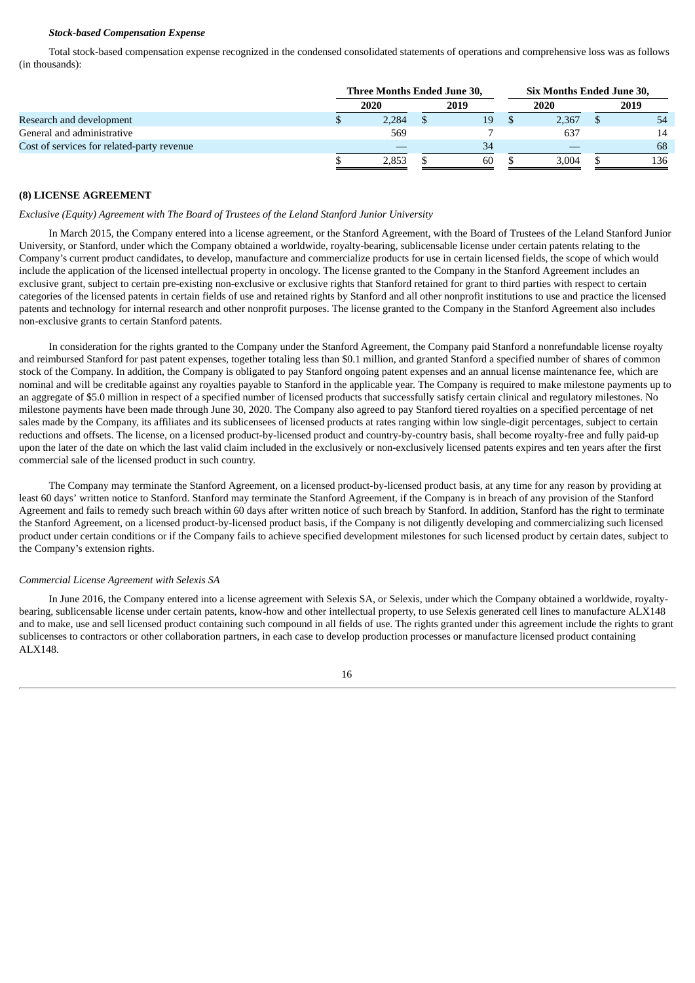# *Stock-based Compensation Expense*

Total stock-based compensation expense recognized in the condensed consolidated statements of operations and comprehensive loss was as follows (in thousands):

|                                            | Three Months Ended June 30, |       |  |      | <b>Six Months Ended June 30,</b> |       |  |      |
|--------------------------------------------|-----------------------------|-------|--|------|----------------------------------|-------|--|------|
|                                            |                             | 2020  |  | 2019 |                                  | 2020  |  | 2019 |
| Research and development                   |                             | 2.284 |  | 19   |                                  | 2,367 |  | 54   |
| General and administrative                 |                             | 569   |  |      |                                  | 637   |  | 14   |
| Cost of services for related-party revenue |                             |       |  | 34   |                                  |       |  | 68   |
|                                            |                             | 2.853 |  | 60   |                                  | 3.004 |  | 136  |

#### **(8) LICENSE AGREEMENT**

*Exclusive (Equity) Agreement with The Board of Trustees of the Leland Stanford Junior University*

In March 2015, the Company entered into a license agreement, or the Stanford Agreement, with the Board of Trustees of the Leland Stanford Junior University, or Stanford, under which the Company obtained a worldwide, royalty-bearing, sublicensable license under certain patents relating to the Company's current product candidates, to develop, manufacture and commercialize products for use in certain licensed fields, the scope of which would include the application of the licensed intellectual property in oncology. The license granted to the Company in the Stanford Agreement includes an exclusive grant, subject to certain pre-existing non-exclusive or exclusive rights that Stanford retained for grant to third parties with respect to certain categories of the licensed patents in certain fields of use and retained rights by Stanford and all other nonprofit institutions to use and practice the licensed patents and technology for internal research and other nonprofit purposes. The license granted to the Company in the Stanford Agreement also includes non-exclusive grants to certain Stanford patents.

In consideration for the rights granted to the Company under the Stanford Agreement, the Company paid Stanford a nonrefundable license royalty and reimbursed Stanford for past patent expenses, together totaling less than \$0.1 million, and granted Stanford a specified number of shares of common stock of the Company. In addition, the Company is obligated to pay Stanford ongoing patent expenses and an annual license maintenance fee, which are nominal and will be creditable against any royalties payable to Stanford in the applicable year. The Company is required to make milestone payments up to an aggregate of \$5.0 million in respect of a specified number of licensed products that successfully satisfy certain clinical and regulatory milestones. No milestone payments have been made through June 30, 2020. The Company also agreed to pay Stanford tiered royalties on a specified percentage of net sales made by the Company, its affiliates and its sublicensees of licensed products at rates ranging within low single-digit percentages, subject to certain reductions and offsets. The license, on a licensed product-by-licensed product and country-by-country basis, shall become royalty-free and fully paid-up upon the later of the date on which the last valid claim included in the exclusively or non-exclusively licensed patents expires and ten years after the first commercial sale of the licensed product in such country.

The Company may terminate the Stanford Agreement, on a licensed product-by-licensed product basis, at any time for any reason by providing at least 60 days' written notice to Stanford. Stanford may terminate the Stanford Agreement, if the Company is in breach of any provision of the Stanford Agreement and fails to remedy such breach within 60 days after written notice of such breach by Stanford. In addition, Stanford has the right to terminate the Stanford Agreement, on a licensed product-by-licensed product basis, if the Company is not diligently developing and commercializing such licensed product under certain conditions or if the Company fails to achieve specified development milestones for such licensed product by certain dates, subject to the Company's extension rights.

#### *Commercial License Agreement with Selexis SA*

In June 2016, the Company entered into a license agreement with Selexis SA, or Selexis, under which the Company obtained a worldwide, royaltybearing, sublicensable license under certain patents, know-how and other intellectual property, to use Selexis generated cell lines to manufacture ALX148 and to make, use and sell licensed product containing such compound in all fields of use. The rights granted under this agreement include the rights to grant sublicenses to contractors or other collaboration partners, in each case to develop production processes or manufacture licensed product containing ALX148.

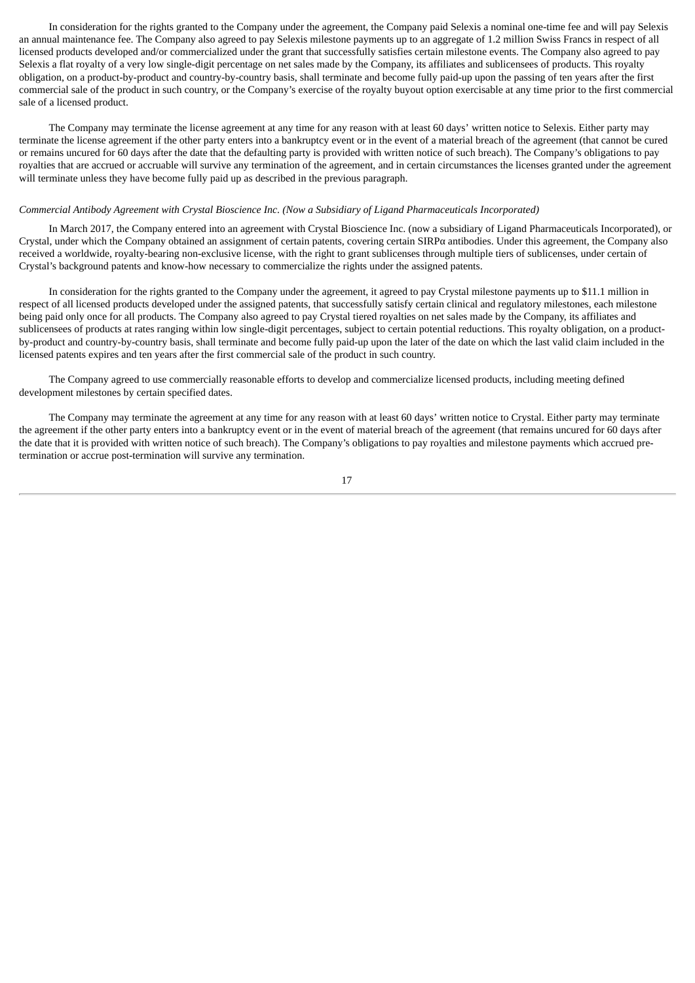In consideration for the rights granted to the Company under the agreement, the Company paid Selexis a nominal one-time fee and will pay Selexis an annual maintenance fee. The Company also agreed to pay Selexis milestone payments up to an aggregate of 1.2 million Swiss Francs in respect of all licensed products developed and/or commercialized under the grant that successfully satisfies certain milestone events. The Company also agreed to pay Selexis a flat royalty of a very low single-digit percentage on net sales made by the Company, its affiliates and sublicensees of products. This royalty obligation, on a product-by-product and country-by-country basis, shall terminate and become fully paid-up upon the passing of ten years after the first commercial sale of the product in such country, or the Company's exercise of the royalty buyout option exercisable at any time prior to the first commercial sale of a licensed product.

The Company may terminate the license agreement at any time for any reason with at least 60 days' written notice to Selexis. Either party may terminate the license agreement if the other party enters into a bankruptcy event or in the event of a material breach of the agreement (that cannot be cured or remains uncured for 60 days after the date that the defaulting party is provided with written notice of such breach). The Company's obligations to pay royalties that are accrued or accruable will survive any termination of the agreement, and in certain circumstances the licenses granted under the agreement will terminate unless they have become fully paid up as described in the previous paragraph.

#### *Commercial Antibody Agreement with Crystal Bioscience Inc. (Now a Subsidiary of Ligand Pharmaceuticals Incorporated)*

In March 2017, the Company entered into an agreement with Crystal Bioscience Inc. (now a subsidiary of Ligand Pharmaceuticals Incorporated), or Crystal, under which the Company obtained an assignment of certain patents, covering certain SIRPα antibodies. Under this agreement, the Company also received a worldwide, royalty-bearing non-exclusive license, with the right to grant sublicenses through multiple tiers of sublicenses, under certain of Crystal's background patents and know-how necessary to commercialize the rights under the assigned patents.

In consideration for the rights granted to the Company under the agreement, it agreed to pay Crystal milestone payments up to \$11.1 million in respect of all licensed products developed under the assigned patents, that successfully satisfy certain clinical and regulatory milestones, each milestone being paid only once for all products. The Company also agreed to pay Crystal tiered royalties on net sales made by the Company, its affiliates and sublicensees of products at rates ranging within low single-digit percentages, subject to certain potential reductions. This royalty obligation, on a productby-product and country-by-country basis, shall terminate and become fully paid-up upon the later of the date on which the last valid claim included in the licensed patents expires and ten years after the first commercial sale of the product in such country.

The Company agreed to use commercially reasonable efforts to develop and commercialize licensed products, including meeting defined development milestones by certain specified dates.

The Company may terminate the agreement at any time for any reason with at least 60 days' written notice to Crystal. Either party may terminate the agreement if the other party enters into a bankruptcy event or in the event of material breach of the agreement (that remains uncured for 60 days after the date that it is provided with written notice of such breach). The Company's obligations to pay royalties and milestone payments which accrued pretermination or accrue post-termination will survive any termination.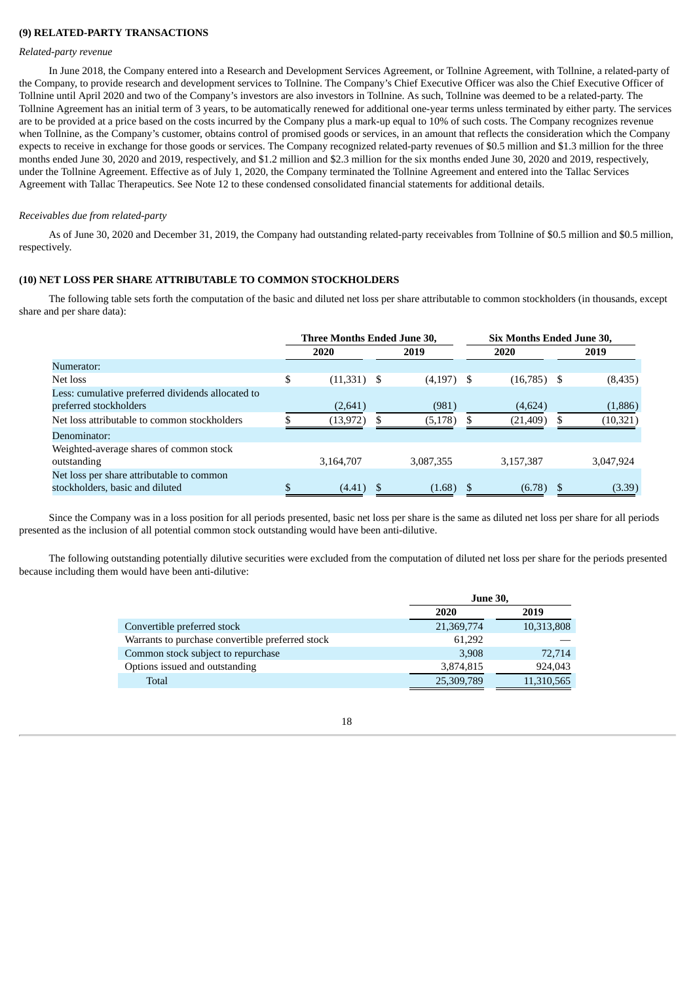# **(9) RELATED-PARTY TRANSACTIONS**

#### *Related-party revenue*

In June 2018, the Company entered into a Research and Development Services Agreement, or Tollnine Agreement, with Tollnine, a related-party of the Company, to provide research and development services to Tollnine. The Company's Chief Executive Officer was also the Chief Executive Officer of Tollnine until April 2020 and two of the Company's investors are also investors in Tollnine. As such, Tollnine was deemed to be a related-party. The Tollnine Agreement has an initial term of 3 years, to be automatically renewed for additional one-year terms unless terminated by either party. The services are to be provided at a price based on the costs incurred by the Company plus a mark-up equal to 10% of such costs. The Company recognizes revenue when Tollnine, as the Company's customer, obtains control of promised goods or services, in an amount that reflects the consideration which the Company expects to receive in exchange for those goods or services. The Company recognized related-party revenues of \$0.5 million and \$1.3 million for the three months ended June 30, 2020 and 2019, respectively, and \$1.2 million and \$2.3 million for the six months ended June 30, 2020 and 2019, respectively, under the Tollnine Agreement. Effective as of July 1, 2020, the Company terminated the Tollnine Agreement and entered into the Tallac Services Agreement with Tallac Therapeutics. See Note 12 to these condensed consolidated financial statements for additional details.

#### *Receivables due from related-party*

As of June 30, 2020 and December 31, 2019, the Company had outstanding related-party receivables from Tollnine of \$0.5 million and \$0.5 million, respectively.

# **(10) NET LOSS PER SHARE ATTRIBUTABLE TO COMMON STOCKHOLDERS**

The following table sets forth the computation of the basic and diluted net loss per share attributable to common stockholders (in thousands, except share and per share data):

|                                                   | Three Months Ended June 30, |                      |  |              |      | Six Months Ended June 30, |  |           |  |  |
|---------------------------------------------------|-----------------------------|----------------------|--|--------------|------|---------------------------|--|-----------|--|--|
|                                                   |                             | 2020<br>2020<br>2019 |  |              | 2019 |                           |  |           |  |  |
| Numerator:                                        |                             |                      |  |              |      |                           |  |           |  |  |
| Net loss                                          | \$                          | $(11,331)$ \$        |  | $(4,197)$ \$ |      | $(16,785)$ \$             |  | (8, 435)  |  |  |
| Less: cumulative preferred dividends allocated to |                             |                      |  |              |      |                           |  |           |  |  |
| preferred stockholders                            |                             | (2,641)              |  | (981)        |      | (4,624)                   |  | (1,886)   |  |  |
| Net loss attributable to common stockholders      |                             | (13, 972)            |  | (5, 178)     |      | (21, 409)                 |  | (10, 321) |  |  |
| Denominator:                                      |                             |                      |  |              |      |                           |  |           |  |  |
| Weighted-average shares of common stock           |                             |                      |  |              |      |                           |  |           |  |  |
| outstanding                                       |                             | 3,164,707            |  | 3,087,355    |      | 3,157,387                 |  | 3,047,924 |  |  |
| Net loss per share attributable to common         |                             |                      |  |              |      |                           |  |           |  |  |
| stockholders, basic and diluted                   |                             | (4.41)               |  | (1.68)       | -S   | (6.78)                    |  | (3.39)    |  |  |

Since the Company was in a loss position for all periods presented, basic net loss per share is the same as diluted net loss per share for all periods presented as the inclusion of all potential common stock outstanding would have been anti-dilutive.

The following outstanding potentially dilutive securities were excluded from the computation of diluted net loss per share for the periods presented because including them would have been anti-dilutive:

|                                                  | <b>June 30,</b> |            |
|--------------------------------------------------|-----------------|------------|
|                                                  | 2020            | 2019       |
| Convertible preferred stock                      | 21,369,774      | 10,313,808 |
| Warrants to purchase convertible preferred stock | 61,292          |            |
| Common stock subject to repurchase               | 3.908           | 72,714     |
| Options issued and outstanding                   | 3,874,815       | 924,043    |
| Total                                            | 25,309,789      | 11,310,565 |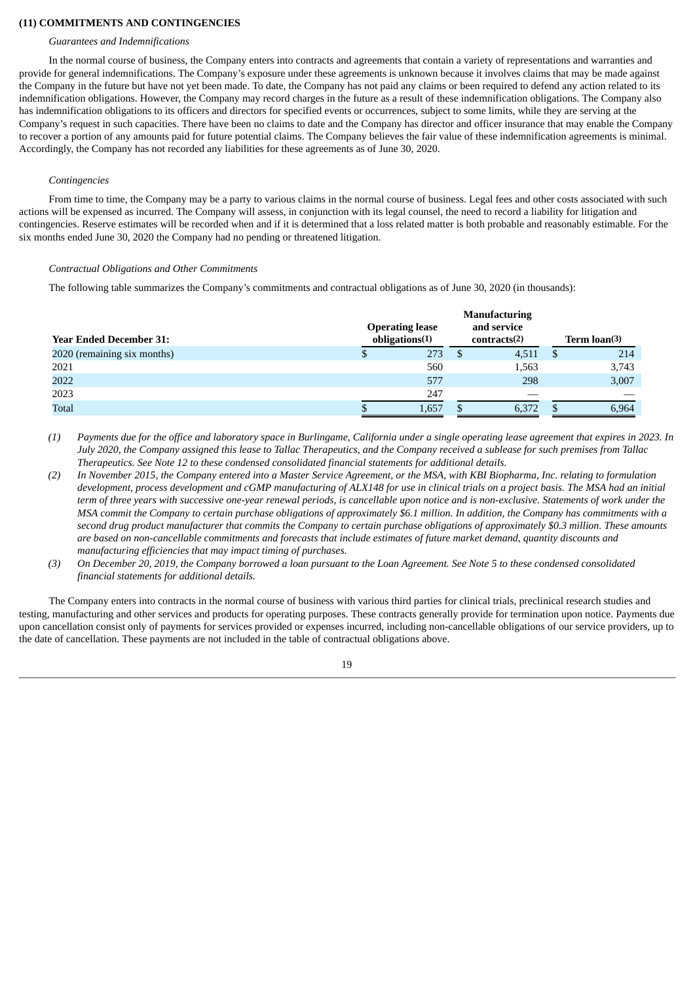# **(11) COMMITMENTS AND CONTINGENCIES**

#### *Guarantees and Indemnifications*

In the normal course of business, the Company enters into contracts and agreements that contain a variety of representations and warranties and provide for general indemnifications. The Company's exposure under these agreements is unknown because it involves claims that may be made against the Company in the future but have not yet been made. To date, the Company has not paid any claims or been required to defend any action related to its indemnification obligations. However, the Company may record charges in the future as a result of these indemnification obligations. The Company also has indemnification obligations to its officers and directors for specified events or occurrences, subject to some limits, while they are serving at the Company's request in such capacities. There have been no claims to date and the Company has director and officer insurance that may enable the Company to recover a portion of any amounts paid for future potential claims. The Company believes the fair value of these indemnification agreements is minimal. Accordingly, the Company has not recorded any liabilities for these agreements as of June 30, 2020.

#### *Contingencies*

From time to time, the Company may be a party to various claims in the normal course of business. Legal fees and other costs associated with such actions will be expensed as incurred. The Company will assess, in conjunction with its legal counsel, the need to record a liability for litigation and contingencies. Reserve estimates will be recorded when and if it is determined that a loss related matter is both probable and reasonably estimable. For the six months ended June 30, 2020 the Company had no pending or threatened litigation.

#### *Contractual Obligations and Other Commitments*

The following table summarizes the Company's commitments and contractual obligations as of June 30, 2020 (in thousands):

|                                | <b>Operating lease</b> |       | and service  |                   |
|--------------------------------|------------------------|-------|--------------|-------------------|
| <b>Year Ended December 31:</b> | obligations(1)         |       | contracts(2) | $Term \, loan(3)$ |
| 2020 (remaining six months)    |                        | 273   | 4,511        | 214               |
| 2021                           |                        | 560   | 1,563        | 3,743             |
| 2022                           |                        | 577   | 298          | 3,007             |
| 2023                           |                        | 247   |              |                   |
| <b>Total</b>                   |                        | 1,657 | 6,372        | 6,964             |

(1) Payments due for the office and laboratory space in Burlingame, California under a single operating lease agreement that expires in 2023. In July 2020, the Company assigned this lease to Tallac Therapeutics, and the Company received a sublease for such premises from Tallac *Therapeutics. See Note 12 to these condensed consolidated financial statements for additional details.*

- (2) In November 2015, the Company entered into a Master Service Agreement, or the MSA, with KBI Biopharma, Inc. relating to formulation development, process development and cGMP manufacturing of ALX148 for use in clinical trials on a project basis. The MSA had an initial term of three years with successive one-year renewal periods, is cancellable upon notice and is non-exclusive. Statements of work under the MSA commit the Company to certain purchase obligations of approximately \$6.1 million. In addition, the Company has commitments with a second drug product manufacturer that commits the Company to certain purchase obligations of approximately \$0.3 million. These amounts are based on non-cancellable commitments and forecasts that include estimates of future market demand, quantity discounts and *manufacturing efficiencies that may impact timing of purchases.*
- (3) On December 20, 2019, the Company borrowed a loan pursuant to the Loan Agreement. See Note 5 to these condensed consolidated *financial statements for additional details.*

The Company enters into contracts in the normal course of business with various third parties for clinical trials, preclinical research studies and testing, manufacturing and other services and products for operating purposes. These contracts generally provide for termination upon notice. Payments due upon cancellation consist only of payments for services provided or expenses incurred, including non-cancellable obligations of our service providers, up to the date of cancellation. These payments are not included in the table of contractual obligations above.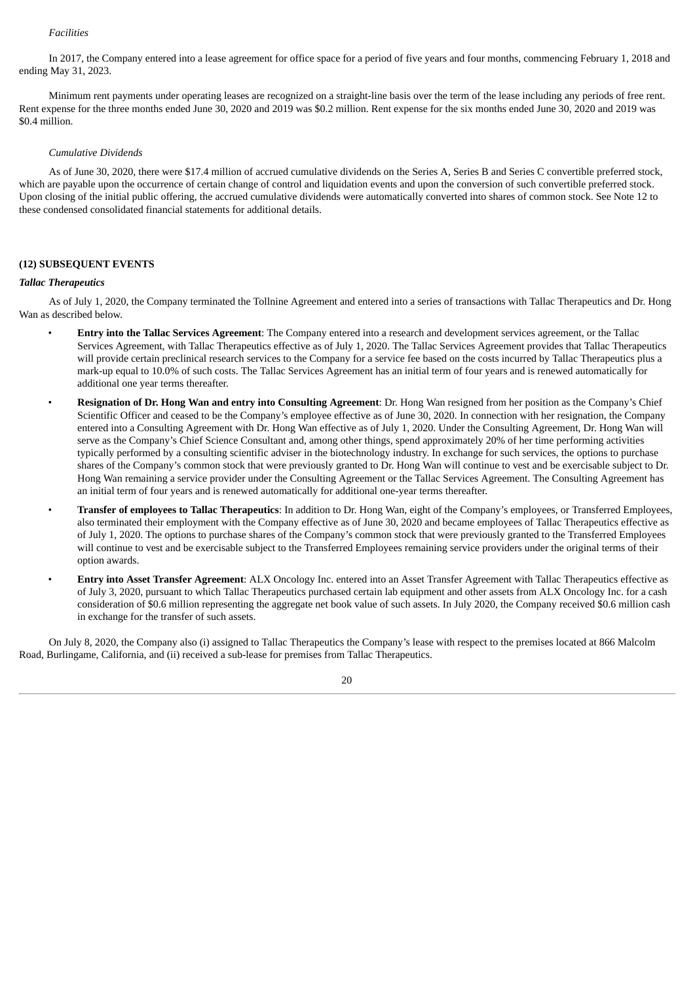# *Facilities*

In 2017, the Company entered into a lease agreement for office space for a period of five years and four months, commencing February 1, 2018 and ending May 31, 2023.

Minimum rent payments under operating leases are recognized on a straight-line basis over the term of the lease including any periods of free rent. Rent expense for the three months ended June 30, 2020 and 2019 was \$0.2 million. Rent expense for the six months ended June 30, 2020 and 2019 was \$0.4 million.

#### *Cumulative Dividends*

As of June 30, 2020, there were \$17.4 million of accrued cumulative dividends on the Series A, Series B and Series C convertible preferred stock, which are payable upon the occurrence of certain change of control and liquidation events and upon the conversion of such convertible preferred stock. Upon closing of the initial public offering, the accrued cumulative dividends were automatically converted into shares of common stock. See Note 12 to these condensed consolidated financial statements for additional details.

# **(12) SUBSEQUENT EVENTS**

#### *Tallac Therapeutics*

As of July 1, 2020, the Company terminated the Tollnine Agreement and entered into a series of transactions with Tallac Therapeutics and Dr. Hong Wan as described below.

- **Entry into the Tallac Services Agreement**: The Company entered into a research and development services agreement, or the Tallac Services Agreement, with Tallac Therapeutics effective as of July 1, 2020. The Tallac Services Agreement provides that Tallac Therapeutics will provide certain preclinical research services to the Company for a service fee based on the costs incurred by Tallac Therapeutics plus a mark-up equal to 10.0% of such costs. The Tallac Services Agreement has an initial term of four years and is renewed automatically for additional one year terms thereafter.
- **Resignation of Dr. Hong Wan and entry into Consulting Agreement**: Dr. Hong Wan resigned from her position as the Company's Chief Scientific Officer and ceased to be the Company's employee effective as of June 30, 2020. In connection with her resignation, the Company entered into a Consulting Agreement with Dr. Hong Wan effective as of July 1, 2020. Under the Consulting Agreement, Dr. Hong Wan will serve as the Company's Chief Science Consultant and, among other things, spend approximately 20% of her time performing activities typically performed by a consulting scientific adviser in the biotechnology industry. In exchange for such services, the options to purchase shares of the Company's common stock that were previously granted to Dr. Hong Wan will continue to vest and be exercisable subject to Dr. Hong Wan remaining a service provider under the Consulting Agreement or the Tallac Services Agreement. The Consulting Agreement has an initial term of four years and is renewed automatically for additional one-year terms thereafter.
- **Transfer of employees to Tallac Therapeutics**: In addition to Dr. Hong Wan, eight of the Company's employees, or Transferred Employees, also terminated their employment with the Company effective as of June 30, 2020 and became employees of Tallac Therapeutics effective as of July 1, 2020. The options to purchase shares of the Company's common stock that were previously granted to the Transferred Employees will continue to vest and be exercisable subject to the Transferred Employees remaining service providers under the original terms of their option awards.
- **Entry into Asset Transfer Agreement**: ALX Oncology Inc. entered into an Asset Transfer Agreement with Tallac Therapeutics effective as of July 3, 2020, pursuant to which Tallac Therapeutics purchased certain lab equipment and other assets from ALX Oncology Inc. for a cash consideration of \$0.6 million representing the aggregate net book value of such assets. In July 2020, the Company received \$0.6 million cash in exchange for the transfer of such assets.

On July 8, 2020, the Company also (i) assigned to Tallac Therapeutics the Company's lease with respect to the premises located at 866 Malcolm Road, Burlingame, California, and (ii) received a sub-lease for premises from Tallac Therapeutics.

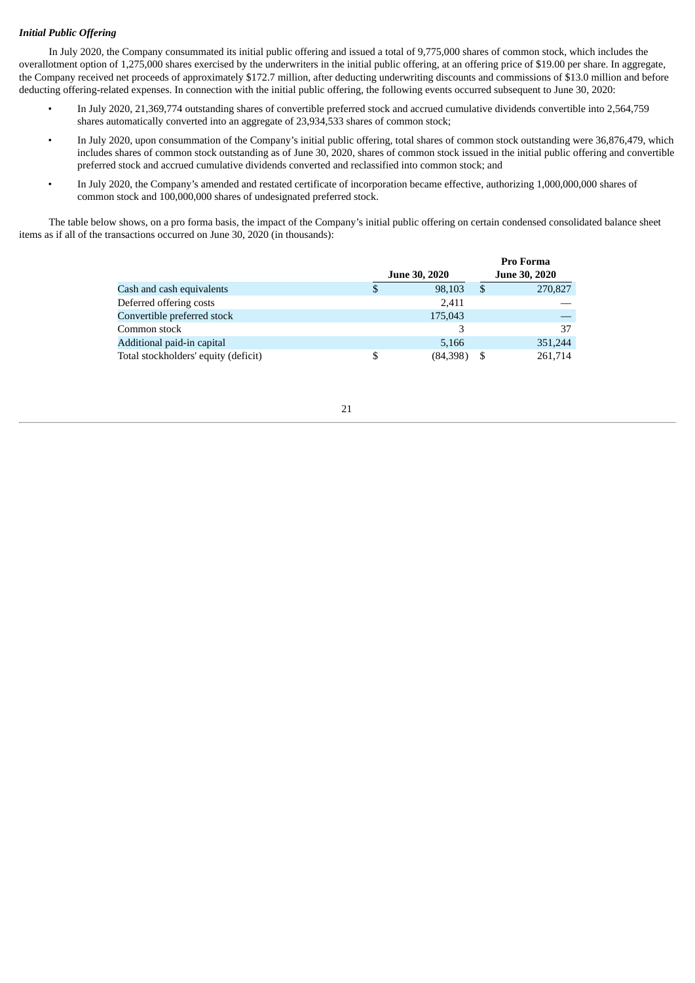# *Initial Public Offering*

In July 2020, the Company consummated its initial public offering and issued a total of 9,775,000 shares of common stock, which includes the overallotment option of 1,275,000 shares exercised by the underwriters in the initial public offering, at an offering price of \$19.00 per share. In aggregate, the Company received net proceeds of approximately \$172.7 million, after deducting underwriting discounts and commissions of \$13.0 million and before deducting offering-related expenses. In connection with the initial public offering, the following events occurred subsequent to June 30, 2020:

- In July 2020, 21,369,774 outstanding shares of convertible preferred stock and accrued cumulative dividends convertible into 2,564,759 shares automatically converted into an aggregate of 23,934,533 shares of common stock;
- In July 2020, upon consummation of the Company's initial public offering, total shares of common stock outstanding were 36,876,479, which includes shares of common stock outstanding as of June 30, 2020, shares of common stock issued in the initial public offering and convertible preferred stock and accrued cumulative dividends converted and reclassified into common stock; and
- In July 2020, the Company's amended and restated certificate of incorporation became effective, authorizing 1,000,000,000 shares of common stock and 100,000,000 shares of undesignated preferred stock.

The table below shows, on a pro forma basis, the impact of the Company's initial public offering on certain condensed consolidated balance sheet items as if all of the transactions occurred on June 30, 2020 (in thousands):

|                                      |                      |    | Pro Forma            |
|--------------------------------------|----------------------|----|----------------------|
|                                      | <b>June 30, 2020</b> |    | <b>June 30, 2020</b> |
| Cash and cash equivalents            | \$<br>98,103         | -S | 270,827              |
| Deferred offering costs              | 2.411                |    |                      |
| Convertible preferred stock          | 175,043              |    |                      |
| Common stock                         |                      |    | 37                   |
| Additional paid-in capital           | 5,166                |    | 351,244              |
| Total stockholders' equity (deficit) | \$<br>(84,398)       |    | 261,714              |

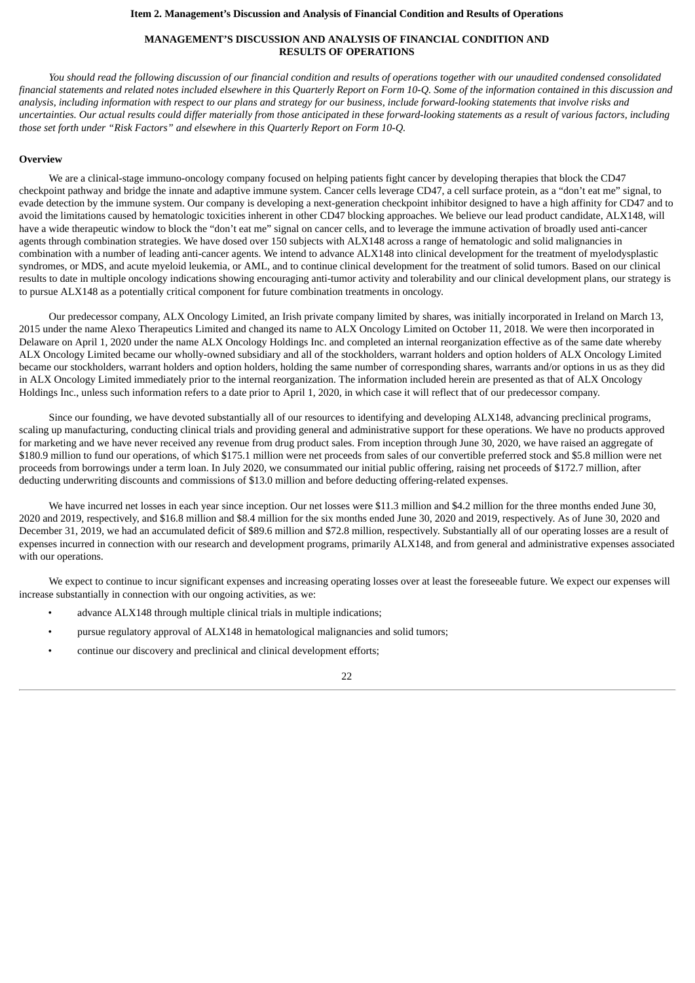# **Item 2. Management's Discussion and Analysis of Financial Condition and Results of Operations**

# **MANAGEMENT'S DISCUSSION AND ANALYSIS OF FINANCIAL CONDITION AND RESULTS OF OPERATIONS**

<span id="page-24-0"></span>You should read the following discussion of our financial condition and results of operations together with our unaudited condensed consolidated financial statements and related notes included elsewhere in this Quarterly Report on Form 10-Q. Some of the information contained in this discussion and analysis, including information with respect to our plans and strategy for our business, include forward-looking statements that involve risks and uncertainties. Our actual results could differ materially from those anticipated in these forward-looking statements as a result of various factors, including *those set forth under "Risk Factors" and elsewhere in this Quarterly Report on Form 10-Q.*

#### **Overview**

We are a clinical-stage immuno-oncology company focused on helping patients fight cancer by developing therapies that block the CD47 checkpoint pathway and bridge the innate and adaptive immune system. Cancer cells leverage CD47, a cell surface protein, as a "don't eat me" signal, to evade detection by the immune system. Our company is developing a next-generation checkpoint inhibitor designed to have a high affinity for CD47 and to avoid the limitations caused by hematologic toxicities inherent in other CD47 blocking approaches. We believe our lead product candidate, ALX148, will have a wide therapeutic window to block the "don't eat me" signal on cancer cells, and to leverage the immune activation of broadly used anti-cancer agents through combination strategies. We have dosed over 150 subjects with ALX148 across a range of hematologic and solid malignancies in combination with a number of leading anti-cancer agents. We intend to advance ALX148 into clinical development for the treatment of myelodysplastic syndromes, or MDS, and acute myeloid leukemia, or AML, and to continue clinical development for the treatment of solid tumors. Based on our clinical results to date in multiple oncology indications showing encouraging anti-tumor activity and tolerability and our clinical development plans, our strategy is to pursue ALX148 as a potentially critical component for future combination treatments in oncology.

Our predecessor company, ALX Oncology Limited, an Irish private company limited by shares, was initially incorporated in Ireland on March 13, 2015 under the name Alexo Therapeutics Limited and changed its name to ALX Oncology Limited on October 11, 2018. We were then incorporated in Delaware on April 1, 2020 under the name ALX Oncology Holdings Inc. and completed an internal reorganization effective as of the same date whereby ALX Oncology Limited became our wholly-owned subsidiary and all of the stockholders, warrant holders and option holders of ALX Oncology Limited became our stockholders, warrant holders and option holders, holding the same number of corresponding shares, warrants and/or options in us as they did in ALX Oncology Limited immediately prior to the internal reorganization. The information included herein are presented as that of ALX Oncology Holdings Inc., unless such information refers to a date prior to April 1, 2020, in which case it will reflect that of our predecessor company.

Since our founding, we have devoted substantially all of our resources to identifying and developing ALX148, advancing preclinical programs, scaling up manufacturing, conducting clinical trials and providing general and administrative support for these operations. We have no products approved for marketing and we have never received any revenue from drug product sales. From inception through June 30, 2020, we have raised an aggregate of \$180.9 million to fund our operations, of which \$175.1 million were net proceeds from sales of our convertible preferred stock and \$5.8 million were net proceeds from borrowings under a term loan. In July 2020, we consummated our initial public offering, raising net proceeds of \$172.7 million, after deducting underwriting discounts and commissions of \$13.0 million and before deducting offering-related expenses.

We have incurred net losses in each year since inception. Our net losses were \$11.3 million and \$4.2 million for the three months ended June 30, 2020 and 2019, respectively, and \$16.8 million and \$8.4 million for the six months ended June 30, 2020 and 2019, respectively. As of June 30, 2020 and December 31, 2019, we had an accumulated deficit of \$89.6 million and \$72.8 million, respectively. Substantially all of our operating losses are a result of expenses incurred in connection with our research and development programs, primarily ALX148, and from general and administrative expenses associated with our operations.

We expect to continue to incur significant expenses and increasing operating losses over at least the foreseeable future. We expect our expenses will increase substantially in connection with our ongoing activities, as we:

- advance ALX148 through multiple clinical trials in multiple indications;
- pursue regulatory approval of ALX148 in hematological malignancies and solid tumors;
- continue our discovery and preclinical and clinical development efforts;

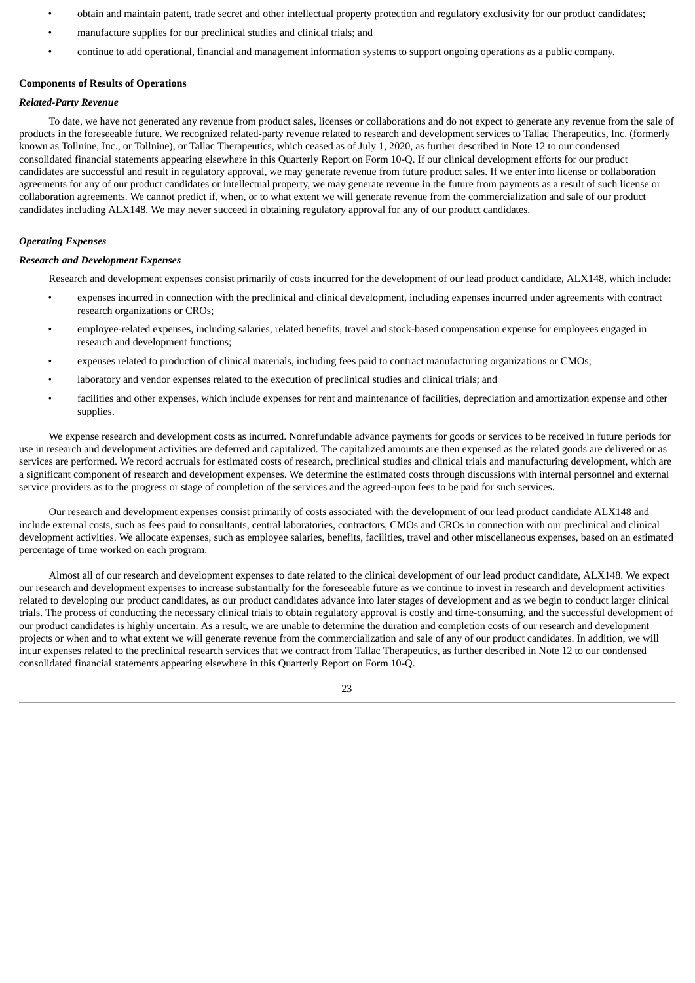- obtain and maintain patent, trade secret and other intellectual property protection and regulatory exclusivity for our product candidates;
- manufacture supplies for our preclinical studies and clinical trials; and
- continue to add operational, financial and management information systems to support ongoing operations as a public company.

# **Components of Results of Operations**

# *Related-Party Revenue*

To date, we have not generated any revenue from product sales, licenses or collaborations and do not expect to generate any revenue from the sale of products in the foreseeable future. We recognized related-party revenue related to research and development services to Tallac Therapeutics, Inc. (formerly known as Tollnine, Inc., or Tollnine), or Tallac Therapeutics, which ceased as of July 1, 2020, as further described in Note 12 to our condensed consolidated financial statements appearing elsewhere in this Quarterly Report on Form 10-Q. If our clinical development efforts for our product candidates are successful and result in regulatory approval, we may generate revenue from future product sales. If we enter into license or collaboration agreements for any of our product candidates or intellectual property, we may generate revenue in the future from payments as a result of such license or collaboration agreements. We cannot predict if, when, or to what extent we will generate revenue from the commercialization and sale of our product candidates including ALX148. We may never succeed in obtaining regulatory approval for any of our product candidates.

# *Operating Expenses*

# *Research and Development Expenses*

Research and development expenses consist primarily of costs incurred for the development of our lead product candidate, ALX148, which include:

- expenses incurred in connection with the preclinical and clinical development, including expenses incurred under agreements with contract research organizations or CROs;
- employee-related expenses, including salaries, related benefits, travel and stock-based compensation expense for employees engaged in research and development functions;
- expenses related to production of clinical materials, including fees paid to contract manufacturing organizations or CMOs;
- laboratory and vendor expenses related to the execution of preclinical studies and clinical trials; and
- facilities and other expenses, which include expenses for rent and maintenance of facilities, depreciation and amortization expense and other supplies.

We expense research and development costs as incurred. Nonrefundable advance payments for goods or services to be received in future periods for use in research and development activities are deferred and capitalized. The capitalized amounts are then expensed as the related goods are delivered or as services are performed. We record accruals for estimated costs of research, preclinical studies and clinical trials and manufacturing development, which are a significant component of research and development expenses. We determine the estimated costs through discussions with internal personnel and external service providers as to the progress or stage of completion of the services and the agreed-upon fees to be paid for such services.

Our research and development expenses consist primarily of costs associated with the development of our lead product candidate ALX148 and include external costs, such as fees paid to consultants, central laboratories, contractors, CMOs and CROs in connection with our preclinical and clinical development activities. We allocate expenses, such as employee salaries, benefits, facilities, travel and other miscellaneous expenses, based on an estimated percentage of time worked on each program.

Almost all of our research and development expenses to date related to the clinical development of our lead product candidate, ALX148. We expect our research and development expenses to increase substantially for the foreseeable future as we continue to invest in research and development activities related to developing our product candidates, as our product candidates advance into later stages of development and as we begin to conduct larger clinical trials. The process of conducting the necessary clinical trials to obtain regulatory approval is costly and time-consuming, and the successful development of our product candidates is highly uncertain. As a result, we are unable to determine the duration and completion costs of our research and development projects or when and to what extent we will generate revenue from the commercialization and sale of any of our product candidates. In addition, we will incur expenses related to the preclinical research services that we contract from Tallac Therapeutics, as further described in Note 12 to our condensed consolidated financial statements appearing elsewhere in this Quarterly Report on Form 10-Q.

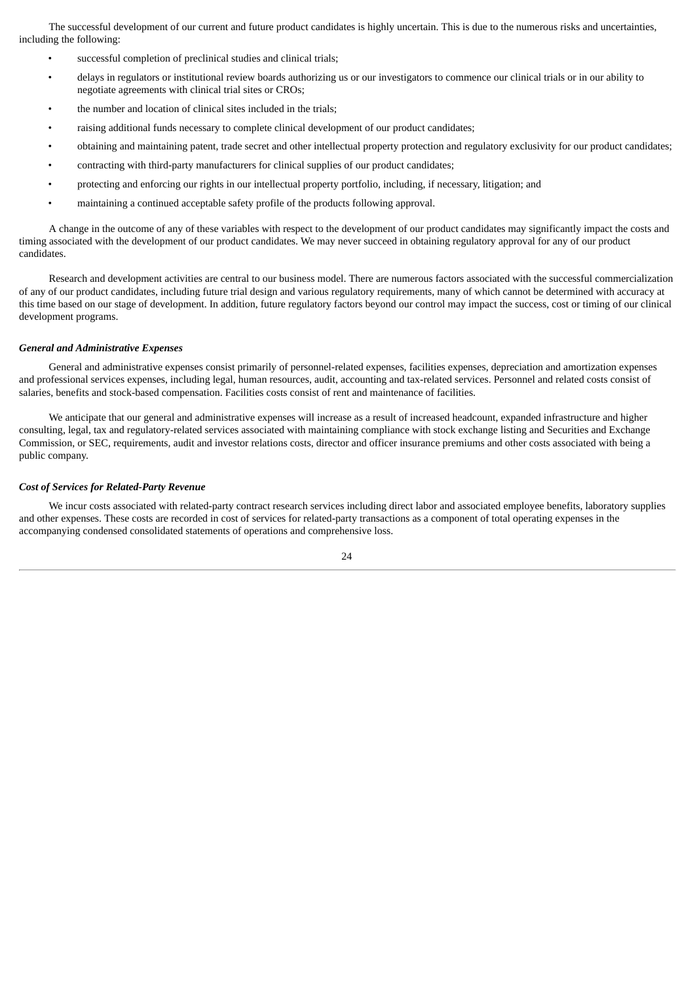The successful development of our current and future product candidates is highly uncertain. This is due to the numerous risks and uncertainties, including the following:

- successful completion of preclinical studies and clinical trials;
- delays in regulators or institutional review boards authorizing us or our investigators to commence our clinical trials or in our ability to negotiate agreements with clinical trial sites or CROs;
- the number and location of clinical sites included in the trials;
- raising additional funds necessary to complete clinical development of our product candidates;
- obtaining and maintaining patent, trade secret and other intellectual property protection and regulatory exclusivity for our product candidates;
- contracting with third-party manufacturers for clinical supplies of our product candidates;
- protecting and enforcing our rights in our intellectual property portfolio, including, if necessary, litigation; and
- maintaining a continued acceptable safety profile of the products following approval.

A change in the outcome of any of these variables with respect to the development of our product candidates may significantly impact the costs and timing associated with the development of our product candidates. We may never succeed in obtaining regulatory approval for any of our product candidates.

Research and development activities are central to our business model. There are numerous factors associated with the successful commercialization of any of our product candidates, including future trial design and various regulatory requirements, many of which cannot be determined with accuracy at this time based on our stage of development. In addition, future regulatory factors beyond our control may impact the success, cost or timing of our clinical development programs.

#### *General and Administrative Expenses*

General and administrative expenses consist primarily of personnel-related expenses, facilities expenses, depreciation and amortization expenses and professional services expenses, including legal, human resources, audit, accounting and tax-related services. Personnel and related costs consist of salaries, benefits and stock-based compensation. Facilities costs consist of rent and maintenance of facilities.

We anticipate that our general and administrative expenses will increase as a result of increased headcount, expanded infrastructure and higher consulting, legal, tax and regulatory-related services associated with maintaining compliance with stock exchange listing and Securities and Exchange Commission, or SEC, requirements, audit and investor relations costs, director and officer insurance premiums and other costs associated with being a public company.

#### *Cost of Services for Related-Party Revenue*

We incur costs associated with related-party contract research services including direct labor and associated employee benefits, laboratory supplies and other expenses. These costs are recorded in cost of services for related-party transactions as a component of total operating expenses in the accompanying condensed consolidated statements of operations and comprehensive loss.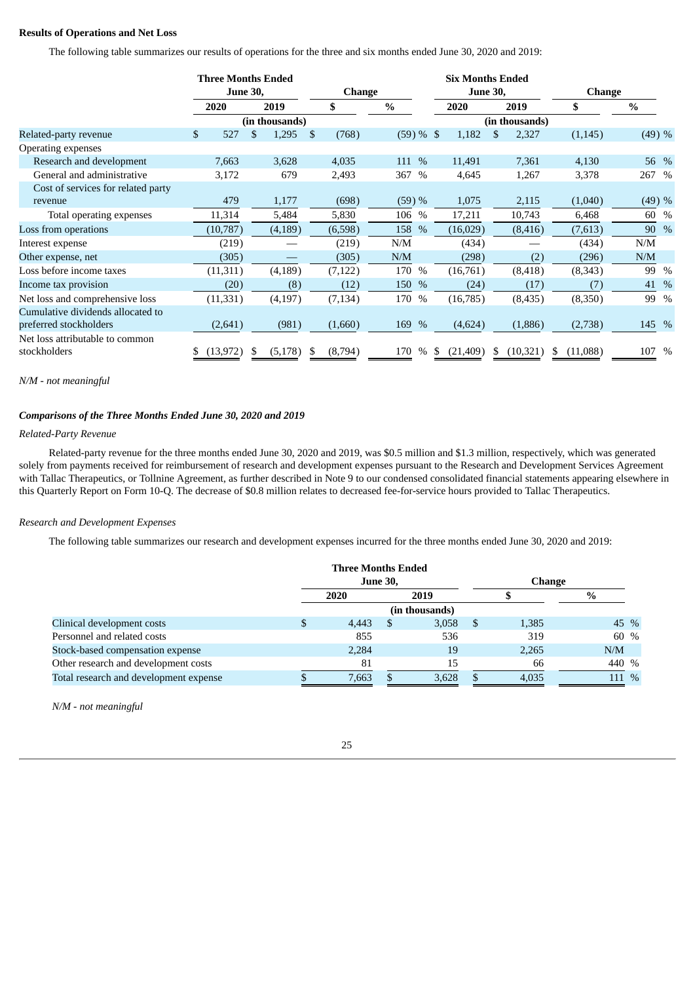# **Results of Operations and Net Loss**

The following table summarizes our results of operations for the three and six months ended June 30, 2020 and 2019:

|                                                             | <b>Three Months Ended</b> |                |               |              |                 | <b>Six Months Ended</b> |                |             |
|-------------------------------------------------------------|---------------------------|----------------|---------------|--------------|-----------------|-------------------------|----------------|-------------|
|                                                             | <b>June 30,</b>           |                | <b>Change</b> |              |                 | <b>June 30,</b>         | <b>Change</b>  |             |
|                                                             | 2020                      | 2019           | \$            | $\%$         | 2020            | 2019                    | \$             | $\%$        |
|                                                             |                           | (in thousands) |               |              |                 | (in thousands)          |                |             |
| Related-party revenue                                       | 527<br>\$                 | 1,295<br>\$.   | (768)<br>\$   | $(59) \%$ \$ | 1,182           | 2,327<br>\$.            | (1,145)        | (49) %      |
| Operating expenses                                          |                           |                |               |              |                 |                         |                |             |
| Research and development                                    | 7,663                     | 3,628          | 4,035         | 111 %        | 11,491          | 7,361                   | 4,130          | 56 %        |
| General and administrative                                  | 3,172                     | 679            | 2,493         | 367 %        | 4,645           | 1,267                   | 3,378          | 267<br>$\%$ |
| Cost of services for related party                          |                           |                |               |              |                 |                         |                |             |
| revenue                                                     | 479                       | 1,177          | (698)         | (59) %       | 1,075           | 2,115                   | (1,040)        | (49) %      |
| Total operating expenses                                    | 11,314                    | 5,484          | 5,830         | 106<br>$\%$  | 17,211          | 10,743                  | 6,468          | 60<br>$\%$  |
| Loss from operations                                        | (10, 787)                 | (4, 189)       | (6,598)       | 158<br>$\%$  | (16,029)        | (8, 416)                | (7,613)        | 90<br>$\%$  |
| Interest expense                                            | (219)                     |                | (219)         | N/M          | (434)           |                         | (434)          | N/M         |
| Other expense, net                                          | (305)                     |                | (305)         | N/M          | (298)           | (2)                     | (296)          | N/M         |
| Loss before income taxes                                    | (11,311)                  | (4, 189)       | (7, 122)      | 170 %        | (16,761)        | (8, 418)                | (8,343)        | 99<br>$\%$  |
| Income tax provision                                        | (20)                      | (8)            | (12)          | 150<br>$\%$  | (24)            | (17)                    | (7)            | $\%$<br>41  |
| Net loss and comprehensive loss                             | (11, 331)                 | (4, 197)       | (7, 134)      | 170<br>$\%$  | (16,785)        | (8, 435)                | (8,350)        | 99 %        |
| Cumulative dividends allocated to<br>preferred stockholders | (2,641)                   | (981)          | (1,660)       | 169 %        | (4,624)         | (1,886)                 | (2,738)        | 145 %       |
| Net loss attributable to common<br>stockholders             | (13, 972)                 | (5, 178)       | (8,794)<br>S  | 170<br>$\%$  | (21, 409)<br>S. | (10, 321)<br>S.         | (11,088)<br>S. | 107<br>$\%$ |

*N/M - not meaningful*

# *Comparisons of the Three Months Ended June 30, 2020 and 2019*

# *Related-Party Revenue*

Related-party revenue for the three months ended June 30, 2020 and 2019, was \$0.5 million and \$1.3 million, respectively, which was generated solely from payments received for reimbursement of research and development expenses pursuant to the Research and Development Services Agreement with Tallac Therapeutics, or Tollnine Agreement, as further described in Note 9 to our condensed consolidated financial statements appearing elsewhere in this Quarterly Report on Form 10-Q. The decrease of \$0.8 million relates to decreased fee-for-service hours provided to Tallac Therapeutics.

# *Research and Development Expenses*

The following table summarizes our research and development expenses incurred for the three months ended June 30, 2020 and 2019:

|                                        |    | <b>Three Months Ended</b> |                 |                |      |               |             |  |  |
|----------------------------------------|----|---------------------------|-----------------|----------------|------|---------------|-------------|--|--|
|                                        |    |                           | <b>June 30,</b> |                |      | <b>Change</b> |             |  |  |
|                                        |    | 2020<br>2019              |                 |                |      |               | $\%$        |  |  |
|                                        |    |                           |                 | (in thousands) |      |               |             |  |  |
| Clinical development costs             | SБ | 4,443                     | -SS             | 3,058          | - \$ | 1,385         | 45 %        |  |  |
| Personnel and related costs            |    | 855                       |                 | 536            |      | 319           | 60 %        |  |  |
| Stock-based compensation expense       |    | 2,284                     |                 | 19             |      | 2,265         | N/M         |  |  |
| Other research and development costs   |    | 81                        |                 | 15             |      | 66            | 440 %       |  |  |
| Total research and development expense |    | 7.663                     |                 | 3,628          |      | 4,035         | 111<br>$\%$ |  |  |

*N/M - not meaningful*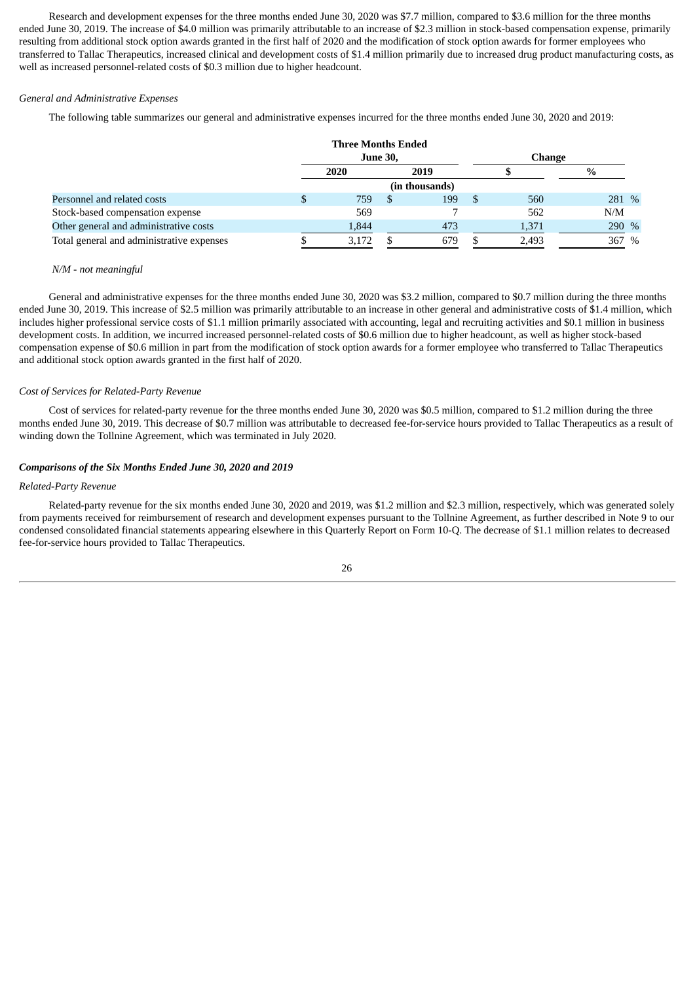Research and development expenses for the three months ended June 30, 2020 was \$7.7 million, compared to \$3.6 million for the three months ended June 30, 2019. The increase of \$4.0 million was primarily attributable to an increase of \$2.3 million in stock-based compensation expense, primarily resulting from additional stock option awards granted in the first half of 2020 and the modification of stock option awards for former employees who transferred to Tallac Therapeutics, increased clinical and development costs of \$1.4 million primarily due to increased drug product manufacturing costs, as well as increased personnel-related costs of \$0.3 million due to higher headcount.

#### *General and Administrative Expenses*

The following table summarizes our general and administrative expenses incurred for the three months ended June 30, 2020 and 2019:

|                                           | <b>Three Months Ended</b> |                 |                |               |       |
|-------------------------------------------|---------------------------|-----------------|----------------|---------------|-------|
|                                           |                           | <b>June 30,</b> |                | <b>Change</b> |       |
|                                           | 2020                      |                 | 2019           |               | $\%$  |
|                                           |                           |                 | (in thousands) |               |       |
| Personnel and related costs               | 759                       |                 | 199            | 560           | 281 % |
| Stock-based compensation expense          | 569                       |                 |                | 562           | N/M   |
| Other general and administrative costs    | 1,844                     |                 | 473            | 1,371         | 290 % |
| Total general and administrative expenses | 3.172                     |                 | 679            | 2,493         | 367 % |

#### *N/M - not meaningful*

General and administrative expenses for the three months ended June 30, 2020 was \$3.2 million, compared to \$0.7 million during the three months ended June 30, 2019. This increase of \$2.5 million was primarily attributable to an increase in other general and administrative costs of \$1.4 million, which includes higher professional service costs of \$1.1 million primarily associated with accounting, legal and recruiting activities and \$0.1 million in business development costs. In addition, we incurred increased personnel-related costs of \$0.6 million due to higher headcount, as well as higher stock-based compensation expense of \$0.6 million in part from the modification of stock option awards for a former employee who transferred to Tallac Therapeutics and additional stock option awards granted in the first half of 2020.

#### *Cost of Services for Related-Party Revenue*

Cost of services for related-party revenue for the three months ended June 30, 2020 was \$0.5 million, compared to \$1.2 million during the three months ended June 30, 2019. This decrease of \$0.7 million was attributable to decreased fee-for-service hours provided to Tallac Therapeutics as a result of winding down the Tollnine Agreement, which was terminated in July 2020.

#### *Comparisons of the Six Months Ended June 30, 2020 and 2019*

#### *Related-Party Revenue*

Related-party revenue for the six months ended June 30, 2020 and 2019, was \$1.2 million and \$2.3 million, respectively, which was generated solely from payments received for reimbursement of research and development expenses pursuant to the Tollnine Agreement, as further described in Note 9 to our condensed consolidated financial statements appearing elsewhere in this Quarterly Report on Form 10-Q. The decrease of \$1.1 million relates to decreased fee-for-service hours provided to Tallac Therapeutics.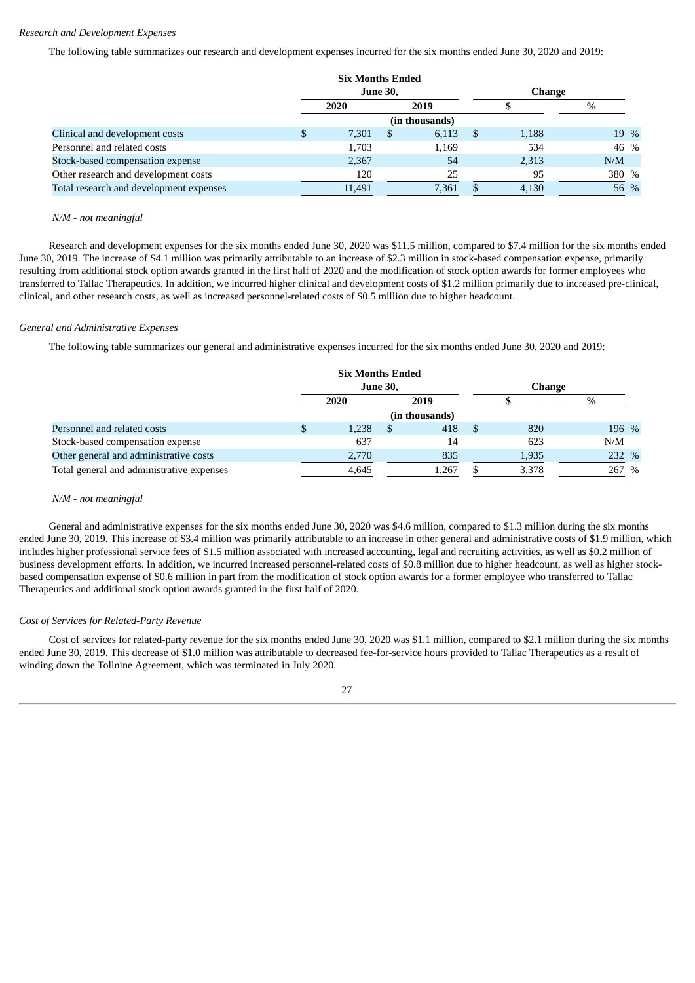# *Research and Development Expenses*

The following table summarizes our research and development expenses incurred for the six months ended June 30, 2020 and 2019:

|                                         |      | <b>June 30,</b> |               |       |    | <b>Change</b> |               |  |
|-----------------------------------------|------|-----------------|---------------|-------|----|---------------|---------------|--|
|                                         | 2020 |                 | 2019          |       |    |               | $\frac{0}{0}$ |  |
|                                         |      |                 |               |       |    |               |               |  |
| Clinical and development costs          | \$   | 7,301           | <sup>\$</sup> | 6,113 | -S | 1,188         | 19 %          |  |
| Personnel and related costs             |      | 1,703           |               | 1,169 |    | 534           | 46 %          |  |
| Stock-based compensation expense        |      | 2,367           |               | 54    |    | 2,313         | N/M           |  |
| Other research and development costs    |      | 120             |               | 25    |    | 95            | 380 %         |  |
| Total research and development expenses |      | 11,491          |               | 7,361 |    | 4,130         | 56 %          |  |

# *N/M - not meaningful*

Research and development expenses for the six months ended June 30, 2020 was \$11.5 million, compared to \$7.4 million for the six months ended June 30, 2019. The increase of \$4.1 million was primarily attributable to an increase of \$2.3 million in stock-based compensation expense, primarily resulting from additional stock option awards granted in the first half of 2020 and the modification of stock option awards for former employees who transferred to Tallac Therapeutics. In addition, we incurred higher clinical and development costs of \$1.2 million primarily due to increased pre-clinical, clinical, and other research costs, as well as increased personnel-related costs of \$0.5 million due to higher headcount.

#### *General and Administrative Expenses*

The following table summarizes our general and administrative expenses incurred for the six months ended June 30, 2020 and 2019:

| <b>June 30,</b> |                |    |       |                         | <b>Change</b> |       |  |  |
|-----------------|----------------|----|-------|-------------------------|---------------|-------|--|--|
| 2020            |                |    | 2019  |                         |               | $\%$  |  |  |
|                 | (in thousands) |    |       |                         |               |       |  |  |
| S               | 1,238          | -S | 418   | - 5                     | 820           | 196 % |  |  |
|                 | 637            |    | 14    |                         | 623           | N/M   |  |  |
|                 | 2,770          |    | 835   |                         | 1,935         | 232 % |  |  |
|                 | 4,645          |    | 1,267 |                         | 3,378         | 267 % |  |  |
|                 |                |    |       | <b>Six Months Ended</b> |               |       |  |  |

#### *N/M - not meaningful*

General and administrative expenses for the six months ended June 30, 2020 was \$4.6 million, compared to \$1.3 million during the six months ended June 30, 2019. This increase of \$3.4 million was primarily attributable to an increase in other general and administrative costs of \$1.9 million, which includes higher professional service fees of \$1.5 million associated with increased accounting, legal and recruiting activities, as well as \$0.2 million of business development efforts. In addition, we incurred increased personnel-related costs of \$0.8 million due to higher headcount, as well as higher stockbased compensation expense of \$0.6 million in part from the modification of stock option awards for a former employee who transferred to Tallac Therapeutics and additional stock option awards granted in the first half of 2020.

# *Cost of Services for Related-Party Revenue*

Cost of services for related-party revenue for the six months ended June 30, 2020 was \$1.1 million, compared to \$2.1 million during the six months ended June 30, 2019. This decrease of \$1.0 million was attributable to decreased fee-for-service hours provided to Tallac Therapeutics as a result of winding down the Tollnine Agreement, which was terminated in July 2020.

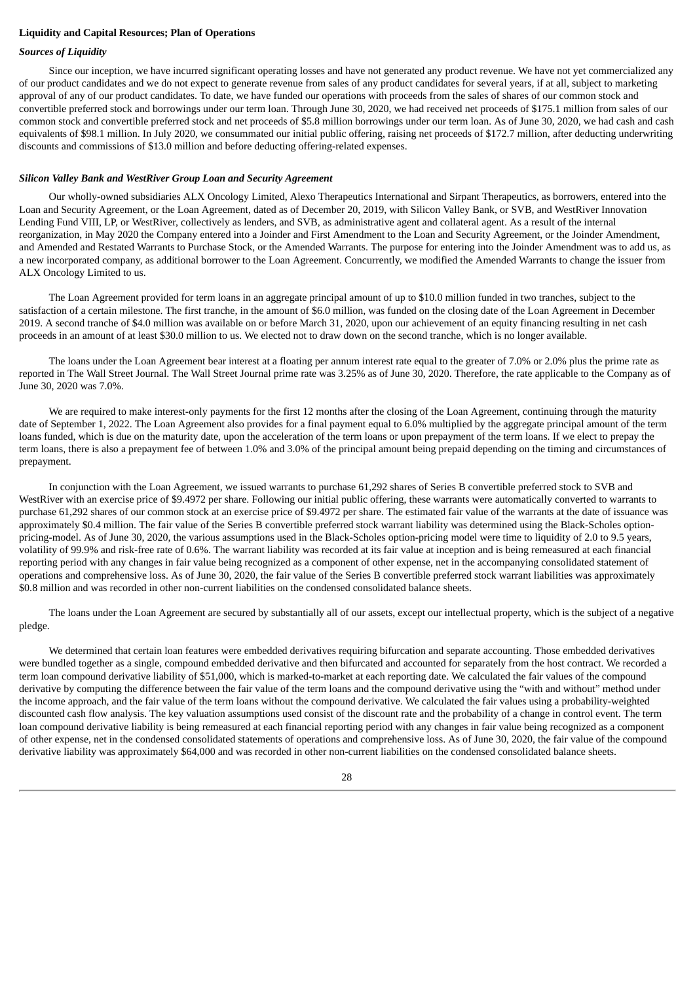# **Liquidity and Capital Resources; Plan of Operations**

#### *Sources of Liquidity*

Since our inception, we have incurred significant operating losses and have not generated any product revenue. We have not yet commercialized any of our product candidates and we do not expect to generate revenue from sales of any product candidates for several years, if at all, subject to marketing approval of any of our product candidates. To date, we have funded our operations with proceeds from the sales of shares of our common stock and convertible preferred stock and borrowings under our term loan. Through June 30, 2020, we had received net proceeds of \$175.1 million from sales of our common stock and convertible preferred stock and net proceeds of \$5.8 million borrowings under our term loan. As of June 30, 2020, we had cash and cash equivalents of \$98.1 million. In July 2020, we consummated our initial public offering, raising net proceeds of \$172.7 million, after deducting underwriting discounts and commissions of \$13.0 million and before deducting offering-related expenses.

#### *Silicon Valley Bank and WestRiver Group Loan and Security Agreement*

Our wholly-owned subsidiaries ALX Oncology Limited, Alexo Therapeutics International and Sirpant Therapeutics, as borrowers, entered into the Loan and Security Agreement, or the Loan Agreement, dated as of December 20, 2019, with Silicon Valley Bank, or SVB, and WestRiver Innovation Lending Fund VIII, LP, or WestRiver, collectively as lenders, and SVB, as administrative agent and collateral agent. As a result of the internal reorganization, in May 2020 the Company entered into a Joinder and First Amendment to the Loan and Security Agreement, or the Joinder Amendment, and Amended and Restated Warrants to Purchase Stock, or the Amended Warrants. The purpose for entering into the Joinder Amendment was to add us, as a new incorporated company, as additional borrower to the Loan Agreement. Concurrently, we modified the Amended Warrants to change the issuer from ALX Oncology Limited to us.

The Loan Agreement provided for term loans in an aggregate principal amount of up to \$10.0 million funded in two tranches, subject to the satisfaction of a certain milestone. The first tranche, in the amount of \$6.0 million, was funded on the closing date of the Loan Agreement in December 2019. A second tranche of \$4.0 million was available on or before March 31, 2020, upon our achievement of an equity financing resulting in net cash proceeds in an amount of at least \$30.0 million to us. We elected not to draw down on the second tranche, which is no longer available.

The loans under the Loan Agreement bear interest at a floating per annum interest rate equal to the greater of 7.0% or 2.0% plus the prime rate as reported in The Wall Street Journal. The Wall Street Journal prime rate was 3.25% as of June 30, 2020. Therefore, the rate applicable to the Company as of June 30, 2020 was 7.0%.

We are required to make interest-only payments for the first 12 months after the closing of the Loan Agreement, continuing through the maturity date of September 1, 2022. The Loan Agreement also provides for a final payment equal to 6.0% multiplied by the aggregate principal amount of the term loans funded, which is due on the maturity date, upon the acceleration of the term loans or upon prepayment of the term loans. If we elect to prepay the term loans, there is also a prepayment fee of between 1.0% and 3.0% of the principal amount being prepaid depending on the timing and circumstances of prepayment.

In conjunction with the Loan Agreement, we issued warrants to purchase 61,292 shares of Series B convertible preferred stock to SVB and WestRiver with an exercise price of \$9.4972 per share. Following our initial public offering, these warrants were automatically converted to warrants to purchase 61,292 shares of our common stock at an exercise price of \$9.4972 per share. The estimated fair value of the warrants at the date of issuance was approximately \$0.4 million. The fair value of the Series B convertible preferred stock warrant liability was determined using the Black-Scholes optionpricing-model. As of June 30, 2020, the various assumptions used in the Black-Scholes option-pricing model were time to liquidity of 2.0 to 9.5 years, volatility of 99.9% and risk-free rate of 0.6%. The warrant liability was recorded at its fair value at inception and is being remeasured at each financial reporting period with any changes in fair value being recognized as a component of other expense, net in the accompanying consolidated statement of operations and comprehensive loss. As of June 30, 2020, the fair value of the Series B convertible preferred stock warrant liabilities was approximately \$0.8 million and was recorded in other non-current liabilities on the condensed consolidated balance sheets.

The loans under the Loan Agreement are secured by substantially all of our assets, except our intellectual property, which is the subject of a negative pledge.

We determined that certain loan features were embedded derivatives requiring bifurcation and separate accounting. Those embedded derivatives were bundled together as a single, compound embedded derivative and then bifurcated and accounted for separately from the host contract. We recorded a term loan compound derivative liability of \$51,000, which is marked-to-market at each reporting date. We calculated the fair values of the compound derivative by computing the difference between the fair value of the term loans and the compound derivative using the "with and without" method under the income approach, and the fair value of the term loans without the compound derivative. We calculated the fair values using a probability-weighted discounted cash flow analysis. The key valuation assumptions used consist of the discount rate and the probability of a change in control event. The term loan compound derivative liability is being remeasured at each financial reporting period with any changes in fair value being recognized as a component of other expense, net in the condensed consolidated statements of operations and comprehensive loss. As of June 30, 2020, the fair value of the compound derivative liability was approximately \$64,000 and was recorded in other non-current liabilities on the condensed consolidated balance sheets.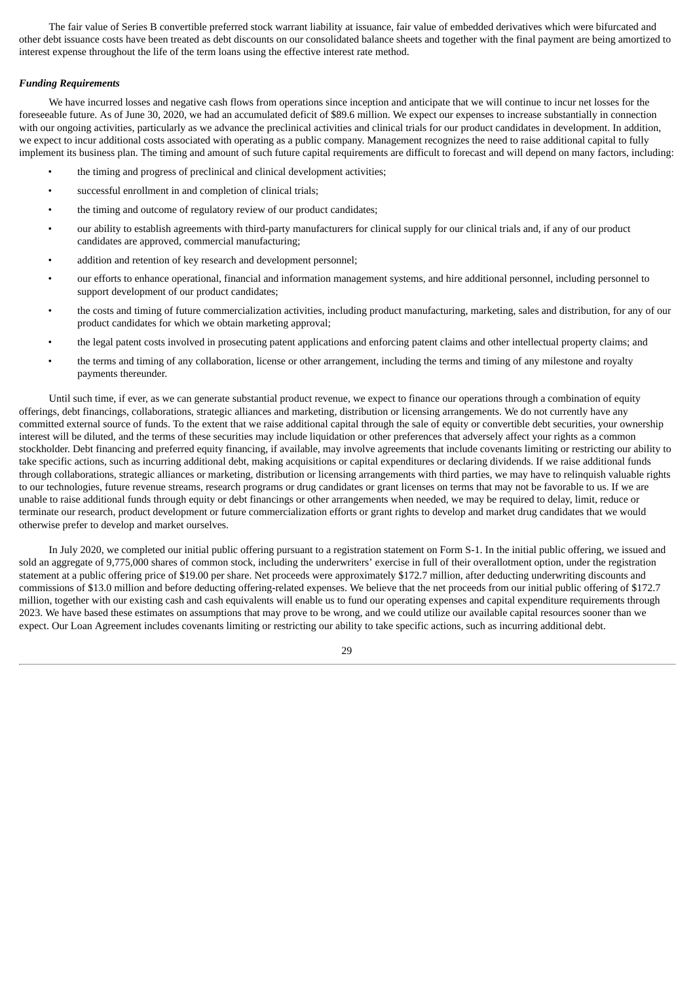The fair value of Series B convertible preferred stock warrant liability at issuance, fair value of embedded derivatives which were bifurcated and other debt issuance costs have been treated as debt discounts on our consolidated balance sheets and together with the final payment are being amortized to interest expense throughout the life of the term loans using the effective interest rate method.

#### *Funding Requirements*

We have incurred losses and negative cash flows from operations since inception and anticipate that we will continue to incur net losses for the foreseeable future. As of June 30, 2020, we had an accumulated deficit of \$89.6 million. We expect our expenses to increase substantially in connection with our ongoing activities, particularly as we advance the preclinical activities and clinical trials for our product candidates in development. In addition, we expect to incur additional costs associated with operating as a public company. Management recognizes the need to raise additional capital to fully implement its business plan. The timing and amount of such future capital requirements are difficult to forecast and will depend on many factors, including:

- the timing and progress of preclinical and clinical development activities;
- successful enrollment in and completion of clinical trials;
- the timing and outcome of regulatory review of our product candidates;
- our ability to establish agreements with third-party manufacturers for clinical supply for our clinical trials and, if any of our product candidates are approved, commercial manufacturing;
- addition and retention of key research and development personnel;
- our efforts to enhance operational, financial and information management systems, and hire additional personnel, including personnel to support development of our product candidates;
- the costs and timing of future commercialization activities, including product manufacturing, marketing, sales and distribution, for any of our product candidates for which we obtain marketing approval;
- the legal patent costs involved in prosecuting patent applications and enforcing patent claims and other intellectual property claims; and
- the terms and timing of any collaboration, license or other arrangement, including the terms and timing of any milestone and royalty payments thereunder.

Until such time, if ever, as we can generate substantial product revenue, we expect to finance our operations through a combination of equity offerings, debt financings, collaborations, strategic alliances and marketing, distribution or licensing arrangements. We do not currently have any committed external source of funds. To the extent that we raise additional capital through the sale of equity or convertible debt securities, your ownership interest will be diluted, and the terms of these securities may include liquidation or other preferences that adversely affect your rights as a common stockholder. Debt financing and preferred equity financing, if available, may involve agreements that include covenants limiting or restricting our ability to take specific actions, such as incurring additional debt, making acquisitions or capital expenditures or declaring dividends. If we raise additional funds through collaborations, strategic alliances or marketing, distribution or licensing arrangements with third parties, we may have to relinquish valuable rights to our technologies, future revenue streams, research programs or drug candidates or grant licenses on terms that may not be favorable to us. If we are unable to raise additional funds through equity or debt financings or other arrangements when needed, we may be required to delay, limit, reduce or terminate our research, product development or future commercialization efforts or grant rights to develop and market drug candidates that we would otherwise prefer to develop and market ourselves.

In July 2020, we completed our initial public offering pursuant to a registration statement on Form S-1. In the initial public offering, we issued and sold an aggregate of 9,775,000 shares of common stock, including the underwriters' exercise in full of their overallotment option, under the registration statement at a public offering price of \$19.00 per share. Net proceeds were approximately \$172.7 million, after deducting underwriting discounts and commissions of \$13.0 million and before deducting offering-related expenses. We believe that the net proceeds from our initial public offering of \$172.7 million, together with our existing cash and cash equivalents will enable us to fund our operating expenses and capital expenditure requirements through 2023. We have based these estimates on assumptions that may prove to be wrong, and we could utilize our available capital resources sooner than we expect. Our Loan Agreement includes covenants limiting or restricting our ability to take specific actions, such as incurring additional debt.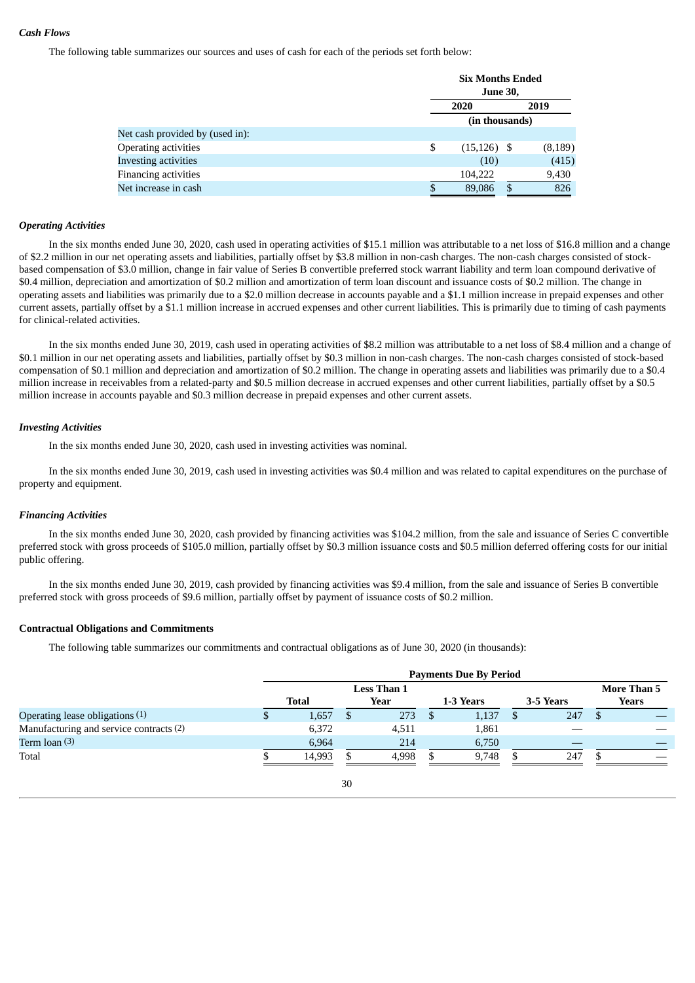# *Cash Flows*

The following table summarizes our sources and uses of cash for each of the periods set forth below:

|                                 | <b>Six Months Ended</b> |      |         |  |  |  |
|---------------------------------|-------------------------|------|---------|--|--|--|
|                                 | <b>June 30,</b>         |      |         |  |  |  |
|                                 | 2020                    | 2019 |         |  |  |  |
|                                 | (in thousands)          |      |         |  |  |  |
| Net cash provided by (used in): |                         |      |         |  |  |  |
| <b>Operating activities</b>     | \$<br>$(15, 126)$ \$    |      | (8,189) |  |  |  |
| <b>Investing activities</b>     | (10)                    |      | (415)   |  |  |  |
| <b>Financing activities</b>     | 104,222                 |      | 9,430   |  |  |  |
| Net increase in cash            | 89,086                  | \$   | 826     |  |  |  |

# *Operating Activities*

In the six months ended June 30, 2020, cash used in operating activities of \$15.1 million was attributable to a net loss of \$16.8 million and a change of \$2.2 million in our net operating assets and liabilities, partially offset by \$3.8 million in non-cash charges. The non-cash charges consisted of stockbased compensation of \$3.0 million, change in fair value of Series B convertible preferred stock warrant liability and term loan compound derivative of \$0.4 million, depreciation and amortization of \$0.2 million and amortization of term loan discount and issuance costs of \$0.2 million. The change in operating assets and liabilities was primarily due to a \$2.0 million decrease in accounts payable and a \$1.1 million increase in prepaid expenses and other current assets, partially offset by a \$1.1 million increase in accrued expenses and other current liabilities. This is primarily due to timing of cash payments for clinical-related activities.

In the six months ended June 30, 2019, cash used in operating activities of \$8.2 million was attributable to a net loss of \$8.4 million and a change of \$0.1 million in our net operating assets and liabilities, partially offset by \$0.3 million in non-cash charges. The non-cash charges consisted of stock-based compensation of \$0.1 million and depreciation and amortization of \$0.2 million. The change in operating assets and liabilities was primarily due to a \$0.4 million increase in receivables from a related-party and \$0.5 million decrease in accrued expenses and other current liabilities, partially offset by a \$0.5 million increase in accounts payable and \$0.3 million decrease in prepaid expenses and other current assets.

#### *Investing Activities*

In the six months ended June 30, 2020, cash used in investing activities was nominal.

In the six months ended June 30, 2019, cash used in investing activities was \$0.4 million and was related to capital expenditures on the purchase of property and equipment.

### *Financing Activities*

In the six months ended June 30, 2020, cash provided by financing activities was \$104.2 million, from the sale and issuance of Series C convertible preferred stock with gross proceeds of \$105.0 million, partially offset by \$0.3 million issuance costs and \$0.5 million deferred offering costs for our initial public offering.

In the six months ended June 30, 2019, cash provided by financing activities was \$9.4 million, from the sale and issuance of Series B convertible preferred stock with gross proceeds of \$9.6 million, partially offset by payment of issuance costs of \$0.2 million.

#### **Contractual Obligations and Commitments**

The following table summarizes our commitments and contractual obligations as of June 30, 2020 (in thousands):

|                                         | <b>Payments Due By Period</b> |  |       |  |           |  |           |                    |              |  |
|-----------------------------------------|-------------------------------|--|-------|--|-----------|--|-----------|--------------------|--------------|--|
|                                         | <b>Less Than 1</b>            |  |       |  |           |  |           | <b>More Than 5</b> |              |  |
|                                         | <b>Total</b>                  |  | Year  |  | 1-3 Years |  | 3-5 Years |                    | <b>Years</b> |  |
| Operating lease obligations (1)         | 1,657                         |  | 273   |  | 1,137     |  | 247       |                    |              |  |
| Manufacturing and service contracts (2) | 6,372                         |  | 4,511 |  | 1,861     |  |           |                    |              |  |
| Term loan (3)                           | 6.964                         |  | 214   |  | 6,750     |  |           |                    |              |  |
| Total                                   | 14.993                        |  | 4.998 |  | 9.748     |  | 247       |                    |              |  |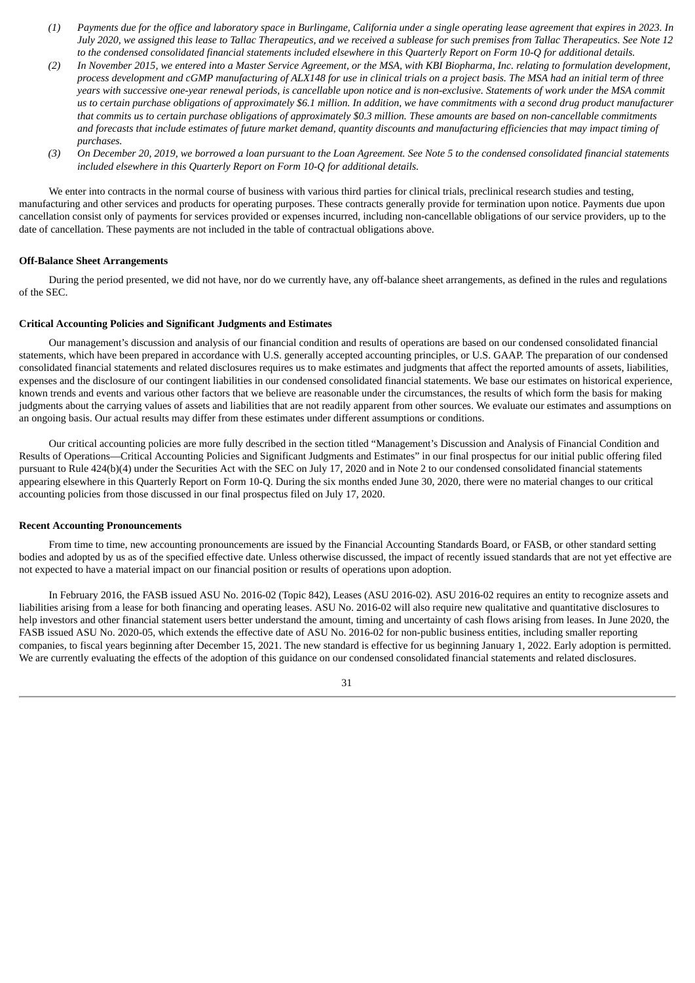- (1) Payments due for the office and laboratory space in Burlingame, California under a single operating lease agreement that expires in 2023. In July 2020, we assigned this lease to Tallac Therapeutics, and we received a sublease for such premises from Tallac Therapeutics. See Note 12 to the condensed consolidated financial statements included elsewhere in this Quarterly Report on Form 10-O for additional details.
- (2) In November 2015, we entered into a Master Service Agreement, or the MSA, with KBI Biopharma, Inc. relating to formulation development, process development and cGMP manufacturing of ALX148 for use in clinical trials on a project basis. The MSA had an initial term of three years with successive one-year renewal periods, is cancellable upon notice and is non-exclusive. Statements of work under the MSA commit us to certain purchase obligations of approximately \$6.1 million. In addition, we have commitments with a second drug product manufacturer that commits us to certain purchase obligations of approximately \$0.3 million. These amounts are based on non-cancellable commitments and forecasts that include estimates of future market demand, quantity discounts and manufacturing efficiencies that may impact timing of *purchases.*
- (3) On December 20, 2019, we borrowed a loan pursuant to the Loan Agreement. See Note 5 to the condensed consolidated financial statements *included elsewhere in this Quarterly Report on Form 10-Q for additional details.*

We enter into contracts in the normal course of business with various third parties for clinical trials, preclinical research studies and testing, manufacturing and other services and products for operating purposes. These contracts generally provide for termination upon notice. Payments due upon cancellation consist only of payments for services provided or expenses incurred, including non-cancellable obligations of our service providers, up to the date of cancellation. These payments are not included in the table of contractual obligations above.

#### **Off-Balance Sheet Arrangements**

During the period presented, we did not have, nor do we currently have, any off-balance sheet arrangements, as defined in the rules and regulations of the SEC.

# **Critical Accounting Policies and Significant Judgments and Estimates**

Our management's discussion and analysis of our financial condition and results of operations are based on our condensed consolidated financial statements, which have been prepared in accordance with U.S. generally accepted accounting principles, or U.S. GAAP. The preparation of our condensed consolidated financial statements and related disclosures requires us to make estimates and judgments that affect the reported amounts of assets, liabilities, expenses and the disclosure of our contingent liabilities in our condensed consolidated financial statements. We base our estimates on historical experience, known trends and events and various other factors that we believe are reasonable under the circumstances, the results of which form the basis for making judgments about the carrying values of assets and liabilities that are not readily apparent from other sources. We evaluate our estimates and assumptions on an ongoing basis. Our actual results may differ from these estimates under different assumptions or conditions.

Our critical accounting policies are more fully described in the section titled "Management's Discussion and Analysis of Financial Condition and Results of Operations—Critical Accounting Policies and Significant Judgments and Estimates" in our final prospectus for our initial public offering filed pursuant to Rule 424(b)(4) under the Securities Act with the SEC on July 17, 2020 and in Note 2 to our condensed consolidated financial statements appearing elsewhere in this Quarterly Report on Form 10-Q. During the six months ended June 30, 2020, there were no material changes to our critical accounting policies from those discussed in our final prospectus filed on July 17, 2020.

#### **Recent Accounting Pronouncements**

From time to time, new accounting pronouncements are issued by the Financial Accounting Standards Board, or FASB, or other standard setting bodies and adopted by us as of the specified effective date. Unless otherwise discussed, the impact of recently issued standards that are not yet effective are not expected to have a material impact on our financial position or results of operations upon adoption.

In February 2016, the FASB issued ASU No. 2016-02 (Topic 842), Leases (ASU 2016-02). ASU 2016-02 requires an entity to recognize assets and liabilities arising from a lease for both financing and operating leases. ASU No. 2016-02 will also require new qualitative and quantitative disclosures to help investors and other financial statement users better understand the amount, timing and uncertainty of cash flows arising from leases. In June 2020, the FASB issued ASU No. 2020-05, which extends the effective date of ASU No. 2016-02 for non-public business entities, including smaller reporting companies, to fiscal years beginning after December 15, 2021. The new standard is effective for us beginning January 1, 2022. Early adoption is permitted. We are currently evaluating the effects of the adoption of this guidance on our condensed consolidated financial statements and related disclosures.

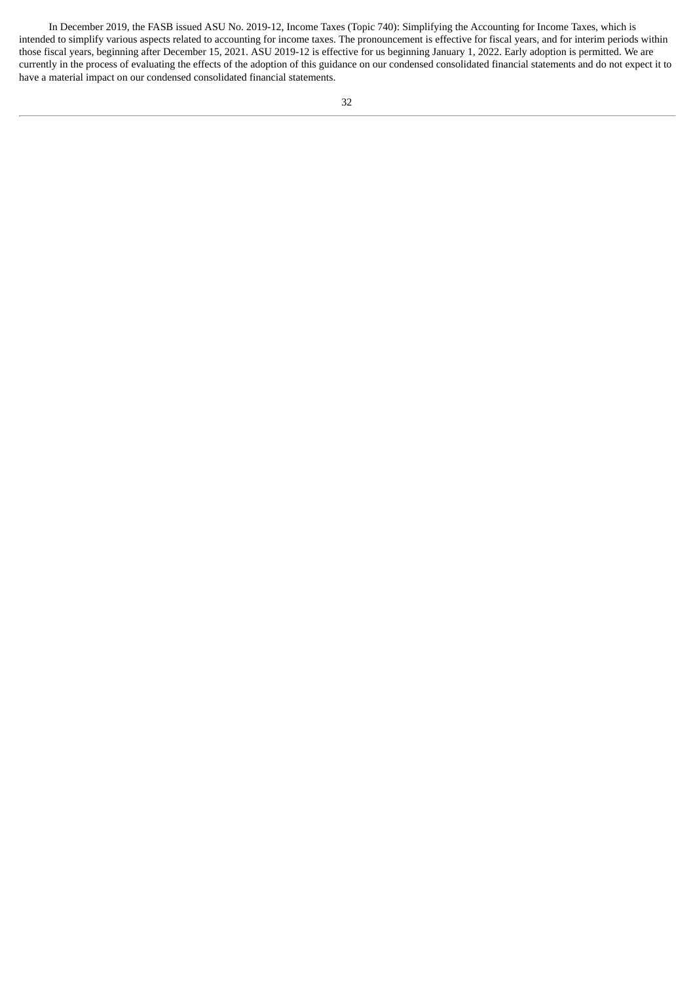In December 2019, the FASB issued ASU No. 2019-12, Income Taxes (Topic 740): Simplifying the Accounting for Income Taxes, which is intended to simplify various aspects related to accounting for income taxes. The pronouncement is effective for fiscal years, and for interim periods within those fiscal years, beginning after December 15, 2021. ASU 2019-12 is effective for us beginning January 1, 2022. Early adoption is permitted. We are currently in the process of evaluating the effects of the adoption of this guidance on our condensed consolidated financial statements and do not expect it to have a material impact on our condensed consolidated financial statements.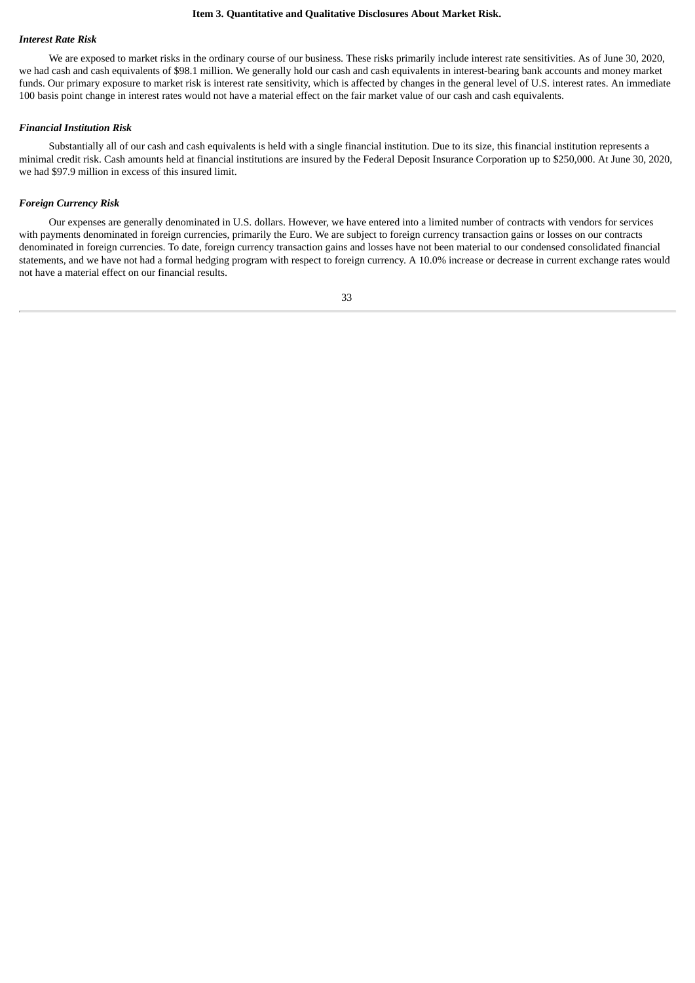# **Item 3. Quantitative and Qualitative Disclosures About Market Risk.**

#### <span id="page-35-0"></span>*Interest Rate Risk*

We are exposed to market risks in the ordinary course of our business. These risks primarily include interest rate sensitivities. As of June 30, 2020, we had cash and cash equivalents of \$98.1 million. We generally hold our cash and cash equivalents in interest-bearing bank accounts and money market funds. Our primary exposure to market risk is interest rate sensitivity, which is affected by changes in the general level of U.S. interest rates. An immediate 100 basis point change in interest rates would not have a material effect on the fair market value of our cash and cash equivalents.

#### *Financial Institution Risk*

Substantially all of our cash and cash equivalents is held with a single financial institution. Due to its size, this financial institution represents a minimal credit risk. Cash amounts held at financial institutions are insured by the Federal Deposit Insurance Corporation up to \$250,000. At June 30, 2020, we had \$97.9 million in excess of this insured limit.

# *Foreign Currency Risk*

Our expenses are generally denominated in U.S. dollars. However, we have entered into a limited number of contracts with vendors for services with payments denominated in foreign currencies, primarily the Euro. We are subject to foreign currency transaction gains or losses on our contracts denominated in foreign currencies. To date, foreign currency transaction gains and losses have not been material to our condensed consolidated financial statements, and we have not had a formal hedging program with respect to foreign currency. A 10.0% increase or decrease in current exchange rates would not have a material effect on our financial results.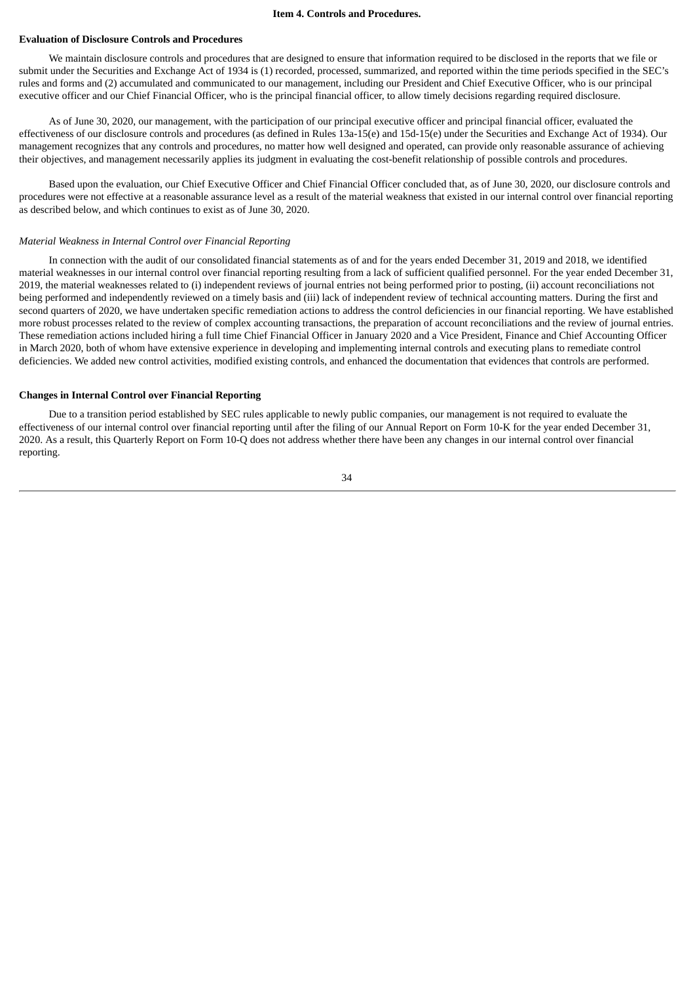### **Item 4. Controls and Procedures.**

### **Evaluation of Disclosure Controls and Procedures**

We maintain disclosure controls and procedures that are designed to ensure that information required to be disclosed in the reports that we file or submit under the Securities and Exchange Act of 1934 is (1) recorded, processed, summarized, and reported within the time periods specified in the SEC's rules and forms and (2) accumulated and communicated to our management, including our President and Chief Executive Officer, who is our principal executive officer and our Chief Financial Officer, who is the principal financial officer, to allow timely decisions regarding required disclosure.

As of June 30, 2020, our management, with the participation of our principal executive officer and principal financial officer, evaluated the effectiveness of our disclosure controls and procedures (as defined in Rules 13a-15(e) and 15d-15(e) under the Securities and Exchange Act of 1934). Our management recognizes that any controls and procedures, no matter how well designed and operated, can provide only reasonable assurance of achieving their objectives, and management necessarily applies its judgment in evaluating the cost-benefit relationship of possible controls and procedures.

Based upon the evaluation, our Chief Executive Officer and Chief Financial Officer concluded that, as of June 30, 2020, our disclosure controls and procedures were not effective at a reasonable assurance level as a result of the material weakness that existed in our internal control over financial reporting as described below, and which continues to exist as of June 30, 2020.

#### *Material Weakness in Internal Control over Financial Reporting*

In connection with the audit of our consolidated financial statements as of and for the years ended December 31, 2019 and 2018, we identified material weaknesses in our internal control over financial reporting resulting from a lack of sufficient qualified personnel. For the year ended December 31, 2019, the material weaknesses related to (i) independent reviews of journal entries not being performed prior to posting, (ii) account reconciliations not being performed and independently reviewed on a timely basis and (iii) lack of independent review of technical accounting matters. During the first and second quarters of 2020, we have undertaken specific remediation actions to address the control deficiencies in our financial reporting. We have established more robust processes related to the review of complex accounting transactions, the preparation of account reconciliations and the review of journal entries. These remediation actions included hiring a full time Chief Financial Officer in January 2020 and a Vice President, Finance and Chief Accounting Officer in March 2020, both of whom have extensive experience in developing and implementing internal controls and executing plans to remediate control deficiencies. We added new control activities, modified existing controls, and enhanced the documentation that evidences that controls are performed.

### **Changes in Internal Control over Financial Reporting**

Due to a transition period established by SEC rules applicable to newly public companies, our management is not required to evaluate the effectiveness of our internal control over financial reporting until after the filing of our Annual Report on Form 10-K for the year ended December 31, 2020. As a result, this Quarterly Report on Form 10-Q does not address whether there have been any changes in our internal control over financial reporting.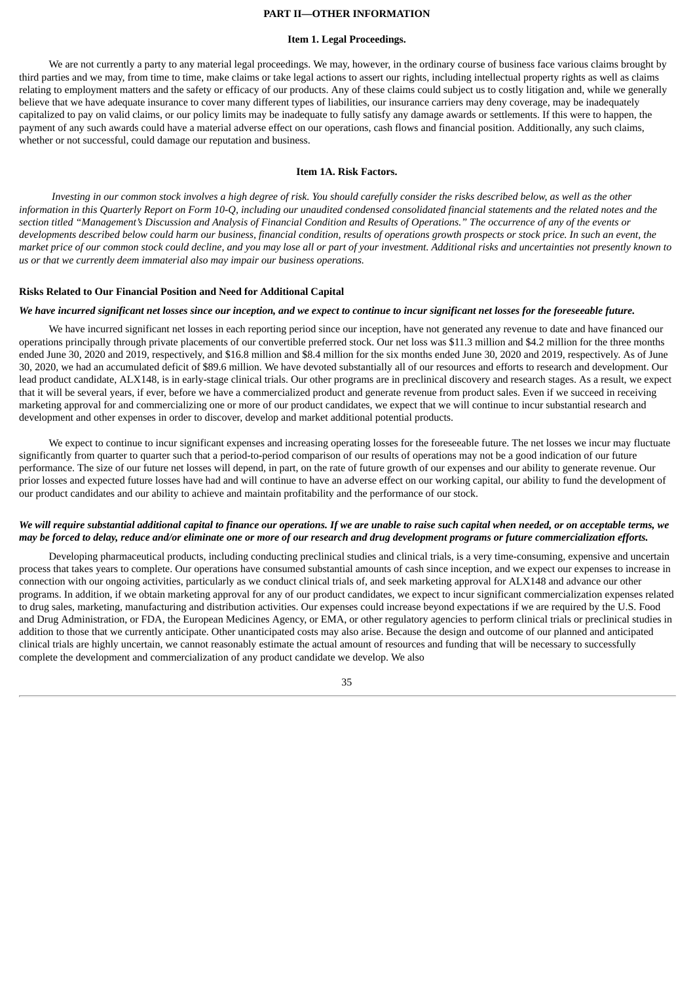## **PART II—OTHER INFORMATION**

# **Item 1. Legal Proceedings.**

We are not currently a party to any material legal proceedings. We may, however, in the ordinary course of business face various claims brought by third parties and we may, from time to time, make claims or take legal actions to assert our rights, including intellectual property rights as well as claims relating to employment matters and the safety or efficacy of our products. Any of these claims could subject us to costly litigation and, while we generally believe that we have adequate insurance to cover many different types of liabilities, our insurance carriers may deny coverage, may be inadequately capitalized to pay on valid claims, or our policy limits may be inadequate to fully satisfy any damage awards or settlements. If this were to happen, the payment of any such awards could have a material adverse effect on our operations, cash flows and financial position. Additionally, any such claims, whether or not successful, could damage our reputation and business.

# **Item 1A. Risk Factors.**

Investing in our common stock involves a high degree of risk. You should carefully consider the risks described below, as well as the other information in this Quarterly Report on Form 10-Q, including our unaudited condensed consolidated financial statements and the related notes and the section titled "Management's Discussion and Analysis of Financial Condition and Results of Operations." The occurrence of any of the events or developments described below could harm our business, financial condition, results of operations growth prospects or stock price. In such an event, the market price of our common stock could decline, and you may lose all or part of your investment. Additional risks and uncertainties not presently known to *us or that we currently deem immaterial also may impair our business operations.*

### **Risks Related to Our Financial Position and Need for Additional Capital**

#### We have incurred significant net losses since our inception, and we expect to continue to incur significant net losses for the foreseeable future.

We have incurred significant net losses in each reporting period since our inception, have not generated any revenue to date and have financed our operations principally through private placements of our convertible preferred stock. Our net loss was \$11.3 million and \$4.2 million for the three months ended June 30, 2020 and 2019, respectively, and \$16.8 million and \$8.4 million for the six months ended June 30, 2020 and 2019, respectively. As of June 30, 2020, we had an accumulated deficit of \$89.6 million. We have devoted substantially all of our resources and efforts to research and development. Our lead product candidate, ALX148, is in early-stage clinical trials. Our other programs are in preclinical discovery and research stages. As a result, we expect that it will be several years, if ever, before we have a commercialized product and generate revenue from product sales. Even if we succeed in receiving marketing approval for and commercializing one or more of our product candidates, we expect that we will continue to incur substantial research and development and other expenses in order to discover, develop and market additional potential products.

We expect to continue to incur significant expenses and increasing operating losses for the foreseeable future. The net losses we incur may fluctuate significantly from quarter to quarter such that a period-to-period comparison of our results of operations may not be a good indication of our future performance. The size of our future net losses will depend, in part, on the rate of future growth of our expenses and our ability to generate revenue. Our prior losses and expected future losses have had and will continue to have an adverse effect on our working capital, our ability to fund the development of our product candidates and our ability to achieve and maintain profitability and the performance of our stock.

### We will require substantial additional capital to finance our operations. If we are unable to raise such capital when needed, or on acceptable terms, we may be forced to delay, reduce and/or eliminate one or more of our research and drug development programs or future commercialization efforts.

Developing pharmaceutical products, including conducting preclinical studies and clinical trials, is a very time-consuming, expensive and uncertain process that takes years to complete. Our operations have consumed substantial amounts of cash since inception, and we expect our expenses to increase in connection with our ongoing activities, particularly as we conduct clinical trials of, and seek marketing approval for ALX148 and advance our other programs. In addition, if we obtain marketing approval for any of our product candidates, we expect to incur significant commercialization expenses related to drug sales, marketing, manufacturing and distribution activities. Our expenses could increase beyond expectations if we are required by the U.S. Food and Drug Administration, or FDA, the European Medicines Agency, or EMA, or other regulatory agencies to perform clinical trials or preclinical studies in addition to those that we currently anticipate. Other unanticipated costs may also arise. Because the design and outcome of our planned and anticipated clinical trials are highly uncertain, we cannot reasonably estimate the actual amount of resources and funding that will be necessary to successfully complete the development and commercialization of any product candidate we develop. We also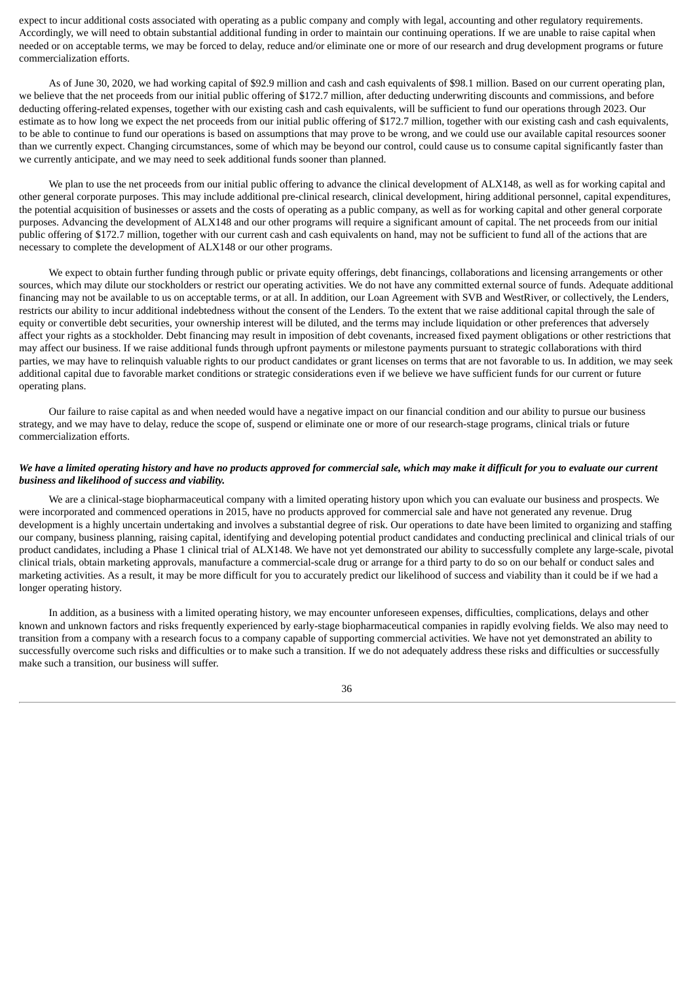expect to incur additional costs associated with operating as a public company and comply with legal, accounting and other regulatory requirements. Accordingly, we will need to obtain substantial additional funding in order to maintain our continuing operations. If we are unable to raise capital when needed or on acceptable terms, we may be forced to delay, reduce and/or eliminate one or more of our research and drug development programs or future commercialization efforts.

As of June 30, 2020, we had working capital of \$92.9 million and cash and cash equivalents of \$98.1 million. Based on our current operating plan, we believe that the net proceeds from our initial public offering of \$172.7 million, after deducting underwriting discounts and commissions, and before deducting offering-related expenses, together with our existing cash and cash equivalents, will be sufficient to fund our operations through 2023. Our estimate as to how long we expect the net proceeds from our initial public offering of \$172.7 million, together with our existing cash and cash equivalents, to be able to continue to fund our operations is based on assumptions that may prove to be wrong, and we could use our available capital resources sooner than we currently expect. Changing circumstances, some of which may be beyond our control, could cause us to consume capital significantly faster than we currently anticipate, and we may need to seek additional funds sooner than planned.

We plan to use the net proceeds from our initial public offering to advance the clinical development of ALX148, as well as for working capital and other general corporate purposes. This may include additional pre-clinical research, clinical development, hiring additional personnel, capital expenditures, the potential acquisition of businesses or assets and the costs of operating as a public company, as well as for working capital and other general corporate purposes. Advancing the development of ALX148 and our other programs will require a significant amount of capital. The net proceeds from our initial public offering of \$172.7 million, together with our current cash and cash equivalents on hand, may not be sufficient to fund all of the actions that are necessary to complete the development of ALX148 or our other programs.

We expect to obtain further funding through public or private equity offerings, debt financings, collaborations and licensing arrangements or other sources, which may dilute our stockholders or restrict our operating activities. We do not have any committed external source of funds. Adequate additional financing may not be available to us on acceptable terms, or at all. In addition, our Loan Agreement with SVB and WestRiver, or collectively, the Lenders, restricts our ability to incur additional indebtedness without the consent of the Lenders. To the extent that we raise additional capital through the sale of equity or convertible debt securities, your ownership interest will be diluted, and the terms may include liquidation or other preferences that adversely affect your rights as a stockholder. Debt financing may result in imposition of debt covenants, increased fixed payment obligations or other restrictions that may affect our business. If we raise additional funds through upfront payments or milestone payments pursuant to strategic collaborations with third parties, we may have to relinquish valuable rights to our product candidates or grant licenses on terms that are not favorable to us. In addition, we may seek additional capital due to favorable market conditions or strategic considerations even if we believe we have sufficient funds for our current or future operating plans.

Our failure to raise capital as and when needed would have a negative impact on our financial condition and our ability to pursue our business strategy, and we may have to delay, reduce the scope of, suspend or eliminate one or more of our research-stage programs, clinical trials or future commercialization efforts.

## We have a limited operating history and have no products approved for commercial sale, which may make it difficult for you to evaluate our current *business and likelihood of success and viability.*

We are a clinical-stage biopharmaceutical company with a limited operating history upon which you can evaluate our business and prospects. We were incorporated and commenced operations in 2015, have no products approved for commercial sale and have not generated any revenue. Drug development is a highly uncertain undertaking and involves a substantial degree of risk. Our operations to date have been limited to organizing and staffing our company, business planning, raising capital, identifying and developing potential product candidates and conducting preclinical and clinical trials of our product candidates, including a Phase 1 clinical trial of ALX148. We have not yet demonstrated our ability to successfully complete any large-scale, pivotal clinical trials, obtain marketing approvals, manufacture a commercial-scale drug or arrange for a third party to do so on our behalf or conduct sales and marketing activities. As a result, it may be more difficult for you to accurately predict our likelihood of success and viability than it could be if we had a longer operating history.

In addition, as a business with a limited operating history, we may encounter unforeseen expenses, difficulties, complications, delays and other known and unknown factors and risks frequently experienced by early-stage biopharmaceutical companies in rapidly evolving fields. We also may need to transition from a company with a research focus to a company capable of supporting commercial activities. We have not yet demonstrated an ability to successfully overcome such risks and difficulties or to make such a transition. If we do not adequately address these risks and difficulties or successfully make such a transition, our business will suffer.

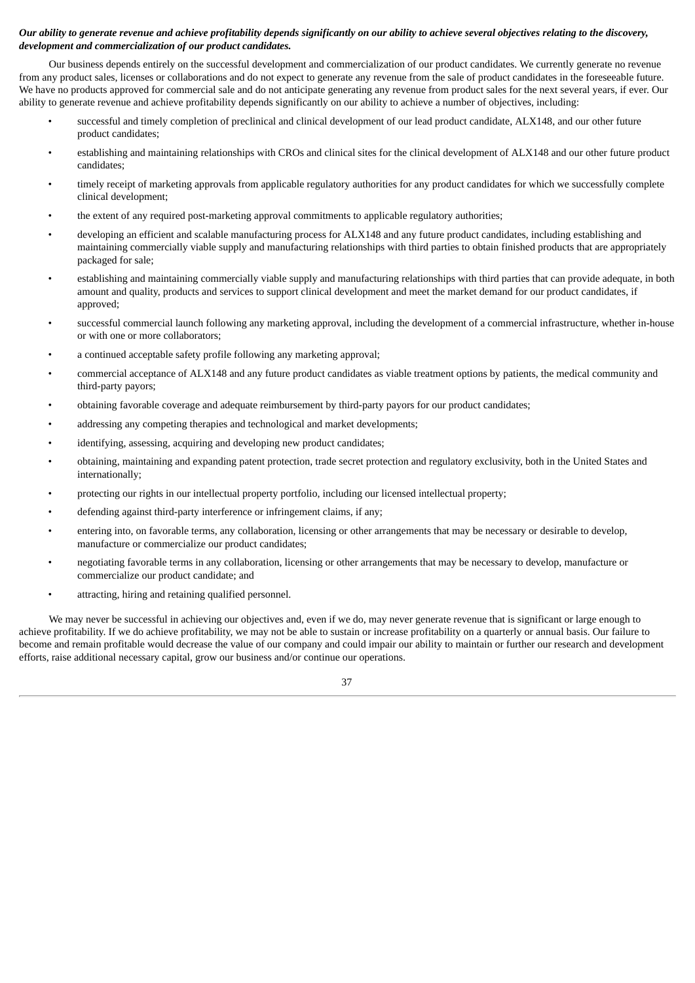# Our ability to generate revenue and achieve profitability depends significantly on our ability to achieve several objectives relating to the discovery, *development and commercialization of our product candidates.*

Our business depends entirely on the successful development and commercialization of our product candidates. We currently generate no revenue from any product sales, licenses or collaborations and do not expect to generate any revenue from the sale of product candidates in the foreseeable future. We have no products approved for commercial sale and do not anticipate generating any revenue from product sales for the next several years, if ever. Our ability to generate revenue and achieve profitability depends significantly on our ability to achieve a number of objectives, including:

- successful and timely completion of preclinical and clinical development of our lead product candidate, ALX148, and our other future product candidates;
- establishing and maintaining relationships with CROs and clinical sites for the clinical development of ALX148 and our other future product candidates;
- timely receipt of marketing approvals from applicable regulatory authorities for any product candidates for which we successfully complete clinical development;
- the extent of any required post-marketing approval commitments to applicable regulatory authorities;
- developing an efficient and scalable manufacturing process for ALX148 and any future product candidates, including establishing and maintaining commercially viable supply and manufacturing relationships with third parties to obtain finished products that are appropriately packaged for sale;
- establishing and maintaining commercially viable supply and manufacturing relationships with third parties that can provide adequate, in both amount and quality, products and services to support clinical development and meet the market demand for our product candidates, if approved;
- successful commercial launch following any marketing approval, including the development of a commercial infrastructure, whether in-house or with one or more collaborators;
- a continued acceptable safety profile following any marketing approval;
- commercial acceptance of ALX148 and any future product candidates as viable treatment options by patients, the medical community and third-party payors;
- obtaining favorable coverage and adequate reimbursement by third-party payors for our product candidates;
- addressing any competing therapies and technological and market developments;
- identifying, assessing, acquiring and developing new product candidates;
- obtaining, maintaining and expanding patent protection, trade secret protection and regulatory exclusivity, both in the United States and internationally;
- protecting our rights in our intellectual property portfolio, including our licensed intellectual property;
- defending against third-party interference or infringement claims, if any;
- entering into, on favorable terms, any collaboration, licensing or other arrangements that may be necessary or desirable to develop, manufacture or commercialize our product candidates;
- negotiating favorable terms in any collaboration, licensing or other arrangements that may be necessary to develop, manufacture or commercialize our product candidate; and
- attracting, hiring and retaining qualified personnel.

We may never be successful in achieving our objectives and, even if we do, may never generate revenue that is significant or large enough to achieve profitability. If we do achieve profitability, we may not be able to sustain or increase profitability on a quarterly or annual basis. Our failure to become and remain profitable would decrease the value of our company and could impair our ability to maintain or further our research and development efforts, raise additional necessary capital, grow our business and/or continue our operations.

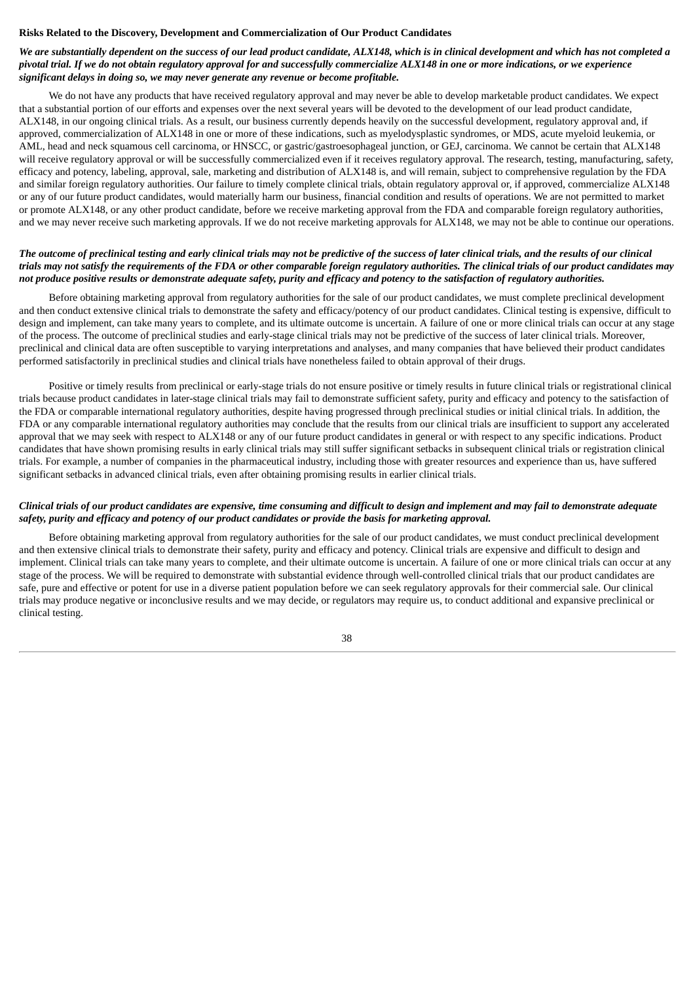### **Risks Related to the Discovery, Development and Commercialization of Our Product Candidates**

## We are substantially dependent on the success of our lead product candidate, ALX148, which is in clinical development and which has not completed a pivotal trial. If we do not obtain regulatory approval for and successfully commercialize ALX148 in one or more indications, or we experience *significant delays in doing so, we may never generate any revenue or become profitable.*

We do not have any products that have received regulatory approval and may never be able to develop marketable product candidates. We expect that a substantial portion of our efforts and expenses over the next several years will be devoted to the development of our lead product candidate, ALX148, in our ongoing clinical trials. As a result, our business currently depends heavily on the successful development, regulatory approval and, if approved, commercialization of ALX148 in one or more of these indications, such as myelodysplastic syndromes, or MDS, acute myeloid leukemia, or AML, head and neck squamous cell carcinoma, or HNSCC, or gastric/gastroesophageal junction, or GEJ, carcinoma. We cannot be certain that ALX148 will receive regulatory approval or will be successfully commercialized even if it receives regulatory approval. The research, testing, manufacturing, safety, efficacy and potency, labeling, approval, sale, marketing and distribution of ALX148 is, and will remain, subject to comprehensive regulation by the FDA and similar foreign regulatory authorities. Our failure to timely complete clinical trials, obtain regulatory approval or, if approved, commercialize ALX148 or any of our future product candidates, would materially harm our business, financial condition and results of operations. We are not permitted to market or promote ALX148, or any other product candidate, before we receive marketing approval from the FDA and comparable foreign regulatory authorities, and we may never receive such marketing approvals. If we do not receive marketing approvals for ALX148, we may not be able to continue our operations.

## The outcome of preclinical testing and early clinical trials may not be predictive of the success of later clinical trials, and the results of our clinical trials may not satisfy the requirements of the FDA or other comparable foreign regulatory authorities. The clinical trials of our product candidates may not produce positive results or demonstrate adequate safety, purity and efficacy and potency to the satisfaction of requlatory authorities.

Before obtaining marketing approval from regulatory authorities for the sale of our product candidates, we must complete preclinical development and then conduct extensive clinical trials to demonstrate the safety and efficacy/potency of our product candidates. Clinical testing is expensive, difficult to design and implement, can take many years to complete, and its ultimate outcome is uncertain. A failure of one or more clinical trials can occur at any stage of the process. The outcome of preclinical studies and early-stage clinical trials may not be predictive of the success of later clinical trials. Moreover, preclinical and clinical data are often susceptible to varying interpretations and analyses, and many companies that have believed their product candidates performed satisfactorily in preclinical studies and clinical trials have nonetheless failed to obtain approval of their drugs.

Positive or timely results from preclinical or early-stage trials do not ensure positive or timely results in future clinical trials or registrational clinical trials because product candidates in later-stage clinical trials may fail to demonstrate sufficient safety, purity and efficacy and potency to the satisfaction of the FDA or comparable international regulatory authorities, despite having progressed through preclinical studies or initial clinical trials. In addition, the FDA or any comparable international regulatory authorities may conclude that the results from our clinical trials are insufficient to support any accelerated approval that we may seek with respect to ALX148 or any of our future product candidates in general or with respect to any specific indications. Product candidates that have shown promising results in early clinical trials may still suffer significant setbacks in subsequent clinical trials or registration clinical trials. For example, a number of companies in the pharmaceutical industry, including those with greater resources and experience than us, have suffered significant setbacks in advanced clinical trials, even after obtaining promising results in earlier clinical trials.

## Clinical trials of our product candidates are expensive, time consuming and difficult to design and implement and may fail to demonstrate adequate safety, purity and efficacy and potency of our product candidates or provide the basis for marketing approval.

Before obtaining marketing approval from regulatory authorities for the sale of our product candidates, we must conduct preclinical development and then extensive clinical trials to demonstrate their safety, purity and efficacy and potency. Clinical trials are expensive and difficult to design and implement. Clinical trials can take many years to complete, and their ultimate outcome is uncertain. A failure of one or more clinical trials can occur at any stage of the process. We will be required to demonstrate with substantial evidence through well-controlled clinical trials that our product candidates are safe, pure and effective or potent for use in a diverse patient population before we can seek regulatory approvals for their commercial sale. Our clinical trials may produce negative or inconclusive results and we may decide, or regulators may require us, to conduct additional and expansive preclinical or clinical testing.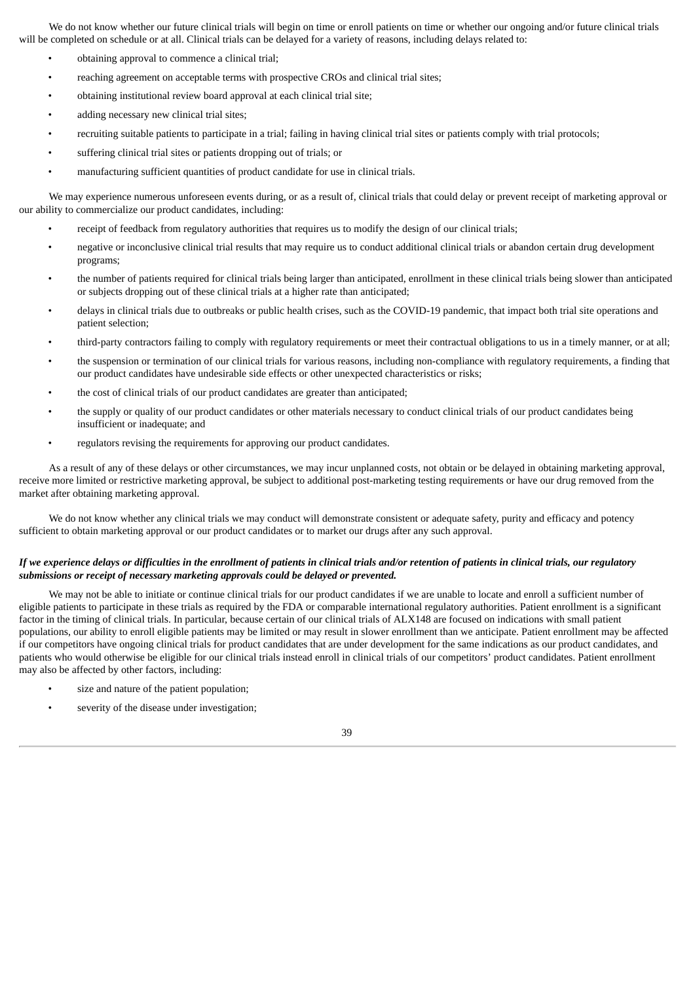We do not know whether our future clinical trials will begin on time or enroll patients on time or whether our ongoing and/or future clinical trials will be completed on schedule or at all. Clinical trials can be delayed for a variety of reasons, including delays related to:

- obtaining approval to commence a clinical trial;
- reaching agreement on acceptable terms with prospective CROs and clinical trial sites;
- obtaining institutional review board approval at each clinical trial site;
- adding necessary new clinical trial sites:
- recruiting suitable patients to participate in a trial; failing in having clinical trial sites or patients comply with trial protocols;
- suffering clinical trial sites or patients dropping out of trials; or
- manufacturing sufficient quantities of product candidate for use in clinical trials.

We may experience numerous unforeseen events during, or as a result of, clinical trials that could delay or prevent receipt of marketing approval or our ability to commercialize our product candidates, including:

- receipt of feedback from regulatory authorities that requires us to modify the design of our clinical trials;
- negative or inconclusive clinical trial results that may require us to conduct additional clinical trials or abandon certain drug development programs;
- the number of patients required for clinical trials being larger than anticipated, enrollment in these clinical trials being slower than anticipated or subjects dropping out of these clinical trials at a higher rate than anticipated;
- delays in clinical trials due to outbreaks or public health crises, such as the COVID-19 pandemic, that impact both trial site operations and patient selection;
- third-party contractors failing to comply with regulatory requirements or meet their contractual obligations to us in a timely manner, or at all;
- the suspension or termination of our clinical trials for various reasons, including non-compliance with regulatory requirements, a finding that our product candidates have undesirable side effects or other unexpected characteristics or risks;
- the cost of clinical trials of our product candidates are greater than anticipated;
- the supply or quality of our product candidates or other materials necessary to conduct clinical trials of our product candidates being insufficient or inadequate; and
- regulators revising the requirements for approving our product candidates.

As a result of any of these delays or other circumstances, we may incur unplanned costs, not obtain or be delayed in obtaining marketing approval, receive more limited or restrictive marketing approval, be subject to additional post-marketing testing requirements or have our drug removed from the market after obtaining marketing approval.

We do not know whether any clinical trials we may conduct will demonstrate consistent or adequate safety, purity and efficacy and potency sufficient to obtain marketing approval or our product candidates or to market our drugs after any such approval.

### If we experience delays or difficulties in the enrollment of patients in clinical trials and/or retention of patients in clinical trials, our regulatory *submissions or receipt of necessary marketing approvals could be delayed or prevented.*

We may not be able to initiate or continue clinical trials for our product candidates if we are unable to locate and enroll a sufficient number of eligible patients to participate in these trials as required by the FDA or comparable international regulatory authorities. Patient enrollment is a significant factor in the timing of clinical trials. In particular, because certain of our clinical trials of ALX148 are focused on indications with small patient populations, our ability to enroll eligible patients may be limited or may result in slower enrollment than we anticipate. Patient enrollment may be affected if our competitors have ongoing clinical trials for product candidates that are under development for the same indications as our product candidates, and patients who would otherwise be eligible for our clinical trials instead enroll in clinical trials of our competitors' product candidates. Patient enrollment may also be affected by other factors, including:

- size and nature of the patient population;
- severity of the disease under investigation;

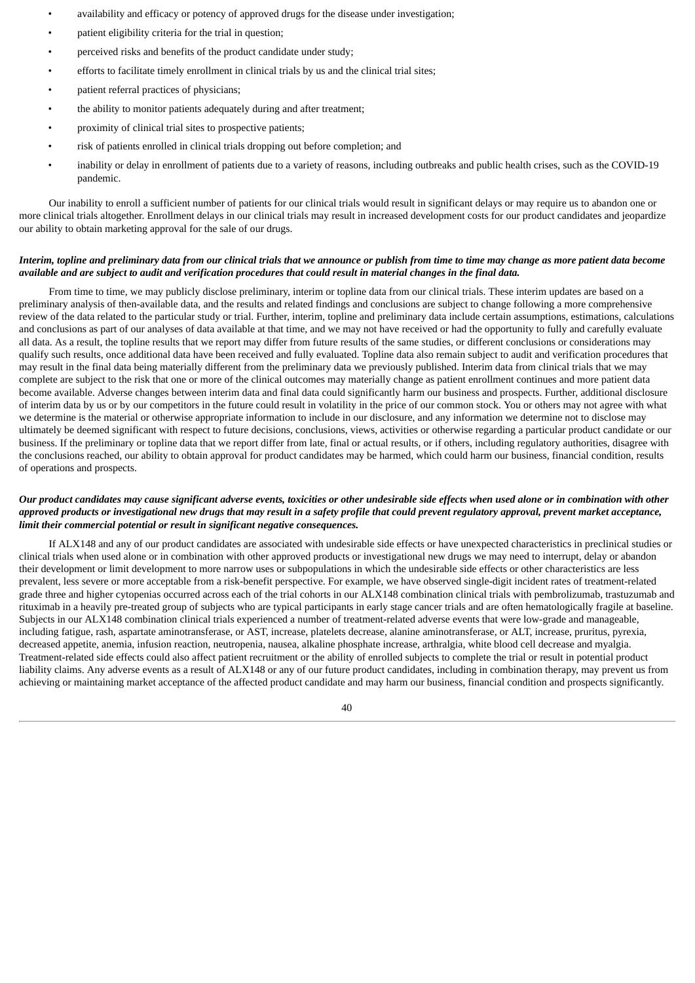- availability and efficacy or potency of approved drugs for the disease under investigation;
- patient eligibility criteria for the trial in question;
- perceived risks and benefits of the product candidate under study;
- efforts to facilitate timely enrollment in clinical trials by us and the clinical trial sites;
- patient referral practices of physicians;
- the ability to monitor patients adequately during and after treatment;
- proximity of clinical trial sites to prospective patients;
- risk of patients enrolled in clinical trials dropping out before completion; and
- inability or delay in enrollment of patients due to a variety of reasons, including outbreaks and public health crises, such as the COVID-19 pandemic.

Our inability to enroll a sufficient number of patients for our clinical trials would result in significant delays or may require us to abandon one or more clinical trials altogether. Enrollment delays in our clinical trials may result in increased development costs for our product candidates and jeopardize our ability to obtain marketing approval for the sale of our drugs.

### Interim, topline and preliminary data from our clinical trials that we announce or publish from time to time may change as more patient data become available and are subject to audit and verification procedures that could result in material changes in the final data.

From time to time, we may publicly disclose preliminary, interim or topline data from our clinical trials. These interim updates are based on a preliminary analysis of then-available data, and the results and related findings and conclusions are subject to change following a more comprehensive review of the data related to the particular study or trial. Further, interim, topline and preliminary data include certain assumptions, estimations, calculations and conclusions as part of our analyses of data available at that time, and we may not have received or had the opportunity to fully and carefully evaluate all data. As a result, the topline results that we report may differ from future results of the same studies, or different conclusions or considerations may qualify such results, once additional data have been received and fully evaluated. Topline data also remain subject to audit and verification procedures that may result in the final data being materially different from the preliminary data we previously published. Interim data from clinical trials that we may complete are subject to the risk that one or more of the clinical outcomes may materially change as patient enrollment continues and more patient data become available. Adverse changes between interim data and final data could significantly harm our business and prospects. Further, additional disclosure of interim data by us or by our competitors in the future could result in volatility in the price of our common stock. You or others may not agree with what we determine is the material or otherwise appropriate information to include in our disclosure, and any information we determine not to disclose may ultimately be deemed significant with respect to future decisions, conclusions, views, activities or otherwise regarding a particular product candidate or our business. If the preliminary or topline data that we report differ from late, final or actual results, or if others, including regulatory authorities, disagree with the conclusions reached, our ability to obtain approval for product candidates may be harmed, which could harm our business, financial condition, results of operations and prospects.

## Our product candidates may cause significant adverse events, toxicities or other undesirable side effects when used alone or in combination with other approved products or investigational new drugs that may result in a safety profile that could prevent regulatory approval, prevent market acceptance, *limit their commercial potential or result in significant negative consequences.*

If ALX148 and any of our product candidates are associated with undesirable side effects or have unexpected characteristics in preclinical studies or clinical trials when used alone or in combination with other approved products or investigational new drugs we may need to interrupt, delay or abandon their development or limit development to more narrow uses or subpopulations in which the undesirable side effects or other characteristics are less prevalent, less severe or more acceptable from a risk-benefit perspective. For example, we have observed single-digit incident rates of treatment-related grade three and higher cytopenias occurred across each of the trial cohorts in our ALX148 combination clinical trials with pembrolizumab, trastuzumab and rituximab in a heavily pre-treated group of subjects who are typical participants in early stage cancer trials and are often hematologically fragile at baseline. Subjects in our ALX148 combination clinical trials experienced a number of treatment-related adverse events that were low-grade and manageable, including fatigue, rash, aspartate aminotransferase, or AST, increase, platelets decrease, alanine aminotransferase, or ALT, increase, pruritus, pyrexia, decreased appetite, anemia, infusion reaction, neutropenia, nausea, alkaline phosphate increase, arthralgia, white blood cell decrease and myalgia. Treatment-related side effects could also affect patient recruitment or the ability of enrolled subjects to complete the trial or result in potential product liability claims. Any adverse events as a result of ALX148 or any of our future product candidates, including in combination therapy, may prevent us from achieving or maintaining market acceptance of the affected product candidate and may harm our business, financial condition and prospects significantly.

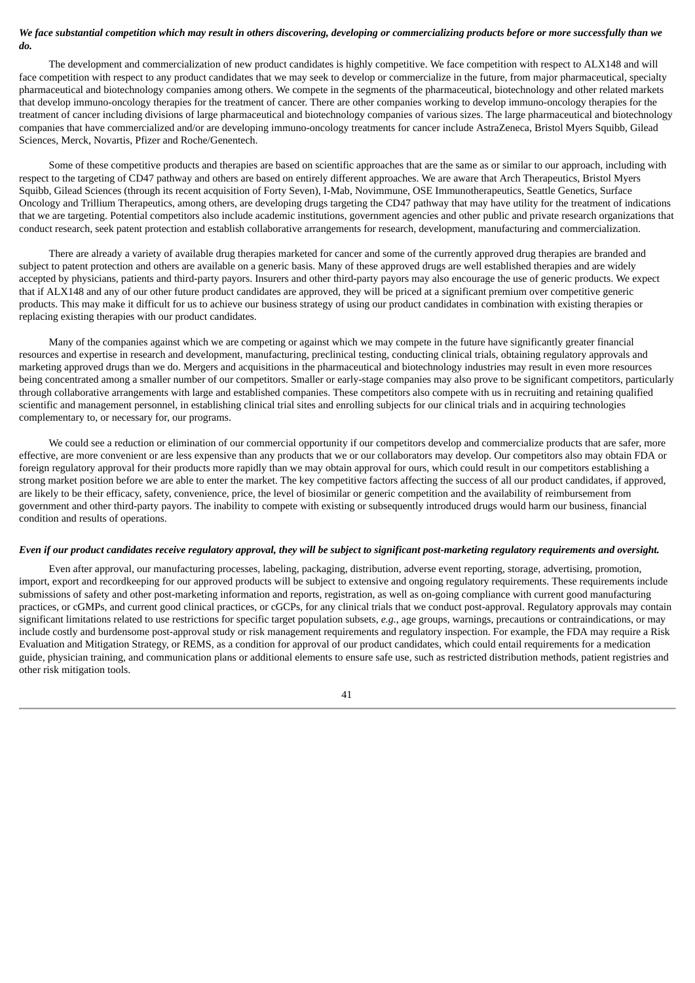### We face substantial competition which may result in others discovering, developing or commercializing products before or more successfully than we *do.*

The development and commercialization of new product candidates is highly competitive. We face competition with respect to ALX148 and will face competition with respect to any product candidates that we may seek to develop or commercialize in the future, from major pharmaceutical, specialty pharmaceutical and biotechnology companies among others. We compete in the segments of the pharmaceutical, biotechnology and other related markets that develop immuno-oncology therapies for the treatment of cancer. There are other companies working to develop immuno-oncology therapies for the treatment of cancer including divisions of large pharmaceutical and biotechnology companies of various sizes. The large pharmaceutical and biotechnology companies that have commercialized and/or are developing immuno-oncology treatments for cancer include AstraZeneca, Bristol Myers Squibb, Gilead Sciences, Merck, Novartis, Pfizer and Roche/Genentech.

Some of these competitive products and therapies are based on scientific approaches that are the same as or similar to our approach, including with respect to the targeting of CD47 pathway and others are based on entirely different approaches. We are aware that Arch Therapeutics, Bristol Myers Squibb, Gilead Sciences (through its recent acquisition of Forty Seven), I-Mab, Novimmune, OSE Immunotherapeutics, Seattle Genetics, Surface Oncology and Trillium Therapeutics, among others, are developing drugs targeting the CD47 pathway that may have utility for the treatment of indications that we are targeting. Potential competitors also include academic institutions, government agencies and other public and private research organizations that conduct research, seek patent protection and establish collaborative arrangements for research, development, manufacturing and commercialization.

There are already a variety of available drug therapies marketed for cancer and some of the currently approved drug therapies are branded and subject to patent protection and others are available on a generic basis. Many of these approved drugs are well established therapies and are widely accepted by physicians, patients and third-party payors. Insurers and other third-party payors may also encourage the use of generic products. We expect that if ALX148 and any of our other future product candidates are approved, they will be priced at a significant premium over competitive generic products. This may make it difficult for us to achieve our business strategy of using our product candidates in combination with existing therapies or replacing existing therapies with our product candidates.

Many of the companies against which we are competing or against which we may compete in the future have significantly greater financial resources and expertise in research and development, manufacturing, preclinical testing, conducting clinical trials, obtaining regulatory approvals and marketing approved drugs than we do. Mergers and acquisitions in the pharmaceutical and biotechnology industries may result in even more resources being concentrated among a smaller number of our competitors. Smaller or early-stage companies may also prove to be significant competitors, particularly through collaborative arrangements with large and established companies. These competitors also compete with us in recruiting and retaining qualified scientific and management personnel, in establishing clinical trial sites and enrolling subjects for our clinical trials and in acquiring technologies complementary to, or necessary for, our programs.

We could see a reduction or elimination of our commercial opportunity if our competitors develop and commercialize products that are safer, more effective, are more convenient or are less expensive than any products that we or our collaborators may develop. Our competitors also may obtain FDA or foreign regulatory approval for their products more rapidly than we may obtain approval for ours, which could result in our competitors establishing a strong market position before we are able to enter the market. The key competitive factors affecting the success of all our product candidates, if approved, are likely to be their efficacy, safety, convenience, price, the level of biosimilar or generic competition and the availability of reimbursement from government and other third-party payors. The inability to compete with existing or subsequently introduced drugs would harm our business, financial condition and results of operations.

### Even if our product candidates receive regulatory approval, they will be subject to significant post-marketing regulatory requirements and oversight.

Even after approval, our manufacturing processes, labeling, packaging, distribution, adverse event reporting, storage, advertising, promotion, import, export and recordkeeping for our approved products will be subject to extensive and ongoing regulatory requirements. These requirements include submissions of safety and other post-marketing information and reports, registration, as well as on-going compliance with current good manufacturing practices, or cGMPs, and current good clinical practices, or cGCPs, for any clinical trials that we conduct post-approval. Regulatory approvals may contain significant limitations related to use restrictions for specific target population subsets, *e.g.*, age groups, warnings, precautions or contraindications, or may include costly and burdensome post-approval study or risk management requirements and regulatory inspection. For example, the FDA may require a Risk Evaluation and Mitigation Strategy, or REMS, as a condition for approval of our product candidates, which could entail requirements for a medication guide, physician training, and communication plans or additional elements to ensure safe use, such as restricted distribution methods, patient registries and other risk mitigation tools.

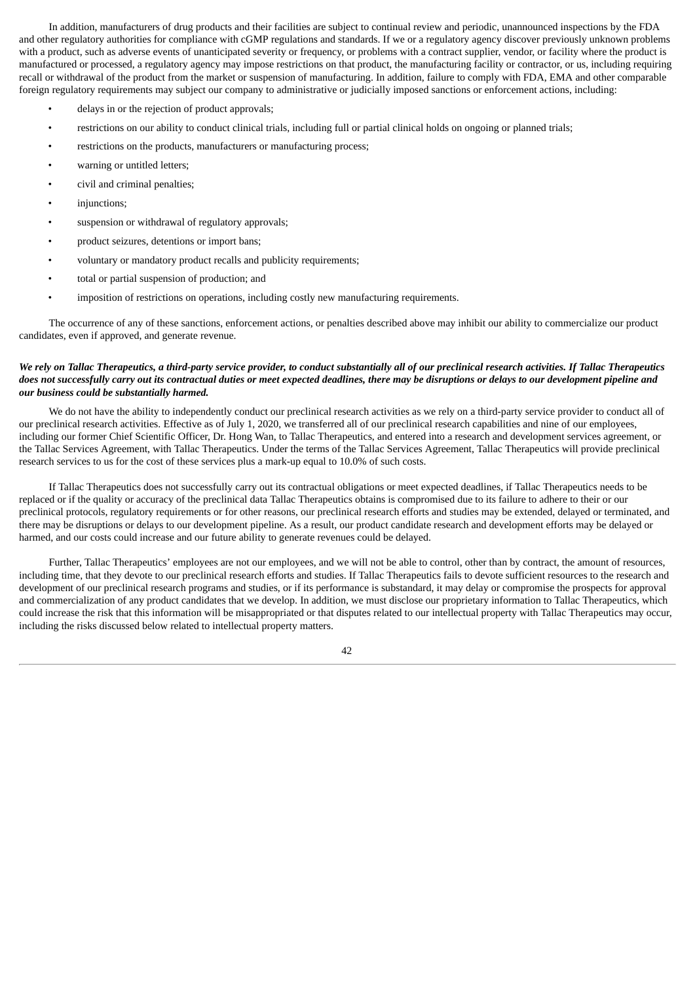In addition, manufacturers of drug products and their facilities are subject to continual review and periodic, unannounced inspections by the FDA and other regulatory authorities for compliance with cGMP regulations and standards. If we or a regulatory agency discover previously unknown problems with a product, such as adverse events of unanticipated severity or frequency, or problems with a contract supplier, vendor, or facility where the product is manufactured or processed, a regulatory agency may impose restrictions on that product, the manufacturing facility or contractor, or us, including requiring recall or withdrawal of the product from the market or suspension of manufacturing. In addition, failure to comply with FDA, EMA and other comparable foreign regulatory requirements may subject our company to administrative or judicially imposed sanctions or enforcement actions, including:

- delays in or the rejection of product approvals;
- restrictions on our ability to conduct clinical trials, including full or partial clinical holds on ongoing or planned trials;
- restrictions on the products, manufacturers or manufacturing process;
- warning or untitled letters;
- civil and criminal penalties;
- injunctions;
- suspension or withdrawal of regulatory approvals;
- product seizures, detentions or import bans;
- voluntary or mandatory product recalls and publicity requirements;
- total or partial suspension of production; and
- imposition of restrictions on operations, including costly new manufacturing requirements.

The occurrence of any of these sanctions, enforcement actions, or penalties described above may inhibit our ability to commercialize our product candidates, even if approved, and generate revenue.

## We rely on Tallac Therapeutics, a third-party service provider, to conduct substantially all of our preclinical research activities. If Tallac Therapeutics does not successfully carry out its contractual duties or meet expected deadlines, there may be disruptions or delays to our development pipeline and *our business could be substantially harmed.*

We do not have the ability to independently conduct our preclinical research activities as we rely on a third-party service provider to conduct all of our preclinical research activities. Effective as of July 1, 2020, we transferred all of our preclinical research capabilities and nine of our employees, including our former Chief Scientific Officer, Dr. Hong Wan, to Tallac Therapeutics, and entered into a research and development services agreement, or the Tallac Services Agreement, with Tallac Therapeutics. Under the terms of the Tallac Services Agreement, Tallac Therapeutics will provide preclinical research services to us for the cost of these services plus a mark-up equal to 10.0% of such costs.

If Tallac Therapeutics does not successfully carry out its contractual obligations or meet expected deadlines, if Tallac Therapeutics needs to be replaced or if the quality or accuracy of the preclinical data Tallac Therapeutics obtains is compromised due to its failure to adhere to their or our preclinical protocols, regulatory requirements or for other reasons, our preclinical research efforts and studies may be extended, delayed or terminated, and there may be disruptions or delays to our development pipeline. As a result, our product candidate research and development efforts may be delayed or harmed, and our costs could increase and our future ability to generate revenues could be delayed.

Further, Tallac Therapeutics' employees are not our employees, and we will not be able to control, other than by contract, the amount of resources, including time, that they devote to our preclinical research efforts and studies. If Tallac Therapeutics fails to devote sufficient resources to the research and development of our preclinical research programs and studies, or if its performance is substandard, it may delay or compromise the prospects for approval and commercialization of any product candidates that we develop. In addition, we must disclose our proprietary information to Tallac Therapeutics, which could increase the risk that this information will be misappropriated or that disputes related to our intellectual property with Tallac Therapeutics may occur, including the risks discussed below related to intellectual property matters.

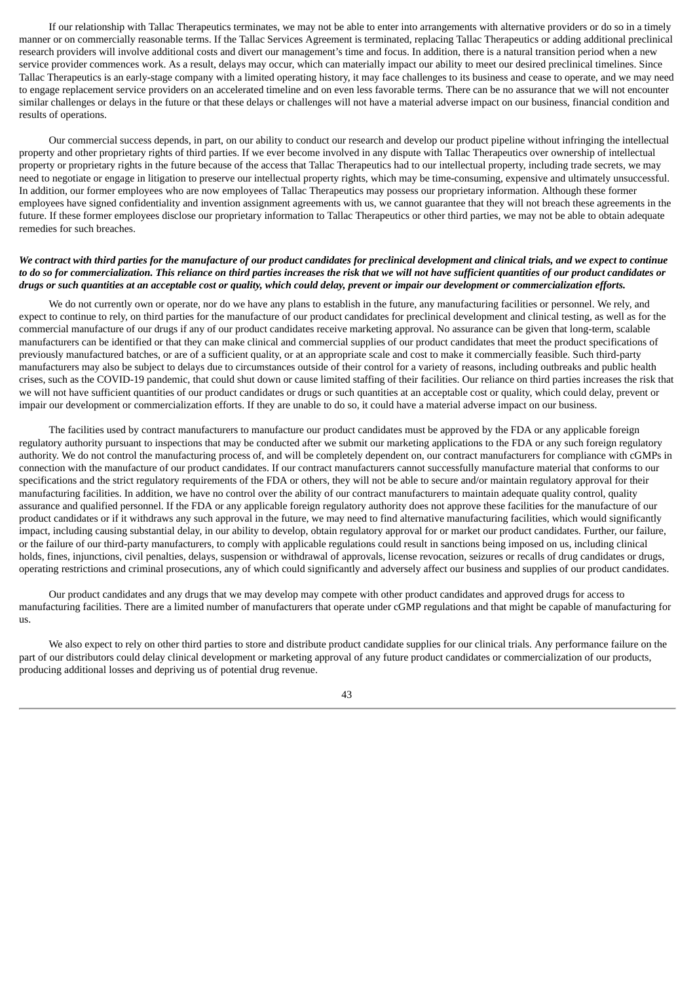If our relationship with Tallac Therapeutics terminates, we may not be able to enter into arrangements with alternative providers or do so in a timely manner or on commercially reasonable terms. If the Tallac Services Agreement is terminated, replacing Tallac Therapeutics or adding additional preclinical research providers will involve additional costs and divert our management's time and focus. In addition, there is a natural transition period when a new service provider commences work. As a result, delays may occur, which can materially impact our ability to meet our desired preclinical timelines. Since Tallac Therapeutics is an early-stage company with a limited operating history, it may face challenges to its business and cease to operate, and we may need to engage replacement service providers on an accelerated timeline and on even less favorable terms. There can be no assurance that we will not encounter similar challenges or delays in the future or that these delays or challenges will not have a material adverse impact on our business, financial condition and results of operations.

Our commercial success depends, in part, on our ability to conduct our research and develop our product pipeline without infringing the intellectual property and other proprietary rights of third parties. If we ever become involved in any dispute with Tallac Therapeutics over ownership of intellectual property or proprietary rights in the future because of the access that Tallac Therapeutics had to our intellectual property, including trade secrets, we may need to negotiate or engage in litigation to preserve our intellectual property rights, which may be time-consuming, expensive and ultimately unsuccessful. In addition, our former employees who are now employees of Tallac Therapeutics may possess our proprietary information. Although these former employees have signed confidentiality and invention assignment agreements with us, we cannot guarantee that they will not breach these agreements in the future. If these former employees disclose our proprietary information to Tallac Therapeutics or other third parties, we may not be able to obtain adequate remedies for such breaches.

## We contract with third parties for the manufacture of our product candidates for preclinical development and clinical trials, and we expect to continue to do so for commercialization. This reliance on third parties increases the risk that we will not have sufficient auantities of our product candidates or drugs or such quantities at an acceptable cost or quality, which could delay, prevent or impair our development or commercialization efforts.

We do not currently own or operate, nor do we have any plans to establish in the future, any manufacturing facilities or personnel. We rely, and expect to continue to rely, on third parties for the manufacture of our product candidates for preclinical development and clinical testing, as well as for the commercial manufacture of our drugs if any of our product candidates receive marketing approval. No assurance can be given that long-term, scalable manufacturers can be identified or that they can make clinical and commercial supplies of our product candidates that meet the product specifications of previously manufactured batches, or are of a sufficient quality, or at an appropriate scale and cost to make it commercially feasible. Such third-party manufacturers may also be subject to delays due to circumstances outside of their control for a variety of reasons, including outbreaks and public health crises, such as the COVID-19 pandemic, that could shut down or cause limited staffing of their facilities. Our reliance on third parties increases the risk that we will not have sufficient quantities of our product candidates or drugs or such quantities at an acceptable cost or quality, which could delay, prevent or impair our development or commercialization efforts. If they are unable to do so, it could have a material adverse impact on our business.

The facilities used by contract manufacturers to manufacture our product candidates must be approved by the FDA or any applicable foreign regulatory authority pursuant to inspections that may be conducted after we submit our marketing applications to the FDA or any such foreign regulatory authority. We do not control the manufacturing process of, and will be completely dependent on, our contract manufacturers for compliance with cGMPs in connection with the manufacture of our product candidates. If our contract manufacturers cannot successfully manufacture material that conforms to our specifications and the strict regulatory requirements of the FDA or others, they will not be able to secure and/or maintain regulatory approval for their manufacturing facilities. In addition, we have no control over the ability of our contract manufacturers to maintain adequate quality control, quality assurance and qualified personnel. If the FDA or any applicable foreign regulatory authority does not approve these facilities for the manufacture of our product candidates or if it withdraws any such approval in the future, we may need to find alternative manufacturing facilities, which would significantly impact, including causing substantial delay, in our ability to develop, obtain regulatory approval for or market our product candidates. Further, our failure, or the failure of our third-party manufacturers, to comply with applicable regulations could result in sanctions being imposed on us, including clinical holds, fines, injunctions, civil penalties, delays, suspension or withdrawal of approvals, license revocation, seizures or recalls of drug candidates or drugs, operating restrictions and criminal prosecutions, any of which could significantly and adversely affect our business and supplies of our product candidates.

Our product candidates and any drugs that we may develop may compete with other product candidates and approved drugs for access to manufacturing facilities. There are a limited number of manufacturers that operate under cGMP regulations and that might be capable of manufacturing for us.

We also expect to rely on other third parties to store and distribute product candidate supplies for our clinical trials. Any performance failure on the part of our distributors could delay clinical development or marketing approval of any future product candidates or commercialization of our products, producing additional losses and depriving us of potential drug revenue.

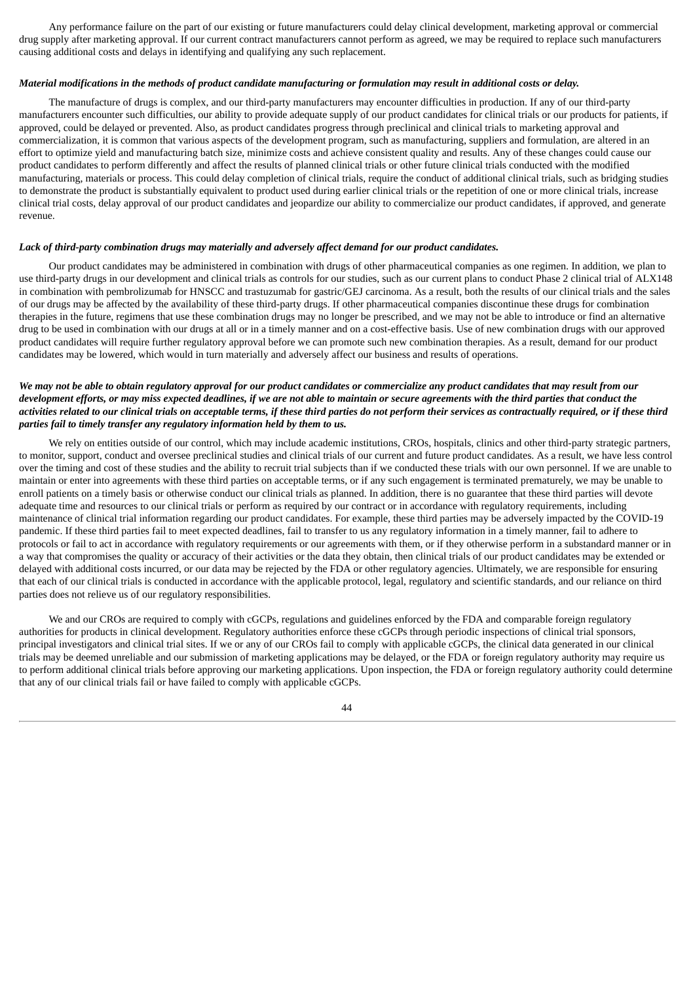Any performance failure on the part of our existing or future manufacturers could delay clinical development, marketing approval or commercial drug supply after marketing approval. If our current contract manufacturers cannot perform as agreed, we may be required to replace such manufacturers causing additional costs and delays in identifying and qualifying any such replacement.

## Material modifications in the methods of product candidate manufacturing or formulation may result in additional costs or delay.

The manufacture of drugs is complex, and our third-party manufacturers may encounter difficulties in production. If any of our third-party manufacturers encounter such difficulties, our ability to provide adequate supply of our product candidates for clinical trials or our products for patients, if approved, could be delayed or prevented. Also, as product candidates progress through preclinical and clinical trials to marketing approval and commercialization, it is common that various aspects of the development program, such as manufacturing, suppliers and formulation, are altered in an effort to optimize yield and manufacturing batch size, minimize costs and achieve consistent quality and results. Any of these changes could cause our product candidates to perform differently and affect the results of planned clinical trials or other future clinical trials conducted with the modified manufacturing, materials or process. This could delay completion of clinical trials, require the conduct of additional clinical trials, such as bridging studies to demonstrate the product is substantially equivalent to product used during earlier clinical trials or the repetition of one or more clinical trials, increase clinical trial costs, delay approval of our product candidates and jeopardize our ability to commercialize our product candidates, if approved, and generate revenue.

#### *Lack of third-party combination drugs may materially and adversely affect demand for our product candidates.*

Our product candidates may be administered in combination with drugs of other pharmaceutical companies as one regimen. In addition, we plan to use third-party drugs in our development and clinical trials as controls for our studies, such as our current plans to conduct Phase 2 clinical trial of ALX148 in combination with pembrolizumab for HNSCC and trastuzumab for gastric/GEJ carcinoma. As a result, both the results of our clinical trials and the sales of our drugs may be affected by the availability of these third-party drugs. If other pharmaceutical companies discontinue these drugs for combination therapies in the future, regimens that use these combination drugs may no longer be prescribed, and we may not be able to introduce or find an alternative drug to be used in combination with our drugs at all or in a timely manner and on a cost-effective basis. Use of new combination drugs with our approved product candidates will require further regulatory approval before we can promote such new combination therapies. As a result, demand for our product candidates may be lowered, which would in turn materially and adversely affect our business and results of operations.

## We may not be able to obtain regulatory approval for our product candidates or commercialize any product candidates that may result from our development efforts, or may miss expected deadlines, if we are not able to maintain or secure agreements with the third parties that conduct the activities related to our clinical trials on acceptable terms, if these third parties do not perform their services as contractually required, or if these third *parties fail to timely transfer any regulatory information held by them to us.*

We rely on entities outside of our control, which may include academic institutions, CROs, hospitals, clinics and other third-party strategic partners, to monitor, support, conduct and oversee preclinical studies and clinical trials of our current and future product candidates. As a result, we have less control over the timing and cost of these studies and the ability to recruit trial subjects than if we conducted these trials with our own personnel. If we are unable to maintain or enter into agreements with these third parties on acceptable terms, or if any such engagement is terminated prematurely, we may be unable to enroll patients on a timely basis or otherwise conduct our clinical trials as planned. In addition, there is no guarantee that these third parties will devote adequate time and resources to our clinical trials or perform as required by our contract or in accordance with regulatory requirements, including maintenance of clinical trial information regarding our product candidates. For example, these third parties may be adversely impacted by the COVID-19 pandemic. If these third parties fail to meet expected deadlines, fail to transfer to us any regulatory information in a timely manner, fail to adhere to protocols or fail to act in accordance with regulatory requirements or our agreements with them, or if they otherwise perform in a substandard manner or in a way that compromises the quality or accuracy of their activities or the data they obtain, then clinical trials of our product candidates may be extended or delayed with additional costs incurred, or our data may be rejected by the FDA or other regulatory agencies. Ultimately, we are responsible for ensuring that each of our clinical trials is conducted in accordance with the applicable protocol, legal, regulatory and scientific standards, and our reliance on third parties does not relieve us of our regulatory responsibilities.

We and our CROs are required to comply with cGCPs, regulations and guidelines enforced by the FDA and comparable foreign regulatory authorities for products in clinical development. Regulatory authorities enforce these cGCPs through periodic inspections of clinical trial sponsors, principal investigators and clinical trial sites. If we or any of our CROs fail to comply with applicable cGCPs, the clinical data generated in our clinical trials may be deemed unreliable and our submission of marketing applications may be delayed, or the FDA or foreign regulatory authority may require us to perform additional clinical trials before approving our marketing applications. Upon inspection, the FDA or foreign regulatory authority could determine that any of our clinical trials fail or have failed to comply with applicable cGCPs.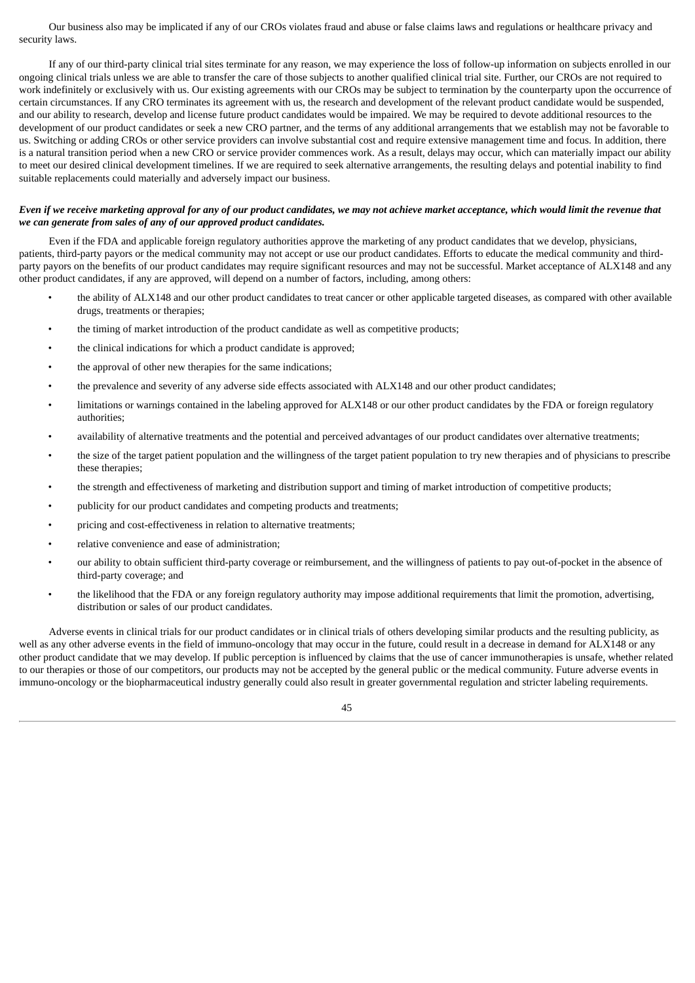Our business also may be implicated if any of our CROs violates fraud and abuse or false claims laws and regulations or healthcare privacy and security laws.

If any of our third-party clinical trial sites terminate for any reason, we may experience the loss of follow-up information on subjects enrolled in our ongoing clinical trials unless we are able to transfer the care of those subjects to another qualified clinical trial site. Further, our CROs are not required to work indefinitely or exclusively with us. Our existing agreements with our CROs may be subject to termination by the counterparty upon the occurrence of certain circumstances. If any CRO terminates its agreement with us, the research and development of the relevant product candidate would be suspended, and our ability to research, develop and license future product candidates would be impaired. We may be required to devote additional resources to the development of our product candidates or seek a new CRO partner, and the terms of any additional arrangements that we establish may not be favorable to us. Switching or adding CROs or other service providers can involve substantial cost and require extensive management time and focus. In addition, there is a natural transition period when a new CRO or service provider commences work. As a result, delays may occur, which can materially impact our ability to meet our desired clinical development timelines. If we are required to seek alternative arrangements, the resulting delays and potential inability to find suitable replacements could materially and adversely impact our business.

## Even if we receive marketing approval for any of our product candidates, we may not achieve market acceptance, which would limit the revenue that *we can generate from sales of any of our approved product candidates.*

Even if the FDA and applicable foreign regulatory authorities approve the marketing of any product candidates that we develop, physicians, patients, third-party payors or the medical community may not accept or use our product candidates. Efforts to educate the medical community and thirdparty payors on the benefits of our product candidates may require significant resources and may not be successful. Market acceptance of ALX148 and any other product candidates, if any are approved, will depend on a number of factors, including, among others:

- the ability of ALX148 and our other product candidates to treat cancer or other applicable targeted diseases, as compared with other available drugs, treatments or therapies;
- the timing of market introduction of the product candidate as well as competitive products;
- the clinical indications for which a product candidate is approved;
- the approval of other new therapies for the same indications;
- the prevalence and severity of any adverse side effects associated with ALX148 and our other product candidates;
- limitations or warnings contained in the labeling approved for ALX148 or our other product candidates by the FDA or foreign regulatory authorities;
- availability of alternative treatments and the potential and perceived advantages of our product candidates over alternative treatments;
- the size of the target patient population and the willingness of the target patient population to try new therapies and of physicians to prescribe these therapies;
- the strength and effectiveness of marketing and distribution support and timing of market introduction of competitive products;
- publicity for our product candidates and competing products and treatments;
- pricing and cost-effectiveness in relation to alternative treatments;
- relative convenience and ease of administration;
- our ability to obtain sufficient third-party coverage or reimbursement, and the willingness of patients to pay out-of-pocket in the absence of third-party coverage; and
- the likelihood that the FDA or any foreign regulatory authority may impose additional requirements that limit the promotion, advertising, distribution or sales of our product candidates.

Adverse events in clinical trials for our product candidates or in clinical trials of others developing similar products and the resulting publicity, as well as any other adverse events in the field of immuno-oncology that may occur in the future, could result in a decrease in demand for ALX148 or any other product candidate that we may develop. If public perception is influenced by claims that the use of cancer immunotherapies is unsafe, whether related to our therapies or those of our competitors, our products may not be accepted by the general public or the medical community. Future adverse events in immuno-oncology or the biopharmaceutical industry generally could also result in greater governmental regulation and stricter labeling requirements.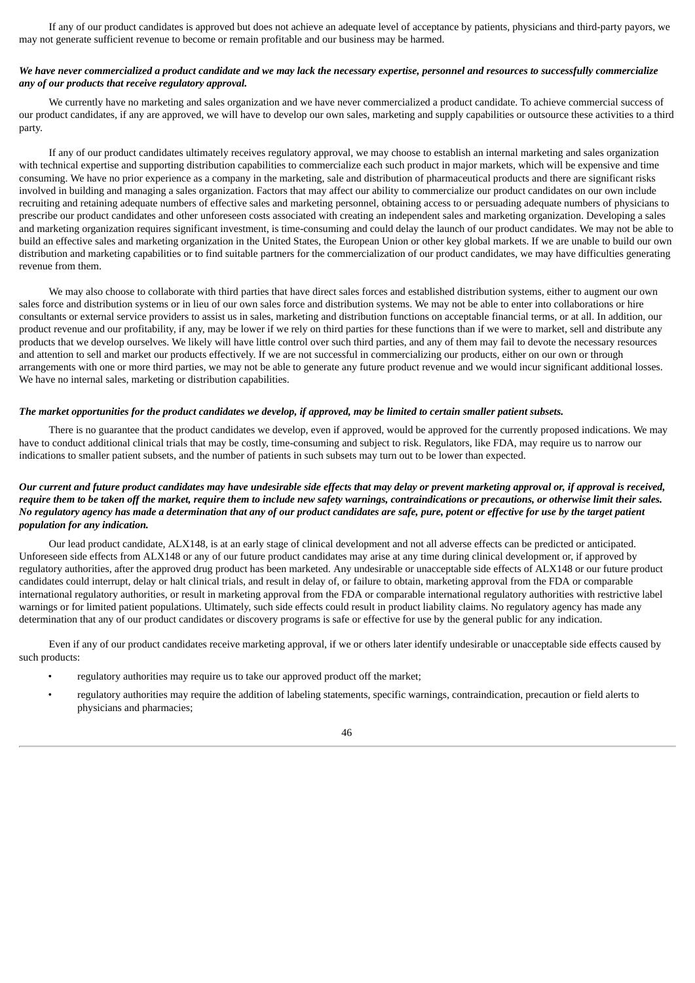If any of our product candidates is approved but does not achieve an adequate level of acceptance by patients, physicians and third-party payors, we may not generate sufficient revenue to become or remain profitable and our business may be harmed.

## We have never commercialized a product candidate and we may lack the necessary expertise, personnel and resources to successfully commercialize *any of our products that receive regulatory approval.*

We currently have no marketing and sales organization and we have never commercialized a product candidate. To achieve commercial success of our product candidates, if any are approved, we will have to develop our own sales, marketing and supply capabilities or outsource these activities to a third party.

If any of our product candidates ultimately receives regulatory approval, we may choose to establish an internal marketing and sales organization with technical expertise and supporting distribution capabilities to commercialize each such product in major markets, which will be expensive and time consuming. We have no prior experience as a company in the marketing, sale and distribution of pharmaceutical products and there are significant risks involved in building and managing a sales organization. Factors that may affect our ability to commercialize our product candidates on our own include recruiting and retaining adequate numbers of effective sales and marketing personnel, obtaining access to or persuading adequate numbers of physicians to prescribe our product candidates and other unforeseen costs associated with creating an independent sales and marketing organization. Developing a sales and marketing organization requires significant investment, is time-consuming and could delay the launch of our product candidates. We may not be able to build an effective sales and marketing organization in the United States, the European Union or other key global markets. If we are unable to build our own distribution and marketing capabilities or to find suitable partners for the commercialization of our product candidates, we may have difficulties generating revenue from them.

We may also choose to collaborate with third parties that have direct sales forces and established distribution systems, either to augment our own sales force and distribution systems or in lieu of our own sales force and distribution systems. We may not be able to enter into collaborations or hire consultants or external service providers to assist us in sales, marketing and distribution functions on acceptable financial terms, or at all. In addition, our product revenue and our profitability, if any, may be lower if we rely on third parties for these functions than if we were to market, sell and distribute any products that we develop ourselves. We likely will have little control over such third parties, and any of them may fail to devote the necessary resources and attention to sell and market our products effectively. If we are not successful in commercializing our products, either on our own or through arrangements with one or more third parties, we may not be able to generate any future product revenue and we would incur significant additional losses. We have no internal sales, marketing or distribution capabilities.

#### The market opportunities for the product candidates we develop, if approved, may be limited to certain smaller patient subsets.

There is no guarantee that the product candidates we develop, even if approved, would be approved for the currently proposed indications. We may have to conduct additional clinical trials that may be costly, time-consuming and subject to risk. Regulators, like FDA, may require us to narrow our indications to smaller patient subsets, and the number of patients in such subsets may turn out to be lower than expected.

## Our current and future product candidates may have undesirable side effects that may delay or prevent marketing approval or, if approval is received, require them to be taken off the market, require them to include new safety warnings, contraindications or precautions, or otherwise limit their sales. No regulatory agency has made a determination that any of our product candidates are safe, pure, potent or effective for use by the target patient *population for any indication.*

Our lead product candidate, ALX148, is at an early stage of clinical development and not all adverse effects can be predicted or anticipated. Unforeseen side effects from ALX148 or any of our future product candidates may arise at any time during clinical development or, if approved by regulatory authorities, after the approved drug product has been marketed. Any undesirable or unacceptable side effects of ALX148 or our future product candidates could interrupt, delay or halt clinical trials, and result in delay of, or failure to obtain, marketing approval from the FDA or comparable international regulatory authorities, or result in marketing approval from the FDA or comparable international regulatory authorities with restrictive label warnings or for limited patient populations. Ultimately, such side effects could result in product liability claims. No regulatory agency has made any determination that any of our product candidates or discovery programs is safe or effective for use by the general public for any indication.

Even if any of our product candidates receive marketing approval, if we or others later identify undesirable or unacceptable side effects caused by such products:

- regulatory authorities may require us to take our approved product off the market;
- regulatory authorities may require the addition of labeling statements, specific warnings, contraindication, precaution or field alerts to physicians and pharmacies;

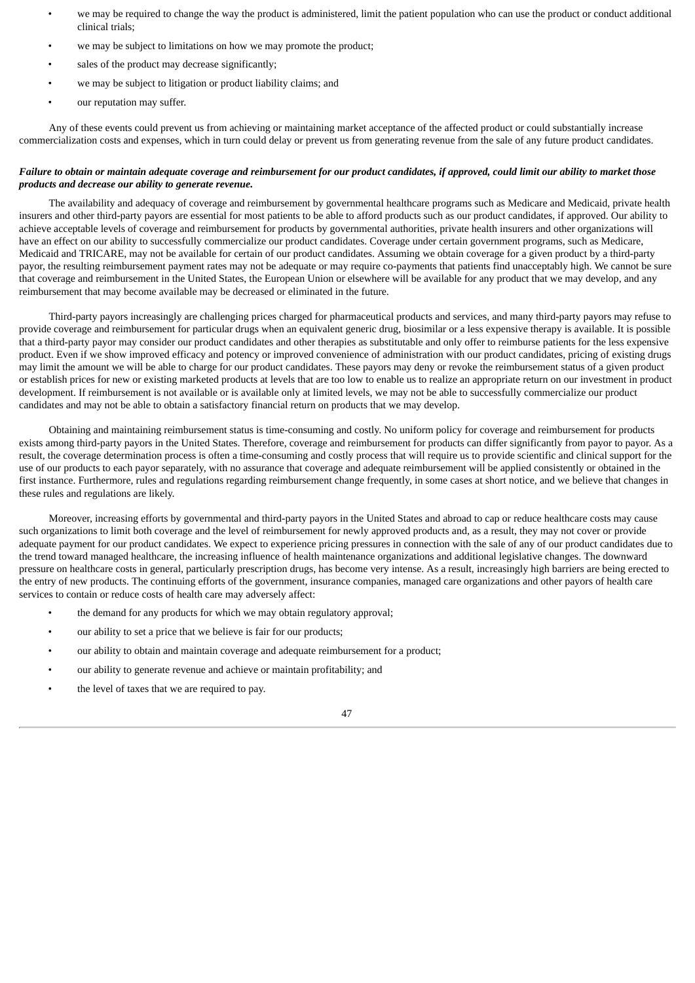- we may be required to change the way the product is administered, limit the patient population who can use the product or conduct additional clinical trials;
- we may be subject to limitations on how we may promote the product;
- sales of the product may decrease significantly;
- we may be subject to litigation or product liability claims; and
- our reputation may suffer.

Any of these events could prevent us from achieving or maintaining market acceptance of the affected product or could substantially increase commercialization costs and expenses, which in turn could delay or prevent us from generating revenue from the sale of any future product candidates.

# Failure to obtain or maintain adequate coverage and reimbursement for our product candidates, if approved, could limit our ability to market those *products and decrease our ability to generate revenue.*

The availability and adequacy of coverage and reimbursement by governmental healthcare programs such as Medicare and Medicaid, private health insurers and other third-party payors are essential for most patients to be able to afford products such as our product candidates, if approved. Our ability to achieve acceptable levels of coverage and reimbursement for products by governmental authorities, private health insurers and other organizations will have an effect on our ability to successfully commercialize our product candidates. Coverage under certain government programs, such as Medicare, Medicaid and TRICARE, may not be available for certain of our product candidates. Assuming we obtain coverage for a given product by a third-party payor, the resulting reimbursement payment rates may not be adequate or may require co-payments that patients find unacceptably high. We cannot be sure that coverage and reimbursement in the United States, the European Union or elsewhere will be available for any product that we may develop, and any reimbursement that may become available may be decreased or eliminated in the future.

Third-party payors increasingly are challenging prices charged for pharmaceutical products and services, and many third-party payors may refuse to provide coverage and reimbursement for particular drugs when an equivalent generic drug, biosimilar or a less expensive therapy is available. It is possible that a third-party payor may consider our product candidates and other therapies as substitutable and only offer to reimburse patients for the less expensive product. Even if we show improved efficacy and potency or improved convenience of administration with our product candidates, pricing of existing drugs may limit the amount we will be able to charge for our product candidates. These payors may deny or revoke the reimbursement status of a given product or establish prices for new or existing marketed products at levels that are too low to enable us to realize an appropriate return on our investment in product development. If reimbursement is not available or is available only at limited levels, we may not be able to successfully commercialize our product candidates and may not be able to obtain a satisfactory financial return on products that we may develop.

Obtaining and maintaining reimbursement status is time-consuming and costly. No uniform policy for coverage and reimbursement for products exists among third-party payors in the United States. Therefore, coverage and reimbursement for products can differ significantly from payor to payor. As a result, the coverage determination process is often a time-consuming and costly process that will require us to provide scientific and clinical support for the use of our products to each payor separately, with no assurance that coverage and adequate reimbursement will be applied consistently or obtained in the first instance. Furthermore, rules and regulations regarding reimbursement change frequently, in some cases at short notice, and we believe that changes in these rules and regulations are likely.

Moreover, increasing efforts by governmental and third-party payors in the United States and abroad to cap or reduce healthcare costs may cause such organizations to limit both coverage and the level of reimbursement for newly approved products and, as a result, they may not cover or provide adequate payment for our product candidates. We expect to experience pricing pressures in connection with the sale of any of our product candidates due to the trend toward managed healthcare, the increasing influence of health maintenance organizations and additional legislative changes. The downward pressure on healthcare costs in general, particularly prescription drugs, has become very intense. As a result, increasingly high barriers are being erected to the entry of new products. The continuing efforts of the government, insurance companies, managed care organizations and other payors of health care services to contain or reduce costs of health care may adversely affect:

- the demand for any products for which we may obtain regulatory approval;
- our ability to set a price that we believe is fair for our products;
- our ability to obtain and maintain coverage and adequate reimbursement for a product;
- our ability to generate revenue and achieve or maintain profitability; and
- the level of taxes that we are required to pay.

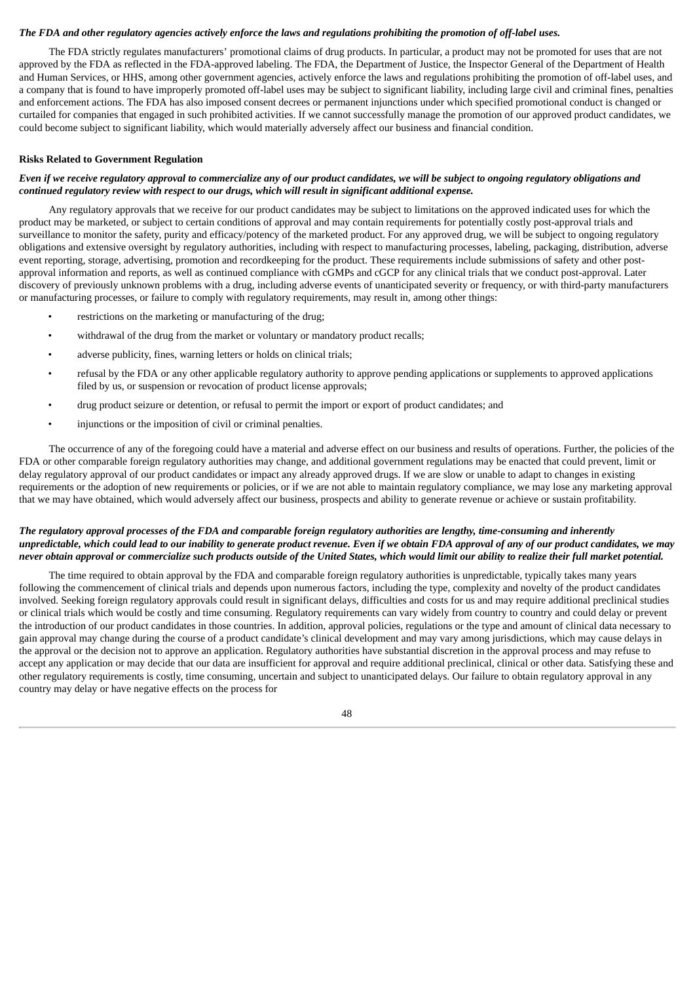## The FDA and other regulatory agencies actively enforce the laws and regulations prohibiting the promotion of off-label uses.

The FDA strictly regulates manufacturers' promotional claims of drug products. In particular, a product may not be promoted for uses that are not approved by the FDA as reflected in the FDA-approved labeling. The FDA, the Department of Justice, the Inspector General of the Department of Health and Human Services, or HHS, among other government agencies, actively enforce the laws and regulations prohibiting the promotion of off-label uses, and a company that is found to have improperly promoted off-label uses may be subject to significant liability, including large civil and criminal fines, penalties and enforcement actions. The FDA has also imposed consent decrees or permanent injunctions under which specified promotional conduct is changed or curtailed for companies that engaged in such prohibited activities. If we cannot successfully manage the promotion of our approved product candidates, we could become subject to significant liability, which would materially adversely affect our business and financial condition.

### **Risks Related to Government Regulation**

## Even if we receive regulatory approval to commercialize any of our product candidates, we will be subject to ongoing regulatory obligations and *continued regulatory review with respect to our drugs, which will result in significant additional expense.*

Any regulatory approvals that we receive for our product candidates may be subject to limitations on the approved indicated uses for which the product may be marketed, or subject to certain conditions of approval and may contain requirements for potentially costly post-approval trials and surveillance to monitor the safety, purity and efficacy/potency of the marketed product. For any approved drug, we will be subject to ongoing regulatory obligations and extensive oversight by regulatory authorities, including with respect to manufacturing processes, labeling, packaging, distribution, adverse event reporting, storage, advertising, promotion and recordkeeping for the product. These requirements include submissions of safety and other postapproval information and reports, as well as continued compliance with cGMPs and cGCP for any clinical trials that we conduct post-approval. Later discovery of previously unknown problems with a drug, including adverse events of unanticipated severity or frequency, or with third-party manufacturers or manufacturing processes, or failure to comply with regulatory requirements, may result in, among other things:

- restrictions on the marketing or manufacturing of the drug;
- withdrawal of the drug from the market or voluntary or mandatory product recalls;
- adverse publicity, fines, warning letters or holds on clinical trials;
- refusal by the FDA or any other applicable regulatory authority to approve pending applications or supplements to approved applications filed by us, or suspension or revocation of product license approvals;
- drug product seizure or detention, or refusal to permit the import or export of product candidates; and
- injunctions or the imposition of civil or criminal penalties.

The occurrence of any of the foregoing could have a material and adverse effect on our business and results of operations. Further, the policies of the FDA or other comparable foreign regulatory authorities may change, and additional government regulations may be enacted that could prevent, limit or delay regulatory approval of our product candidates or impact any already approved drugs. If we are slow or unable to adapt to changes in existing requirements or the adoption of new requirements or policies, or if we are not able to maintain regulatory compliance, we may lose any marketing approval that we may have obtained, which would adversely affect our business, prospects and ability to generate revenue or achieve or sustain profitability.

# The regulatory approval processes of the FDA and comparable foreign regulatory authorities are lengthy, time-consuming and inherently unpredictable, which could lead to our inability to generate product revenue. Even if we obtain FDA approval of any of our product candidates, we may never obtain approval or commercialize such products outside of the United States, which would limit our ability to realize their full market potential.

The time required to obtain approval by the FDA and comparable foreign regulatory authorities is unpredictable, typically takes many years following the commencement of clinical trials and depends upon numerous factors, including the type, complexity and novelty of the product candidates involved. Seeking foreign regulatory approvals could result in significant delays, difficulties and costs for us and may require additional preclinical studies or clinical trials which would be costly and time consuming. Regulatory requirements can vary widely from country to country and could delay or prevent the introduction of our product candidates in those countries. In addition, approval policies, regulations or the type and amount of clinical data necessary to gain approval may change during the course of a product candidate's clinical development and may vary among jurisdictions, which may cause delays in the approval or the decision not to approve an application. Regulatory authorities have substantial discretion in the approval process and may refuse to accept any application or may decide that our data are insufficient for approval and require additional preclinical, clinical or other data. Satisfying these and other regulatory requirements is costly, time consuming, uncertain and subject to unanticipated delays. Our failure to obtain regulatory approval in any country may delay or have negative effects on the process for

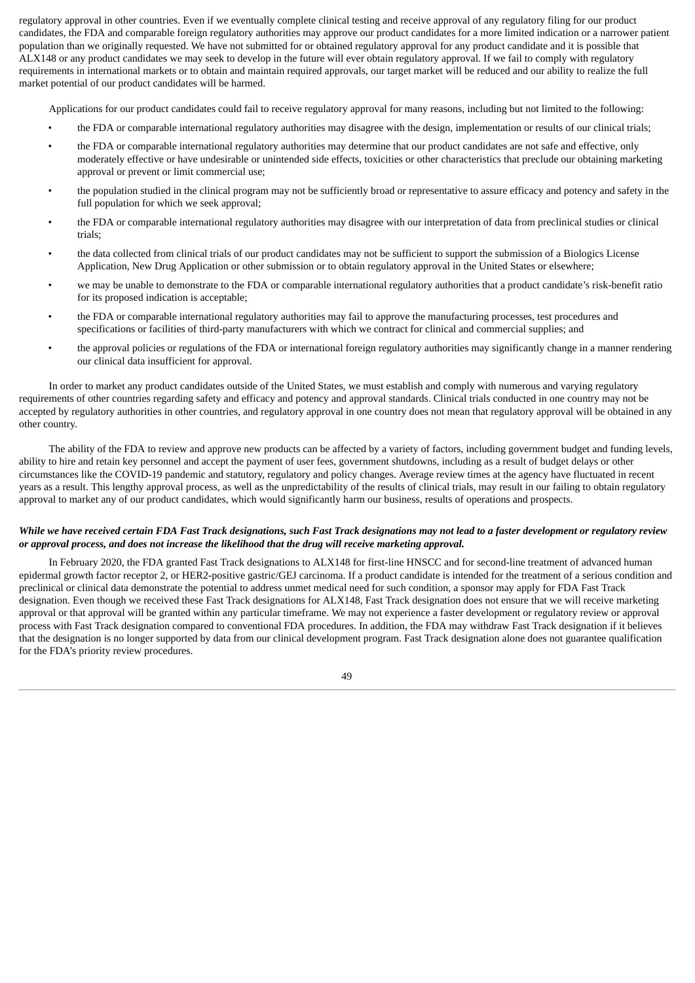regulatory approval in other countries. Even if we eventually complete clinical testing and receive approval of any regulatory filing for our product candidates, the FDA and comparable foreign regulatory authorities may approve our product candidates for a more limited indication or a narrower patient population than we originally requested. We have not submitted for or obtained regulatory approval for any product candidate and it is possible that ALX148 or any product candidates we may seek to develop in the future will ever obtain regulatory approval. If we fail to comply with regulatory requirements in international markets or to obtain and maintain required approvals, our target market will be reduced and our ability to realize the full market potential of our product candidates will be harmed.

Applications for our product candidates could fail to receive regulatory approval for many reasons, including but not limited to the following:

- the FDA or comparable international regulatory authorities may disagree with the design, implementation or results of our clinical trials;
- the FDA or comparable international regulatory authorities may determine that our product candidates are not safe and effective, only moderately effective or have undesirable or unintended side effects, toxicities or other characteristics that preclude our obtaining marketing approval or prevent or limit commercial use;
- the population studied in the clinical program may not be sufficiently broad or representative to assure efficacy and potency and safety in the full population for which we seek approval;
- the FDA or comparable international regulatory authorities may disagree with our interpretation of data from preclinical studies or clinical trials;
- the data collected from clinical trials of our product candidates may not be sufficient to support the submission of a Biologics License Application, New Drug Application or other submission or to obtain regulatory approval in the United States or elsewhere;
- we may be unable to demonstrate to the FDA or comparable international regulatory authorities that a product candidate's risk-benefit ratio for its proposed indication is acceptable;
- the FDA or comparable international regulatory authorities may fail to approve the manufacturing processes, test procedures and specifications or facilities of third-party manufacturers with which we contract for clinical and commercial supplies; and
- the approval policies or regulations of the FDA or international foreign regulatory authorities may significantly change in a manner rendering our clinical data insufficient for approval.

In order to market any product candidates outside of the United States, we must establish and comply with numerous and varying regulatory requirements of other countries regarding safety and efficacy and potency and approval standards. Clinical trials conducted in one country may not be accepted by regulatory authorities in other countries, and regulatory approval in one country does not mean that regulatory approval will be obtained in any other country.

The ability of the FDA to review and approve new products can be affected by a variety of factors, including government budget and funding levels, ability to hire and retain key personnel and accept the payment of user fees, government shutdowns, including as a result of budget delays or other circumstances like the COVID-19 pandemic and statutory, regulatory and policy changes. Average review times at the agency have fluctuated in recent years as a result. This lengthy approval process, as well as the unpredictability of the results of clinical trials, may result in our failing to obtain regulatory approval to market any of our product candidates, which would significantly harm our business, results of operations and prospects.

## While we have received certain FDA Fast Track designations, such Fast Track designations may not lead to a faster development or regulatory review *or approval process, and does not increase the likelihood that the drug will receive marketing approval.*

In February 2020, the FDA granted Fast Track designations to ALX148 for first-line HNSCC and for second-line treatment of advanced human epidermal growth factor receptor 2, or HER2-positive gastric/GEJ carcinoma. If a product candidate is intended for the treatment of a serious condition and preclinical or clinical data demonstrate the potential to address unmet medical need for such condition, a sponsor may apply for FDA Fast Track designation. Even though we received these Fast Track designations for ALX148, Fast Track designation does not ensure that we will receive marketing approval or that approval will be granted within any particular timeframe. We may not experience a faster development or regulatory review or approval process with Fast Track designation compared to conventional FDA procedures. In addition, the FDA may withdraw Fast Track designation if it believes that the designation is no longer supported by data from our clinical development program. Fast Track designation alone does not guarantee qualification for the FDA's priority review procedures.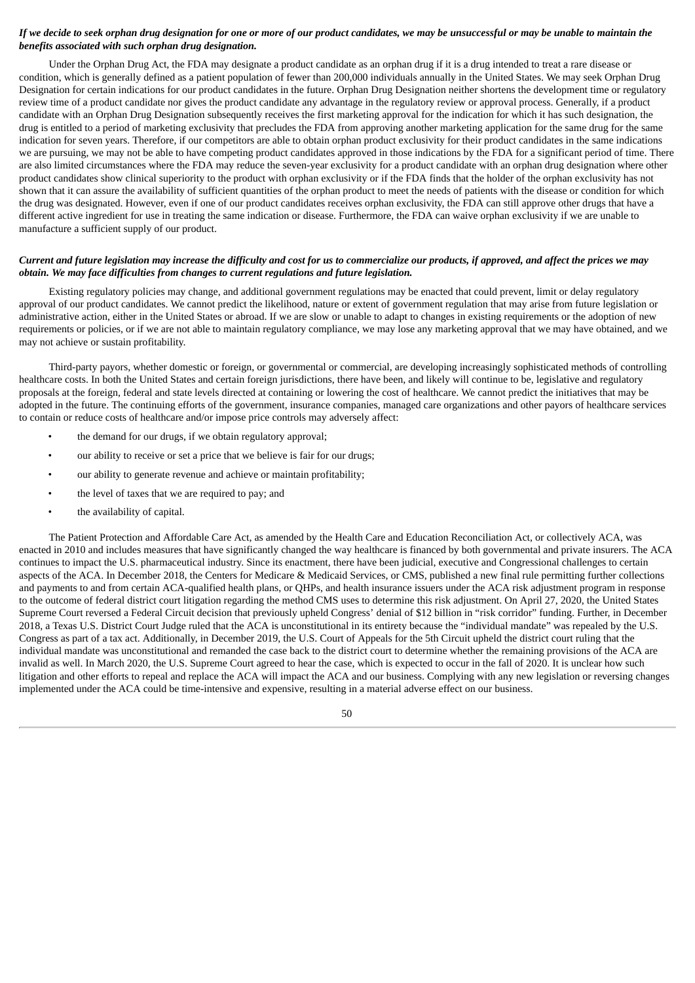## If we decide to seek orphan drug designation for one or more of our product candidates, we may be unsuccessful or may be unable to maintain the *benefits associated with such orphan drug designation.*

Under the Orphan Drug Act, the FDA may designate a product candidate as an orphan drug if it is a drug intended to treat a rare disease or condition, which is generally defined as a patient population of fewer than 200,000 individuals annually in the United States. We may seek Orphan Drug Designation for certain indications for our product candidates in the future. Orphan Drug Designation neither shortens the development time or regulatory review time of a product candidate nor gives the product candidate any advantage in the regulatory review or approval process. Generally, if a product candidate with an Orphan Drug Designation subsequently receives the first marketing approval for the indication for which it has such designation, the drug is entitled to a period of marketing exclusivity that precludes the FDA from approving another marketing application for the same drug for the same indication for seven years. Therefore, if our competitors are able to obtain orphan product exclusivity for their product candidates in the same indications we are pursuing, we may not be able to have competing product candidates approved in those indications by the FDA for a significant period of time. There are also limited circumstances where the FDA may reduce the seven-year exclusivity for a product candidate with an orphan drug designation where other product candidates show clinical superiority to the product with orphan exclusivity or if the FDA finds that the holder of the orphan exclusivity has not shown that it can assure the availability of sufficient quantities of the orphan product to meet the needs of patients with the disease or condition for which the drug was designated. However, even if one of our product candidates receives orphan exclusivity, the FDA can still approve other drugs that have a different active ingredient for use in treating the same indication or disease. Furthermore, the FDA can waive orphan exclusivity if we are unable to manufacture a sufficient supply of our product.

### Current and future legislation may increase the difficulty and cost for us to commercialize our products, if approved, and affect the prices we may *obtain. We may face difficulties from changes to current regulations and future legislation.*

Existing regulatory policies may change, and additional government regulations may be enacted that could prevent, limit or delay regulatory approval of our product candidates. We cannot predict the likelihood, nature or extent of government regulation that may arise from future legislation or administrative action, either in the United States or abroad. If we are slow or unable to adapt to changes in existing requirements or the adoption of new requirements or policies, or if we are not able to maintain regulatory compliance, we may lose any marketing approval that we may have obtained, and we may not achieve or sustain profitability.

Third-party payors, whether domestic or foreign, or governmental or commercial, are developing increasingly sophisticated methods of controlling healthcare costs. In both the United States and certain foreign jurisdictions, there have been, and likely will continue to be, legislative and regulatory proposals at the foreign, federal and state levels directed at containing or lowering the cost of healthcare. We cannot predict the initiatives that may be adopted in the future. The continuing efforts of the government, insurance companies, managed care organizations and other payors of healthcare services to contain or reduce costs of healthcare and/or impose price controls may adversely affect:

- the demand for our drugs, if we obtain regulatory approval;
- our ability to receive or set a price that we believe is fair for our drugs;
- our ability to generate revenue and achieve or maintain profitability;
- the level of taxes that we are required to pay; and
- the availability of capital.

The Patient Protection and Affordable Care Act, as amended by the Health Care and Education Reconciliation Act, or collectively ACA, was enacted in 2010 and includes measures that have significantly changed the way healthcare is financed by both governmental and private insurers. The ACA continues to impact the U.S. pharmaceutical industry. Since its enactment, there have been judicial, executive and Congressional challenges to certain aspects of the ACA. In December 2018, the Centers for Medicare & Medicaid Services, or CMS, published a new final rule permitting further collections and payments to and from certain ACA-qualified health plans, or QHPs, and health insurance issuers under the ACA risk adjustment program in response to the outcome of federal district court litigation regarding the method CMS uses to determine this risk adjustment. On April 27, 2020, the United States Supreme Court reversed a Federal Circuit decision that previously upheld Congress' denial of \$12 billion in "risk corridor" funding. Further, in December 2018, a Texas U.S. District Court Judge ruled that the ACA is unconstitutional in its entirety because the "individual mandate" was repealed by the U.S. Congress as part of a tax act. Additionally, in December 2019, the U.S. Court of Appeals for the 5th Circuit upheld the district court ruling that the individual mandate was unconstitutional and remanded the case back to the district court to determine whether the remaining provisions of the ACA are invalid as well. In March 2020, the U.S. Supreme Court agreed to hear the case, which is expected to occur in the fall of 2020. It is unclear how such litigation and other efforts to repeal and replace the ACA will impact the ACA and our business. Complying with any new legislation or reversing changes implemented under the ACA could be time-intensive and expensive, resulting in a material adverse effect on our business.

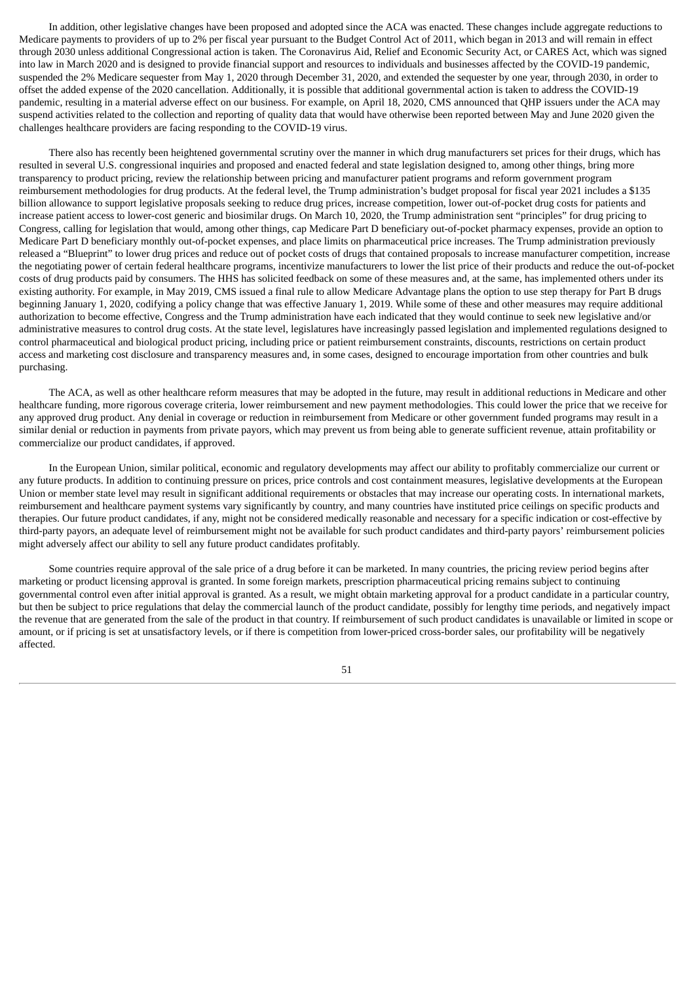In addition, other legislative changes have been proposed and adopted since the ACA was enacted. These changes include aggregate reductions to Medicare payments to providers of up to 2% per fiscal year pursuant to the Budget Control Act of 2011, which began in 2013 and will remain in effect through 2030 unless additional Congressional action is taken. The Coronavirus Aid, Relief and Economic Security Act, or CARES Act, which was signed into law in March 2020 and is designed to provide financial support and resources to individuals and businesses affected by the COVID-19 pandemic, suspended the 2% Medicare sequester from May 1, 2020 through December 31, 2020, and extended the sequester by one year, through 2030, in order to offset the added expense of the 2020 cancellation. Additionally, it is possible that additional governmental action is taken to address the COVID-19 pandemic, resulting in a material adverse effect on our business. For example, on April 18, 2020, CMS announced that QHP issuers under the ACA may suspend activities related to the collection and reporting of quality data that would have otherwise been reported between May and June 2020 given the challenges healthcare providers are facing responding to the COVID-19 virus.

There also has recently been heightened governmental scrutiny over the manner in which drug manufacturers set prices for their drugs, which has resulted in several U.S. congressional inquiries and proposed and enacted federal and state legislation designed to, among other things, bring more transparency to product pricing, review the relationship between pricing and manufacturer patient programs and reform government program reimbursement methodologies for drug products. At the federal level, the Trump administration's budget proposal for fiscal year 2021 includes a \$135 billion allowance to support legislative proposals seeking to reduce drug prices, increase competition, lower out-of-pocket drug costs for patients and increase patient access to lower-cost generic and biosimilar drugs. On March 10, 2020, the Trump administration sent "principles" for drug pricing to Congress, calling for legislation that would, among other things, cap Medicare Part D beneficiary out-of-pocket pharmacy expenses, provide an option to Medicare Part D beneficiary monthly out-of-pocket expenses, and place limits on pharmaceutical price increases. The Trump administration previously released a "Blueprint" to lower drug prices and reduce out of pocket costs of drugs that contained proposals to increase manufacturer competition, increase the negotiating power of certain federal healthcare programs, incentivize manufacturers to lower the list price of their products and reduce the out-of-pocket costs of drug products paid by consumers. The HHS has solicited feedback on some of these measures and, at the same, has implemented others under its existing authority. For example, in May 2019, CMS issued a final rule to allow Medicare Advantage plans the option to use step therapy for Part B drugs beginning January 1, 2020, codifying a policy change that was effective January 1, 2019. While some of these and other measures may require additional authorization to become effective, Congress and the Trump administration have each indicated that they would continue to seek new legislative and/or administrative measures to control drug costs. At the state level, legislatures have increasingly passed legislation and implemented regulations designed to control pharmaceutical and biological product pricing, including price or patient reimbursement constraints, discounts, restrictions on certain product access and marketing cost disclosure and transparency measures and, in some cases, designed to encourage importation from other countries and bulk purchasing.

The ACA, as well as other healthcare reform measures that may be adopted in the future, may result in additional reductions in Medicare and other healthcare funding, more rigorous coverage criteria, lower reimbursement and new payment methodologies. This could lower the price that we receive for any approved drug product. Any denial in coverage or reduction in reimbursement from Medicare or other government funded programs may result in a similar denial or reduction in payments from private payors, which may prevent us from being able to generate sufficient revenue, attain profitability or commercialize our product candidates, if approved.

In the European Union, similar political, economic and regulatory developments may affect our ability to profitably commercialize our current or any future products. In addition to continuing pressure on prices, price controls and cost containment measures, legislative developments at the European Union or member state level may result in significant additional requirements or obstacles that may increase our operating costs. In international markets, reimbursement and healthcare payment systems vary significantly by country, and many countries have instituted price ceilings on specific products and therapies. Our future product candidates, if any, might not be considered medically reasonable and necessary for a specific indication or cost-effective by third-party payors, an adequate level of reimbursement might not be available for such product candidates and third-party payors' reimbursement policies might adversely affect our ability to sell any future product candidates profitably.

Some countries require approval of the sale price of a drug before it can be marketed. In many countries, the pricing review period begins after marketing or product licensing approval is granted. In some foreign markets, prescription pharmaceutical pricing remains subject to continuing governmental control even after initial approval is granted. As a result, we might obtain marketing approval for a product candidate in a particular country, but then be subject to price regulations that delay the commercial launch of the product candidate, possibly for lengthy time periods, and negatively impact the revenue that are generated from the sale of the product in that country. If reimbursement of such product candidates is unavailable or limited in scope or amount, or if pricing is set at unsatisfactory levels, or if there is competition from lower-priced cross-border sales, our profitability will be negatively affected.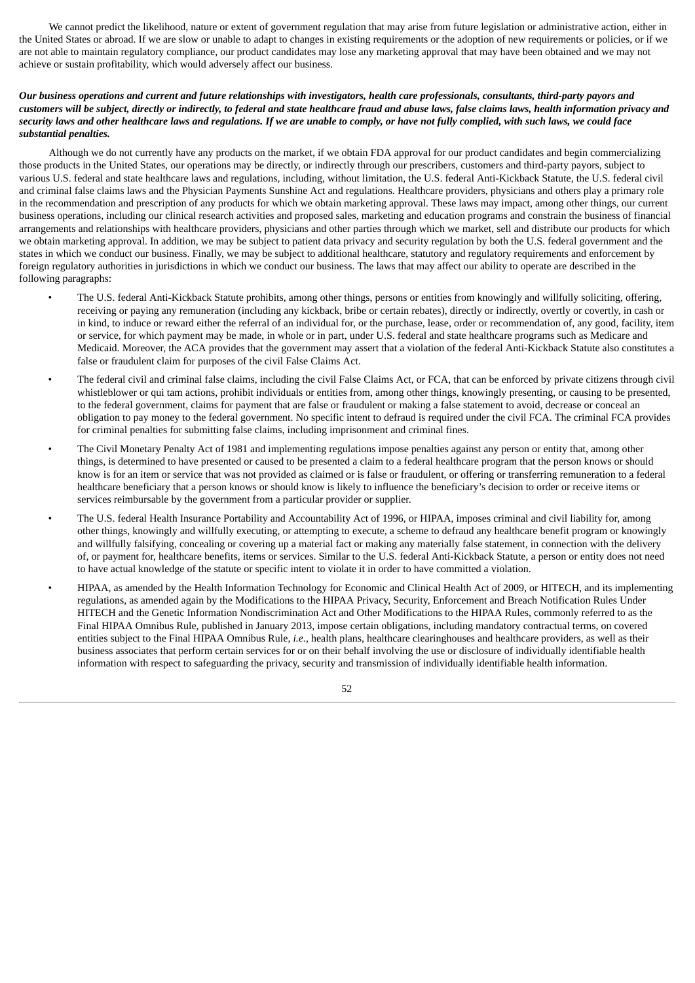We cannot predict the likelihood, nature or extent of government regulation that may arise from future legislation or administrative action, either in the United States or abroad. If we are slow or unable to adapt to changes in existing requirements or the adoption of new requirements or policies, or if we are not able to maintain regulatory compliance, our product candidates may lose any marketing approval that may have been obtained and we may not achieve or sustain profitability, which would adversely affect our business.

# Our business operations and current and future relationships with investigators, health care professionals, consultants, third-party payors and customers will be subject, directly or indirectly, to federal and state healthcare fraud and abuse laws, false claims laws, health information privacy and security laws and other healthcare laws and regulations. If we are unable to comply, or have not fully complied, with such laws, we could face *substantial penalties.*

Although we do not currently have any products on the market, if we obtain FDA approval for our product candidates and begin commercializing those products in the United States, our operations may be directly, or indirectly through our prescribers, customers and third-party payors, subject to various U.S. federal and state healthcare laws and regulations, including, without limitation, the U.S. federal Anti-Kickback Statute, the U.S. federal civil and criminal false claims laws and the Physician Payments Sunshine Act and regulations. Healthcare providers, physicians and others play a primary role in the recommendation and prescription of any products for which we obtain marketing approval. These laws may impact, among other things, our current business operations, including our clinical research activities and proposed sales, marketing and education programs and constrain the business of financial arrangements and relationships with healthcare providers, physicians and other parties through which we market, sell and distribute our products for which we obtain marketing approval. In addition, we may be subject to patient data privacy and security regulation by both the U.S. federal government and the states in which we conduct our business. Finally, we may be subject to additional healthcare, statutory and regulatory requirements and enforcement by foreign regulatory authorities in jurisdictions in which we conduct our business. The laws that may affect our ability to operate are described in the following paragraphs:

- The U.S. federal Anti-Kickback Statute prohibits, among other things, persons or entities from knowingly and willfully soliciting, offering, receiving or paying any remuneration (including any kickback, bribe or certain rebates), directly or indirectly, overtly or covertly, in cash or in kind, to induce or reward either the referral of an individual for, or the purchase, lease, order or recommendation of, any good, facility, item or service, for which payment may be made, in whole or in part, under U.S. federal and state healthcare programs such as Medicare and Medicaid. Moreover, the ACA provides that the government may assert that a violation of the federal Anti-Kickback Statute also constitutes a false or fraudulent claim for purposes of the civil False Claims Act.
- The federal civil and criminal false claims, including the civil False Claims Act, or FCA, that can be enforced by private citizens through civil whistleblower or qui tam actions, prohibit individuals or entities from, among other things, knowingly presenting, or causing to be presented, to the federal government, claims for payment that are false or fraudulent or making a false statement to avoid, decrease or conceal an obligation to pay money to the federal government. No specific intent to defraud is required under the civil FCA. The criminal FCA provides for criminal penalties for submitting false claims, including imprisonment and criminal fines.
- The Civil Monetary Penalty Act of 1981 and implementing regulations impose penalties against any person or entity that, among other things, is determined to have presented or caused to be presented a claim to a federal healthcare program that the person knows or should know is for an item or service that was not provided as claimed or is false or fraudulent, or offering or transferring remuneration to a federal healthcare beneficiary that a person knows or should know is likely to influence the beneficiary's decision to order or receive items or services reimbursable by the government from a particular provider or supplier.
- The U.S. federal Health Insurance Portability and Accountability Act of 1996, or HIPAA, imposes criminal and civil liability for, among other things, knowingly and willfully executing, or attempting to execute, a scheme to defraud any healthcare benefit program or knowingly and willfully falsifying, concealing or covering up a material fact or making any materially false statement, in connection with the delivery of, or payment for, healthcare benefits, items or services. Similar to the U.S. federal Anti-Kickback Statute, a person or entity does not need to have actual knowledge of the statute or specific intent to violate it in order to have committed a violation.
- HIPAA, as amended by the Health Information Technology for Economic and Clinical Health Act of 2009, or HITECH, and its implementing regulations, as amended again by the Modifications to the HIPAA Privacy, Security, Enforcement and Breach Notification Rules Under HITECH and the Genetic Information Nondiscrimination Act and Other Modifications to the HIPAA Rules, commonly referred to as the Final HIPAA Omnibus Rule, published in January 2013, impose certain obligations, including mandatory contractual terms, on covered entities subject to the Final HIPAA Omnibus Rule, *i.e.*, health plans, healthcare clearinghouses and healthcare providers, as well as their business associates that perform certain services for or on their behalf involving the use or disclosure of individually identifiable health information with respect to safeguarding the privacy, security and transmission of individually identifiable health information.

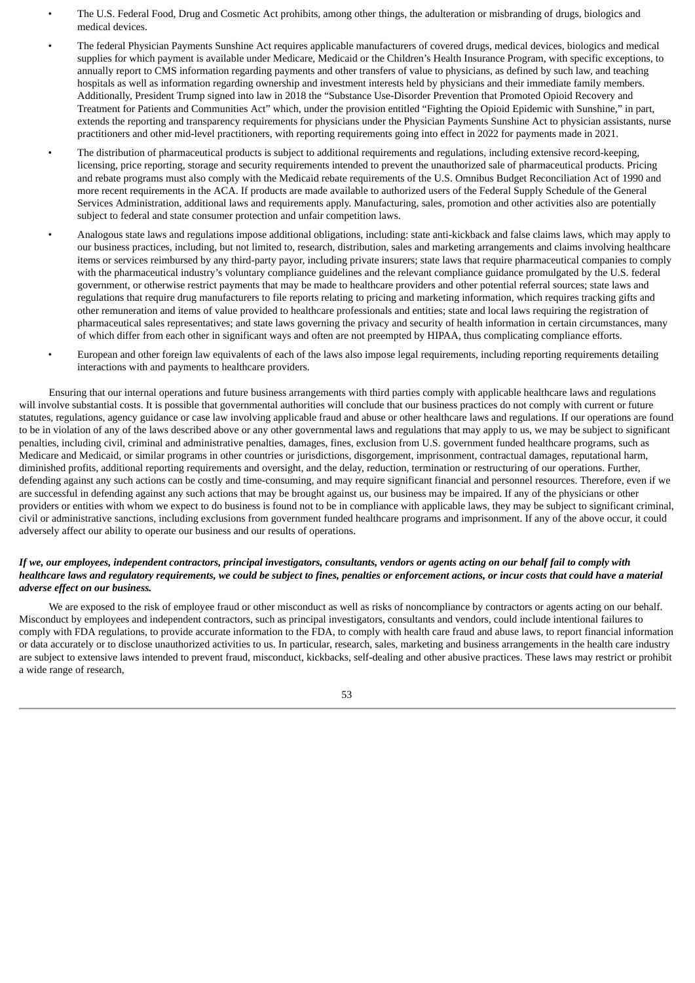- The U.S. Federal Food, Drug and Cosmetic Act prohibits, among other things, the adulteration or misbranding of drugs, biologics and medical devices.
- The federal Physician Payments Sunshine Act requires applicable manufacturers of covered drugs, medical devices, biologics and medical supplies for which payment is available under Medicare, Medicaid or the Children's Health Insurance Program, with specific exceptions, to annually report to CMS information regarding payments and other transfers of value to physicians, as defined by such law, and teaching hospitals as well as information regarding ownership and investment interests held by physicians and their immediate family members. Additionally, President Trump signed into law in 2018 the "Substance Use-Disorder Prevention that Promoted Opioid Recovery and Treatment for Patients and Communities Act" which, under the provision entitled "Fighting the Opioid Epidemic with Sunshine," in part, extends the reporting and transparency requirements for physicians under the Physician Payments Sunshine Act to physician assistants, nurse practitioners and other mid-level practitioners, with reporting requirements going into effect in 2022 for payments made in 2021.
- The distribution of pharmaceutical products is subject to additional requirements and regulations, including extensive record-keeping, licensing, price reporting, storage and security requirements intended to prevent the unauthorized sale of pharmaceutical products. Pricing and rebate programs must also comply with the Medicaid rebate requirements of the U.S. Omnibus Budget Reconciliation Act of 1990 and more recent requirements in the ACA. If products are made available to authorized users of the Federal Supply Schedule of the General Services Administration, additional laws and requirements apply. Manufacturing, sales, promotion and other activities also are potentially subject to federal and state consumer protection and unfair competition laws.
- Analogous state laws and regulations impose additional obligations, including: state anti-kickback and false claims laws, which may apply to our business practices, including, but not limited to, research, distribution, sales and marketing arrangements and claims involving healthcare items or services reimbursed by any third-party payor, including private insurers; state laws that require pharmaceutical companies to comply with the pharmaceutical industry's voluntary compliance guidelines and the relevant compliance guidance promulgated by the U.S. federal government, or otherwise restrict payments that may be made to healthcare providers and other potential referral sources; state laws and regulations that require drug manufacturers to file reports relating to pricing and marketing information, which requires tracking gifts and other remuneration and items of value provided to healthcare professionals and entities; state and local laws requiring the registration of pharmaceutical sales representatives; and state laws governing the privacy and security of health information in certain circumstances, many of which differ from each other in significant ways and often are not preempted by HIPAA, thus complicating compliance efforts.
- European and other foreign law equivalents of each of the laws also impose legal requirements, including reporting requirements detailing interactions with and payments to healthcare providers.

Ensuring that our internal operations and future business arrangements with third parties comply with applicable healthcare laws and regulations will involve substantial costs. It is possible that governmental authorities will conclude that our business practices do not comply with current or future statutes, regulations, agency guidance or case law involving applicable fraud and abuse or other healthcare laws and regulations. If our operations are found to be in violation of any of the laws described above or any other governmental laws and regulations that may apply to us, we may be subject to significant penalties, including civil, criminal and administrative penalties, damages, fines, exclusion from U.S. government funded healthcare programs, such as Medicare and Medicaid, or similar programs in other countries or jurisdictions, disgorgement, imprisonment, contractual damages, reputational harm, diminished profits, additional reporting requirements and oversight, and the delay, reduction, termination or restructuring of our operations. Further, defending against any such actions can be costly and time-consuming, and may require significant financial and personnel resources. Therefore, even if we are successful in defending against any such actions that may be brought against us, our business may be impaired. If any of the physicians or other providers or entities with whom we expect to do business is found not to be in compliance with applicable laws, they may be subject to significant criminal, civil or administrative sanctions, including exclusions from government funded healthcare programs and imprisonment. If any of the above occur, it could adversely affect our ability to operate our business and our results of operations.

## If we, our employees, independent contractors, principal investigators, consultants, vendors or agents acting on our behalf fail to comply with healthcare laws and regulatory requirements, we could be subject to fines, penalties or enforcement actions, or incur costs that could have a material *adverse effect on our business.*

We are exposed to the risk of employee fraud or other misconduct as well as risks of noncompliance by contractors or agents acting on our behalf. Misconduct by employees and independent contractors, such as principal investigators, consultants and vendors, could include intentional failures to comply with FDA regulations, to provide accurate information to the FDA, to comply with health care fraud and abuse laws, to report financial information or data accurately or to disclose unauthorized activities to us. In particular, research, sales, marketing and business arrangements in the health care industry are subject to extensive laws intended to prevent fraud, misconduct, kickbacks, self-dealing and other abusive practices. These laws may restrict or prohibit a wide range of research,

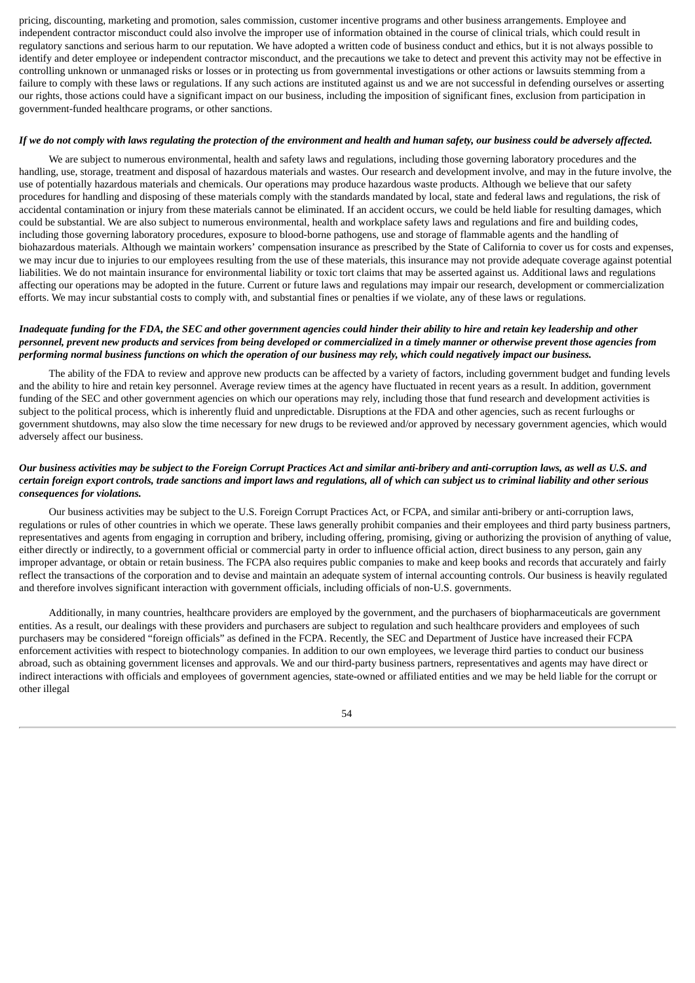pricing, discounting, marketing and promotion, sales commission, customer incentive programs and other business arrangements. Employee and independent contractor misconduct could also involve the improper use of information obtained in the course of clinical trials, which could result in regulatory sanctions and serious harm to our reputation. We have adopted a written code of business conduct and ethics, but it is not always possible to identify and deter employee or independent contractor misconduct, and the precautions we take to detect and prevent this activity may not be effective in controlling unknown or unmanaged risks or losses or in protecting us from governmental investigations or other actions or lawsuits stemming from a failure to comply with these laws or regulations. If any such actions are instituted against us and we are not successful in defending ourselves or asserting our rights, those actions could have a significant impact on our business, including the imposition of significant fines, exclusion from participation in government-funded healthcare programs, or other sanctions.

#### If we do not comply with laws regulating the protection of the environment and health and human safety, our business could be adversely affected.

We are subject to numerous environmental, health and safety laws and regulations, including those governing laboratory procedures and the handling, use, storage, treatment and disposal of hazardous materials and wastes. Our research and development involve, and may in the future involve, the use of potentially hazardous materials and chemicals. Our operations may produce hazardous waste products. Although we believe that our safety procedures for handling and disposing of these materials comply with the standards mandated by local, state and federal laws and regulations, the risk of accidental contamination or injury from these materials cannot be eliminated. If an accident occurs, we could be held liable for resulting damages, which could be substantial. We are also subject to numerous environmental, health and workplace safety laws and regulations and fire and building codes, including those governing laboratory procedures, exposure to blood-borne pathogens, use and storage of flammable agents and the handling of biohazardous materials. Although we maintain workers' compensation insurance as prescribed by the State of California to cover us for costs and expenses, we may incur due to injuries to our employees resulting from the use of these materials, this insurance may not provide adequate coverage against potential liabilities. We do not maintain insurance for environmental liability or toxic tort claims that may be asserted against us. Additional laws and regulations affecting our operations may be adopted in the future. Current or future laws and regulations may impair our research, development or commercialization efforts. We may incur substantial costs to comply with, and substantial fines or penalties if we violate, any of these laws or regulations.

## Inadequate funding for the FDA, the SEC and other government agencies could hinder their ability to hire and retain key leadership and other personnel, prevent new products and services from being developed or commercialized in a timely manner or otherwise prevent those agencies from performing normal business functions on which the operation of our business may rely, which could negatively impact our business.

The ability of the FDA to review and approve new products can be affected by a variety of factors, including government budget and funding levels and the ability to hire and retain key personnel. Average review times at the agency have fluctuated in recent years as a result. In addition, government funding of the SEC and other government agencies on which our operations may rely, including those that fund research and development activities is subject to the political process, which is inherently fluid and unpredictable. Disruptions at the FDA and other agencies, such as recent furloughs or government shutdowns, may also slow the time necessary for new drugs to be reviewed and/or approved by necessary government agencies, which would adversely affect our business.

## Our business activities may be subject to the Foreign Corrupt Practices Act and similar anti-bribery and anti-corruption laws, as well as U.S. and certain foreign export controls, trade sanctions and import laws and regulations, all of which can subject us to criminal liability and other serious *consequences for violations.*

Our business activities may be subject to the U.S. Foreign Corrupt Practices Act, or FCPA, and similar anti-bribery or anti-corruption laws, regulations or rules of other countries in which we operate. These laws generally prohibit companies and their employees and third party business partners, representatives and agents from engaging in corruption and bribery, including offering, promising, giving or authorizing the provision of anything of value, either directly or indirectly, to a government official or commercial party in order to influence official action, direct business to any person, gain any improper advantage, or obtain or retain business. The FCPA also requires public companies to make and keep books and records that accurately and fairly reflect the transactions of the corporation and to devise and maintain an adequate system of internal accounting controls. Our business is heavily regulated and therefore involves significant interaction with government officials, including officials of non-U.S. governments.

Additionally, in many countries, healthcare providers are employed by the government, and the purchasers of biopharmaceuticals are government entities. As a result, our dealings with these providers and purchasers are subject to regulation and such healthcare providers and employees of such purchasers may be considered "foreign officials" as defined in the FCPA. Recently, the SEC and Department of Justice have increased their FCPA enforcement activities with respect to biotechnology companies. In addition to our own employees, we leverage third parties to conduct our business abroad, such as obtaining government licenses and approvals. We and our third-party business partners, representatives and agents may have direct or indirect interactions with officials and employees of government agencies, state-owned or affiliated entities and we may be held liable for the corrupt or other illegal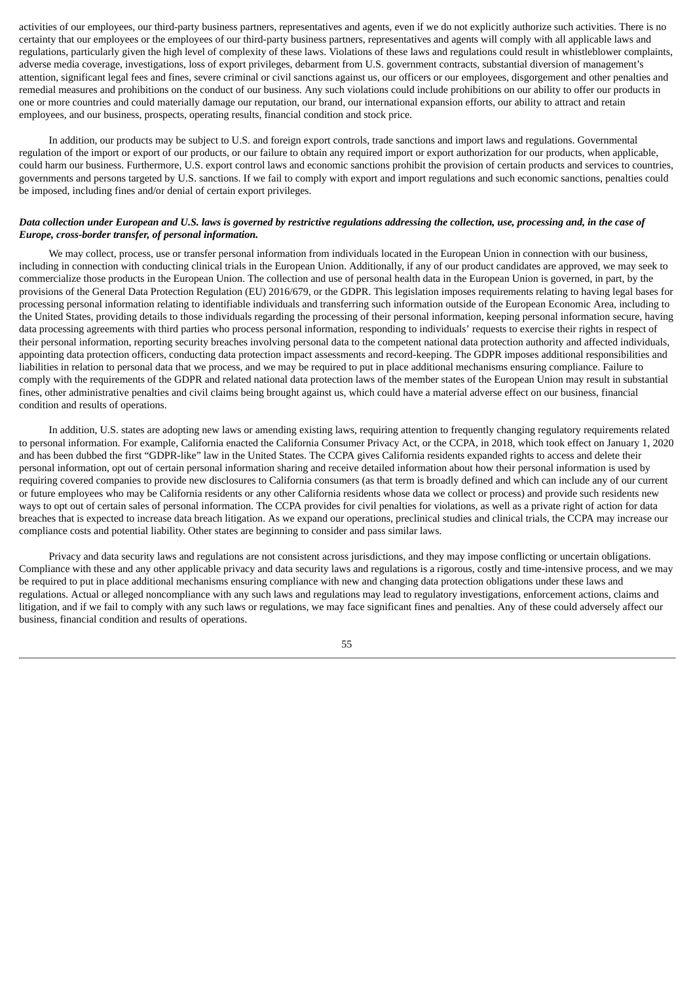activities of our employees, our third-party business partners, representatives and agents, even if we do not explicitly authorize such activities. There is no certainty that our employees or the employees of our third-party business partners, representatives and agents will comply with all applicable laws and regulations, particularly given the high level of complexity of these laws. Violations of these laws and regulations could result in whistleblower complaints, adverse media coverage, investigations, loss of export privileges, debarment from U.S. government contracts, substantial diversion of management's attention, significant legal fees and fines, severe criminal or civil sanctions against us, our officers or our employees, disgorgement and other penalties and remedial measures and prohibitions on the conduct of our business. Any such violations could include prohibitions on our ability to offer our products in one or more countries and could materially damage our reputation, our brand, our international expansion efforts, our ability to attract and retain employees, and our business, prospects, operating results, financial condition and stock price.

In addition, our products may be subject to U.S. and foreign export controls, trade sanctions and import laws and regulations. Governmental regulation of the import or export of our products, or our failure to obtain any required import or export authorization for our products, when applicable, could harm our business. Furthermore, U.S. export control laws and economic sanctions prohibit the provision of certain products and services to countries, governments and persons targeted by U.S. sanctions. If we fail to comply with export and import regulations and such economic sanctions, penalties could be imposed, including fines and/or denial of certain export privileges.

## Data collection under European and U.S. laws is governed by restrictive regulations addressing the collection, use, processing and, in the case of *Europe, cross-border transfer, of personal information.*

We may collect, process, use or transfer personal information from individuals located in the European Union in connection with our business, including in connection with conducting clinical trials in the European Union. Additionally, if any of our product candidates are approved, we may seek to commercialize those products in the European Union. The collection and use of personal health data in the European Union is governed, in part, by the provisions of the General Data Protection Regulation (EU) 2016/679, or the GDPR. This legislation imposes requirements relating to having legal bases for processing personal information relating to identifiable individuals and transferring such information outside of the European Economic Area, including to the United States, providing details to those individuals regarding the processing of their personal information, keeping personal information secure, having data processing agreements with third parties who process personal information, responding to individuals' requests to exercise their rights in respect of their personal information, reporting security breaches involving personal data to the competent national data protection authority and affected individuals, appointing data protection officers, conducting data protection impact assessments and record-keeping. The GDPR imposes additional responsibilities and liabilities in relation to personal data that we process, and we may be required to put in place additional mechanisms ensuring compliance. Failure to comply with the requirements of the GDPR and related national data protection laws of the member states of the European Union may result in substantial fines, other administrative penalties and civil claims being brought against us, which could have a material adverse effect on our business, financial condition and results of operations.

In addition, U.S. states are adopting new laws or amending existing laws, requiring attention to frequently changing regulatory requirements related to personal information. For example, California enacted the California Consumer Privacy Act, or the CCPA, in 2018, which took effect on January 1, 2020 and has been dubbed the first "GDPR-like" law in the United States. The CCPA gives California residents expanded rights to access and delete their personal information, opt out of certain personal information sharing and receive detailed information about how their personal information is used by requiring covered companies to provide new disclosures to California consumers (as that term is broadly defined and which can include any of our current or future employees who may be California residents or any other California residents whose data we collect or process) and provide such residents new ways to opt out of certain sales of personal information. The CCPA provides for civil penalties for violations, as well as a private right of action for data breaches that is expected to increase data breach litigation. As we expand our operations, preclinical studies and clinical trials, the CCPA may increase our compliance costs and potential liability. Other states are beginning to consider and pass similar laws.

Privacy and data security laws and regulations are not consistent across jurisdictions, and they may impose conflicting or uncertain obligations. Compliance with these and any other applicable privacy and data security laws and regulations is a rigorous, costly and time-intensive process, and we may be required to put in place additional mechanisms ensuring compliance with new and changing data protection obligations under these laws and regulations. Actual or alleged noncompliance with any such laws and regulations may lead to regulatory investigations, enforcement actions, claims and litigation, and if we fail to comply with any such laws or regulations, we may face significant fines and penalties. Any of these could adversely affect our business, financial condition and results of operations.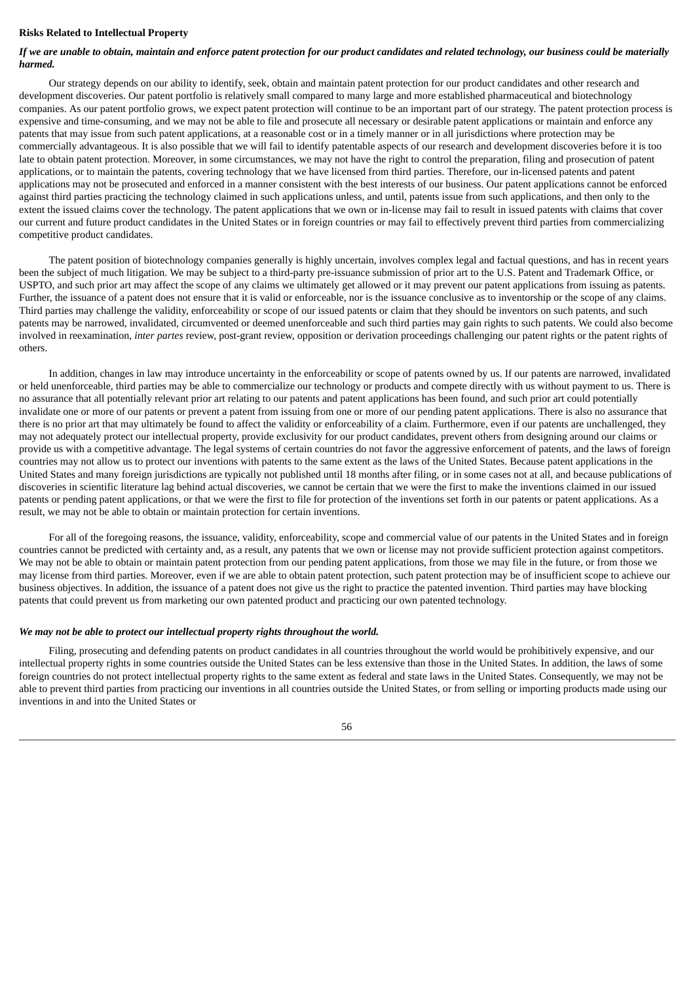### **Risks Related to Intellectual Property**

### If we are unable to obtain, maintain and enforce patent protection for our product candidates and related technology, our business could be materially *harmed.*

Our strategy depends on our ability to identify, seek, obtain and maintain patent protection for our product candidates and other research and development discoveries. Our patent portfolio is relatively small compared to many large and more established pharmaceutical and biotechnology companies. As our patent portfolio grows, we expect patent protection will continue to be an important part of our strategy. The patent protection process is expensive and time-consuming, and we may not be able to file and prosecute all necessary or desirable patent applications or maintain and enforce any patents that may issue from such patent applications, at a reasonable cost or in a timely manner or in all jurisdictions where protection may be commercially advantageous. It is also possible that we will fail to identify patentable aspects of our research and development discoveries before it is too late to obtain patent protection. Moreover, in some circumstances, we may not have the right to control the preparation, filing and prosecution of patent applications, or to maintain the patents, covering technology that we have licensed from third parties. Therefore, our in-licensed patents and patent applications may not be prosecuted and enforced in a manner consistent with the best interests of our business. Our patent applications cannot be enforced against third parties practicing the technology claimed in such applications unless, and until, patents issue from such applications, and then only to the extent the issued claims cover the technology. The patent applications that we own or in-license may fail to result in issued patents with claims that cover our current and future product candidates in the United States or in foreign countries or may fail to effectively prevent third parties from commercializing competitive product candidates.

The patent position of biotechnology companies generally is highly uncertain, involves complex legal and factual questions, and has in recent years been the subject of much litigation. We may be subject to a third-party pre-issuance submission of prior art to the U.S. Patent and Trademark Office, or USPTO, and such prior art may affect the scope of any claims we ultimately get allowed or it may prevent our patent applications from issuing as patents. Further, the issuance of a patent does not ensure that it is valid or enforceable, nor is the issuance conclusive as to inventorship or the scope of any claims. Third parties may challenge the validity, enforceability or scope of our issued patents or claim that they should be inventors on such patents, and such patents may be narrowed, invalidated, circumvented or deemed unenforceable and such third parties may gain rights to such patents. We could also become involved in reexamination, *inter partes* review, post-grant review, opposition or derivation proceedings challenging our patent rights or the patent rights of others.

In addition, changes in law may introduce uncertainty in the enforceability or scope of patents owned by us. If our patents are narrowed, invalidated or held unenforceable, third parties may be able to commercialize our technology or products and compete directly with us without payment to us. There is no assurance that all potentially relevant prior art relating to our patents and patent applications has been found, and such prior art could potentially invalidate one or more of our patents or prevent a patent from issuing from one or more of our pending patent applications. There is also no assurance that there is no prior art that may ultimately be found to affect the validity or enforceability of a claim. Furthermore, even if our patents are unchallenged, they may not adequately protect our intellectual property, provide exclusivity for our product candidates, prevent others from designing around our claims or provide us with a competitive advantage. The legal systems of certain countries do not favor the aggressive enforcement of patents, and the laws of foreign countries may not allow us to protect our inventions with patents to the same extent as the laws of the United States. Because patent applications in the United States and many foreign jurisdictions are typically not published until 18 months after filing, or in some cases not at all, and because publications of discoveries in scientific literature lag behind actual discoveries, we cannot be certain that we were the first to make the inventions claimed in our issued patents or pending patent applications, or that we were the first to file for protection of the inventions set forth in our patents or patent applications. As a result, we may not be able to obtain or maintain protection for certain inventions.

For all of the foregoing reasons, the issuance, validity, enforceability, scope and commercial value of our patents in the United States and in foreign countries cannot be predicted with certainty and, as a result, any patents that we own or license may not provide sufficient protection against competitors. We may not be able to obtain or maintain patent protection from our pending patent applications, from those we may file in the future, or from those we may license from third parties. Moreover, even if we are able to obtain patent protection, such patent protection may be of insufficient scope to achieve our business objectives. In addition, the issuance of a patent does not give us the right to practice the patented invention. Third parties may have blocking patents that could prevent us from marketing our own patented product and practicing our own patented technology.

### *We may not be able to protect our intellectual property rights throughout the world.*

Filing, prosecuting and defending patents on product candidates in all countries throughout the world would be prohibitively expensive, and our intellectual property rights in some countries outside the United States can be less extensive than those in the United States. In addition, the laws of some foreign countries do not protect intellectual property rights to the same extent as federal and state laws in the United States. Consequently, we may not be able to prevent third parties from practicing our inventions in all countries outside the United States, or from selling or importing products made using our inventions in and into the United States or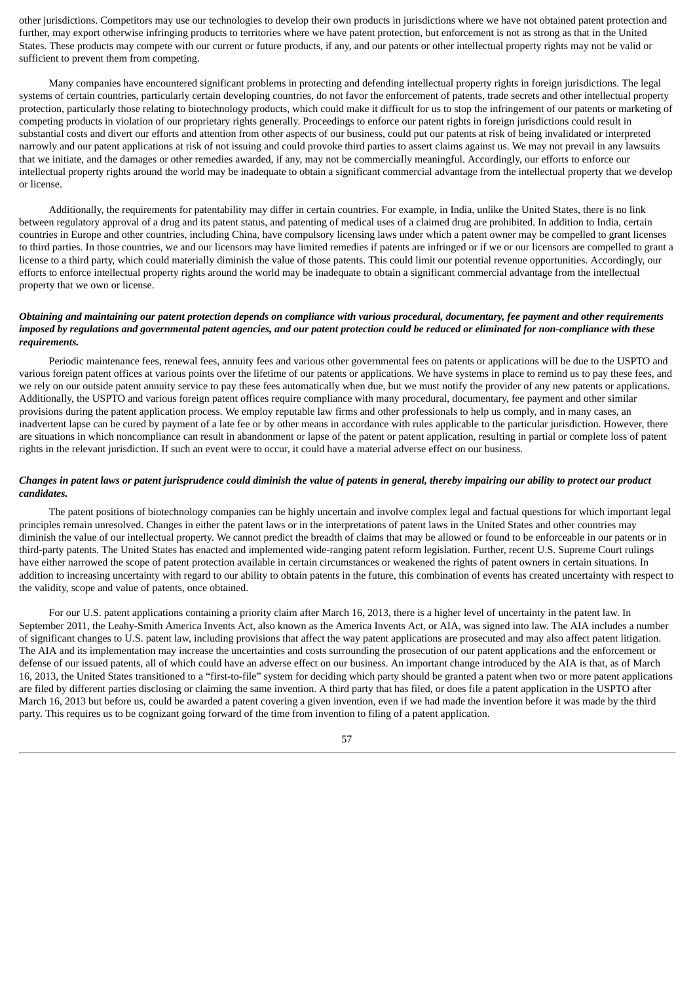other jurisdictions. Competitors may use our technologies to develop their own products in jurisdictions where we have not obtained patent protection and further, may export otherwise infringing products to territories where we have patent protection, but enforcement is not as strong as that in the United States. These products may compete with our current or future products, if any, and our patents or other intellectual property rights may not be valid or sufficient to prevent them from competing.

Many companies have encountered significant problems in protecting and defending intellectual property rights in foreign jurisdictions. The legal systems of certain countries, particularly certain developing countries, do not favor the enforcement of patents, trade secrets and other intellectual property protection, particularly those relating to biotechnology products, which could make it difficult for us to stop the infringement of our patents or marketing of competing products in violation of our proprietary rights generally. Proceedings to enforce our patent rights in foreign jurisdictions could result in substantial costs and divert our efforts and attention from other aspects of our business, could put our patents at risk of being invalidated or interpreted narrowly and our patent applications at risk of not issuing and could provoke third parties to assert claims against us. We may not prevail in any lawsuits that we initiate, and the damages or other remedies awarded, if any, may not be commercially meaningful. Accordingly, our efforts to enforce our intellectual property rights around the world may be inadequate to obtain a significant commercial advantage from the intellectual property that we develop or license.

Additionally, the requirements for patentability may differ in certain countries. For example, in India, unlike the United States, there is no link between regulatory approval of a drug and its patent status, and patenting of medical uses of a claimed drug are prohibited. In addition to India, certain countries in Europe and other countries, including China, have compulsory licensing laws under which a patent owner may be compelled to grant licenses to third parties. In those countries, we and our licensors may have limited remedies if patents are infringed or if we or our licensors are compelled to grant a license to a third party, which could materially diminish the value of those patents. This could limit our potential revenue opportunities. Accordingly, our efforts to enforce intellectual property rights around the world may be inadequate to obtain a significant commercial advantage from the intellectual property that we own or license.

## Obtaining and maintaining our patent protection depends on compliance with various procedural, documentary, fee payment and other requirements imposed by regulations and governmental patent agencies, and our patent protection could be reduced or eliminated for non-compliance with these *requirements.*

Periodic maintenance fees, renewal fees, annuity fees and various other governmental fees on patents or applications will be due to the USPTO and various foreign patent offices at various points over the lifetime of our patents or applications. We have systems in place to remind us to pay these fees, and we rely on our outside patent annuity service to pay these fees automatically when due, but we must notify the provider of any new patents or applications. Additionally, the USPTO and various foreign patent offices require compliance with many procedural, documentary, fee payment and other similar provisions during the patent application process. We employ reputable law firms and other professionals to help us comply, and in many cases, an inadvertent lapse can be cured by payment of a late fee or by other means in accordance with rules applicable to the particular jurisdiction. However, there are situations in which noncompliance can result in abandonment or lapse of the patent or patent application, resulting in partial or complete loss of patent rights in the relevant jurisdiction. If such an event were to occur, it could have a material adverse effect on our business.

## Changes in patent laws or patent jurisprudence could diminish the value of patents in general, thereby impairing our ability to protect our product *candidates.*

The patent positions of biotechnology companies can be highly uncertain and involve complex legal and factual questions for which important legal principles remain unresolved. Changes in either the patent laws or in the interpretations of patent laws in the United States and other countries may diminish the value of our intellectual property. We cannot predict the breadth of claims that may be allowed or found to be enforceable in our patents or in third-party patents. The United States has enacted and implemented wide-ranging patent reform legislation. Further, recent U.S. Supreme Court rulings have either narrowed the scope of patent protection available in certain circumstances or weakened the rights of patent owners in certain situations. In addition to increasing uncertainty with regard to our ability to obtain patents in the future, this combination of events has created uncertainty with respect to the validity, scope and value of patents, once obtained.

For our U.S. patent applications containing a priority claim after March 16, 2013, there is a higher level of uncertainty in the patent law. In September 2011, the Leahy-Smith America Invents Act, also known as the America Invents Act, or AIA, was signed into law. The AIA includes a number of significant changes to U.S. patent law, including provisions that affect the way patent applications are prosecuted and may also affect patent litigation. The AIA and its implementation may increase the uncertainties and costs surrounding the prosecution of our patent applications and the enforcement or defense of our issued patents, all of which could have an adverse effect on our business. An important change introduced by the AIA is that, as of March 16, 2013, the United States transitioned to a "first-to-file" system for deciding which party should be granted a patent when two or more patent applications are filed by different parties disclosing or claiming the same invention. A third party that has filed, or does file a patent application in the USPTO after March 16, 2013 but before us, could be awarded a patent covering a given invention, even if we had made the invention before it was made by the third party. This requires us to be cognizant going forward of the time from invention to filing of a patent application.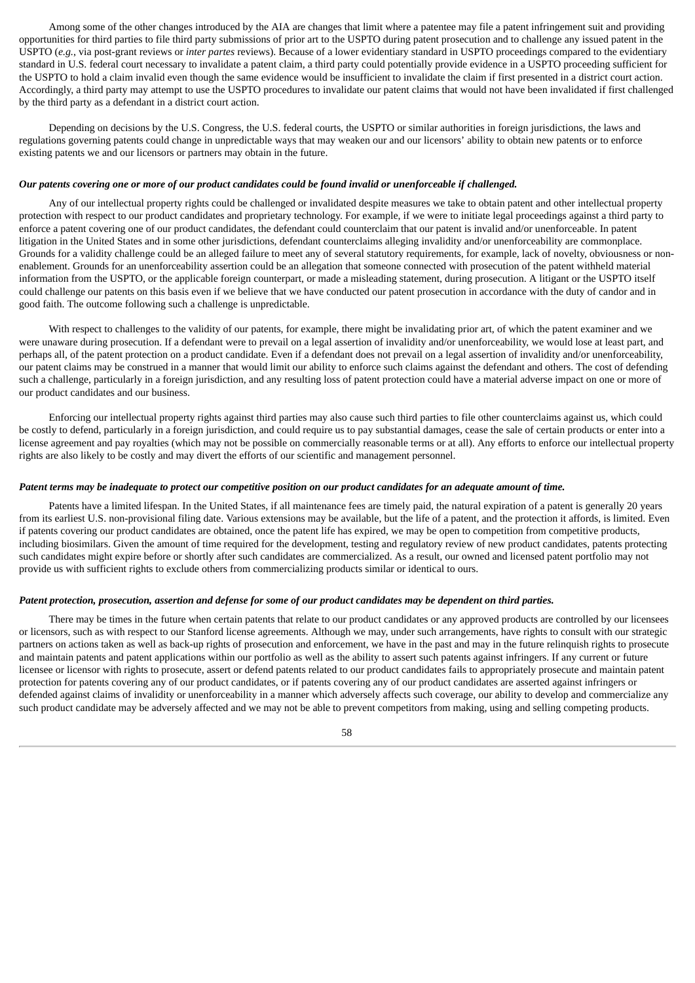Among some of the other changes introduced by the AIA are changes that limit where a patentee may file a patent infringement suit and providing opportunities for third parties to file third party submissions of prior art to the USPTO during patent prosecution and to challenge any issued patent in the USPTO (*e.g.*, via post-grant reviews or *inter partes* reviews). Because of a lower evidentiary standard in USPTO proceedings compared to the evidentiary standard in U.S. federal court necessary to invalidate a patent claim, a third party could potentially provide evidence in a USPTO proceeding sufficient for the USPTO to hold a claim invalid even though the same evidence would be insufficient to invalidate the claim if first presented in a district court action. Accordingly, a third party may attempt to use the USPTO procedures to invalidate our patent claims that would not have been invalidated if first challenged by the third party as a defendant in a district court action.

Depending on decisions by the U.S. Congress, the U.S. federal courts, the USPTO or similar authorities in foreign jurisdictions, the laws and regulations governing patents could change in unpredictable ways that may weaken our and our licensors' ability to obtain new patents or to enforce existing patents we and our licensors or partners may obtain in the future.

### Our patents covering one or more of our product candidates could be found invalid or unenforceable if challenged.

Any of our intellectual property rights could be challenged or invalidated despite measures we take to obtain patent and other intellectual property protection with respect to our product candidates and proprietary technology. For example, if we were to initiate legal proceedings against a third party to enforce a patent covering one of our product candidates, the defendant could counterclaim that our patent is invalid and/or unenforceable. In patent litigation in the United States and in some other jurisdictions, defendant counterclaims alleging invalidity and/or unenforceability are commonplace. Grounds for a validity challenge could be an alleged failure to meet any of several statutory requirements, for example, lack of novelty, obviousness or nonenablement. Grounds for an unenforceability assertion could be an allegation that someone connected with prosecution of the patent withheld material information from the USPTO, or the applicable foreign counterpart, or made a misleading statement, during prosecution. A litigant or the USPTO itself could challenge our patents on this basis even if we believe that we have conducted our patent prosecution in accordance with the duty of candor and in good faith. The outcome following such a challenge is unpredictable.

With respect to challenges to the validity of our patents, for example, there might be invalidating prior art, of which the patent examiner and we were unaware during prosecution. If a defendant were to prevail on a legal assertion of invalidity and/or unenforceability, we would lose at least part, and perhaps all, of the patent protection on a product candidate. Even if a defendant does not prevail on a legal assertion of invalidity and/or unenforceability, our patent claims may be construed in a manner that would limit our ability to enforce such claims against the defendant and others. The cost of defending such a challenge, particularly in a foreign jurisdiction, and any resulting loss of patent protection could have a material adverse impact on one or more of our product candidates and our business.

Enforcing our intellectual property rights against third parties may also cause such third parties to file other counterclaims against us, which could be costly to defend, particularly in a foreign jurisdiction, and could require us to pay substantial damages, cease the sale of certain products or enter into a license agreement and pay royalties (which may not be possible on commercially reasonable terms or at all). Any efforts to enforce our intellectual property rights are also likely to be costly and may divert the efforts of our scientific and management personnel.

#### Patent terms may be inadequate to protect our competitive position on our product candidates for an adequate amount of time.

Patents have a limited lifespan. In the United States, if all maintenance fees are timely paid, the natural expiration of a patent is generally 20 years from its earliest U.S. non-provisional filing date. Various extensions may be available, but the life of a patent, and the protection it affords, is limited. Even if patents covering our product candidates are obtained, once the patent life has expired, we may be open to competition from competitive products, including biosimilars. Given the amount of time required for the development, testing and regulatory review of new product candidates, patents protecting such candidates might expire before or shortly after such candidates are commercialized. As a result, our owned and licensed patent portfolio may not provide us with sufficient rights to exclude others from commercializing products similar or identical to ours.

### Patent protection, prosecution, assertion and defense for some of our product candidates may be dependent on third parties.

There may be times in the future when certain patents that relate to our product candidates or any approved products are controlled by our licensees or licensors, such as with respect to our Stanford license agreements. Although we may, under such arrangements, have rights to consult with our strategic partners on actions taken as well as back-up rights of prosecution and enforcement, we have in the past and may in the future relinquish rights to prosecute and maintain patents and patent applications within our portfolio as well as the ability to assert such patents against infringers. If any current or future licensee or licensor with rights to prosecute, assert or defend patents related to our product candidates fails to appropriately prosecute and maintain patent protection for patents covering any of our product candidates, or if patents covering any of our product candidates are asserted against infringers or defended against claims of invalidity or unenforceability in a manner which adversely affects such coverage, our ability to develop and commercialize any such product candidate may be adversely affected and we may not be able to prevent competitors from making, using and selling competing products.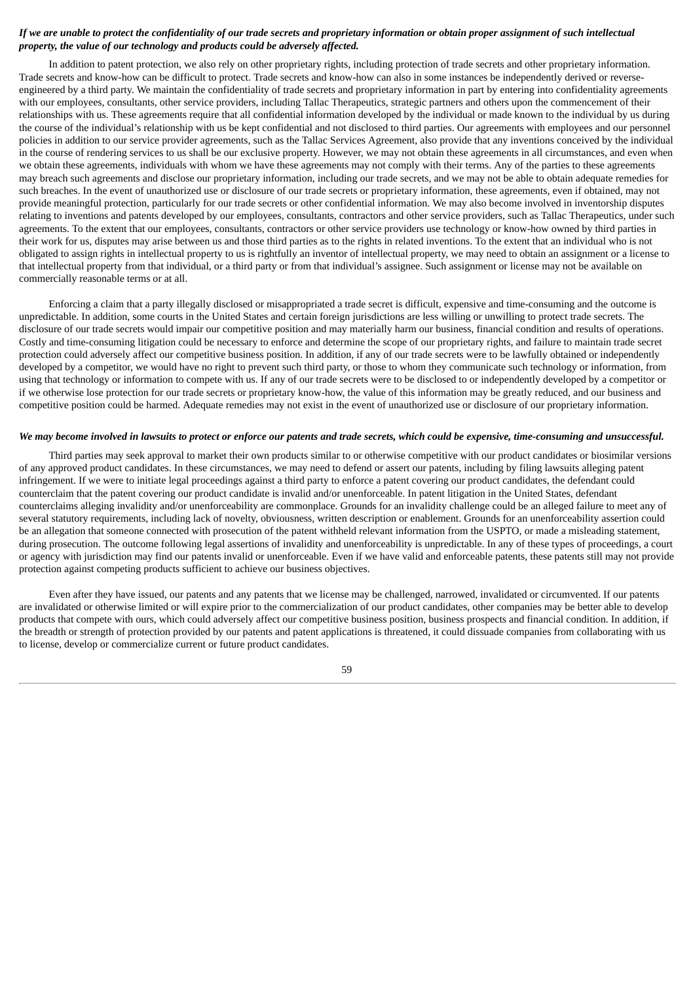## If we are unable to protect the confidentiality of our trade secrets and proprietary information or obtain proper assignment of such intellectual *property, the value of our technology and products could be adversely affected.*

In addition to patent protection, we also rely on other proprietary rights, including protection of trade secrets and other proprietary information. Trade secrets and know-how can be difficult to protect. Trade secrets and know-how can also in some instances be independently derived or reverseengineered by a third party. We maintain the confidentiality of trade secrets and proprietary information in part by entering into confidentiality agreements with our employees, consultants, other service providers, including Tallac Therapeutics, strategic partners and others upon the commencement of their relationships with us. These agreements require that all confidential information developed by the individual or made known to the individual by us during the course of the individual's relationship with us be kept confidential and not disclosed to third parties. Our agreements with employees and our personnel policies in addition to our service provider agreements, such as the Tallac Services Agreement, also provide that any inventions conceived by the individual in the course of rendering services to us shall be our exclusive property. However, we may not obtain these agreements in all circumstances, and even when we obtain these agreements, individuals with whom we have these agreements may not comply with their terms. Any of the parties to these agreements may breach such agreements and disclose our proprietary information, including our trade secrets, and we may not be able to obtain adequate remedies for such breaches. In the event of unauthorized use or disclosure of our trade secrets or proprietary information, these agreements, even if obtained, may not provide meaningful protection, particularly for our trade secrets or other confidential information. We may also become involved in inventorship disputes relating to inventions and patents developed by our employees, consultants, contractors and other service providers, such as Tallac Therapeutics, under such agreements. To the extent that our employees, consultants, contractors or other service providers use technology or know-how owned by third parties in their work for us, disputes may arise between us and those third parties as to the rights in related inventions. To the extent that an individual who is not obligated to assign rights in intellectual property to us is rightfully an inventor of intellectual property, we may need to obtain an assignment or a license to that intellectual property from that individual, or a third party or from that individual's assignee. Such assignment or license may not be available on commercially reasonable terms or at all.

Enforcing a claim that a party illegally disclosed or misappropriated a trade secret is difficult, expensive and time-consuming and the outcome is unpredictable. In addition, some courts in the United States and certain foreign jurisdictions are less willing or unwilling to protect trade secrets. The disclosure of our trade secrets would impair our competitive position and may materially harm our business, financial condition and results of operations. Costly and time-consuming litigation could be necessary to enforce and determine the scope of our proprietary rights, and failure to maintain trade secret protection could adversely affect our competitive business position. In addition, if any of our trade secrets were to be lawfully obtained or independently developed by a competitor, we would have no right to prevent such third party, or those to whom they communicate such technology or information, from using that technology or information to compete with us. If any of our trade secrets were to be disclosed to or independently developed by a competitor or if we otherwise lose protection for our trade secrets or proprietary know-how, the value of this information may be greatly reduced, and our business and competitive position could be harmed. Adequate remedies may not exist in the event of unauthorized use or disclosure of our proprietary information.

#### We may become involved in lawsuits to protect or enforce our patents and trade secrets, which could be expensive, time-consuming and unsuccessful.

Third parties may seek approval to market their own products similar to or otherwise competitive with our product candidates or biosimilar versions of any approved product candidates. In these circumstances, we may need to defend or assert our patents, including by filing lawsuits alleging patent infringement. If we were to initiate legal proceedings against a third party to enforce a patent covering our product candidates, the defendant could counterclaim that the patent covering our product candidate is invalid and/or unenforceable. In patent litigation in the United States, defendant counterclaims alleging invalidity and/or unenforceability are commonplace. Grounds for an invalidity challenge could be an alleged failure to meet any of several statutory requirements, including lack of novelty, obviousness, written description or enablement. Grounds for an unenforceability assertion could be an allegation that someone connected with prosecution of the patent withheld relevant information from the USPTO, or made a misleading statement, during prosecution. The outcome following legal assertions of invalidity and unenforceability is unpredictable. In any of these types of proceedings, a court or agency with jurisdiction may find our patents invalid or unenforceable. Even if we have valid and enforceable patents, these patents still may not provide protection against competing products sufficient to achieve our business objectives.

Even after they have issued, our patents and any patents that we license may be challenged, narrowed, invalidated or circumvented. If our patents are invalidated or otherwise limited or will expire prior to the commercialization of our product candidates, other companies may be better able to develop products that compete with ours, which could adversely affect our competitive business position, business prospects and financial condition. In addition, if the breadth or strength of protection provided by our patents and patent applications is threatened, it could dissuade companies from collaborating with us to license, develop or commercialize current or future product candidates.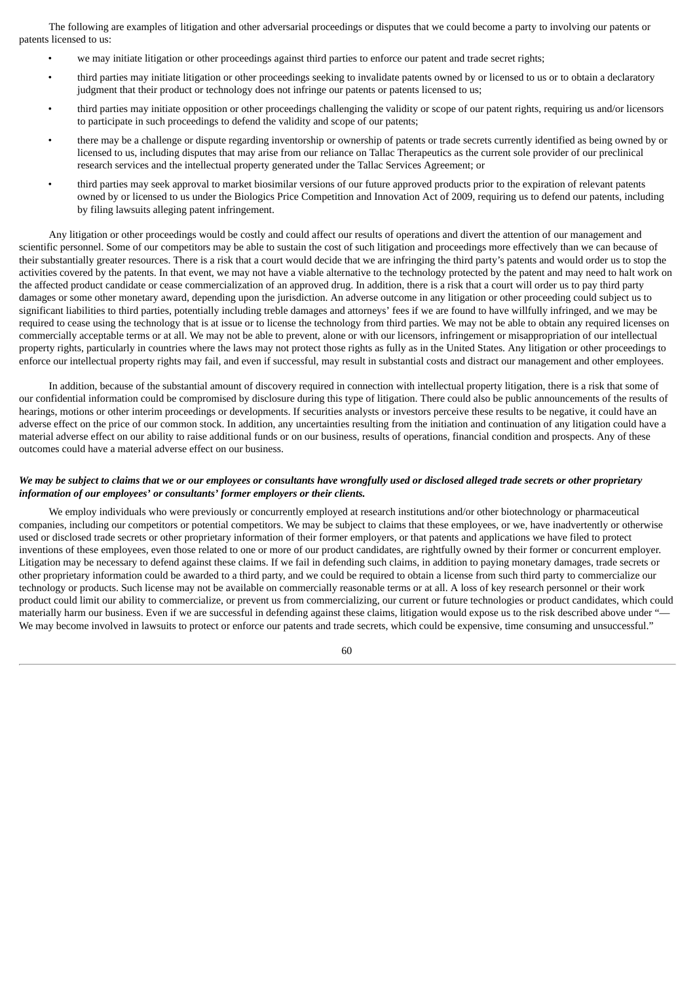The following are examples of litigation and other adversarial proceedings or disputes that we could become a party to involving our patents or patents licensed to us:

- we may initiate litigation or other proceedings against third parties to enforce our patent and trade secret rights;
- third parties may initiate litigation or other proceedings seeking to invalidate patents owned by or licensed to us or to obtain a declaratory judgment that their product or technology does not infringe our patents or patents licensed to us;
- third parties may initiate opposition or other proceedings challenging the validity or scope of our patent rights, requiring us and/or licensors to participate in such proceedings to defend the validity and scope of our patents;
- there may be a challenge or dispute regarding inventorship or ownership of patents or trade secrets currently identified as being owned by or licensed to us, including disputes that may arise from our reliance on Tallac Therapeutics as the current sole provider of our preclinical research services and the intellectual property generated under the Tallac Services Agreement; or
- third parties may seek approval to market biosimilar versions of our future approved products prior to the expiration of relevant patents owned by or licensed to us under the Biologics Price Competition and Innovation Act of 2009, requiring us to defend our patents, including by filing lawsuits alleging patent infringement.

Any litigation or other proceedings would be costly and could affect our results of operations and divert the attention of our management and scientific personnel. Some of our competitors may be able to sustain the cost of such litigation and proceedings more effectively than we can because of their substantially greater resources. There is a risk that a court would decide that we are infringing the third party's patents and would order us to stop the activities covered by the patents. In that event, we may not have a viable alternative to the technology protected by the patent and may need to halt work on the affected product candidate or cease commercialization of an approved drug. In addition, there is a risk that a court will order us to pay third party damages or some other monetary award, depending upon the jurisdiction. An adverse outcome in any litigation or other proceeding could subject us to significant liabilities to third parties, potentially including treble damages and attorneys' fees if we are found to have willfully infringed, and we may be required to cease using the technology that is at issue or to license the technology from third parties. We may not be able to obtain any required licenses on commercially acceptable terms or at all. We may not be able to prevent, alone or with our licensors, infringement or misappropriation of our intellectual property rights, particularly in countries where the laws may not protect those rights as fully as in the United States. Any litigation or other proceedings to enforce our intellectual property rights may fail, and even if successful, may result in substantial costs and distract our management and other employees.

In addition, because of the substantial amount of discovery required in connection with intellectual property litigation, there is a risk that some of our confidential information could be compromised by disclosure during this type of litigation. There could also be public announcements of the results of hearings, motions or other interim proceedings or developments. If securities analysts or investors perceive these results to be negative, it could have an adverse effect on the price of our common stock. In addition, any uncertainties resulting from the initiation and continuation of any litigation could have a material adverse effect on our ability to raise additional funds or on our business, results of operations, financial condition and prospects. Any of these outcomes could have a material adverse effect on our business.

### We may be subject to claims that we or our employees or consultants have wrongfully used or disclosed alleged trade secrets or other proprietary *information of our employees' or consultants' former employers or their clients.*

We employ individuals who were previously or concurrently employed at research institutions and/or other biotechnology or pharmaceutical companies, including our competitors or potential competitors. We may be subject to claims that these employees, or we, have inadvertently or otherwise used or disclosed trade secrets or other proprietary information of their former employers, or that patents and applications we have filed to protect inventions of these employees, even those related to one or more of our product candidates, are rightfully owned by their former or concurrent employer. Litigation may be necessary to defend against these claims. If we fail in defending such claims, in addition to paying monetary damages, trade secrets or other proprietary information could be awarded to a third party, and we could be required to obtain a license from such third party to commercialize our technology or products. Such license may not be available on commercially reasonable terms or at all. A loss of key research personnel or their work product could limit our ability to commercialize, or prevent us from commercializing, our current or future technologies or product candidates, which could materially harm our business. Even if we are successful in defending against these claims, litigation would expose us to the risk described above under " We may become involved in lawsuits to protect or enforce our patents and trade secrets, which could be expensive, time consuming and unsuccessful."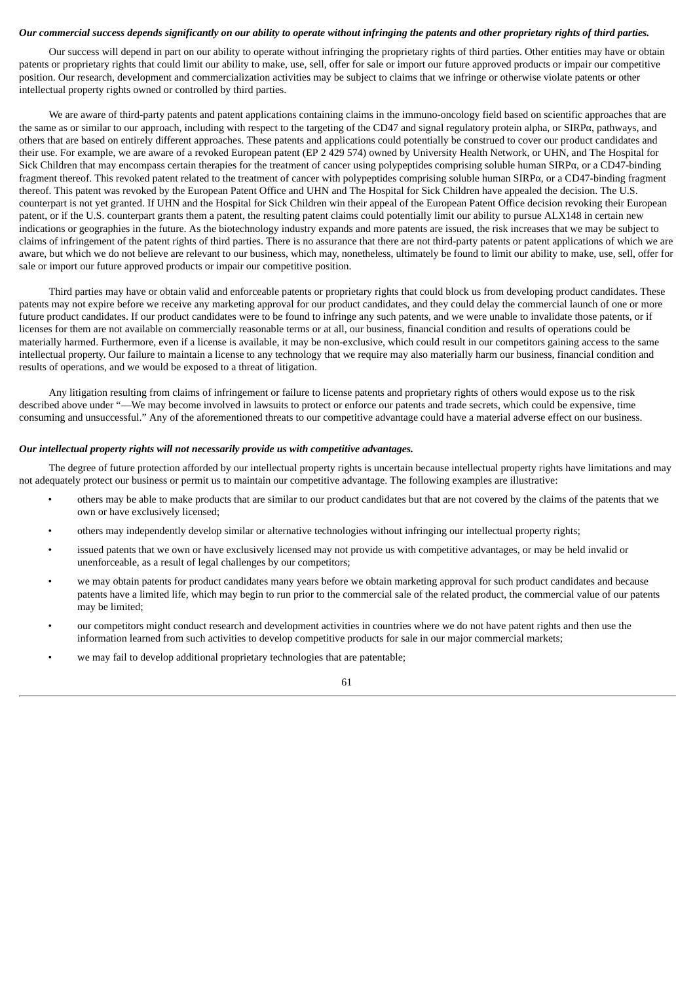### Our commercial success depends significantly on our ability to operate without infringing the patents and other proprietary rights of third parties.

Our success will depend in part on our ability to operate without infringing the proprietary rights of third parties. Other entities may have or obtain patents or proprietary rights that could limit our ability to make, use, sell, offer for sale or import our future approved products or impair our competitive position. Our research, development and commercialization activities may be subject to claims that we infringe or otherwise violate patents or other intellectual property rights owned or controlled by third parties.

We are aware of third-party patents and patent applications containing claims in the immuno-oncology field based on scientific approaches that are the same as or similar to our approach, including with respect to the targeting of the CD47 and signal regulatory protein alpha, or SIRPα, pathways, and others that are based on entirely different approaches. These patents and applications could potentially be construed to cover our product candidates and their use. For example, we are aware of a revoked European patent (EP 2 429 574) owned by University Health Network, or UHN, and The Hospital for Sick Children that may encompass certain therapies for the treatment of cancer using polypeptides comprising soluble human SIRPα, or a CD47-binding fragment thereof. This revoked patent related to the treatment of cancer with polypeptides comprising soluble human SIRPα, or a CD47-binding fragment thereof. This patent was revoked by the European Patent Office and UHN and The Hospital for Sick Children have appealed the decision. The U.S. counterpart is not yet granted. If UHN and the Hospital for Sick Children win their appeal of the European Patent Office decision revoking their European patent, or if the U.S. counterpart grants them a patent, the resulting patent claims could potentially limit our ability to pursue ALX148 in certain new indications or geographies in the future. As the biotechnology industry expands and more patents are issued, the risk increases that we may be subject to claims of infringement of the patent rights of third parties. There is no assurance that there are not third-party patents or patent applications of which we are aware, but which we do not believe are relevant to our business, which may, nonetheless, ultimately be found to limit our ability to make, use, sell, offer for sale or import our future approved products or impair our competitive position.

Third parties may have or obtain valid and enforceable patents or proprietary rights that could block us from developing product candidates. These patents may not expire before we receive any marketing approval for our product candidates, and they could delay the commercial launch of one or more future product candidates. If our product candidates were to be found to infringe any such patents, and we were unable to invalidate those patents, or if licenses for them are not available on commercially reasonable terms or at all, our business, financial condition and results of operations could be materially harmed. Furthermore, even if a license is available, it may be non-exclusive, which could result in our competitors gaining access to the same intellectual property. Our failure to maintain a license to any technology that we require may also materially harm our business, financial condition and results of operations, and we would be exposed to a threat of litigation.

Any litigation resulting from claims of infringement or failure to license patents and proprietary rights of others would expose us to the risk described above under "—We may become involved in lawsuits to protect or enforce our patents and trade secrets, which could be expensive, time consuming and unsuccessful." Any of the aforementioned threats to our competitive advantage could have a material adverse effect on our business.

### *Our intellectual property rights will not necessarily provide us with competitive advantages.*

The degree of future protection afforded by our intellectual property rights is uncertain because intellectual property rights have limitations and may not adequately protect our business or permit us to maintain our competitive advantage. The following examples are illustrative:

- others may be able to make products that are similar to our product candidates but that are not covered by the claims of the patents that we own or have exclusively licensed;
- others may independently develop similar or alternative technologies without infringing our intellectual property rights;
- issued patents that we own or have exclusively licensed may not provide us with competitive advantages, or may be held invalid or unenforceable, as a result of legal challenges by our competitors;
- we may obtain patents for product candidates many years before we obtain marketing approval for such product candidates and because patents have a limited life, which may begin to run prior to the commercial sale of the related product, the commercial value of our patents may be limited;
- our competitors might conduct research and development activities in countries where we do not have patent rights and then use the information learned from such activities to develop competitive products for sale in our major commercial markets;
- we may fail to develop additional proprietary technologies that are patentable;

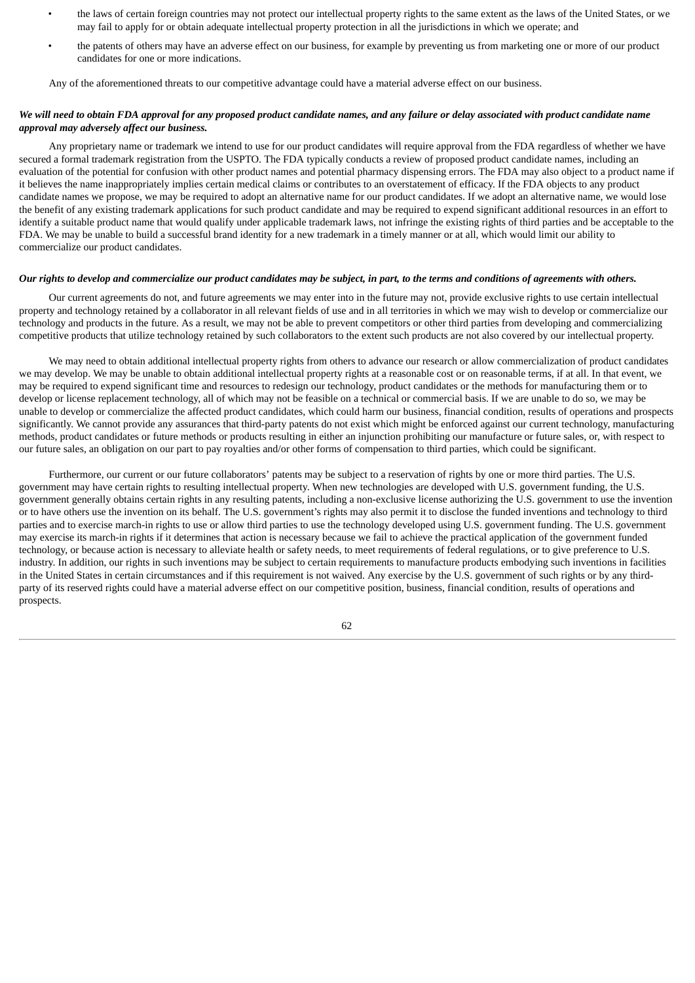- the laws of certain foreign countries may not protect our intellectual property rights to the same extent as the laws of the United States, or we may fail to apply for or obtain adequate intellectual property protection in all the jurisdictions in which we operate; and
- the patents of others may have an adverse effect on our business, for example by preventing us from marketing one or more of our product candidates for one or more indications.

Any of the aforementioned threats to our competitive advantage could have a material adverse effect on our business.

## We will need to obtain FDA approval for any proposed product candidate names, and any failure or delay associated with product candidate name *approval may adversely affect our business.*

Any proprietary name or trademark we intend to use for our product candidates will require approval from the FDA regardless of whether we have secured a formal trademark registration from the USPTO. The FDA typically conducts a review of proposed product candidate names, including an evaluation of the potential for confusion with other product names and potential pharmacy dispensing errors. The FDA may also object to a product name if it believes the name inappropriately implies certain medical claims or contributes to an overstatement of efficacy. If the FDA objects to any product candidate names we propose, we may be required to adopt an alternative name for our product candidates. If we adopt an alternative name, we would lose the benefit of any existing trademark applications for such product candidate and may be required to expend significant additional resources in an effort to identify a suitable product name that would qualify under applicable trademark laws, not infringe the existing rights of third parties and be acceptable to the FDA. We may be unable to build a successful brand identity for a new trademark in a timely manner or at all, which would limit our ability to commercialize our product candidates.

### Our rights to develop and commercialize our product candidates may be subject, in part, to the terms and conditions of agreements with others.

Our current agreements do not, and future agreements we may enter into in the future may not, provide exclusive rights to use certain intellectual property and technology retained by a collaborator in all relevant fields of use and in all territories in which we may wish to develop or commercialize our technology and products in the future. As a result, we may not be able to prevent competitors or other third parties from developing and commercializing competitive products that utilize technology retained by such collaborators to the extent such products are not also covered by our intellectual property.

We may need to obtain additional intellectual property rights from others to advance our research or allow commercialization of product candidates we may develop. We may be unable to obtain additional intellectual property rights at a reasonable cost or on reasonable terms, if at all. In that event, we may be required to expend significant time and resources to redesign our technology, product candidates or the methods for manufacturing them or to develop or license replacement technology, all of which may not be feasible on a technical or commercial basis. If we are unable to do so, we may be unable to develop or commercialize the affected product candidates, which could harm our business, financial condition, results of operations and prospects significantly. We cannot provide any assurances that third-party patents do not exist which might be enforced against our current technology, manufacturing methods, product candidates or future methods or products resulting in either an injunction prohibiting our manufacture or future sales, or, with respect to our future sales, an obligation on our part to pay royalties and/or other forms of compensation to third parties, which could be significant.

Furthermore, our current or our future collaborators' patents may be subject to a reservation of rights by one or more third parties. The U.S. government may have certain rights to resulting intellectual property. When new technologies are developed with U.S. government funding, the U.S. government generally obtains certain rights in any resulting patents, including a non-exclusive license authorizing the U.S. government to use the invention or to have others use the invention on its behalf. The U.S. government's rights may also permit it to disclose the funded inventions and technology to third parties and to exercise march-in rights to use or allow third parties to use the technology developed using U.S. government funding. The U.S. government may exercise its march-in rights if it determines that action is necessary because we fail to achieve the practical application of the government funded technology, or because action is necessary to alleviate health or safety needs, to meet requirements of federal regulations, or to give preference to U.S. industry. In addition, our rights in such inventions may be subject to certain requirements to manufacture products embodying such inventions in facilities in the United States in certain circumstances and if this requirement is not waived. Any exercise by the U.S. government of such rights or by any thirdparty of its reserved rights could have a material adverse effect on our competitive position, business, financial condition, results of operations and prospects.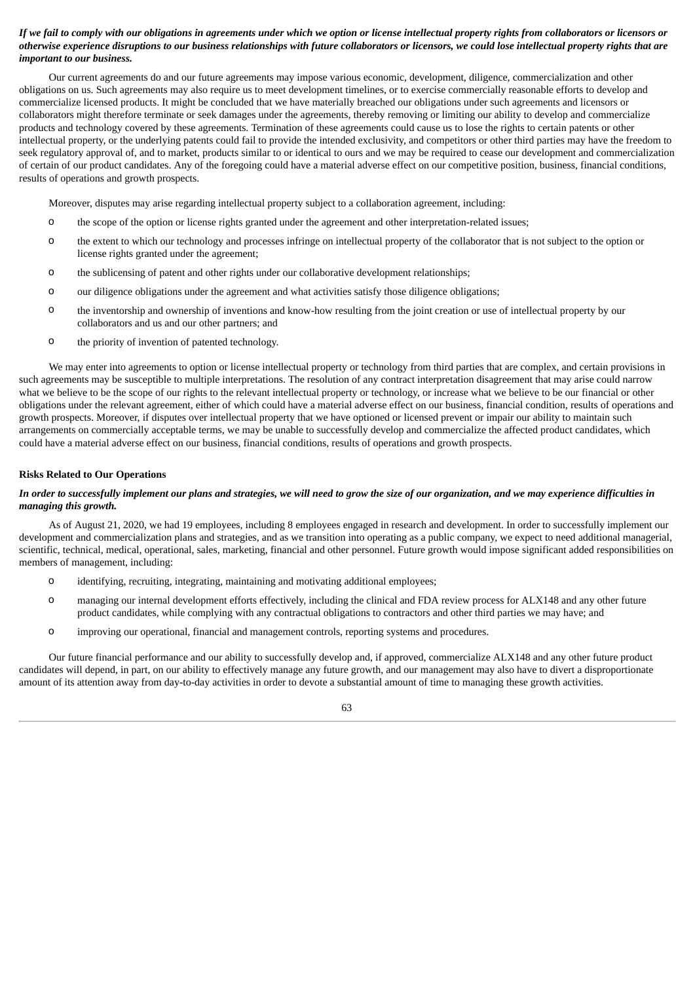## If we fail to comply with our obligations in agreements under which we option or license intellectual property rights from collaborators or licensors or otherwise experience disruptions to our business relationships with future collaborators or licensors, we could lose intellectual property rights that are *important to our business.*

Our current agreements do and our future agreements may impose various economic, development, diligence, commercialization and other obligations on us. Such agreements may also require us to meet development timelines, or to exercise commercially reasonable efforts to develop and commercialize licensed products. It might be concluded that we have materially breached our obligations under such agreements and licensors or collaborators might therefore terminate or seek damages under the agreements, thereby removing or limiting our ability to develop and commercialize products and technology covered by these agreements. Termination of these agreements could cause us to lose the rights to certain patents or other intellectual property, or the underlying patents could fail to provide the intended exclusivity, and competitors or other third parties may have the freedom to seek regulatory approval of, and to market, products similar to or identical to ours and we may be required to cease our development and commercialization of certain of our product candidates. Any of the foregoing could have a material adverse effect on our competitive position, business, financial conditions, results of operations and growth prospects.

Moreover, disputes may arise regarding intellectual property subject to a collaboration agreement, including:

- o the scope of the option or license rights granted under the agreement and other interpretation-related issues;
- o the extent to which our technology and processes infringe on intellectual property of the collaborator that is not subject to the option or license rights granted under the agreement;
- o the sublicensing of patent and other rights under our collaborative development relationships;
- o our diligence obligations under the agreement and what activities satisfy those diligence obligations;
- o the inventorship and ownership of inventions and know-how resulting from the joint creation or use of intellectual property by our collaborators and us and our other partners; and
- o the priority of invention of patented technology.

We may enter into agreements to option or license intellectual property or technology from third parties that are complex, and certain provisions in such agreements may be susceptible to multiple interpretations. The resolution of any contract interpretation disagreement that may arise could narrow what we believe to be the scope of our rights to the relevant intellectual property or technology, or increase what we believe to be our financial or other obligations under the relevant agreement, either of which could have a material adverse effect on our business, financial condition, results of operations and growth prospects. Moreover, if disputes over intellectual property that we have optioned or licensed prevent or impair our ability to maintain such arrangements on commercially acceptable terms, we may be unable to successfully develop and commercialize the affected product candidates, which could have a material adverse effect on our business, financial conditions, results of operations and growth prospects.

### **Risks Related to Our Operations**

## In order to successfully implement our plans and strategies, we will need to grow the size of our organization, and we may experience difficulties in *managing this growth.*

As of August 21, 2020, we had 19 employees, including 8 employees engaged in research and development. In order to successfully implement our development and commercialization plans and strategies, and as we transition into operating as a public company, we expect to need additional managerial, scientific, technical, medical, operational, sales, marketing, financial and other personnel. Future growth would impose significant added responsibilities on members of management, including:

- o identifying, recruiting, integrating, maintaining and motivating additional employees;
- o managing our internal development efforts effectively, including the clinical and FDA review process for ALX148 and any other future product candidates, while complying with any contractual obligations to contractors and other third parties we may have; and
- o improving our operational, financial and management controls, reporting systems and procedures.

Our future financial performance and our ability to successfully develop and, if approved, commercialize ALX148 and any other future product candidates will depend, in part, on our ability to effectively manage any future growth, and our management may also have to divert a disproportionate amount of its attention away from day-to-day activities in order to devote a substantial amount of time to managing these growth activities.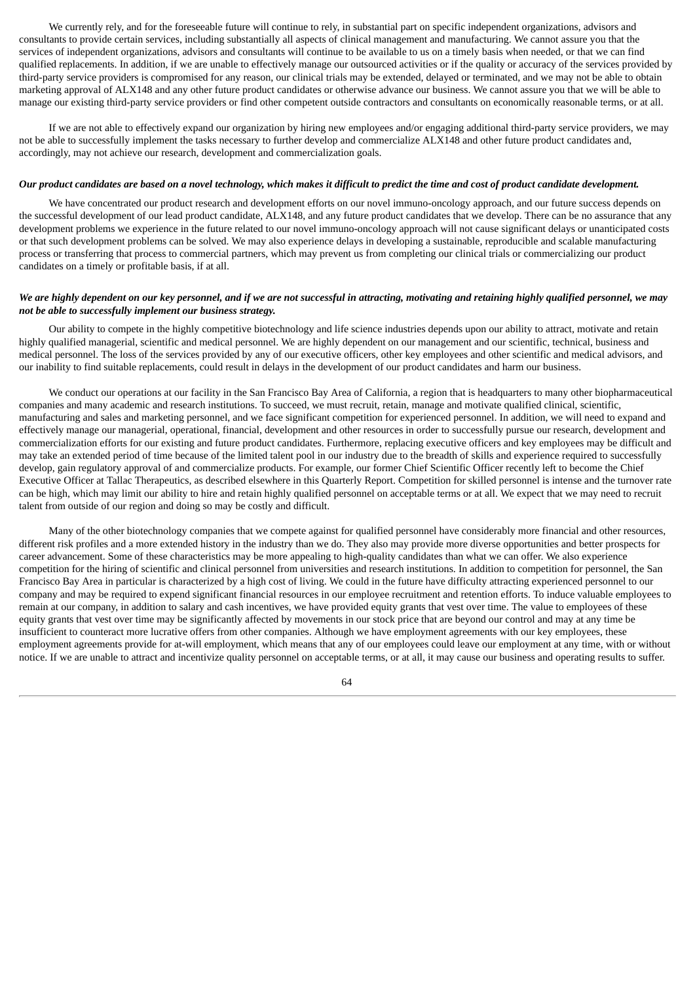We currently rely, and for the foreseeable future will continue to rely, in substantial part on specific independent organizations, advisors and consultants to provide certain services, including substantially all aspects of clinical management and manufacturing. We cannot assure you that the services of independent organizations, advisors and consultants will continue to be available to us on a timely basis when needed, or that we can find qualified replacements. In addition, if we are unable to effectively manage our outsourced activities or if the quality or accuracy of the services provided by third-party service providers is compromised for any reason, our clinical trials may be extended, delayed or terminated, and we may not be able to obtain marketing approval of ALX148 and any other future product candidates or otherwise advance our business. We cannot assure you that we will be able to manage our existing third-party service providers or find other competent outside contractors and consultants on economically reasonable terms, or at all.

If we are not able to effectively expand our organization by hiring new employees and/or engaging additional third-party service providers, we may not be able to successfully implement the tasks necessary to further develop and commercialize ALX148 and other future product candidates and, accordingly, may not achieve our research, development and commercialization goals.

### Our product candidates are based on a novel technology, which makes it difficult to predict the time and cost of product candidate development.

We have concentrated our product research and development efforts on our novel immuno-oncology approach, and our future success depends on the successful development of our lead product candidate, ALX148, and any future product candidates that we develop. There can be no assurance that any development problems we experience in the future related to our novel immuno-oncology approach will not cause significant delays or unanticipated costs or that such development problems can be solved. We may also experience delays in developing a sustainable, reproducible and scalable manufacturing process or transferring that process to commercial partners, which may prevent us from completing our clinical trials or commercializing our product candidates on a timely or profitable basis, if at all.

### We are highly dependent on our key personnel, and if we are not successful in attracting, motivating and retaining highly qualified personnel, we may *not be able to successfully implement our business strategy.*

Our ability to compete in the highly competitive biotechnology and life science industries depends upon our ability to attract, motivate and retain highly qualified managerial, scientific and medical personnel. We are highly dependent on our management and our scientific, technical, business and medical personnel. The loss of the services provided by any of our executive officers, other key employees and other scientific and medical advisors, and our inability to find suitable replacements, could result in delays in the development of our product candidates and harm our business.

We conduct our operations at our facility in the San Francisco Bay Area of California, a region that is headquarters to many other biopharmaceutical companies and many academic and research institutions. To succeed, we must recruit, retain, manage and motivate qualified clinical, scientific, manufacturing and sales and marketing personnel, and we face significant competition for experienced personnel. In addition, we will need to expand and effectively manage our managerial, operational, financial, development and other resources in order to successfully pursue our research, development and commercialization efforts for our existing and future product candidates. Furthermore, replacing executive officers and key employees may be difficult and may take an extended period of time because of the limited talent pool in our industry due to the breadth of skills and experience required to successfully develop, gain regulatory approval of and commercialize products. For example, our former Chief Scientific Officer recently left to become the Chief Executive Officer at Tallac Therapeutics, as described elsewhere in this Quarterly Report. Competition for skilled personnel is intense and the turnover rate can be high, which may limit our ability to hire and retain highly qualified personnel on acceptable terms or at all. We expect that we may need to recruit talent from outside of our region and doing so may be costly and difficult.

Many of the other biotechnology companies that we compete against for qualified personnel have considerably more financial and other resources, different risk profiles and a more extended history in the industry than we do. They also may provide more diverse opportunities and better prospects for career advancement. Some of these characteristics may be more appealing to high-quality candidates than what we can offer. We also experience competition for the hiring of scientific and clinical personnel from universities and research institutions. In addition to competition for personnel, the San Francisco Bay Area in particular is characterized by a high cost of living. We could in the future have difficulty attracting experienced personnel to our company and may be required to expend significant financial resources in our employee recruitment and retention efforts. To induce valuable employees to remain at our company, in addition to salary and cash incentives, we have provided equity grants that vest over time. The value to employees of these equity grants that vest over time may be significantly affected by movements in our stock price that are beyond our control and may at any time be insufficient to counteract more lucrative offers from other companies. Although we have employment agreements with our key employees, these employment agreements provide for at-will employment, which means that any of our employees could leave our employment at any time, with or without notice. If we are unable to attract and incentivize quality personnel on acceptable terms, or at all, it may cause our business and operating results to suffer.

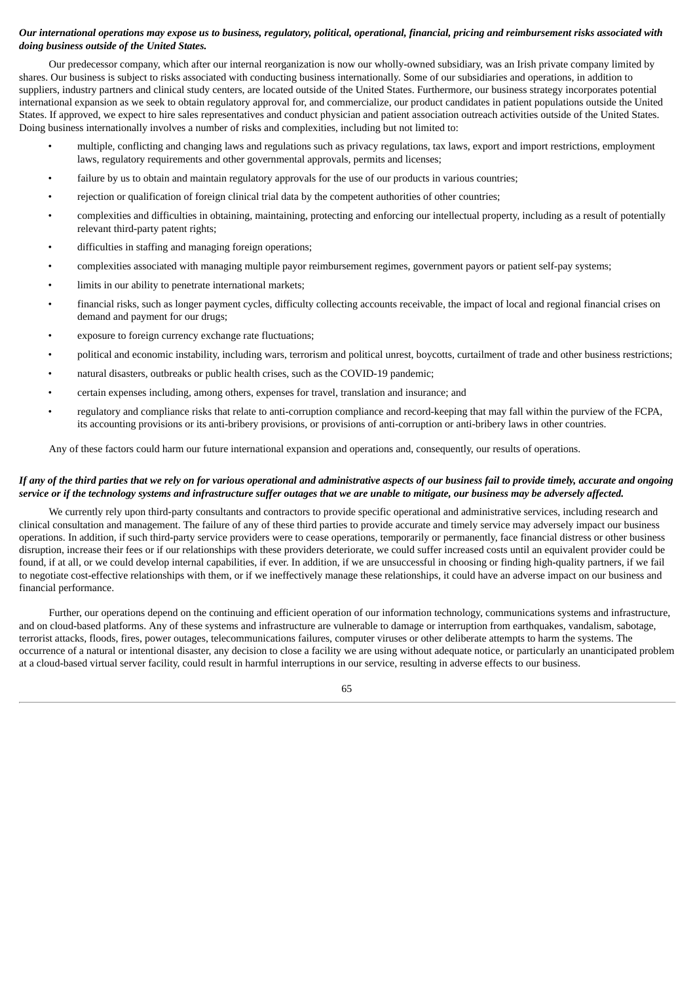# Our international operations may expose us to business, regulatory, political, operational, financial, pricing and reimbursement risks associated with *doing business outside of the United States.*

Our predecessor company, which after our internal reorganization is now our wholly-owned subsidiary, was an Irish private company limited by shares. Our business is subject to risks associated with conducting business internationally. Some of our subsidiaries and operations, in addition to suppliers, industry partners and clinical study centers, are located outside of the United States. Furthermore, our business strategy incorporates potential international expansion as we seek to obtain regulatory approval for, and commercialize, our product candidates in patient populations outside the United States. If approved, we expect to hire sales representatives and conduct physician and patient association outreach activities outside of the United States. Doing business internationally involves a number of risks and complexities, including but not limited to:

- multiple, conflicting and changing laws and regulations such as privacy regulations, tax laws, export and import restrictions, employment laws, regulatory requirements and other governmental approvals, permits and licenses;
- failure by us to obtain and maintain regulatory approvals for the use of our products in various countries;
- rejection or qualification of foreign clinical trial data by the competent authorities of other countries;
- complexities and difficulties in obtaining, maintaining, protecting and enforcing our intellectual property, including as a result of potentially relevant third-party patent rights;
- difficulties in staffing and managing foreign operations;
- complexities associated with managing multiple payor reimbursement regimes, government payors or patient self-pay systems;
- limits in our ability to penetrate international markets;
- financial risks, such as longer payment cycles, difficulty collecting accounts receivable, the impact of local and regional financial crises on demand and payment for our drugs;
- exposure to foreign currency exchange rate fluctuations;
- political and economic instability, including wars, terrorism and political unrest, boycotts, curtailment of trade and other business restrictions;
- natural disasters, outbreaks or public health crises, such as the COVID-19 pandemic;
- certain expenses including, among others, expenses for travel, translation and insurance; and
- regulatory and compliance risks that relate to anti-corruption compliance and record-keeping that may fall within the purview of the FCPA, its accounting provisions or its anti-bribery provisions, or provisions of anti-corruption or anti-bribery laws in other countries.

Any of these factors could harm our future international expansion and operations and, consequently, our results of operations.

# If any of the third parties that we rely on for various operational and administrative aspects of our business fail to provide timely, accurate and ongoing service or if the technology systems and infrastructure suffer outages that we are unable to mitigate, our business may be adversely affected.

We currently rely upon third-party consultants and contractors to provide specific operational and administrative services, including research and clinical consultation and management. The failure of any of these third parties to provide accurate and timely service may adversely impact our business operations. In addition, if such third-party service providers were to cease operations, temporarily or permanently, face financial distress or other business disruption, increase their fees or if our relationships with these providers deteriorate, we could suffer increased costs until an equivalent provider could be found, if at all, or we could develop internal capabilities, if ever. In addition, if we are unsuccessful in choosing or finding high-quality partners, if we fail to negotiate cost-effective relationships with them, or if we ineffectively manage these relationships, it could have an adverse impact on our business and financial performance.

Further, our operations depend on the continuing and efficient operation of our information technology, communications systems and infrastructure, and on cloud-based platforms. Any of these systems and infrastructure are vulnerable to damage or interruption from earthquakes, vandalism, sabotage, terrorist attacks, floods, fires, power outages, telecommunications failures, computer viruses or other deliberate attempts to harm the systems. The occurrence of a natural or intentional disaster, any decision to close a facility we are using without adequate notice, or particularly an unanticipated problem at a cloud-based virtual server facility, could result in harmful interruptions in our service, resulting in adverse effects to our business.

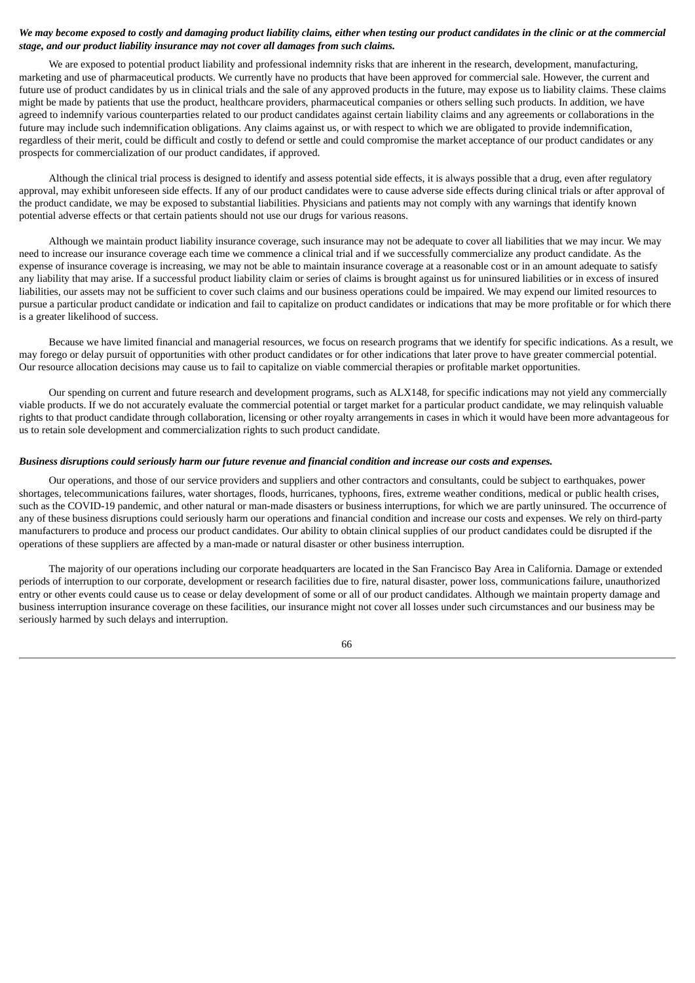# We may become exposed to costly and damaging product liability claims, either when testing our product candidates in the clinic or at the commercial *stage, and our product liability insurance may not cover all damages from such claims.*

We are exposed to potential product liability and professional indemnity risks that are inherent in the research, development, manufacturing, marketing and use of pharmaceutical products. We currently have no products that have been approved for commercial sale. However, the current and future use of product candidates by us in clinical trials and the sale of any approved products in the future, may expose us to liability claims. These claims might be made by patients that use the product, healthcare providers, pharmaceutical companies or others selling such products. In addition, we have agreed to indemnify various counterparties related to our product candidates against certain liability claims and any agreements or collaborations in the future may include such indemnification obligations. Any claims against us, or with respect to which we are obligated to provide indemnification, regardless of their merit, could be difficult and costly to defend or settle and could compromise the market acceptance of our product candidates or any prospects for commercialization of our product candidates, if approved.

Although the clinical trial process is designed to identify and assess potential side effects, it is always possible that a drug, even after regulatory approval, may exhibit unforeseen side effects. If any of our product candidates were to cause adverse side effects during clinical trials or after approval of the product candidate, we may be exposed to substantial liabilities. Physicians and patients may not comply with any warnings that identify known potential adverse effects or that certain patients should not use our drugs for various reasons.

Although we maintain product liability insurance coverage, such insurance may not be adequate to cover all liabilities that we may incur. We may need to increase our insurance coverage each time we commence a clinical trial and if we successfully commercialize any product candidate. As the expense of insurance coverage is increasing, we may not be able to maintain insurance coverage at a reasonable cost or in an amount adequate to satisfy any liability that may arise. If a successful product liability claim or series of claims is brought against us for uninsured liabilities or in excess of insured liabilities, our assets may not be sufficient to cover such claims and our business operations could be impaired. We may expend our limited resources to pursue a particular product candidate or indication and fail to capitalize on product candidates or indications that may be more profitable or for which there is a greater likelihood of success.

Because we have limited financial and managerial resources, we focus on research programs that we identify for specific indications. As a result, we may forego or delay pursuit of opportunities with other product candidates or for other indications that later prove to have greater commercial potential. Our resource allocation decisions may cause us to fail to capitalize on viable commercial therapies or profitable market opportunities.

Our spending on current and future research and development programs, such as ALX148, for specific indications may not yield any commercially viable products. If we do not accurately evaluate the commercial potential or target market for a particular product candidate, we may relinquish valuable rights to that product candidate through collaboration, licensing or other royalty arrangements in cases in which it would have been more advantageous for us to retain sole development and commercialization rights to such product candidate.

### Business disruptions could seriously harm our future revenue and financial condition and increase our costs and expenses.

Our operations, and those of our service providers and suppliers and other contractors and consultants, could be subject to earthquakes, power shortages, telecommunications failures, water shortages, floods, hurricanes, typhoons, fires, extreme weather conditions, medical or public health crises, such as the COVID-19 pandemic, and other natural or man-made disasters or business interruptions, for which we are partly uninsured. The occurrence of any of these business disruptions could seriously harm our operations and financial condition and increase our costs and expenses. We rely on third-party manufacturers to produce and process our product candidates. Our ability to obtain clinical supplies of our product candidates could be disrupted if the operations of these suppliers are affected by a man-made or natural disaster or other business interruption.

The majority of our operations including our corporate headquarters are located in the San Francisco Bay Area in California. Damage or extended periods of interruption to our corporate, development or research facilities due to fire, natural disaster, power loss, communications failure, unauthorized entry or other events could cause us to cease or delay development of some or all of our product candidates. Although we maintain property damage and business interruption insurance coverage on these facilities, our insurance might not cover all losses under such circumstances and our business may be seriously harmed by such delays and interruption.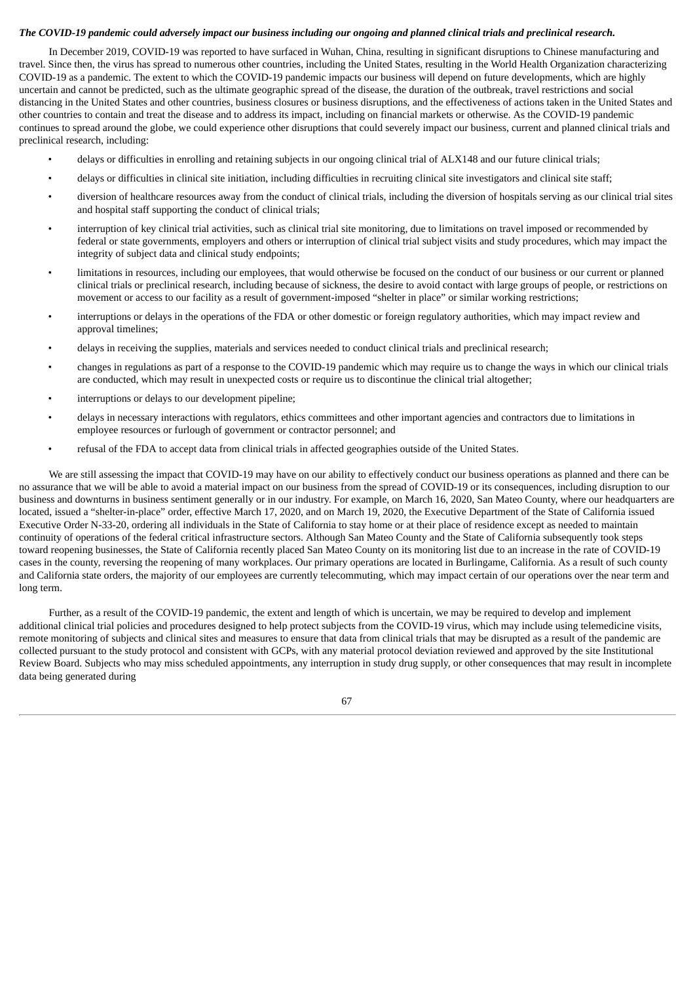## The COVID-19 pandemic could adversely impact our business including our ongoing and planned clinical trials and preclinical research.

In December 2019, COVID-19 was reported to have surfaced in Wuhan, China, resulting in significant disruptions to Chinese manufacturing and travel. Since then, the virus has spread to numerous other countries, including the United States, resulting in the World Health Organization characterizing COVID-19 as a pandemic. The extent to which the COVID-19 pandemic impacts our business will depend on future developments, which are highly uncertain and cannot be predicted, such as the ultimate geographic spread of the disease, the duration of the outbreak, travel restrictions and social distancing in the United States and other countries, business closures or business disruptions, and the effectiveness of actions taken in the United States and other countries to contain and treat the disease and to address its impact, including on financial markets or otherwise. As the COVID-19 pandemic continues to spread around the globe, we could experience other disruptions that could severely impact our business, current and planned clinical trials and preclinical research, including:

- delays or difficulties in enrolling and retaining subjects in our ongoing clinical trial of ALX148 and our future clinical trials;
- delays or difficulties in clinical site initiation, including difficulties in recruiting clinical site investigators and clinical site staff;
- diversion of healthcare resources away from the conduct of clinical trials, including the diversion of hospitals serving as our clinical trial sites and hospital staff supporting the conduct of clinical trials;
- interruption of key clinical trial activities, such as clinical trial site monitoring, due to limitations on travel imposed or recommended by federal or state governments, employers and others or interruption of clinical trial subject visits and study procedures, which may impact the integrity of subject data and clinical study endpoints;
- limitations in resources, including our employees, that would otherwise be focused on the conduct of our business or our current or planned clinical trials or preclinical research, including because of sickness, the desire to avoid contact with large groups of people, or restrictions on movement or access to our facility as a result of government-imposed "shelter in place" or similar working restrictions;
- interruptions or delays in the operations of the FDA or other domestic or foreign regulatory authorities, which may impact review and approval timelines;
- delays in receiving the supplies, materials and services needed to conduct clinical trials and preclinical research;
- changes in regulations as part of a response to the COVID-19 pandemic which may require us to change the ways in which our clinical trials are conducted, which may result in unexpected costs or require us to discontinue the clinical trial altogether;
- interruptions or delays to our development pipeline;
- delays in necessary interactions with regulators, ethics committees and other important agencies and contractors due to limitations in employee resources or furlough of government or contractor personnel; and
- refusal of the FDA to accept data from clinical trials in affected geographies outside of the United States.

We are still assessing the impact that COVID-19 may have on our ability to effectively conduct our business operations as planned and there can be no assurance that we will be able to avoid a material impact on our business from the spread of COVID-19 or its consequences, including disruption to our business and downturns in business sentiment generally or in our industry. For example, on March 16, 2020, San Mateo County, where our headquarters are located, issued a "shelter-in-place" order, effective March 17, 2020, and on March 19, 2020, the Executive Department of the State of California issued Executive Order N-33-20, ordering all individuals in the State of California to stay home or at their place of residence except as needed to maintain continuity of operations of the federal critical infrastructure sectors. Although San Mateo County and the State of California subsequently took steps toward reopening businesses, the State of California recently placed San Mateo County on its monitoring list due to an increase in the rate of COVID-19 cases in the county, reversing the reopening of many workplaces. Our primary operations are located in Burlingame, California. As a result of such county and California state orders, the majority of our employees are currently telecommuting, which may impact certain of our operations over the near term and long term.

Further, as a result of the COVID-19 pandemic, the extent and length of which is uncertain, we may be required to develop and implement additional clinical trial policies and procedures designed to help protect subjects from the COVID-19 virus, which may include using telemedicine visits, remote monitoring of subjects and clinical sites and measures to ensure that data from clinical trials that may be disrupted as a result of the pandemic are collected pursuant to the study protocol and consistent with GCPs, with any material protocol deviation reviewed and approved by the site Institutional Review Board. Subjects who may miss scheduled appointments, any interruption in study drug supply, or other consequences that may result in incomplete data being generated during

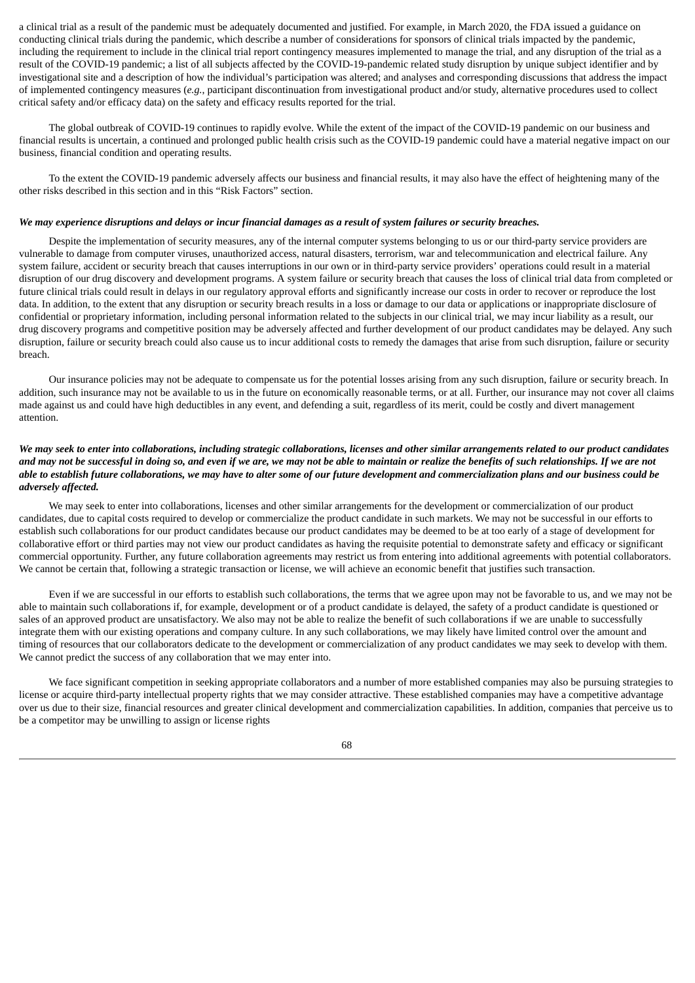a clinical trial as a result of the pandemic must be adequately documented and justified. For example, in March 2020, the FDA issued a guidance on conducting clinical trials during the pandemic, which describe a number of considerations for sponsors of clinical trials impacted by the pandemic, including the requirement to include in the clinical trial report contingency measures implemented to manage the trial, and any disruption of the trial as a result of the COVID-19 pandemic; a list of all subjects affected by the COVID-19-pandemic related study disruption by unique subject identifier and by investigational site and a description of how the individual's participation was altered; and analyses and corresponding discussions that address the impact of implemented contingency measures (*e.g.*, participant discontinuation from investigational product and/or study, alternative procedures used to collect critical safety and/or efficacy data) on the safety and efficacy results reported for the trial.

The global outbreak of COVID-19 continues to rapidly evolve. While the extent of the impact of the COVID-19 pandemic on our business and financial results is uncertain, a continued and prolonged public health crisis such as the COVID-19 pandemic could have a material negative impact on our business, financial condition and operating results.

To the extent the COVID-19 pandemic adversely affects our business and financial results, it may also have the effect of heightening many of the other risks described in this section and in this "Risk Factors" section.

### We may experience disruptions and delays or incur financial damages as a result of system failures or security breaches.

Despite the implementation of security measures, any of the internal computer systems belonging to us or our third-party service providers are vulnerable to damage from computer viruses, unauthorized access, natural disasters, terrorism, war and telecommunication and electrical failure. Any system failure, accident or security breach that causes interruptions in our own or in third-party service providers' operations could result in a material disruption of our drug discovery and development programs. A system failure or security breach that causes the loss of clinical trial data from completed or future clinical trials could result in delays in our regulatory approval efforts and significantly increase our costs in order to recover or reproduce the lost data. In addition, to the extent that any disruption or security breach results in a loss or damage to our data or applications or inappropriate disclosure of confidential or proprietary information, including personal information related to the subjects in our clinical trial, we may incur liability as a result, our drug discovery programs and competitive position may be adversely affected and further development of our product candidates may be delayed. Any such disruption, failure or security breach could also cause us to incur additional costs to remedy the damages that arise from such disruption, failure or security breach.

Our insurance policies may not be adequate to compensate us for the potential losses arising from any such disruption, failure or security breach. In addition, such insurance may not be available to us in the future on economically reasonable terms, or at all. Further, our insurance may not cover all claims made against us and could have high deductibles in any event, and defending a suit, regardless of its merit, could be costly and divert management attention.

## We may seek to enter into collaborations, including strategic collaborations, licenses and other similar arrangements related to our product candidates and may not be successful in doing so, and even if we are, we may not be able to maintain or realize the benefits of such relationships. If we are not able to establish future collaborations, we may have to alter some of our future development and commercialization plans and our business could be *adversely affected.*

We may seek to enter into collaborations, licenses and other similar arrangements for the development or commercialization of our product candidates, due to capital costs required to develop or commercialize the product candidate in such markets. We may not be successful in our efforts to establish such collaborations for our product candidates because our product candidates may be deemed to be at too early of a stage of development for collaborative effort or third parties may not view our product candidates as having the requisite potential to demonstrate safety and efficacy or significant commercial opportunity. Further, any future collaboration agreements may restrict us from entering into additional agreements with potential collaborators. We cannot be certain that, following a strategic transaction or license, we will achieve an economic benefit that justifies such transaction.

Even if we are successful in our efforts to establish such collaborations, the terms that we agree upon may not be favorable to us, and we may not be able to maintain such collaborations if, for example, development or of a product candidate is delayed, the safety of a product candidate is questioned or sales of an approved product are unsatisfactory. We also may not be able to realize the benefit of such collaborations if we are unable to successfully integrate them with our existing operations and company culture. In any such collaborations, we may likely have limited control over the amount and timing of resources that our collaborators dedicate to the development or commercialization of any product candidates we may seek to develop with them. We cannot predict the success of any collaboration that we may enter into.

We face significant competition in seeking appropriate collaborators and a number of more established companies may also be pursuing strategies to license or acquire third-party intellectual property rights that we may consider attractive. These established companies may have a competitive advantage over us due to their size, financial resources and greater clinical development and commercialization capabilities. In addition, companies that perceive us to be a competitor may be unwilling to assign or license rights

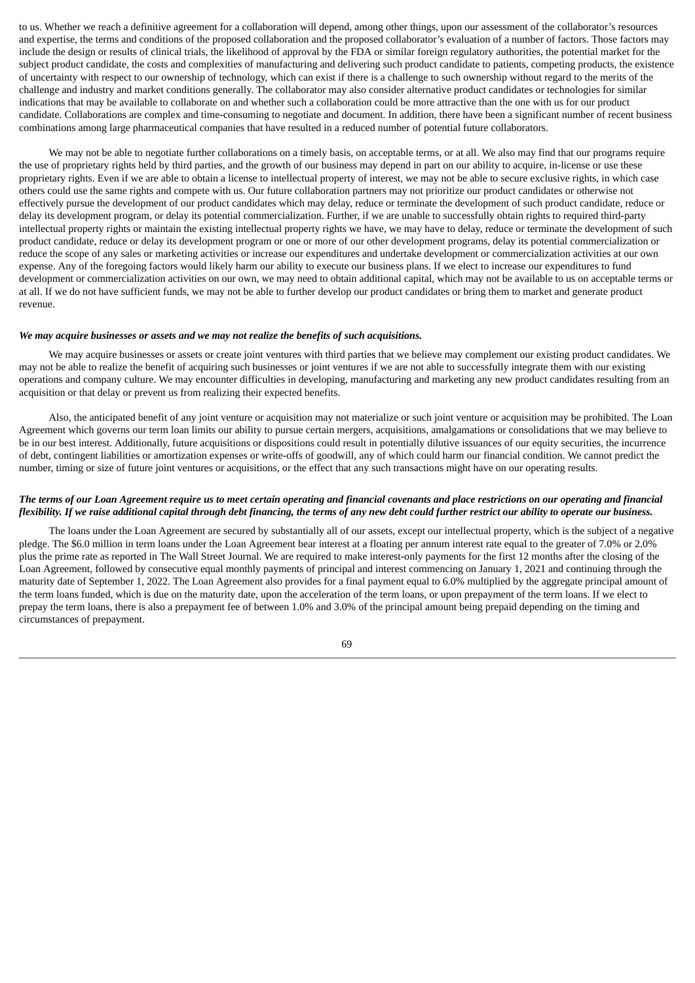to us. Whether we reach a definitive agreement for a collaboration will depend, among other things, upon our assessment of the collaborator's resources and expertise, the terms and conditions of the proposed collaboration and the proposed collaborator's evaluation of a number of factors. Those factors may include the design or results of clinical trials, the likelihood of approval by the FDA or similar foreign regulatory authorities, the potential market for the subject product candidate, the costs and complexities of manufacturing and delivering such product candidate to patients, competing products, the existence of uncertainty with respect to our ownership of technology, which can exist if there is a challenge to such ownership without regard to the merits of the challenge and industry and market conditions generally. The collaborator may also consider alternative product candidates or technologies for similar indications that may be available to collaborate on and whether such a collaboration could be more attractive than the one with us for our product candidate. Collaborations are complex and time-consuming to negotiate and document. In addition, there have been a significant number of recent business combinations among large pharmaceutical companies that have resulted in a reduced number of potential future collaborators.

We may not be able to negotiate further collaborations on a timely basis, on acceptable terms, or at all. We also may find that our programs require the use of proprietary rights held by third parties, and the growth of our business may depend in part on our ability to acquire, in-license or use these proprietary rights. Even if we are able to obtain a license to intellectual property of interest, we may not be able to secure exclusive rights, in which case others could use the same rights and compete with us. Our future collaboration partners may not prioritize our product candidates or otherwise not effectively pursue the development of our product candidates which may delay, reduce or terminate the development of such product candidate, reduce or delay its development program, or delay its potential commercialization. Further, if we are unable to successfully obtain rights to required third-party intellectual property rights or maintain the existing intellectual property rights we have, we may have to delay, reduce or terminate the development of such product candidate, reduce or delay its development program or one or more of our other development programs, delay its potential commercialization or reduce the scope of any sales or marketing activities or increase our expenditures and undertake development or commercialization activities at our own expense. Any of the foregoing factors would likely harm our ability to execute our business plans. If we elect to increase our expenditures to fund development or commercialization activities on our own, we may need to obtain additional capital, which may not be available to us on acceptable terms or at all. If we do not have sufficient funds, we may not be able to further develop our product candidates or bring them to market and generate product revenue.

# *We may acquire businesses or assets and we may not realize the benefits of such acquisitions.*

We may acquire businesses or assets or create joint ventures with third parties that we believe may complement our existing product candidates. We may not be able to realize the benefit of acquiring such businesses or joint ventures if we are not able to successfully integrate them with our existing operations and company culture. We may encounter difficulties in developing, manufacturing and marketing any new product candidates resulting from an acquisition or that delay or prevent us from realizing their expected benefits.

Also, the anticipated benefit of any joint venture or acquisition may not materialize or such joint venture or acquisition may be prohibited. The Loan Agreement which governs our term loan limits our ability to pursue certain mergers, acquisitions, amalgamations or consolidations that we may believe to be in our best interest. Additionally, future acquisitions or dispositions could result in potentially dilutive issuances of our equity securities, the incurrence of debt, contingent liabilities or amortization expenses or write-offs of goodwill, any of which could harm our financial condition. We cannot predict the number, timing or size of future joint ventures or acquisitions, or the effect that any such transactions might have on our operating results.

## The terms of our Loan Agreement require us to meet certain operating and financial covenants and place restrictions on our operating and financial flexibility. If we raise additional capital through debt financing, the terms of any new debt could further restrict our ability to operate our business.

The loans under the Loan Agreement are secured by substantially all of our assets, except our intellectual property, which is the subject of a negative pledge. The \$6.0 million in term loans under the Loan Agreement bear interest at a floating per annum interest rate equal to the greater of 7.0% or 2.0% plus the prime rate as reported in The Wall Street Journal. We are required to make interest-only payments for the first 12 months after the closing of the Loan Agreement, followed by consecutive equal monthly payments of principal and interest commencing on January 1, 2021 and continuing through the maturity date of September 1, 2022. The Loan Agreement also provides for a final payment equal to 6.0% multiplied by the aggregate principal amount of the term loans funded, which is due on the maturity date, upon the acceleration of the term loans, or upon prepayment of the term loans. If we elect to prepay the term loans, there is also a prepayment fee of between 1.0% and 3.0% of the principal amount being prepaid depending on the timing and circumstances of prepayment.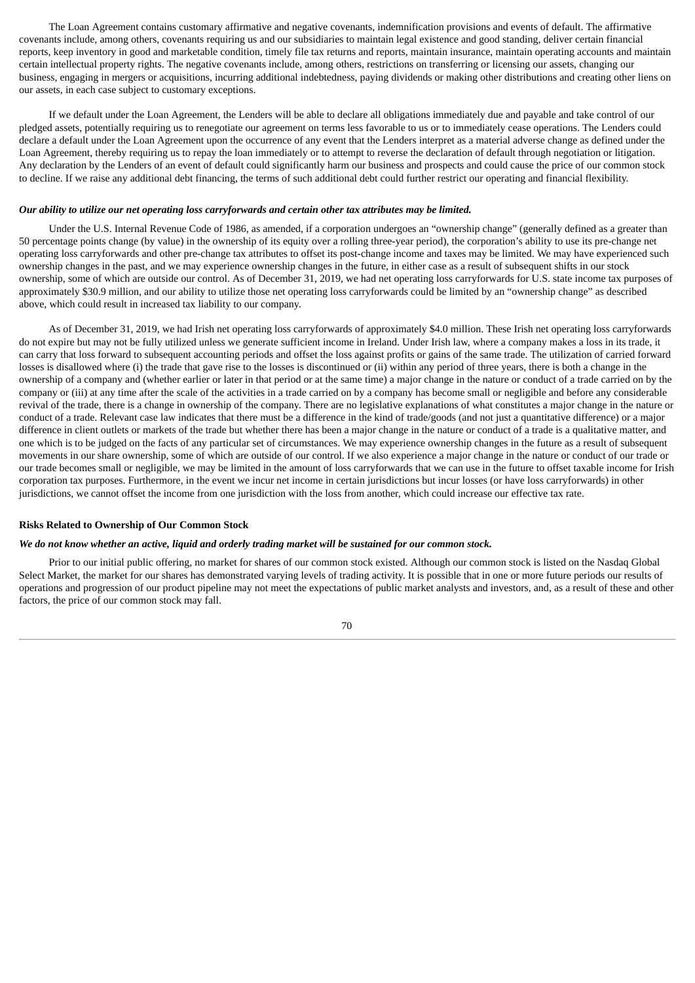The Loan Agreement contains customary affirmative and negative covenants, indemnification provisions and events of default. The affirmative covenants include, among others, covenants requiring us and our subsidiaries to maintain legal existence and good standing, deliver certain financial reports, keep inventory in good and marketable condition, timely file tax returns and reports, maintain insurance, maintain operating accounts and maintain certain intellectual property rights. The negative covenants include, among others, restrictions on transferring or licensing our assets, changing our business, engaging in mergers or acquisitions, incurring additional indebtedness, paying dividends or making other distributions and creating other liens on our assets, in each case subject to customary exceptions.

If we default under the Loan Agreement, the Lenders will be able to declare all obligations immediately due and payable and take control of our pledged assets, potentially requiring us to renegotiate our agreement on terms less favorable to us or to immediately cease operations. The Lenders could declare a default under the Loan Agreement upon the occurrence of any event that the Lenders interpret as a material adverse change as defined under the Loan Agreement, thereby requiring us to repay the loan immediately or to attempt to reverse the declaration of default through negotiation or litigation. Any declaration by the Lenders of an event of default could significantly harm our business and prospects and could cause the price of our common stock to decline. If we raise any additional debt financing, the terms of such additional debt could further restrict our operating and financial flexibility.

#### Our ability to utilize our net operating loss carryforwards and certain other tax attributes may be limited.

Under the U.S. Internal Revenue Code of 1986, as amended, if a corporation undergoes an "ownership change" (generally defined as a greater than 50 percentage points change (by value) in the ownership of its equity over a rolling three-year period), the corporation's ability to use its pre-change net operating loss carryforwards and other pre-change tax attributes to offset its post-change income and taxes may be limited. We may have experienced such ownership changes in the past, and we may experience ownership changes in the future, in either case as a result of subsequent shifts in our stock ownership, some of which are outside our control. As of December 31, 2019, we had net operating loss carryforwards for U.S. state income tax purposes of approximately \$30.9 million, and our ability to utilize those net operating loss carryforwards could be limited by an "ownership change" as described above, which could result in increased tax liability to our company.

As of December 31, 2019, we had Irish net operating loss carryforwards of approximately \$4.0 million. These Irish net operating loss carryforwards do not expire but may not be fully utilized unless we generate sufficient income in Ireland. Under Irish law, where a company makes a loss in its trade, it can carry that loss forward to subsequent accounting periods and offset the loss against profits or gains of the same trade. The utilization of carried forward losses is disallowed where (i) the trade that gave rise to the losses is discontinued or (ii) within any period of three years, there is both a change in the ownership of a company and (whether earlier or later in that period or at the same time) a major change in the nature or conduct of a trade carried on by the company or (iii) at any time after the scale of the activities in a trade carried on by a company has become small or negligible and before any considerable revival of the trade, there is a change in ownership of the company. There are no legislative explanations of what constitutes a major change in the nature or conduct of a trade. Relevant case law indicates that there must be a difference in the kind of trade/goods (and not just a quantitative difference) or a major difference in client outlets or markets of the trade but whether there has been a major change in the nature or conduct of a trade is a qualitative matter, and one which is to be judged on the facts of any particular set of circumstances. We may experience ownership changes in the future as a result of subsequent movements in our share ownership, some of which are outside of our control. If we also experience a major change in the nature or conduct of our trade or our trade becomes small or negligible, we may be limited in the amount of loss carryforwards that we can use in the future to offset taxable income for Irish corporation tax purposes. Furthermore, in the event we incur net income in certain jurisdictions but incur losses (or have loss carryforwards) in other jurisdictions, we cannot offset the income from one jurisdiction with the loss from another, which could increase our effective tax rate.

#### **Risks Related to Ownership of Our Common Stock**

#### We do not know whether an active, liquid and orderly trading market will be sustained for our common stock.

Prior to our initial public offering, no market for shares of our common stock existed. Although our common stock is listed on the Nasdaq Global Select Market, the market for our shares has demonstrated varying levels of trading activity. It is possible that in one or more future periods our results of operations and progression of our product pipeline may not meet the expectations of public market analysts and investors, and, as a result of these and other factors, the price of our common stock may fall.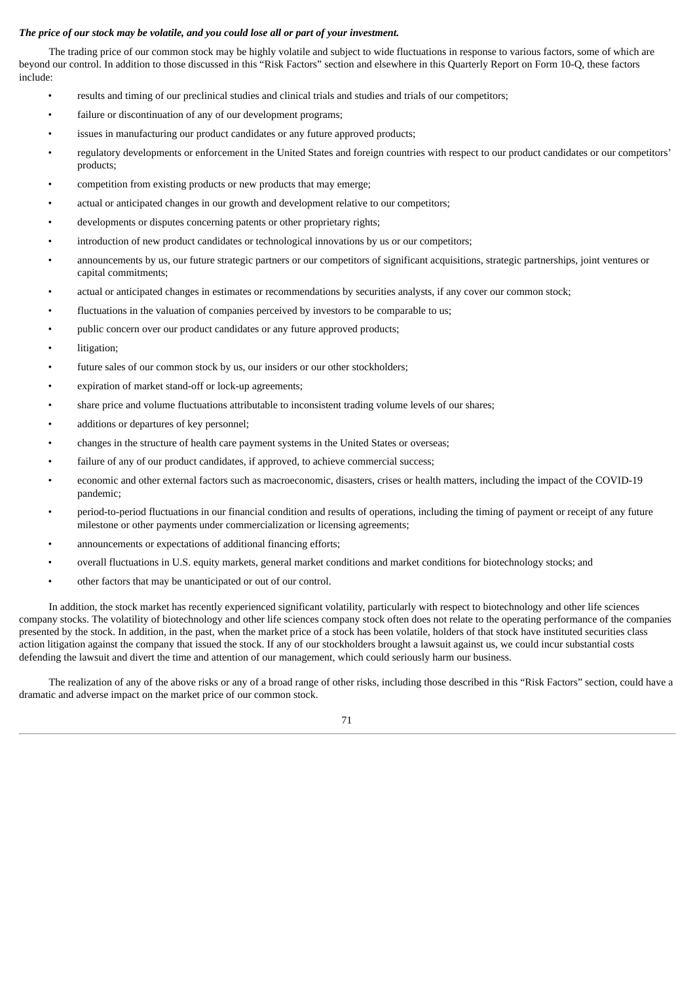### *The price of our stock may be volatile, and you could lose all or part of your investment.*

The trading price of our common stock may be highly volatile and subject to wide fluctuations in response to various factors, some of which are beyond our control. In addition to those discussed in this "Risk Factors" section and elsewhere in this Quarterly Report on Form 10-Q, these factors include:

- results and timing of our preclinical studies and clinical trials and studies and trials of our competitors;
- failure or discontinuation of any of our development programs;
- issues in manufacturing our product candidates or any future approved products;
- regulatory developments or enforcement in the United States and foreign countries with respect to our product candidates or our competitors' products;
- competition from existing products or new products that may emerge;
- actual or anticipated changes in our growth and development relative to our competitors;
- developments or disputes concerning patents or other proprietary rights;
- introduction of new product candidates or technological innovations by us or our competitors;
- announcements by us, our future strategic partners or our competitors of significant acquisitions, strategic partnerships, joint ventures or capital commitments;
- actual or anticipated changes in estimates or recommendations by securities analysts, if any cover our common stock;
- fluctuations in the valuation of companies perceived by investors to be comparable to us;
- public concern over our product candidates or any future approved products;
- litigation;
- future sales of our common stock by us, our insiders or our other stockholders;
- expiration of market stand-off or lock-up agreements;
- share price and volume fluctuations attributable to inconsistent trading volume levels of our shares;
- additions or departures of key personnel;
- changes in the structure of health care payment systems in the United States or overseas;
- failure of any of our product candidates, if approved, to achieve commercial success;
- economic and other external factors such as macroeconomic, disasters, crises or health matters, including the impact of the COVID-19 pandemic;
- period-to-period fluctuations in our financial condition and results of operations, including the timing of payment or receipt of any future milestone or other payments under commercialization or licensing agreements;
- announcements or expectations of additional financing efforts;
- overall fluctuations in U.S. equity markets, general market conditions and market conditions for biotechnology stocks; and
- other factors that may be unanticipated or out of our control.

In addition, the stock market has recently experienced significant volatility, particularly with respect to biotechnology and other life sciences company stocks. The volatility of biotechnology and other life sciences company stock often does not relate to the operating performance of the companies presented by the stock. In addition, in the past, when the market price of a stock has been volatile, holders of that stock have instituted securities class action litigation against the company that issued the stock. If any of our stockholders brought a lawsuit against us, we could incur substantial costs defending the lawsuit and divert the time and attention of our management, which could seriously harm our business.

The realization of any of the above risks or any of a broad range of other risks, including those described in this "Risk Factors" section, could have a dramatic and adverse impact on the market price of our common stock.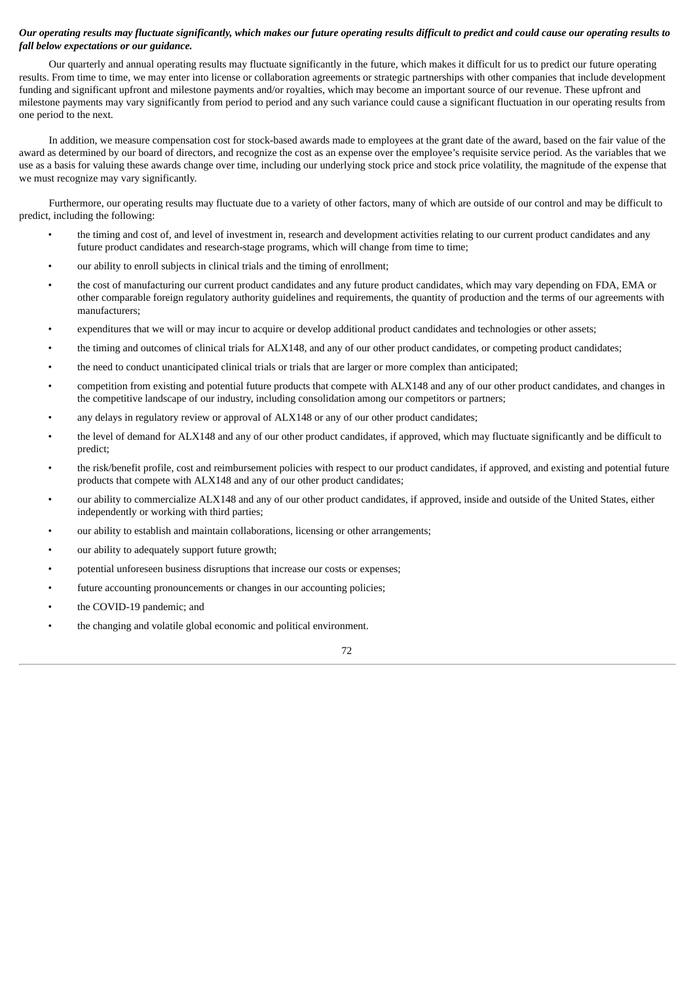## Our operating results may fluctuate significantly, which makes our future operating results difficult to predict and could cause our operating results to *fall below expectations or our guidance.*

Our quarterly and annual operating results may fluctuate significantly in the future, which makes it difficult for us to predict our future operating results. From time to time, we may enter into license or collaboration agreements or strategic partnerships with other companies that include development funding and significant upfront and milestone payments and/or royalties, which may become an important source of our revenue. These upfront and milestone payments may vary significantly from period to period and any such variance could cause a significant fluctuation in our operating results from one period to the next.

In addition, we measure compensation cost for stock-based awards made to employees at the grant date of the award, based on the fair value of the award as determined by our board of directors, and recognize the cost as an expense over the employee's requisite service period. As the variables that we use as a basis for valuing these awards change over time, including our underlying stock price and stock price volatility, the magnitude of the expense that we must recognize may vary significantly.

Furthermore, our operating results may fluctuate due to a variety of other factors, many of which are outside of our control and may be difficult to predict, including the following:

- the timing and cost of, and level of investment in, research and development activities relating to our current product candidates and any future product candidates and research-stage programs, which will change from time to time;
- our ability to enroll subjects in clinical trials and the timing of enrollment;
- the cost of manufacturing our current product candidates and any future product candidates, which may vary depending on FDA, EMA or other comparable foreign regulatory authority guidelines and requirements, the quantity of production and the terms of our agreements with manufacturers;
- expenditures that we will or may incur to acquire or develop additional product candidates and technologies or other assets;
- the timing and outcomes of clinical trials for ALX148, and any of our other product candidates, or competing product candidates;
- the need to conduct unanticipated clinical trials or trials that are larger or more complex than anticipated;
- competition from existing and potential future products that compete with ALX148 and any of our other product candidates, and changes in the competitive landscape of our industry, including consolidation among our competitors or partners;
- any delays in regulatory review or approval of ALX148 or any of our other product candidates;
- the level of demand for ALX148 and any of our other product candidates, if approved, which may fluctuate significantly and be difficult to predict;
- the risk/benefit profile, cost and reimbursement policies with respect to our product candidates, if approved, and existing and potential future products that compete with ALX148 and any of our other product candidates;
- our ability to commercialize ALX148 and any of our other product candidates, if approved, inside and outside of the United States, either independently or working with third parties;
- our ability to establish and maintain collaborations, licensing or other arrangements;
- our ability to adequately support future growth;
- potential unforeseen business disruptions that increase our costs or expenses;
- future accounting pronouncements or changes in our accounting policies;
- the COVID-19 pandemic; and
- the changing and volatile global economic and political environment.

72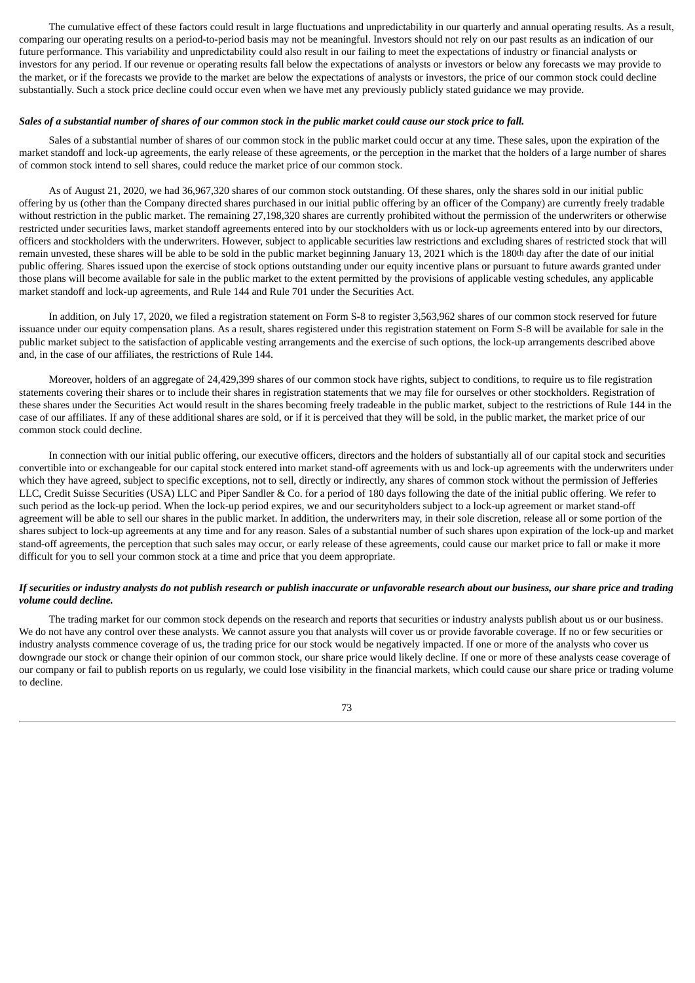The cumulative effect of these factors could result in large fluctuations and unpredictability in our quarterly and annual operating results. As a result, comparing our operating results on a period-to-period basis may not be meaningful. Investors should not rely on our past results as an indication of our future performance. This variability and unpredictability could also result in our failing to meet the expectations of industry or financial analysts or investors for any period. If our revenue or operating results fall below the expectations of analysts or investors or below any forecasts we may provide to the market, or if the forecasts we provide to the market are below the expectations of analysts or investors, the price of our common stock could decline substantially. Such a stock price decline could occur even when we have met any previously publicly stated guidance we may provide.

#### Sales of a substantial number of shares of our common stock in the public market could cause our stock price to fall.

Sales of a substantial number of shares of our common stock in the public market could occur at any time. These sales, upon the expiration of the market standoff and lock-up agreements, the early release of these agreements, or the perception in the market that the holders of a large number of shares of common stock intend to sell shares, could reduce the market price of our common stock.

As of August 21, 2020, we had 36,967,320 shares of our common stock outstanding. Of these shares, only the shares sold in our initial public offering by us (other than the Company directed shares purchased in our initial public offering by an officer of the Company) are currently freely tradable without restriction in the public market. The remaining 27,198,320 shares are currently prohibited without the permission of the underwriters or otherwise restricted under securities laws, market standoff agreements entered into by our stockholders with us or lock-up agreements entered into by our directors, officers and stockholders with the underwriters. However, subject to applicable securities law restrictions and excluding shares of restricted stock that will remain unvested, these shares will be able to be sold in the public market beginning January 13, 2021 which is the 180th day after the date of our initial public offering. Shares issued upon the exercise of stock options outstanding under our equity incentive plans or pursuant to future awards granted under those plans will become available for sale in the public market to the extent permitted by the provisions of applicable vesting schedules, any applicable market standoff and lock-up agreements, and Rule 144 and Rule 701 under the Securities Act.

In addition, on July 17, 2020, we filed a registration statement on Form S-8 to register 3,563,962 shares of our common stock reserved for future issuance under our equity compensation plans. As a result, shares registered under this registration statement on Form S-8 will be available for sale in the public market subject to the satisfaction of applicable vesting arrangements and the exercise of such options, the lock-up arrangements described above and, in the case of our affiliates, the restrictions of Rule 144.

Moreover, holders of an aggregate of 24,429,399 shares of our common stock have rights, subject to conditions, to require us to file registration statements covering their shares or to include their shares in registration statements that we may file for ourselves or other stockholders. Registration of these shares under the Securities Act would result in the shares becoming freely tradeable in the public market, subject to the restrictions of Rule 144 in the case of our affiliates. If any of these additional shares are sold, or if it is perceived that they will be sold, in the public market, the market price of our common stock could decline.

In connection with our initial public offering, our executive officers, directors and the holders of substantially all of our capital stock and securities convertible into or exchangeable for our capital stock entered into market stand-off agreements with us and lock-up agreements with the underwriters under which they have agreed, subject to specific exceptions, not to sell, directly or indirectly, any shares of common stock without the permission of Jefferies LLC, Credit Suisse Securities (USA) LLC and Piper Sandler & Co. for a period of 180 days following the date of the initial public offering. We refer to such period as the lock-up period. When the lock-up period expires, we and our securityholders subject to a lock-up agreement or market stand-off agreement will be able to sell our shares in the public market. In addition, the underwriters may, in their sole discretion, release all or some portion of the shares subject to lock-up agreements at any time and for any reason. Sales of a substantial number of such shares upon expiration of the lock-up and market stand-off agreements, the perception that such sales may occur, or early release of these agreements, could cause our market price to fall or make it more difficult for you to sell your common stock at a time and price that you deem appropriate.

### If securities or industry analysts do not publish research or publish inaccurate or unfavorable research about our business, our share price and trading *volume could decline.*

The trading market for our common stock depends on the research and reports that securities or industry analysts publish about us or our business. We do not have any control over these analysts. We cannot assure you that analysts will cover us or provide favorable coverage. If no or few securities or industry analysts commence coverage of us, the trading price for our stock would be negatively impacted. If one or more of the analysts who cover us downgrade our stock or change their opinion of our common stock, our share price would likely decline. If one or more of these analysts cease coverage of our company or fail to publish reports on us regularly, we could lose visibility in the financial markets, which could cause our share price or trading volume to decline.

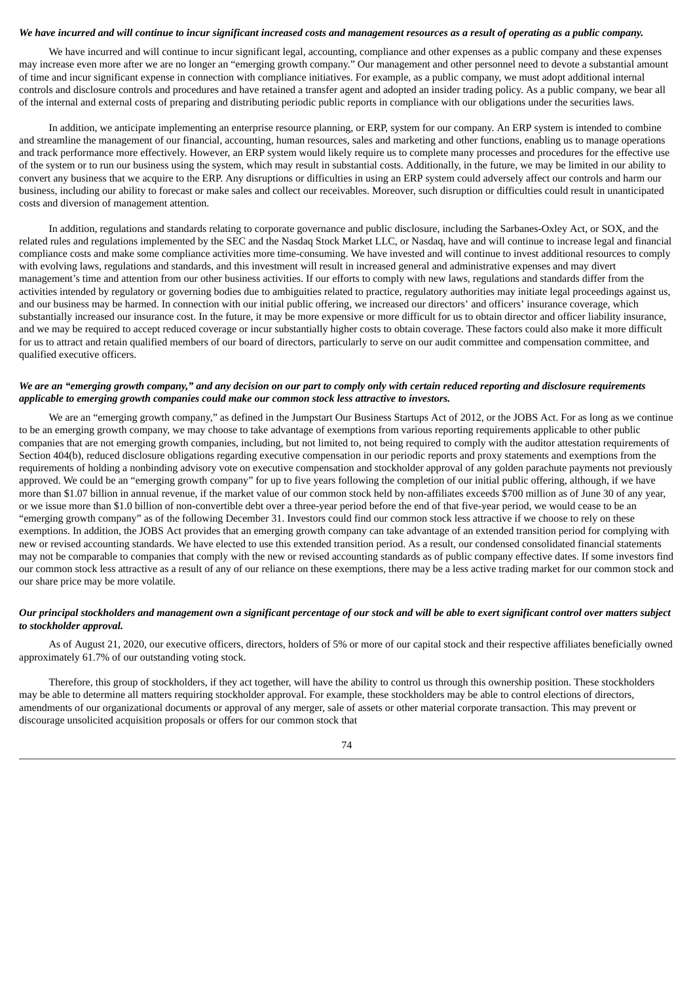#### We have incurred and will continue to incur significant increased costs and management resources as a result of operating as a public company.

We have incurred and will continue to incur significant legal, accounting, compliance and other expenses as a public company and these expenses may increase even more after we are no longer an "emerging growth company." Our management and other personnel need to devote a substantial amount of time and incur significant expense in connection with compliance initiatives. For example, as a public company, we must adopt additional internal controls and disclosure controls and procedures and have retained a transfer agent and adopted an insider trading policy. As a public company, we bear all of the internal and external costs of preparing and distributing periodic public reports in compliance with our obligations under the securities laws.

In addition, we anticipate implementing an enterprise resource planning, or ERP, system for our company. An ERP system is intended to combine and streamline the management of our financial, accounting, human resources, sales and marketing and other functions, enabling us to manage operations and track performance more effectively. However, an ERP system would likely require us to complete many processes and procedures for the effective use of the system or to run our business using the system, which may result in substantial costs. Additionally, in the future, we may be limited in our ability to convert any business that we acquire to the ERP. Any disruptions or difficulties in using an ERP system could adversely affect our controls and harm our business, including our ability to forecast or make sales and collect our receivables. Moreover, such disruption or difficulties could result in unanticipated costs and diversion of management attention.

In addition, regulations and standards relating to corporate governance and public disclosure, including the Sarbanes-Oxley Act, or SOX, and the related rules and regulations implemented by the SEC and the Nasdaq Stock Market LLC, or Nasdaq, have and will continue to increase legal and financial compliance costs and make some compliance activities more time-consuming. We have invested and will continue to invest additional resources to comply with evolving laws, regulations and standards, and this investment will result in increased general and administrative expenses and may divert management's time and attention from our other business activities. If our efforts to comply with new laws, regulations and standards differ from the activities intended by regulatory or governing bodies due to ambiguities related to practice, regulatory authorities may initiate legal proceedings against us, and our business may be harmed. In connection with our initial public offering, we increased our directors' and officers' insurance coverage, which substantially increased our insurance cost. In the future, it may be more expensive or more difficult for us to obtain director and officer liability insurance, and we may be required to accept reduced coverage or incur substantially higher costs to obtain coverage. These factors could also make it more difficult for us to attract and retain qualified members of our board of directors, particularly to serve on our audit committee and compensation committee, and qualified executive officers.

### We are an "emerging growth company," and any decision on our part to comply only with certain reduced reporting and disclosure requirements *applicable to emerging growth companies could make our common stock less attractive to investors.*

We are an "emerging growth company," as defined in the Jumpstart Our Business Startups Act of 2012, or the JOBS Act. For as long as we continue to be an emerging growth company, we may choose to take advantage of exemptions from various reporting requirements applicable to other public companies that are not emerging growth companies, including, but not limited to, not being required to comply with the auditor attestation requirements of Section 404(b), reduced disclosure obligations regarding executive compensation in our periodic reports and proxy statements and exemptions from the requirements of holding a nonbinding advisory vote on executive compensation and stockholder approval of any golden parachute payments not previously approved. We could be an "emerging growth company" for up to five years following the completion of our initial public offering, although, if we have more than \$1.07 billion in annual revenue, if the market value of our common stock held by non-affiliates exceeds \$700 million as of June 30 of any year, or we issue more than \$1.0 billion of non-convertible debt over a three-year period before the end of that five-year period, we would cease to be an "emerging growth company" as of the following December 31. Investors could find our common stock less attractive if we choose to rely on these exemptions. In addition, the JOBS Act provides that an emerging growth company can take advantage of an extended transition period for complying with new or revised accounting standards. We have elected to use this extended transition period. As a result, our condensed consolidated financial statements may not be comparable to companies that comply with the new or revised accounting standards as of public company effective dates. If some investors find our common stock less attractive as a result of any of our reliance on these exemptions, there may be a less active trading market for our common stock and our share price may be more volatile.

### Our principal stockholders and management own a significant percentage of our stock and will be able to exert significant control over matters subject *to stockholder approval.*

As of August 21, 2020, our executive officers, directors, holders of 5% or more of our capital stock and their respective affiliates beneficially owned approximately 61.7% of our outstanding voting stock.

Therefore, this group of stockholders, if they act together, will have the ability to control us through this ownership position. These stockholders may be able to determine all matters requiring stockholder approval. For example, these stockholders may be able to control elections of directors, amendments of our organizational documents or approval of any merger, sale of assets or other material corporate transaction. This may prevent or discourage unsolicited acquisition proposals or offers for our common stock that

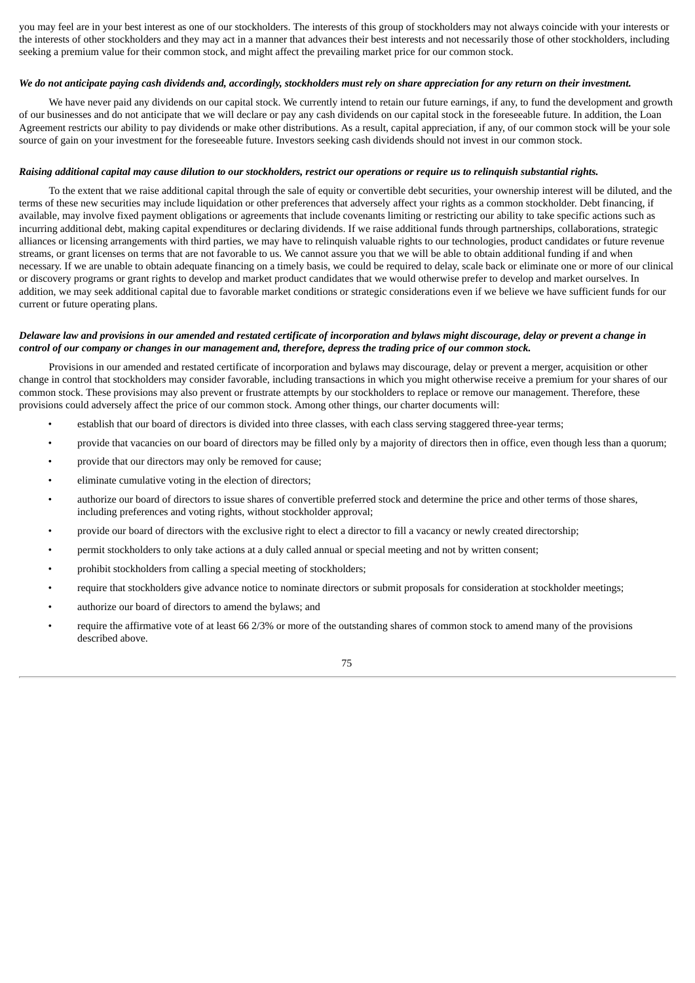you may feel are in your best interest as one of our stockholders. The interests of this group of stockholders may not always coincide with your interests or the interests of other stockholders and they may act in a manner that advances their best interests and not necessarily those of other stockholders, including seeking a premium value for their common stock, and might affect the prevailing market price for our common stock.

### We do not anticipate paying cash dividends and, accordingly, stockholders must rely on share appreciation for any return on their investment.

We have never paid any dividends on our capital stock. We currently intend to retain our future earnings, if any, to fund the development and growth of our businesses and do not anticipate that we will declare or pay any cash dividends on our capital stock in the foreseeable future. In addition, the Loan Agreement restricts our ability to pay dividends or make other distributions. As a result, capital appreciation, if any, of our common stock will be your sole source of gain on your investment for the foreseeable future. Investors seeking cash dividends should not invest in our common stock.

### Raising additional capital may cause dilution to our stockholders, restrict our operations or require us to relinquish substantial rights.

To the extent that we raise additional capital through the sale of equity or convertible debt securities, your ownership interest will be diluted, and the terms of these new securities may include liquidation or other preferences that adversely affect your rights as a common stockholder. Debt financing, if available, may involve fixed payment obligations or agreements that include covenants limiting or restricting our ability to take specific actions such as incurring additional debt, making capital expenditures or declaring dividends. If we raise additional funds through partnerships, collaborations, strategic alliances or licensing arrangements with third parties, we may have to relinquish valuable rights to our technologies, product candidates or future revenue streams, or grant licenses on terms that are not favorable to us. We cannot assure you that we will be able to obtain additional funding if and when necessary. If we are unable to obtain adequate financing on a timely basis, we could be required to delay, scale back or eliminate one or more of our clinical or discovery programs or grant rights to develop and market product candidates that we would otherwise prefer to develop and market ourselves. In addition, we may seek additional capital due to favorable market conditions or strategic considerations even if we believe we have sufficient funds for our current or future operating plans.

## Delaware law and provisions in our amended and restated certificate of incorporation and bylaws might discourage, delay or prevent a change in control of our company or changes in our management and, therefore, depress the trading price of our common stock.

Provisions in our amended and restated certificate of incorporation and bylaws may discourage, delay or prevent a merger, acquisition or other change in control that stockholders may consider favorable, including transactions in which you might otherwise receive a premium for your shares of our common stock. These provisions may also prevent or frustrate attempts by our stockholders to replace or remove our management. Therefore, these provisions could adversely affect the price of our common stock. Among other things, our charter documents will:

- establish that our board of directors is divided into three classes, with each class serving staggered three-year terms;
- provide that vacancies on our board of directors may be filled only by a majority of directors then in office, even though less than a quorum;
- provide that our directors may only be removed for cause;
- eliminate cumulative voting in the election of directors;
- authorize our board of directors to issue shares of convertible preferred stock and determine the price and other terms of those shares, including preferences and voting rights, without stockholder approval;
- provide our board of directors with the exclusive right to elect a director to fill a vacancy or newly created directorship;
- permit stockholders to only take actions at a duly called annual or special meeting and not by written consent;
- prohibit stockholders from calling a special meeting of stockholders;
- require that stockholders give advance notice to nominate directors or submit proposals for consideration at stockholder meetings;
- authorize our board of directors to amend the bylaws; and
- require the affirmative vote of at least 66 2/3% or more of the outstanding shares of common stock to amend many of the provisions described above.

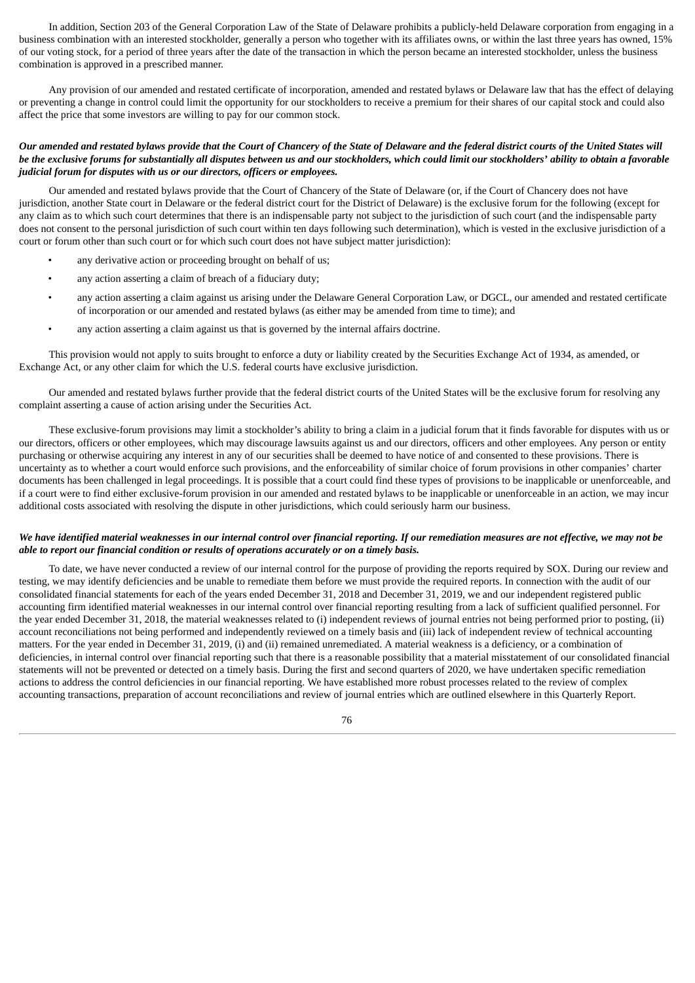In addition, Section 203 of the General Corporation Law of the State of Delaware prohibits a publicly-held Delaware corporation from engaging in a business combination with an interested stockholder, generally a person who together with its affiliates owns, or within the last three years has owned, 15% of our voting stock, for a period of three years after the date of the transaction in which the person became an interested stockholder, unless the business combination is approved in a prescribed manner.

Any provision of our amended and restated certificate of incorporation, amended and restated bylaws or Delaware law that has the effect of delaying or preventing a change in control could limit the opportunity for our stockholders to receive a premium for their shares of our capital stock and could also affect the price that some investors are willing to pay for our common stock.

## Our amended and restated bylaws provide that the Court of Chancery of the State of Delaware and the federal district courts of the United States will be the exclusive forums for substantially all disputes between us and our stockholders, which could limit our stockholders' ability to obtain a favorable *judicial forum for disputes with us or our directors, officers or employees.*

Our amended and restated bylaws provide that the Court of Chancery of the State of Delaware (or, if the Court of Chancery does not have jurisdiction, another State court in Delaware or the federal district court for the District of Delaware) is the exclusive forum for the following (except for any claim as to which such court determines that there is an indispensable party not subject to the jurisdiction of such court (and the indispensable party does not consent to the personal jurisdiction of such court within ten days following such determination), which is vested in the exclusive jurisdiction of a court or forum other than such court or for which such court does not have subject matter jurisdiction):

- any derivative action or proceeding brought on behalf of us;
- any action asserting a claim of breach of a fiduciary duty;
- any action asserting a claim against us arising under the Delaware General Corporation Law, or DGCL, our amended and restated certificate of incorporation or our amended and restated bylaws (as either may be amended from time to time); and
- any action asserting a claim against us that is governed by the internal affairs doctrine.

This provision would not apply to suits brought to enforce a duty or liability created by the Securities Exchange Act of 1934, as amended, or Exchange Act, or any other claim for which the U.S. federal courts have exclusive jurisdiction.

Our amended and restated bylaws further provide that the federal district courts of the United States will be the exclusive forum for resolving any complaint asserting a cause of action arising under the Securities Act.

These exclusive-forum provisions may limit a stockholder's ability to bring a claim in a judicial forum that it finds favorable for disputes with us or our directors, officers or other employees, which may discourage lawsuits against us and our directors, officers and other employees. Any person or entity purchasing or otherwise acquiring any interest in any of our securities shall be deemed to have notice of and consented to these provisions. There is uncertainty as to whether a court would enforce such provisions, and the enforceability of similar choice of forum provisions in other companies' charter documents has been challenged in legal proceedings. It is possible that a court could find these types of provisions to be inapplicable or unenforceable, and if a court were to find either exclusive-forum provision in our amended and restated bylaws to be inapplicable or unenforceable in an action, we may incur additional costs associated with resolving the dispute in other jurisdictions, which could seriously harm our business.

### We have identified material weaknesses in our internal control over financial reporting. If our remediation measures are not effective, we may not be *able to report our financial condition or results of operations accurately or on a timely basis.*

To date, we have never conducted a review of our internal control for the purpose of providing the reports required by SOX. During our review and testing, we may identify deficiencies and be unable to remediate them before we must provide the required reports. In connection with the audit of our consolidated financial statements for each of the years ended December 31, 2018 and December 31, 2019, we and our independent registered public accounting firm identified material weaknesses in our internal control over financial reporting resulting from a lack of sufficient qualified personnel. For the year ended December 31, 2018, the material weaknesses related to (i) independent reviews of journal entries not being performed prior to posting, (ii) account reconciliations not being performed and independently reviewed on a timely basis and (iii) lack of independent review of technical accounting matters. For the year ended in December 31, 2019, (i) and (ii) remained unremediated. A material weakness is a deficiency, or a combination of deficiencies, in internal control over financial reporting such that there is a reasonable possibility that a material misstatement of our consolidated financial statements will not be prevented or detected on a timely basis. During the first and second quarters of 2020, we have undertaken specific remediation actions to address the control deficiencies in our financial reporting. We have established more robust processes related to the review of complex accounting transactions, preparation of account reconciliations and review of journal entries which are outlined elsewhere in this Quarterly Report.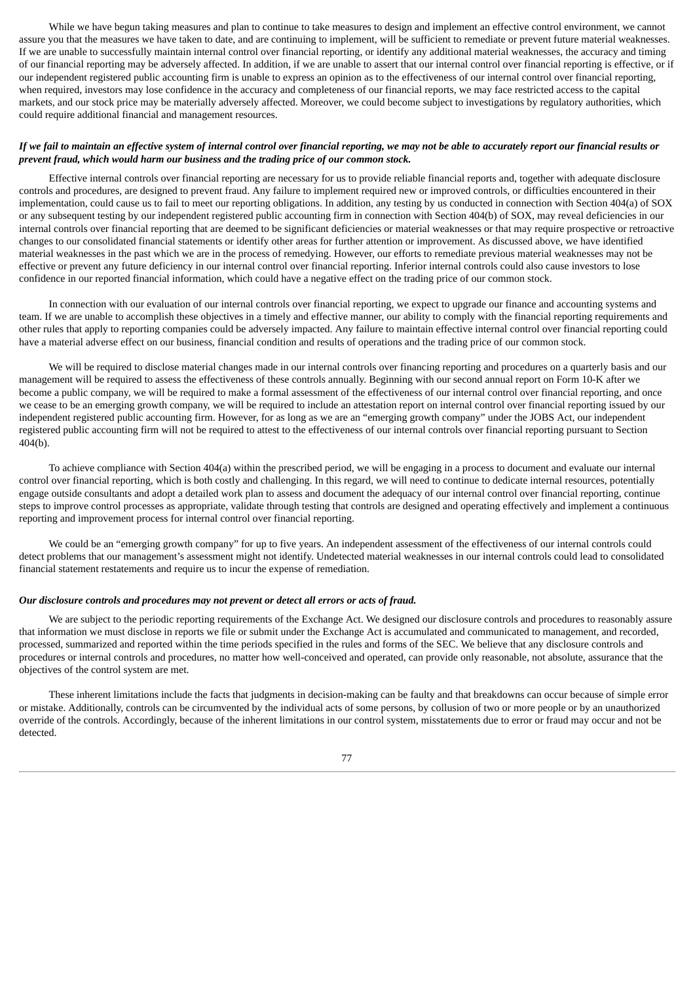While we have begun taking measures and plan to continue to take measures to design and implement an effective control environment, we cannot assure you that the measures we have taken to date, and are continuing to implement, will be sufficient to remediate or prevent future material weaknesses. If we are unable to successfully maintain internal control over financial reporting, or identify any additional material weaknesses, the accuracy and timing of our financial reporting may be adversely affected. In addition, if we are unable to assert that our internal control over financial reporting is effective, or if our independent registered public accounting firm is unable to express an opinion as to the effectiveness of our internal control over financial reporting, when required, investors may lose confidence in the accuracy and completeness of our financial reports, we may face restricted access to the capital markets, and our stock price may be materially adversely affected. Moreover, we could become subject to investigations by regulatory authorities, which could require additional financial and management resources.

## If we fail to maintain an effective system of internal control over financial reporting, we may not be able to accurately report our financial results or *prevent fraud, which would harm our business and the trading price of our common stock.*

Effective internal controls over financial reporting are necessary for us to provide reliable financial reports and, together with adequate disclosure controls and procedures, are designed to prevent fraud. Any failure to implement required new or improved controls, or difficulties encountered in their implementation, could cause us to fail to meet our reporting obligations. In addition, any testing by us conducted in connection with Section 404(a) of SOX or any subsequent testing by our independent registered public accounting firm in connection with Section 404(b) of SOX, may reveal deficiencies in our internal controls over financial reporting that are deemed to be significant deficiencies or material weaknesses or that may require prospective or retroactive changes to our consolidated financial statements or identify other areas for further attention or improvement. As discussed above, we have identified material weaknesses in the past which we are in the process of remedying. However, our efforts to remediate previous material weaknesses may not be effective or prevent any future deficiency in our internal control over financial reporting. Inferior internal controls could also cause investors to lose confidence in our reported financial information, which could have a negative effect on the trading price of our common stock.

In connection with our evaluation of our internal controls over financial reporting, we expect to upgrade our finance and accounting systems and team. If we are unable to accomplish these objectives in a timely and effective manner, our ability to comply with the financial reporting requirements and other rules that apply to reporting companies could be adversely impacted. Any failure to maintain effective internal control over financial reporting could have a material adverse effect on our business, financial condition and results of operations and the trading price of our common stock.

We will be required to disclose material changes made in our internal controls over financing reporting and procedures on a quarterly basis and our management will be required to assess the effectiveness of these controls annually. Beginning with our second annual report on Form 10-K after we become a public company, we will be required to make a formal assessment of the effectiveness of our internal control over financial reporting, and once we cease to be an emerging growth company, we will be required to include an attestation report on internal control over financial reporting issued by our independent registered public accounting firm. However, for as long as we are an "emerging growth company" under the JOBS Act, our independent registered public accounting firm will not be required to attest to the effectiveness of our internal controls over financial reporting pursuant to Section 404(b).

To achieve compliance with Section 404(a) within the prescribed period, we will be engaging in a process to document and evaluate our internal control over financial reporting, which is both costly and challenging. In this regard, we will need to continue to dedicate internal resources, potentially engage outside consultants and adopt a detailed work plan to assess and document the adequacy of our internal control over financial reporting, continue steps to improve control processes as appropriate, validate through testing that controls are designed and operating effectively and implement a continuous reporting and improvement process for internal control over financial reporting.

We could be an "emerging growth company" for up to five years. An independent assessment of the effectiveness of our internal controls could detect problems that our management's assessment might not identify. Undetected material weaknesses in our internal controls could lead to consolidated financial statement restatements and require us to incur the expense of remediation.

## *Our disclosure controls and procedures may not prevent or detect all errors or acts of fraud.*

We are subject to the periodic reporting requirements of the Exchange Act. We designed our disclosure controls and procedures to reasonably assure that information we must disclose in reports we file or submit under the Exchange Act is accumulated and communicated to management, and recorded, processed, summarized and reported within the time periods specified in the rules and forms of the SEC. We believe that any disclosure controls and procedures or internal controls and procedures, no matter how well-conceived and operated, can provide only reasonable, not absolute, assurance that the objectives of the control system are met.

These inherent limitations include the facts that judgments in decision-making can be faulty and that breakdowns can occur because of simple error or mistake. Additionally, controls can be circumvented by the individual acts of some persons, by collusion of two or more people or by an unauthorized override of the controls. Accordingly, because of the inherent limitations in our control system, misstatements due to error or fraud may occur and not be detected.

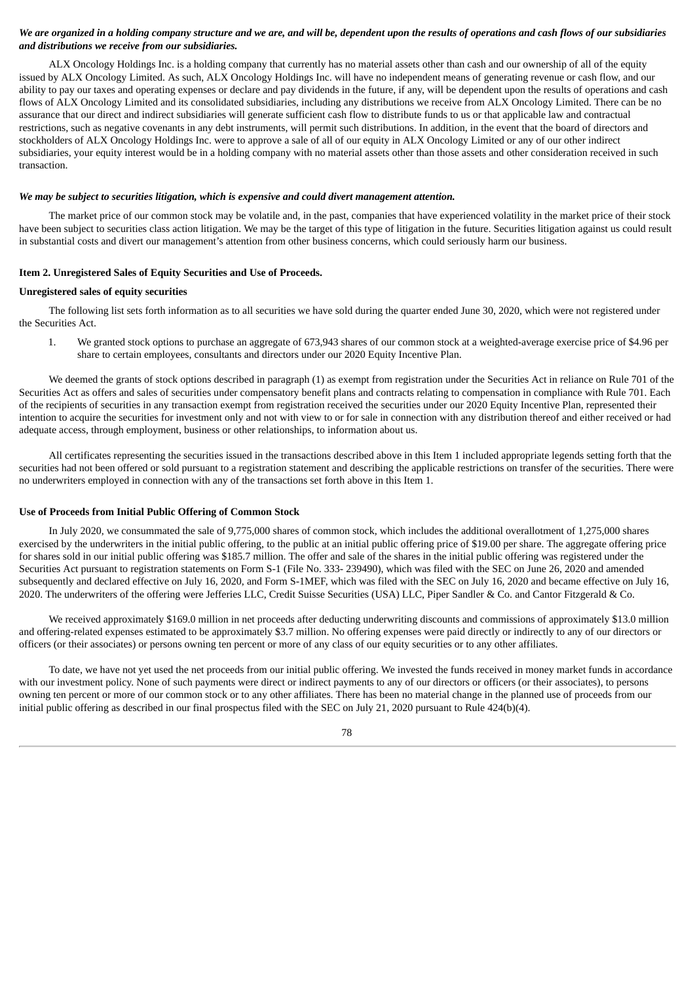## We are organized in a holding company structure and we are, and will be, dependent upon the results of operations and cash flows of our subsidiaries *and distributions we receive from our subsidiaries.*

ALX Oncology Holdings Inc. is a holding company that currently has no material assets other than cash and our ownership of all of the equity issued by ALX Oncology Limited. As such, ALX Oncology Holdings Inc. will have no independent means of generating revenue or cash flow, and our ability to pay our taxes and operating expenses or declare and pay dividends in the future, if any, will be dependent upon the results of operations and cash flows of ALX Oncology Limited and its consolidated subsidiaries, including any distributions we receive from ALX Oncology Limited. There can be no assurance that our direct and indirect subsidiaries will generate sufficient cash flow to distribute funds to us or that applicable law and contractual restrictions, such as negative covenants in any debt instruments, will permit such distributions. In addition, in the event that the board of directors and stockholders of ALX Oncology Holdings Inc. were to approve a sale of all of our equity in ALX Oncology Limited or any of our other indirect subsidiaries, your equity interest would be in a holding company with no material assets other than those assets and other consideration received in such transaction.

#### *We may be subject to securities litigation, which is expensive and could divert management attention.*

The market price of our common stock may be volatile and, in the past, companies that have experienced volatility in the market price of their stock have been subject to securities class action litigation. We may be the target of this type of litigation in the future. Securities litigation against us could result in substantial costs and divert our management's attention from other business concerns, which could seriously harm our business.

#### **Item 2. Unregistered Sales of Equity Securities and Use of Proceeds.**

#### **Unregistered sales of equity securities**

The following list sets forth information as to all securities we have sold during the quarter ended June 30, 2020, which were not registered under the Securities Act.

1. We granted stock options to purchase an aggregate of 673,943 shares of our common stock at a weighted-average exercise price of \$4.96 per share to certain employees, consultants and directors under our 2020 Equity Incentive Plan.

We deemed the grants of stock options described in paragraph (1) as exempt from registration under the Securities Act in reliance on Rule 701 of the Securities Act as offers and sales of securities under compensatory benefit plans and contracts relating to compensation in compliance with Rule 701. Each of the recipients of securities in any transaction exempt from registration received the securities under our 2020 Equity Incentive Plan, represented their intention to acquire the securities for investment only and not with view to or for sale in connection with any distribution thereof and either received or had adequate access, through employment, business or other relationships, to information about us.

All certificates representing the securities issued in the transactions described above in this Item 1 included appropriate legends setting forth that the securities had not been offered or sold pursuant to a registration statement and describing the applicable restrictions on transfer of the securities. There were no underwriters employed in connection with any of the transactions set forth above in this Item 1.

### **Use of Proceeds from Initial Public Offering of Common Stock**

In July 2020, we consummated the sale of 9,775,000 shares of common stock, which includes the additional overallotment of 1,275,000 shares exercised by the underwriters in the initial public offering, to the public at an initial public offering price of \$19.00 per share. The aggregate offering price for shares sold in our initial public offering was \$185.7 million. The offer and sale of the shares in the initial public offering was registered under the Securities Act pursuant to registration statements on Form S-1 (File No. 333- 239490), which was filed with the SEC on June 26, 2020 and amended subsequently and declared effective on July 16, 2020, and Form S-1MEF, which was filed with the SEC on July 16, 2020 and became effective on July 16, 2020. The underwriters of the offering were Jefferies LLC, Credit Suisse Securities (USA) LLC, Piper Sandler & Co. and Cantor Fitzgerald & Co.

We received approximately \$169.0 million in net proceeds after deducting underwriting discounts and commissions of approximately \$13.0 million and offering-related expenses estimated to be approximately \$3.7 million. No offering expenses were paid directly or indirectly to any of our directors or officers (or their associates) or persons owning ten percent or more of any class of our equity securities or to any other affiliates.

To date, we have not yet used the net proceeds from our initial public offering. We invested the funds received in money market funds in accordance with our investment policy. None of such payments were direct or indirect payments to any of our directors or officers (or their associates), to persons owning ten percent or more of our common stock or to any other affiliates. There has been no material change in the planned use of proceeds from our initial public offering as described in our final prospectus filed with the SEC on July 21, 2020 pursuant to Rule 424(b)(4).

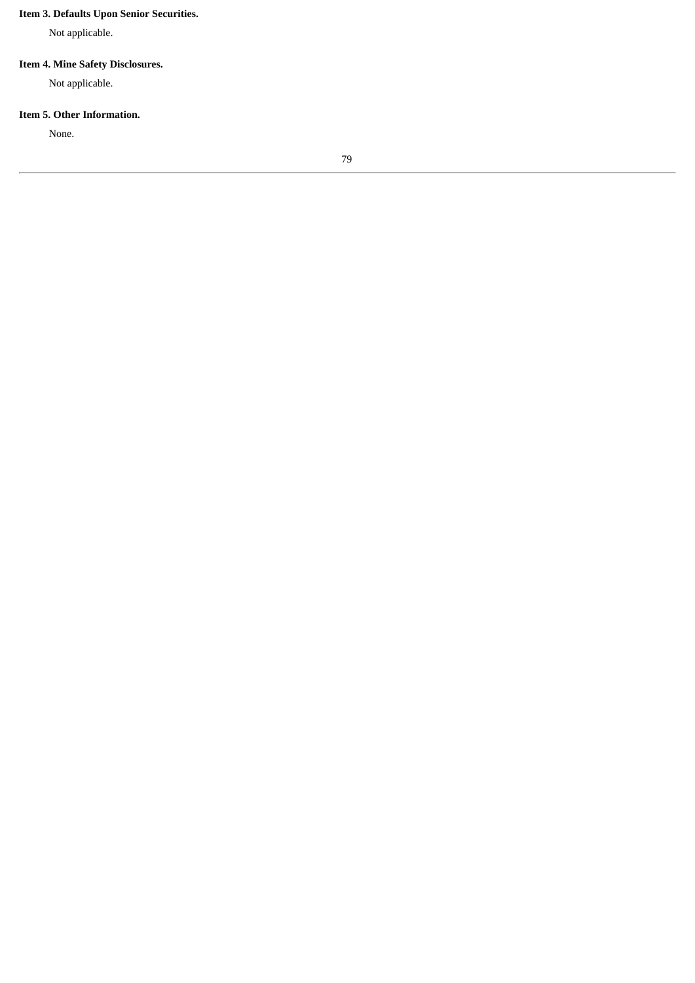# **Item 3. Defaults Upon Senior Securities.**

Not applicable.

# **Item 4. Mine Safety Disclosures.**

Not applicable.

# **Item 5. Other Information.**

None.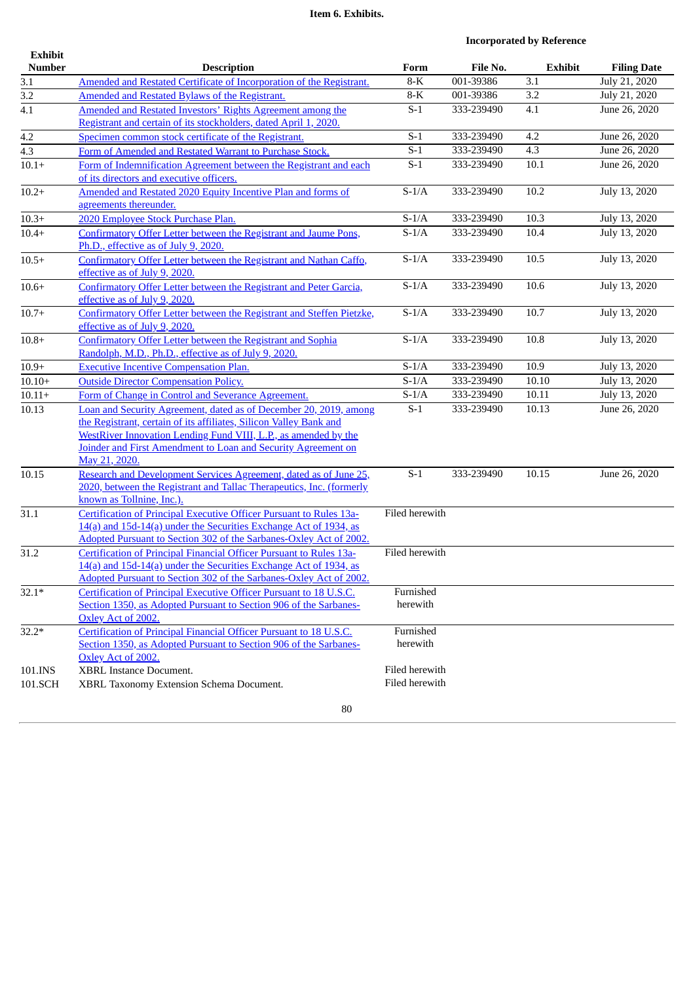# **Item 6. Exhibits.**

# **Incorporated by Reference**

| <b>Exhibit</b>   |                                                                                                                                         |                       |            |                |                    |
|------------------|-----------------------------------------------------------------------------------------------------------------------------------------|-----------------------|------------|----------------|--------------------|
| <b>Number</b>    | <b>Description</b>                                                                                                                      | Form                  | File No.   | <b>Exhibit</b> | <b>Filing Date</b> |
| 3.1              | Amended and Restated Certificate of Incorporation of the Registrant.                                                                    | $8-K$                 | 001-39386  | 3.1            | July 21, 2020      |
| 3.2              | <b>Amended and Restated Bylaws of the Registrant.</b>                                                                                   | $8-K$                 | 001-39386  | 3.2            | July 21, 2020      |
| 4.1              | Amended and Restated Investors' Rights Agreement among the                                                                              | $S-1$                 | 333-239490 | 4.1            | June 26, 2020      |
|                  | Registrant and certain of its stockholders, dated April 1, 2020.                                                                        |                       |            |                |                    |
| $\overline{4.2}$ | Specimen common stock certificate of the Registrant.                                                                                    | $S-1$                 | 333-239490 | 4.2            | June 26, 2020      |
| $\overline{4.3}$ | Form of Amended and Restated Warrant to Purchase Stock.                                                                                 | $S-1$                 | 333-239490 | 4.3            | June 26, 2020      |
| $10.1+$          | Form of Indemnification Agreement between the Registrant and each<br>of its directors and executive officers.                           | $S-1$                 | 333-239490 | 10.1           | June 26, 2020      |
| $10.2+$          | Amended and Restated 2020 Equity Incentive Plan and forms of<br>agreements thereunder.                                                  | $S-1/A$               | 333-239490 | 10.2           | July 13, 2020      |
| $10.3+$          | 2020 Employee Stock Purchase Plan.                                                                                                      | $S-1/A$               | 333-239490 | 10.3           | July 13, 2020      |
| $10.4+$          | <b>Confirmatory Offer Letter between the Registrant and Jaume Pons,</b>                                                                 | $S-1/A$               | 333-239490 | 10.4           | July 13, 2020      |
|                  | Ph.D., effective as of July 9, 2020.                                                                                                    |                       |            |                |                    |
| $10.5+$          | Confirmatory Offer Letter between the Registrant and Nathan Caffo,<br>effective as of July 9, 2020.                                     | $S-1/A$               | 333-239490 | 10.5           | July 13, 2020      |
| $10.6+$          | Confirmatory Offer Letter between the Registrant and Peter Garcia,<br>effective as of July 9, 2020.                                     | $S-1/A$               | 333-239490 | 10.6           | July 13, 2020      |
| $10.7+$          | Confirmatory Offer Letter between the Registrant and Steffen Pietzke,<br>effective as of July 9, 2020.                                  | $S-1/A$               | 333-239490 | 10.7           | July 13, 2020      |
| $10.8+$          | <b>Confirmatory Offer Letter between the Registrant and Sophia</b><br>Randolph, M.D., Ph.D., effective as of July 9, 2020.              | $S-1/A$               | 333-239490 | 10.8           | July 13, 2020      |
| $10.9+$          | <b>Executive Incentive Compensation Plan.</b>                                                                                           | $S-1/A$               | 333-239490 | 10.9           | July 13, 2020      |
| $10.10+$         | <b>Outside Director Compensation Policy.</b>                                                                                            | $S-1/A$               | 333-239490 | 10.10          | July 13, 2020      |
| $10.11+$         | Form of Change in Control and Severance Agreement.                                                                                      | $S-1/A$               | 333-239490 | 10.11          | July 13, 2020      |
| 10.13            | Loan and Security Agreement, dated as of December 20, 2019, among                                                                       | $S-1$                 | 333-239490 | 10.13          | June 26, 2020      |
|                  | the Registrant, certain of its affiliates, Silicon Valley Bank and                                                                      |                       |            |                |                    |
|                  | WestRiver Innovation Lending Fund VIII, L.P., as amended by the                                                                         |                       |            |                |                    |
|                  | Joinder and First Amendment to Loan and Security Agreement on                                                                           |                       |            |                |                    |
|                  | May 21, 2020.                                                                                                                           |                       |            |                |                    |
| 10.15            | Research and Development Services Agreement, dated as of June 25,                                                                       | $S-1$                 | 333-239490 | 10.15          | June 26, 2020      |
|                  | 2020, between the Registrant and Tallac Therapeutics, Inc. (formerly                                                                    |                       |            |                |                    |
|                  | known as Tollnine, Inc.).                                                                                                               |                       |            |                |                    |
| 31.1             | Certification of Principal Executive Officer Pursuant to Rules 13a-                                                                     | <b>Filed herewith</b> |            |                |                    |
|                  | 14(a) and 15d-14(a) under the Securities Exchange Act of 1934, as<br>Adopted Pursuant to Section 302 of the Sarbanes-Oxley Act of 2002. |                       |            |                |                    |
| 31.2             | Certification of Principal Financial Officer Pursuant to Rules 13a-                                                                     | Filed herewith        |            |                |                    |
|                  | 14(a) and 15d-14(a) under the Securities Exchange Act of 1934, as                                                                       |                       |            |                |                    |
|                  | Adopted Pursuant to Section 302 of the Sarbanes-Oxley Act of 2002.                                                                      |                       |            |                |                    |
| $32.1*$          | Certification of Principal Executive Officer Pursuant to 18 U.S.C.                                                                      | Furnished             |            |                |                    |
|                  | Section 1350, as Adopted Pursuant to Section 906 of the Sarbanes-                                                                       | herewith              |            |                |                    |
|                  | Oxley Act of 2002.                                                                                                                      |                       |            |                |                    |
| $32.2*$          | Certification of Principal Financial Officer Pursuant to 18 U.S.C.                                                                      | Furnished             |            |                |                    |
|                  | Section 1350, as Adopted Pursuant to Section 906 of the Sarbanes-                                                                       | herewith              |            |                |                    |
|                  | Oxley Act of 2002.                                                                                                                      |                       |            |                |                    |
| 101.INS          | <b>XBRL Instance Document.</b>                                                                                                          | Filed herewith        |            |                |                    |
| 101.SCH          | XBRL Taxonomy Extension Schema Document.                                                                                                | Filed herewith        |            |                |                    |
|                  | 80                                                                                                                                      |                       |            |                |                    |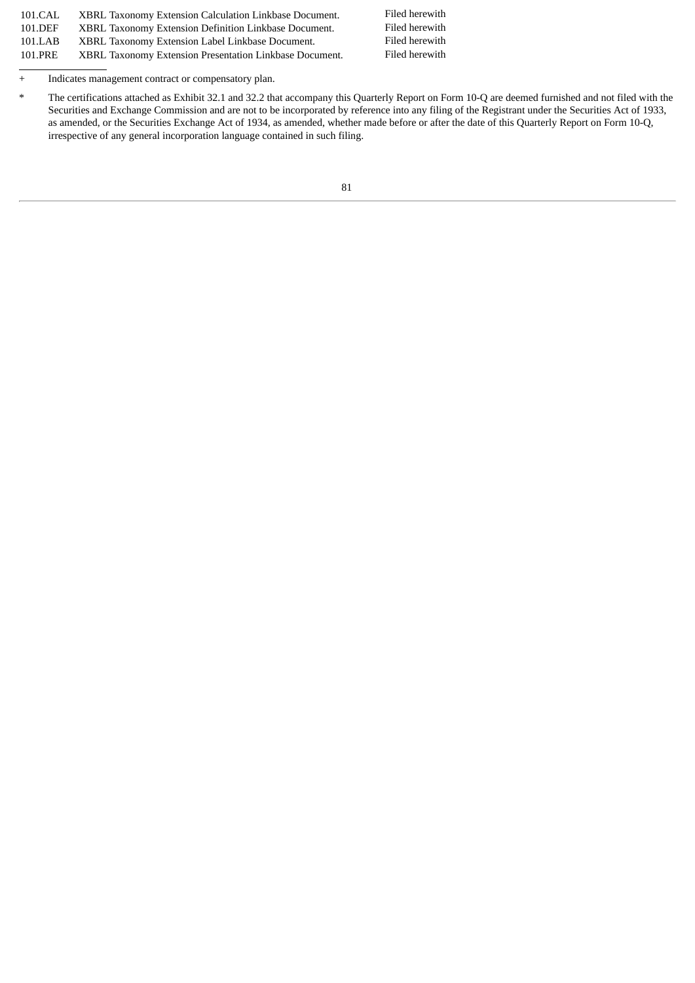| 101.CAL | XBRL Taxonomy Extension Calculation Linkbase Document.  |
|---------|---------------------------------------------------------|
| 101.DEF | XBRL Taxonomy Extension Definition Linkbase Document.   |
| 101.LAB | XBRL Taxonomy Extension Label Linkbase Document.        |
| 101.PRE | XBRL Taxonomy Extension Presentation Linkbase Document. |

Filed herewith Filed herewith Filed herewith Filed herewith

Indicates management contract or compensatory plan.

\* The certifications attached as Exhibit 32.1 and 32.2 that accompany this Quarterly Report on Form 10-Q are deemed furnished and not filed with the Securities and Exchange Commission and are not to be incorporated by reference into any filing of the Registrant under the Securities Act of 1933, as amended, or the Securities Exchange Act of 1934, as amended, whether made before or after the date of this Quarterly Report on Form 10-Q, irrespective of any general incorporation language contained in such filing.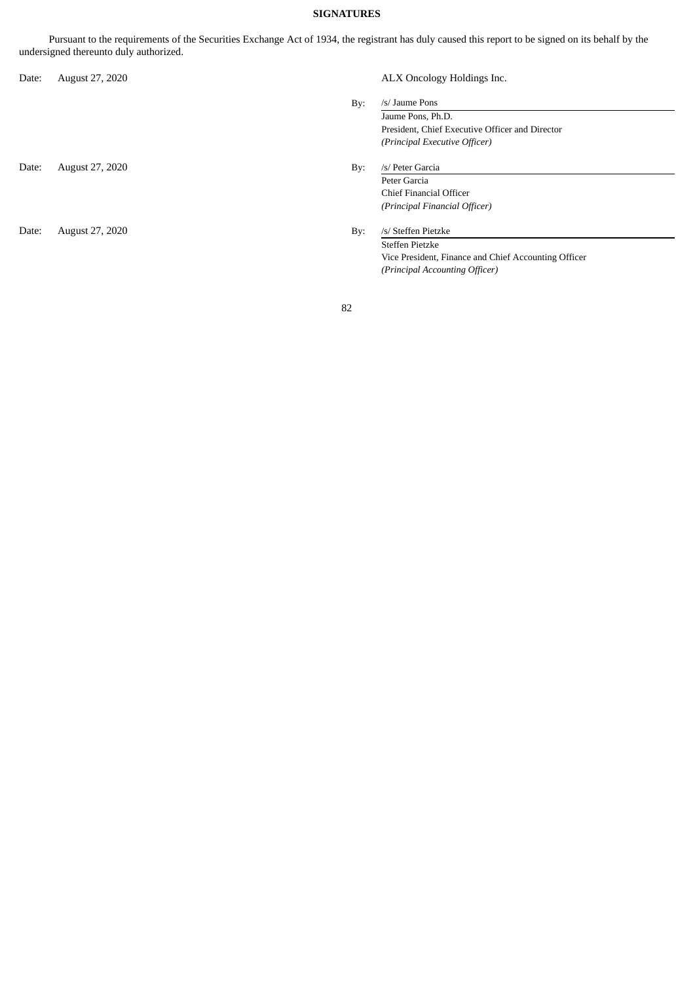# **SIGNATURES**

Pursuant to the requirements of the Securities Exchange Act of 1934, the registrant has duly caused this report to be signed on its behalf by the undersigned thereunto duly authorized.

| Date: | August 27, 2020 |     | ALX Oncology Holdings Inc.                           |  |
|-------|-----------------|-----|------------------------------------------------------|--|
|       |                 | By: | /s/ Jaume Pons<br>Jaume Pons, Ph.D.                  |  |
|       |                 |     | President, Chief Executive Officer and Director      |  |
|       |                 |     | (Principal Executive Officer)                        |  |
| Date: | August 27, 2020 | By: | /s/ Peter Garcia                                     |  |
|       |                 |     | Peter Garcia                                         |  |
|       |                 |     | Chief Financial Officer                              |  |
|       |                 |     | (Principal Financial Officer)                        |  |
| Date: | August 27, 2020 | By: | /s/ Steffen Pietzke                                  |  |
|       |                 |     | Steffen Pietzke                                      |  |
|       |                 |     | Vice President, Finance and Chief Accounting Officer |  |
|       |                 |     | (Principal Accounting Officer)                       |  |
|       |                 |     |                                                      |  |
|       |                 | 82  |                                                      |  |
|       |                 |     |                                                      |  |
|       |                 |     |                                                      |  |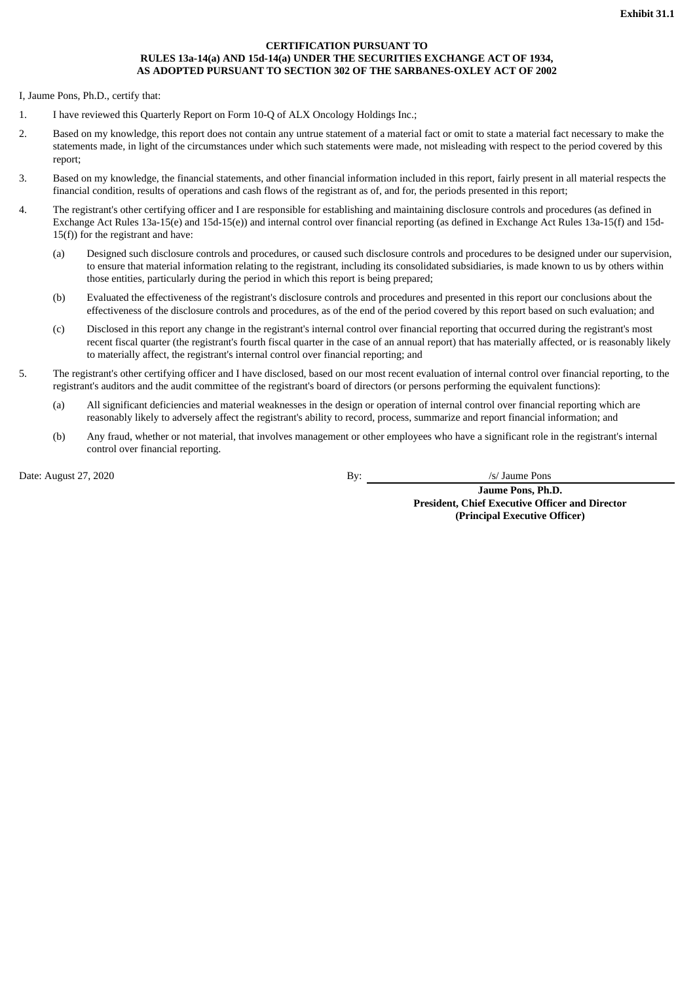## **CERTIFICATION PURSUANT TO RULES 13a-14(a) AND 15d-14(a) UNDER THE SECURITIES EXCHANGE ACT OF 1934, AS ADOPTED PURSUANT TO SECTION 302 OF THE SARBANES-OXLEY ACT OF 2002**

<span id="page-85-0"></span>I, Jaume Pons, Ph.D., certify that:

- 1. I have reviewed this Quarterly Report on Form 10-Q of ALX Oncology Holdings Inc.;
- 2. Based on my knowledge, this report does not contain any untrue statement of a material fact or omit to state a material fact necessary to make the statements made, in light of the circumstances under which such statements were made, not misleading with respect to the period covered by this report;
- 3. Based on my knowledge, the financial statements, and other financial information included in this report, fairly present in all material respects the financial condition, results of operations and cash flows of the registrant as of, and for, the periods presented in this report;
- 4. The registrant's other certifying officer and I are responsible for establishing and maintaining disclosure controls and procedures (as defined in Exchange Act Rules 13a-15(e) and 15d-15(e)) and internal control over financial reporting (as defined in Exchange Act Rules 13a-15(f) and 15d-15(f)) for the registrant and have:
	- (a) Designed such disclosure controls and procedures, or caused such disclosure controls and procedures to be designed under our supervision, to ensure that material information relating to the registrant, including its consolidated subsidiaries, is made known to us by others within those entities, particularly during the period in which this report is being prepared;
	- (b) Evaluated the effectiveness of the registrant's disclosure controls and procedures and presented in this report our conclusions about the effectiveness of the disclosure controls and procedures, as of the end of the period covered by this report based on such evaluation; and
	- (c) Disclosed in this report any change in the registrant's internal control over financial reporting that occurred during the registrant's most recent fiscal quarter (the registrant's fourth fiscal quarter in the case of an annual report) that has materially affected, or is reasonably likely to materially affect, the registrant's internal control over financial reporting; and
- 5. The registrant's other certifying officer and I have disclosed, based on our most recent evaluation of internal control over financial reporting, to the registrant's auditors and the audit committee of the registrant's board of directors (or persons performing the equivalent functions):
	- (a) All significant deficiencies and material weaknesses in the design or operation of internal control over financial reporting which are reasonably likely to adversely affect the registrant's ability to record, process, summarize and report financial information; and
	- (b) Any fraud, whether or not material, that involves management or other employees who have a significant role in the registrant's internal control over financial reporting.

Date: August 27, 2020 By: /s/ Jaume Pons

**Jaume Pons, Ph.D. President, Chief Executive Officer and Director (Principal Executive Officer)**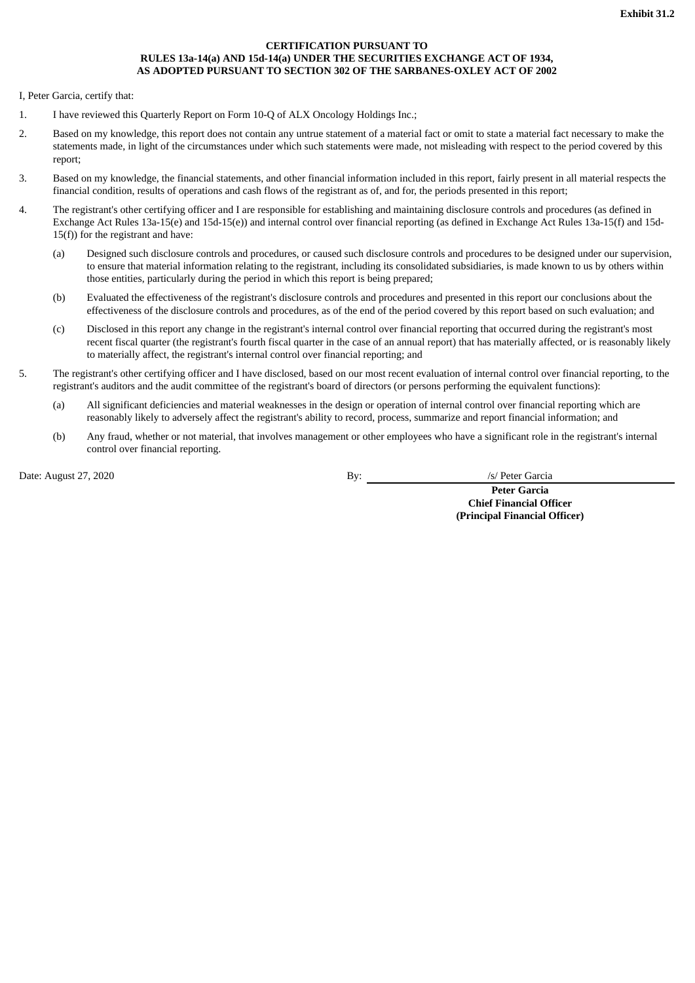## **CERTIFICATION PURSUANT TO RULES 13a-14(a) AND 15d-14(a) UNDER THE SECURITIES EXCHANGE ACT OF 1934, AS ADOPTED PURSUANT TO SECTION 302 OF THE SARBANES-OXLEY ACT OF 2002**

<span id="page-86-0"></span>I, Peter Garcia, certify that:

- 1. I have reviewed this Quarterly Report on Form 10-Q of ALX Oncology Holdings Inc.;
- 2. Based on my knowledge, this report does not contain any untrue statement of a material fact or omit to state a material fact necessary to make the statements made, in light of the circumstances under which such statements were made, not misleading with respect to the period covered by this report;
- 3. Based on my knowledge, the financial statements, and other financial information included in this report, fairly present in all material respects the financial condition, results of operations and cash flows of the registrant as of, and for, the periods presented in this report;
- 4. The registrant's other certifying officer and I are responsible for establishing and maintaining disclosure controls and procedures (as defined in Exchange Act Rules 13a-15(e) and 15d-15(e)) and internal control over financial reporting (as defined in Exchange Act Rules 13a-15(f) and 15d-15(f)) for the registrant and have:
	- (a) Designed such disclosure controls and procedures, or caused such disclosure controls and procedures to be designed under our supervision, to ensure that material information relating to the registrant, including its consolidated subsidiaries, is made known to us by others within those entities, particularly during the period in which this report is being prepared;
	- (b) Evaluated the effectiveness of the registrant's disclosure controls and procedures and presented in this report our conclusions about the effectiveness of the disclosure controls and procedures, as of the end of the period covered by this report based on such evaluation; and
	- (c) Disclosed in this report any change in the registrant's internal control over financial reporting that occurred during the registrant's most recent fiscal quarter (the registrant's fourth fiscal quarter in the case of an annual report) that has materially affected, or is reasonably likely to materially affect, the registrant's internal control over financial reporting; and
- 5. The registrant's other certifying officer and I have disclosed, based on our most recent evaluation of internal control over financial reporting, to the registrant's auditors and the audit committee of the registrant's board of directors (or persons performing the equivalent functions):
	- (a) All significant deficiencies and material weaknesses in the design or operation of internal control over financial reporting which are reasonably likely to adversely affect the registrant's ability to record, process, summarize and report financial information; and
	- (b) Any fraud, whether or not material, that involves management or other employees who have a significant role in the registrant's internal control over financial reporting.

Date: August 27, 2020 By: */s/ Peter Garcia* 

**Peter Garcia Chief Financial Officer (Principal Financial Officer)**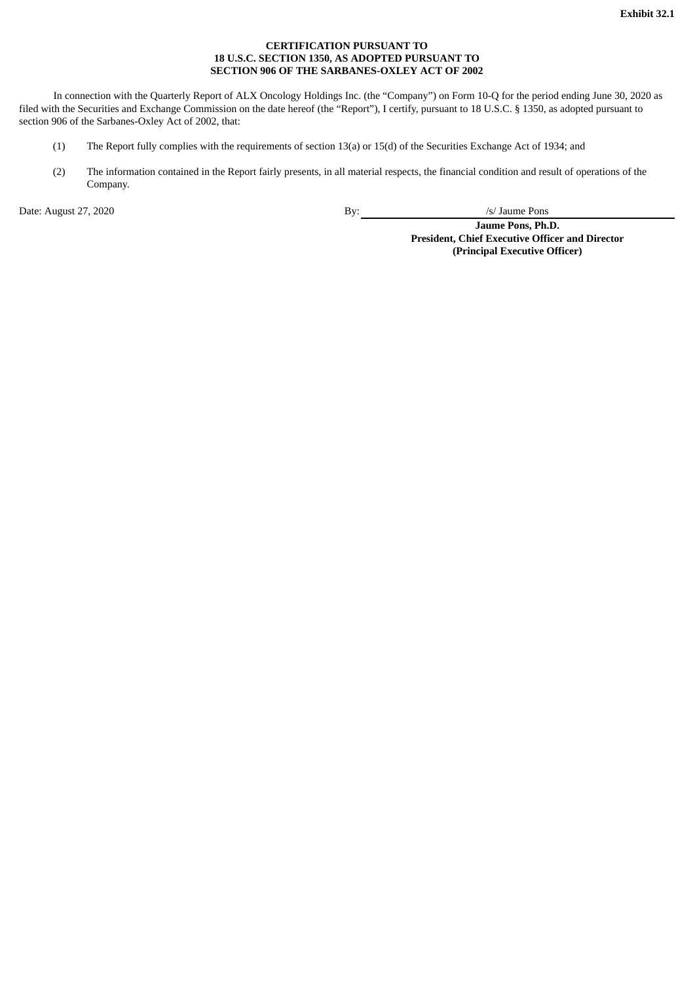## **CERTIFICATION PURSUANT TO 18 U.S.C. SECTION 1350, AS ADOPTED PURSUANT TO SECTION 906 OF THE SARBANES-OXLEY ACT OF 2002**

<span id="page-87-0"></span>In connection with the Quarterly Report of ALX Oncology Holdings Inc. (the "Company") on Form 10-Q for the period ending June 30, 2020 as filed with the Securities and Exchange Commission on the date hereof (the "Report"), I certify, pursuant to 18 U.S.C. § 1350, as adopted pursuant to section 906 of the Sarbanes-Oxley Act of 2002, that:

- (1) The Report fully complies with the requirements of section 13(a) or 15(d) of the Securities Exchange Act of 1934; and
- (2) The information contained in the Report fairly presents, in all material respects, the financial condition and result of operations of the Company.

Date: August 27, 2020 **By:** /s/ Jaume Pons

**Jaume Pons, Ph.D. President, Chief Executive Officer and Director (Principal Executive Officer)**